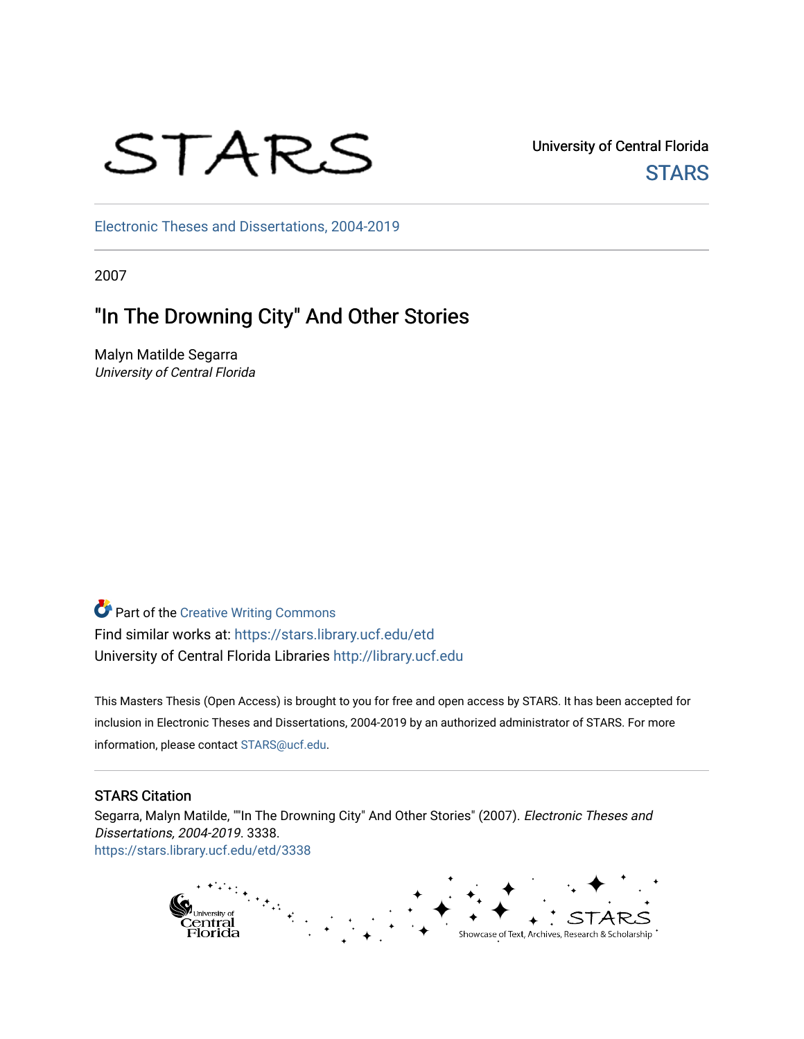# STARS

University of Central Florida **STARS** 

[Electronic Theses and Dissertations, 2004-2019](https://stars.library.ucf.edu/etd) 

2007

## "In The Drowning City" And Other Stories

Malyn Matilde Segarra University of Central Florida

**Part of the Creative Writing Commons** Find similar works at: <https://stars.library.ucf.edu/etd> University of Central Florida Libraries [http://library.ucf.edu](http://library.ucf.edu/) 

This Masters Thesis (Open Access) is brought to you for free and open access by STARS. It has been accepted for inclusion in Electronic Theses and Dissertations, 2004-2019 by an authorized administrator of STARS. For more information, please contact [STARS@ucf.edu.](mailto:STARS@ucf.edu)

#### STARS Citation

Segarra, Malyn Matilde, ""In The Drowning City" And Other Stories" (2007). Electronic Theses and Dissertations, 2004-2019. 3338. [https://stars.library.ucf.edu/etd/3338](https://stars.library.ucf.edu/etd/3338?utm_source=stars.library.ucf.edu%2Fetd%2F3338&utm_medium=PDF&utm_campaign=PDFCoverPages) 

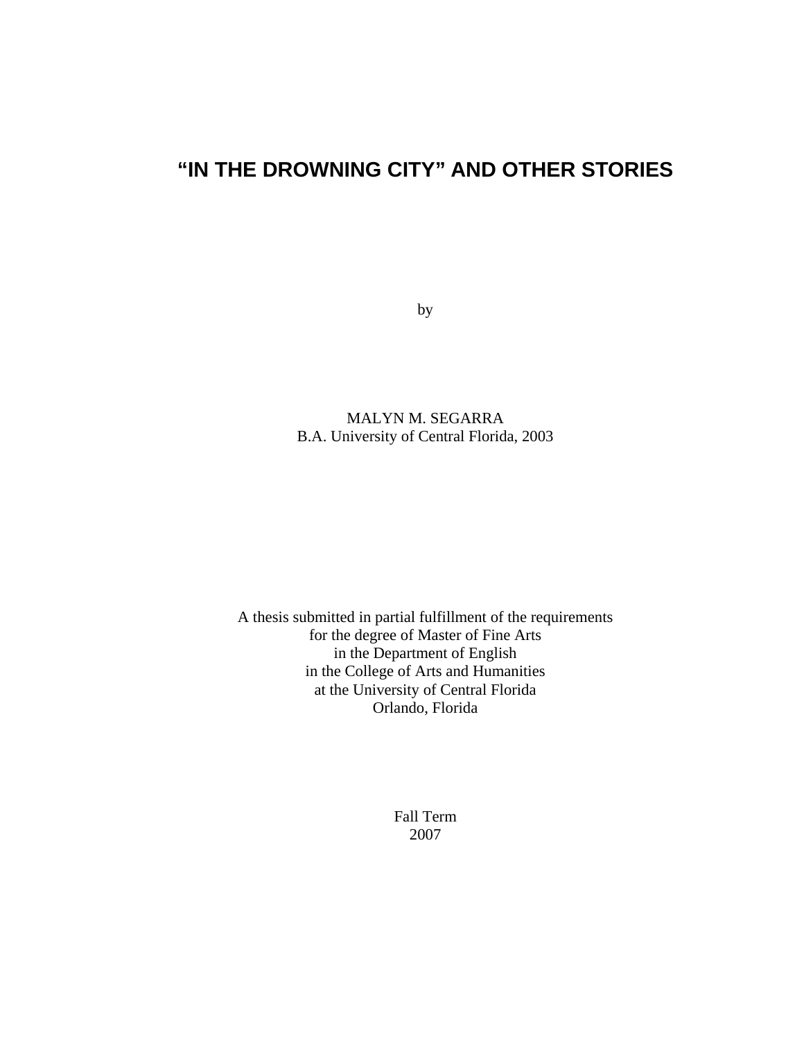## **"IN THE DROWNING CITY" AND OTHER STORIES**

by

MALYN M. SEGARRA B.A. University of Central Florida, 2003

A thesis submitted in partial fulfillment of the requirements for the degree of Master of Fine Arts in the Department of English in the College of Arts and Humanities at the University of Central Florida Orlando, Florida

> Fall Term 2007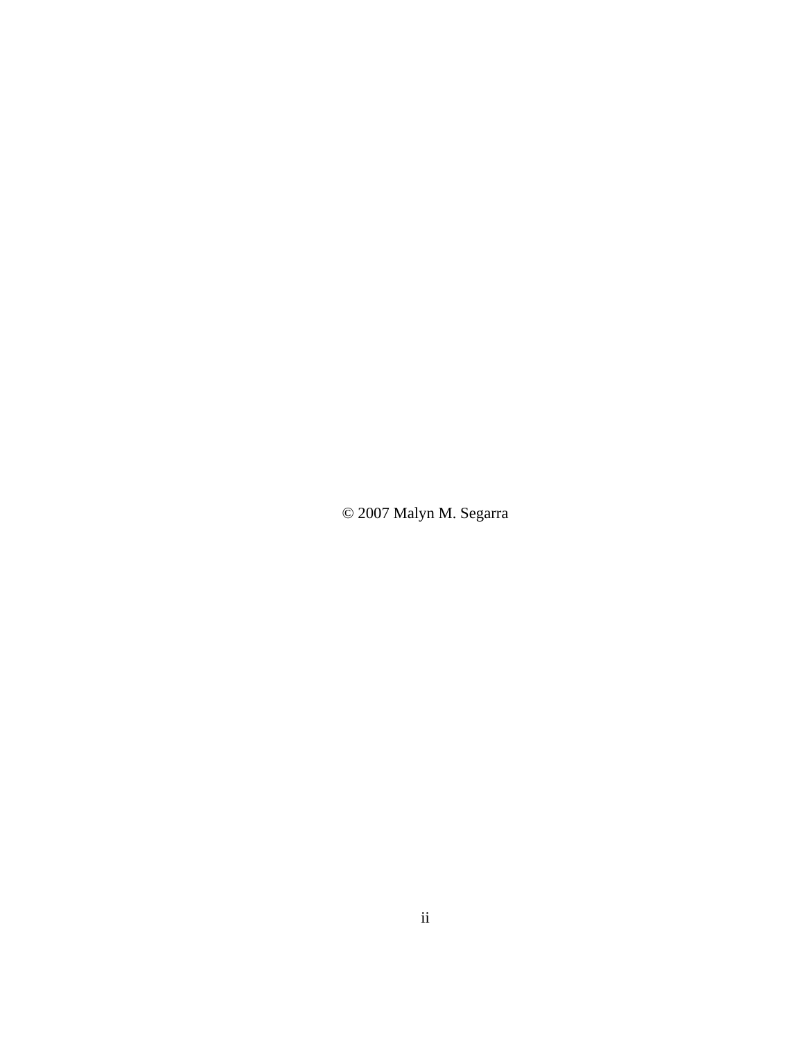© 2007 Malyn M. Segarra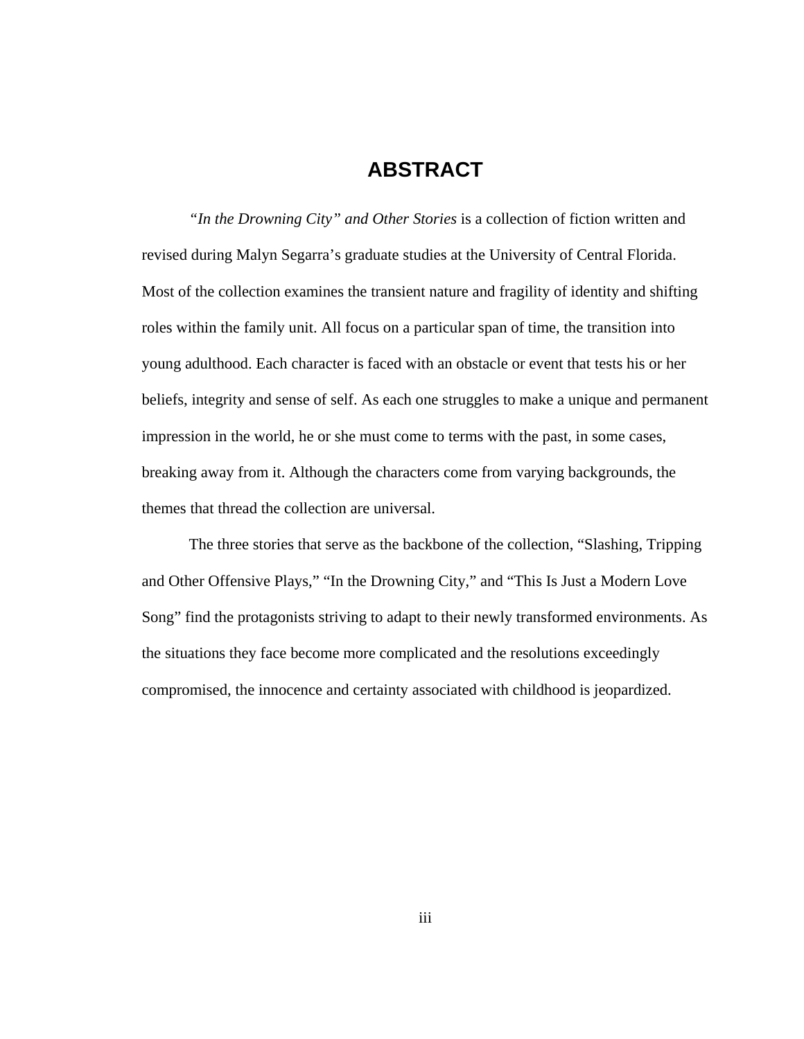#### **ABSTRACT**

 *"In the Drowning City" and Other Stories* is a collection of fiction written and revised during Malyn Segarra's graduate studies at the University of Central Florida. Most of the collection examines the transient nature and fragility of identity and shifting roles within the family unit. All focus on a particular span of time, the transition into young adulthood. Each character is faced with an obstacle or event that tests his or her beliefs, integrity and sense of self. As each one struggles to make a unique and permanent impression in the world, he or she must come to terms with the past, in some cases, breaking away from it. Although the characters come from varying backgrounds, the themes that thread the collection are universal.

 The three stories that serve as the backbone of the collection, "Slashing, Tripping and Other Offensive Plays," "In the Drowning City," and "This Is Just a Modern Love Song" find the protagonists striving to adapt to their newly transformed environments. As the situations they face become more complicated and the resolutions exceedingly compromised, the innocence and certainty associated with childhood is jeopardized.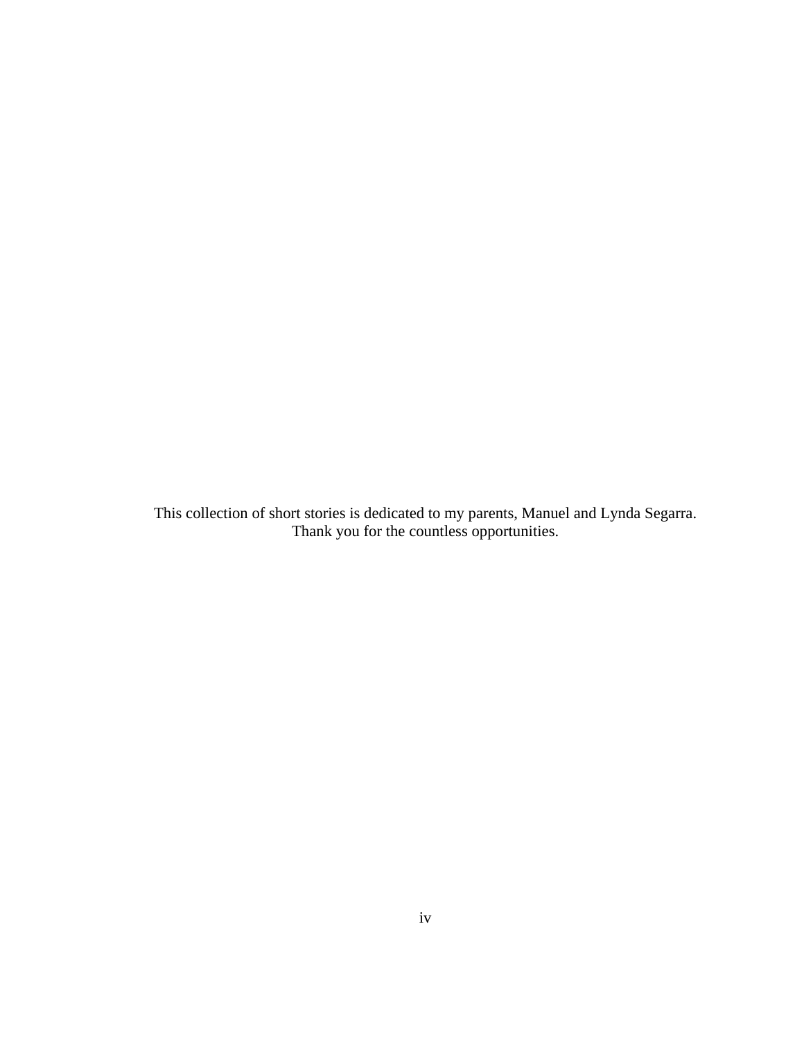This collection of short stories is dedicated to my parents, Manuel and Lynda Segarra. Thank you for the countless opportunities.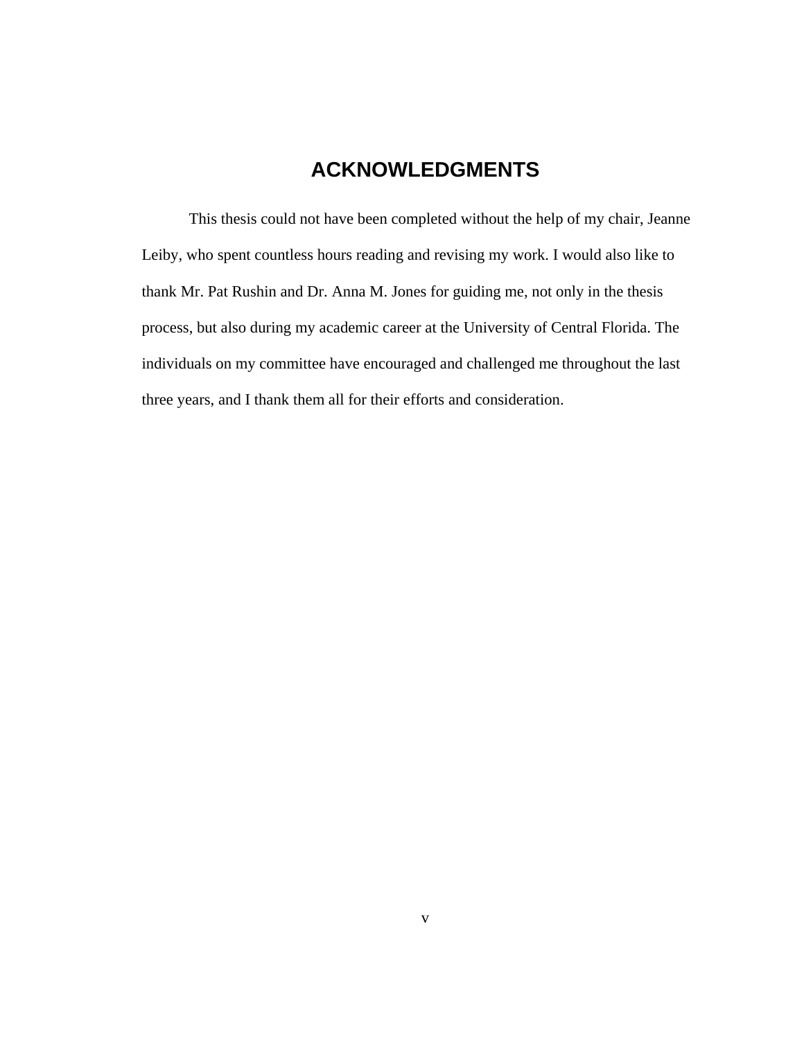## **ACKNOWLEDGMENTS**

 This thesis could not have been completed without the help of my chair, Jeanne Leiby, who spent countless hours reading and revising my work. I would also like to thank Mr. Pat Rushin and Dr. Anna M. Jones for guiding me, not only in the thesis process, but also during my academic career at the University of Central Florida. The individuals on my committee have encouraged and challenged me throughout the last three years, and I thank them all for their efforts and consideration.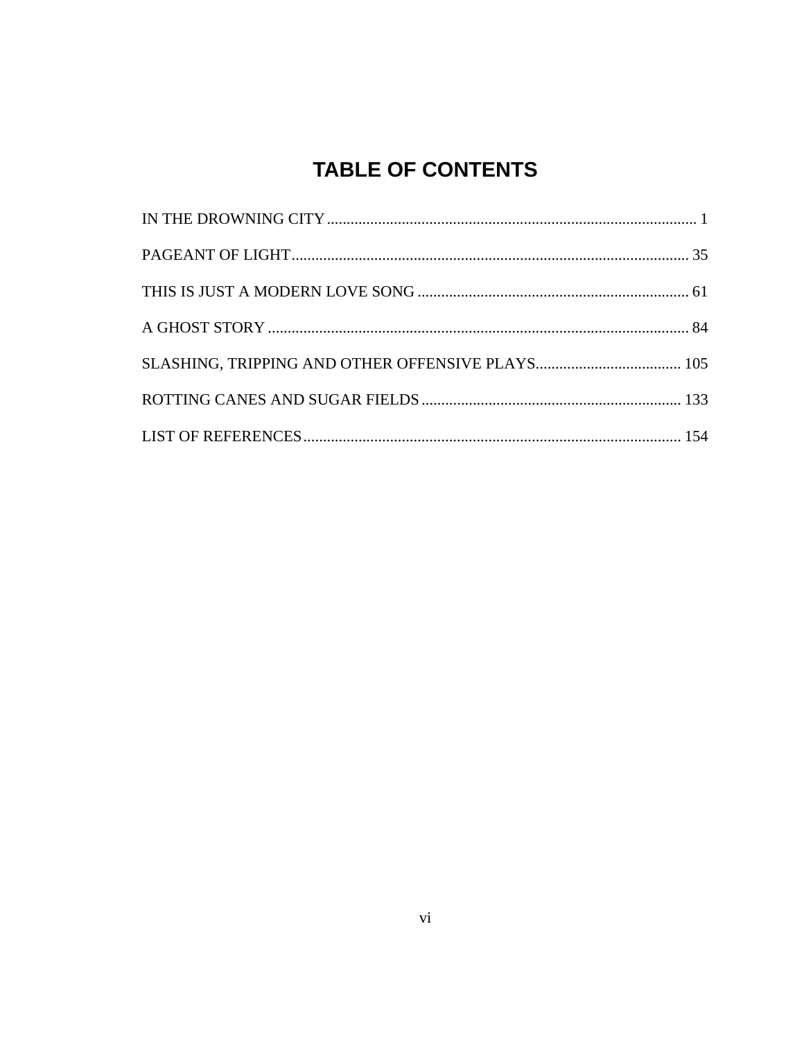## **TABLE OF CONTENTS**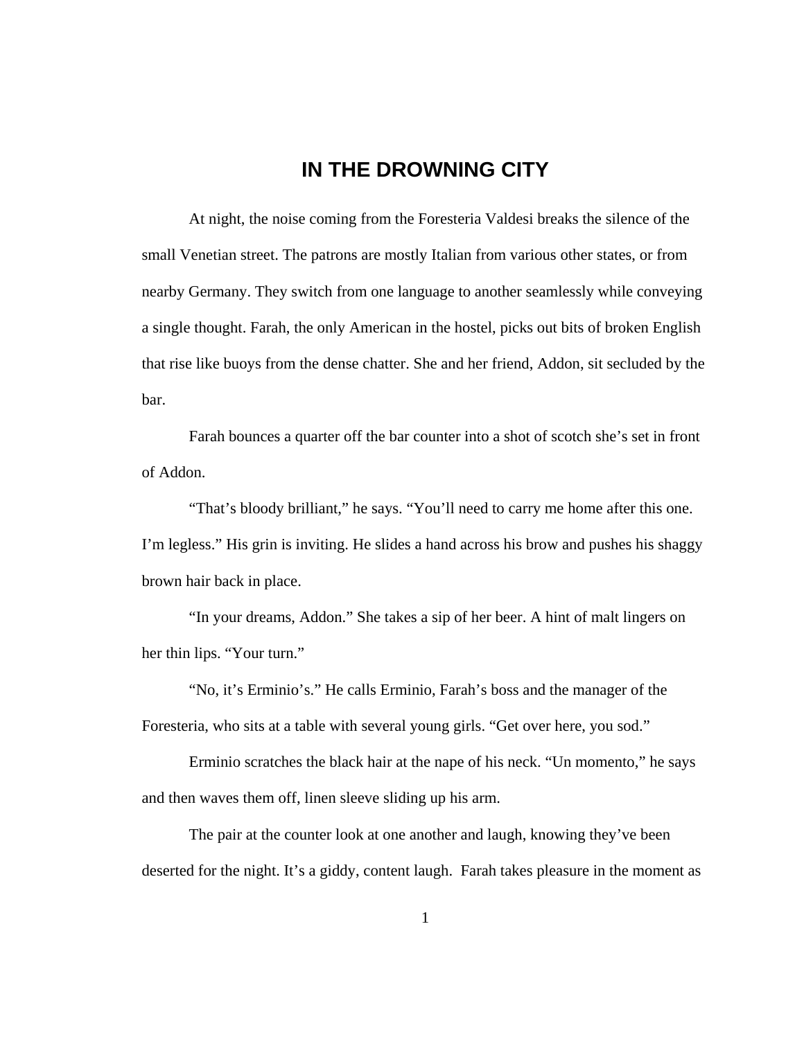### <span id="page-7-0"></span>**IN THE DROWNING CITY**

 At night, the noise coming from the Foresteria Valdesi breaks the silence of the small Venetian street. The patrons are mostly Italian from various other states, or from nearby Germany. They switch from one language to another seamlessly while conveying a single thought. Farah, the only American in the hostel, picks out bits of broken English that rise like buoys from the dense chatter. She and her friend, Addon, sit secluded by the bar.

 Farah bounces a quarter off the bar counter into a shot of scotch she's set in front of Addon.

 "That's bloody brilliant," he says. "You'll need to carry me home after this one. I'm legless." His grin is inviting. He slides a hand across his brow and pushes his shaggy brown hair back in place.

 "In your dreams, Addon." She takes a sip of her beer. A hint of malt lingers on her thin lips. "Your turn."

 "No, it's Erminio's." He calls Erminio, Farah's boss and the manager of the Foresteria, who sits at a table with several young girls. "Get over here, you sod."

 Erminio scratches the black hair at the nape of his neck. "Un momento," he says and then waves them off, linen sleeve sliding up his arm.

 The pair at the counter look at one another and laugh, knowing they've been deserted for the night. It's a giddy, content laugh. Farah takes pleasure in the moment as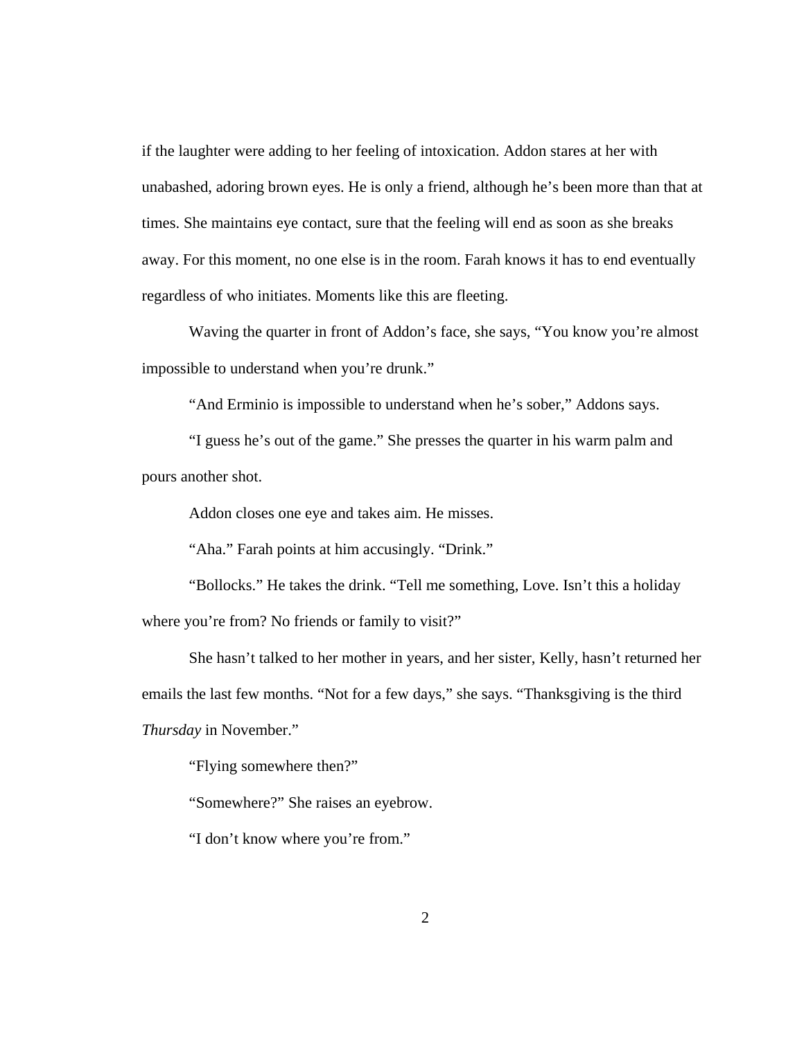if the laughter were adding to her feeling of intoxication. Addon stares at her with unabashed, adoring brown eyes. He is only a friend, although he's been more than that at times. She maintains eye contact, sure that the feeling will end as soon as she breaks away. For this moment, no one else is in the room. Farah knows it has to end eventually regardless of who initiates. Moments like this are fleeting.

 Waving the quarter in front of Addon's face, she says, "You know you're almost impossible to understand when you're drunk."

"And Erminio is impossible to understand when he's sober," Addons says.

 "I guess he's out of the game." She presses the quarter in his warm palm and pours another shot.

Addon closes one eye and takes aim. He misses.

"Aha." Farah points at him accusingly. "Drink."

 "Bollocks." He takes the drink. "Tell me something, Love. Isn't this a holiday where you're from? No friends or family to visit?"

 She hasn't talked to her mother in years, and her sister, Kelly, hasn't returned her emails the last few months. "Not for a few days," she says. "Thanksgiving is the third *Thursday* in November."

"Flying somewhere then?"

"Somewhere?" She raises an eyebrow.

"I don't know where you're from."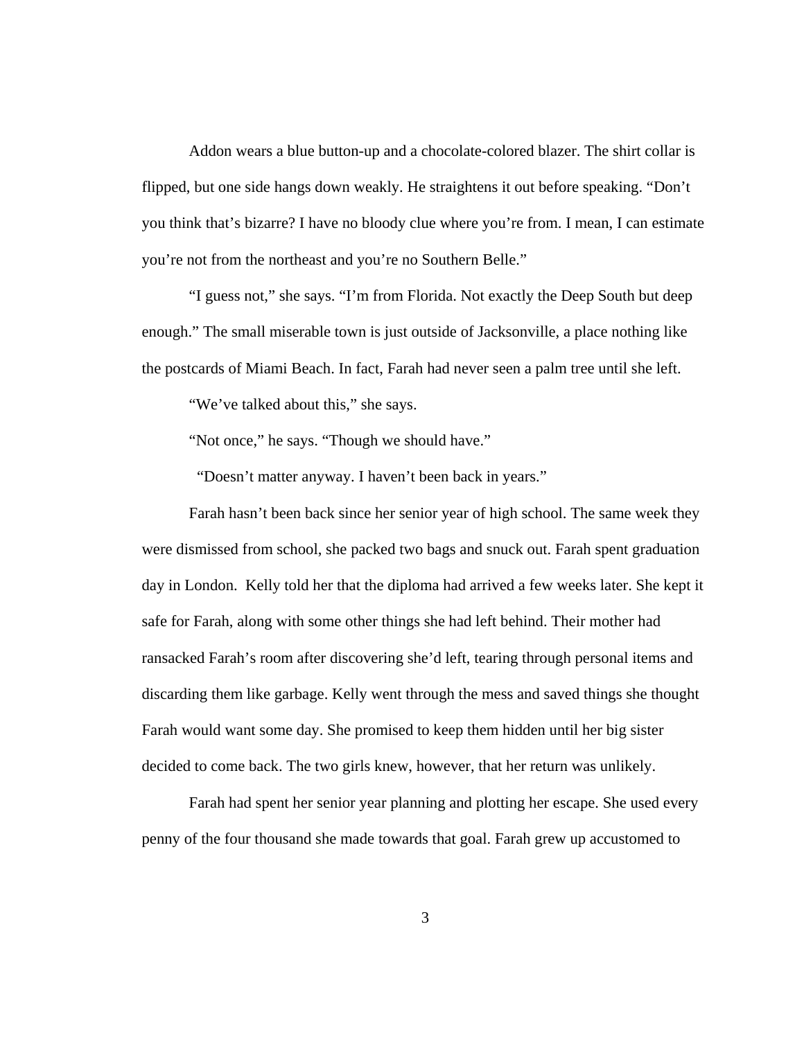Addon wears a blue button-up and a chocolate-colored blazer. The shirt collar is flipped, but one side hangs down weakly. He straightens it out before speaking. "Don't you think that's bizarre? I have no bloody clue where you're from. I mean, I can estimate you're not from the northeast and you're no Southern Belle."

 "I guess not," she says. "I'm from Florida. Not exactly the Deep South but deep enough." The small miserable town is just outside of Jacksonville, a place nothing like the postcards of Miami Beach. In fact, Farah had never seen a palm tree until she left.

"We've talked about this," she says.

"Not once," he says. "Though we should have."

"Doesn't matter anyway. I haven't been back in years."

 Farah hasn't been back since her senior year of high school. The same week they were dismissed from school, she packed two bags and snuck out. Farah spent graduation day in London. Kelly told her that the diploma had arrived a few weeks later. She kept it safe for Farah, along with some other things she had left behind. Their mother had ransacked Farah's room after discovering she'd left, tearing through personal items and discarding them like garbage. Kelly went through the mess and saved things she thought Farah would want some day. She promised to keep them hidden until her big sister decided to come back. The two girls knew, however, that her return was unlikely.

 Farah had spent her senior year planning and plotting her escape. She used every penny of the four thousand she made towards that goal. Farah grew up accustomed to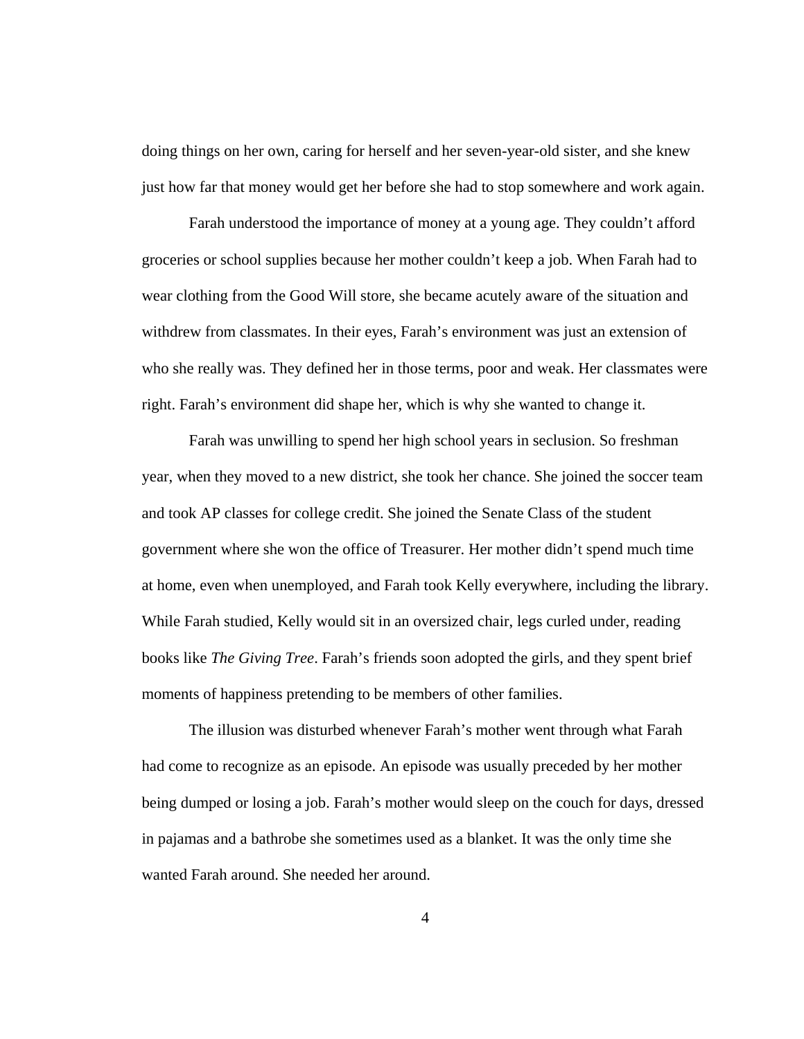doing things on her own, caring for herself and her seven-year-old sister, and she knew just how far that money would get her before she had to stop somewhere and work again.

 Farah understood the importance of money at a young age. They couldn't afford groceries or school supplies because her mother couldn't keep a job. When Farah had to wear clothing from the Good Will store, she became acutely aware of the situation and withdrew from classmates. In their eyes, Farah's environment was just an extension of who she really was. They defined her in those terms, poor and weak. Her classmates were right. Farah's environment did shape her, which is why she wanted to change it.

 Farah was unwilling to spend her high school years in seclusion. So freshman year, when they moved to a new district, she took her chance. She joined the soccer team and took AP classes for college credit. She joined the Senate Class of the student government where she won the office of Treasurer. Her mother didn't spend much time at home, even when unemployed, and Farah took Kelly everywhere, including the library. While Farah studied, Kelly would sit in an oversized chair, legs curled under, reading books like *The Giving Tree*. Farah's friends soon adopted the girls, and they spent brief moments of happiness pretending to be members of other families.

 The illusion was disturbed whenever Farah's mother went through what Farah had come to recognize as an episode. An episode was usually preceded by her mother being dumped or losing a job. Farah's mother would sleep on the couch for days, dressed in pajamas and a bathrobe she sometimes used as a blanket. It was the only time she wanted Farah around. She needed her around.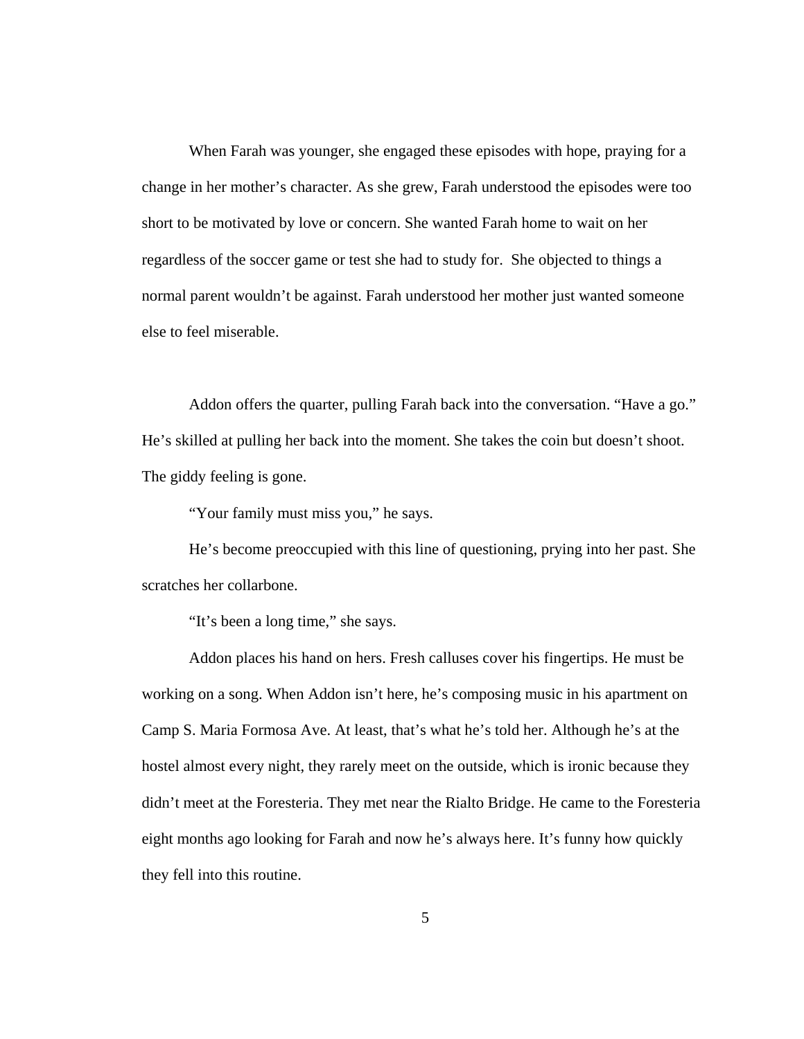When Farah was younger, she engaged these episodes with hope, praying for a change in her mother's character. As she grew, Farah understood the episodes were too short to be motivated by love or concern. She wanted Farah home to wait on her regardless of the soccer game or test she had to study for. She objected to things a normal parent wouldn't be against. Farah understood her mother just wanted someone else to feel miserable.

 Addon offers the quarter, pulling Farah back into the conversation. "Have a go." He's skilled at pulling her back into the moment. She takes the coin but doesn't shoot. The giddy feeling is gone.

"Your family must miss you," he says.

 He's become preoccupied with this line of questioning, prying into her past. She scratches her collarbone.

"It's been a long time," she says.

 Addon places his hand on hers. Fresh calluses cover his fingertips. He must be working on a song. When Addon isn't here, he's composing music in his apartment on Camp S. Maria Formosa Ave. At least, that's what he's told her. Although he's at the hostel almost every night, they rarely meet on the outside, which is ironic because they didn't meet at the Foresteria. They met near the Rialto Bridge. He came to the Foresteria eight months ago looking for Farah and now he's always here. It's funny how quickly they fell into this routine.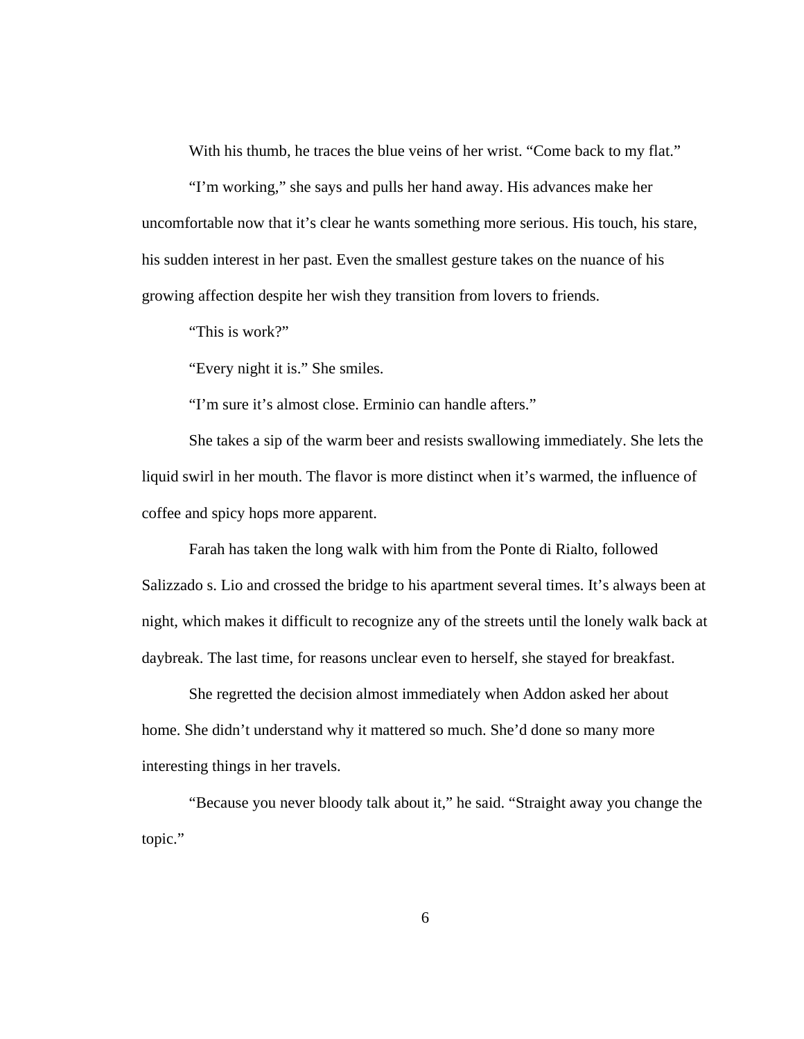With his thumb, he traces the blue veins of her wrist. "Come back to my flat."

 "I'm working," she says and pulls her hand away. His advances make her uncomfortable now that it's clear he wants something more serious. His touch, his stare, his sudden interest in her past. Even the smallest gesture takes on the nuance of his growing affection despite her wish they transition from lovers to friends.

"This is work?"

"Every night it is." She smiles.

"I'm sure it's almost close. Erminio can handle afters."

 She takes a sip of the warm beer and resists swallowing immediately. She lets the liquid swirl in her mouth. The flavor is more distinct when it's warmed, the influence of coffee and spicy hops more apparent.

 Farah has taken the long walk with him from the Ponte di Rialto, followed Salizzado s. Lio and crossed the bridge to his apartment several times. It's always been at night, which makes it difficult to recognize any of the streets until the lonely walk back at daybreak. The last time, for reasons unclear even to herself, she stayed for breakfast.

 She regretted the decision almost immediately when Addon asked her about home. She didn't understand why it mattered so much. She'd done so many more interesting things in her travels.

 "Because you never bloody talk about it," he said. "Straight away you change the topic."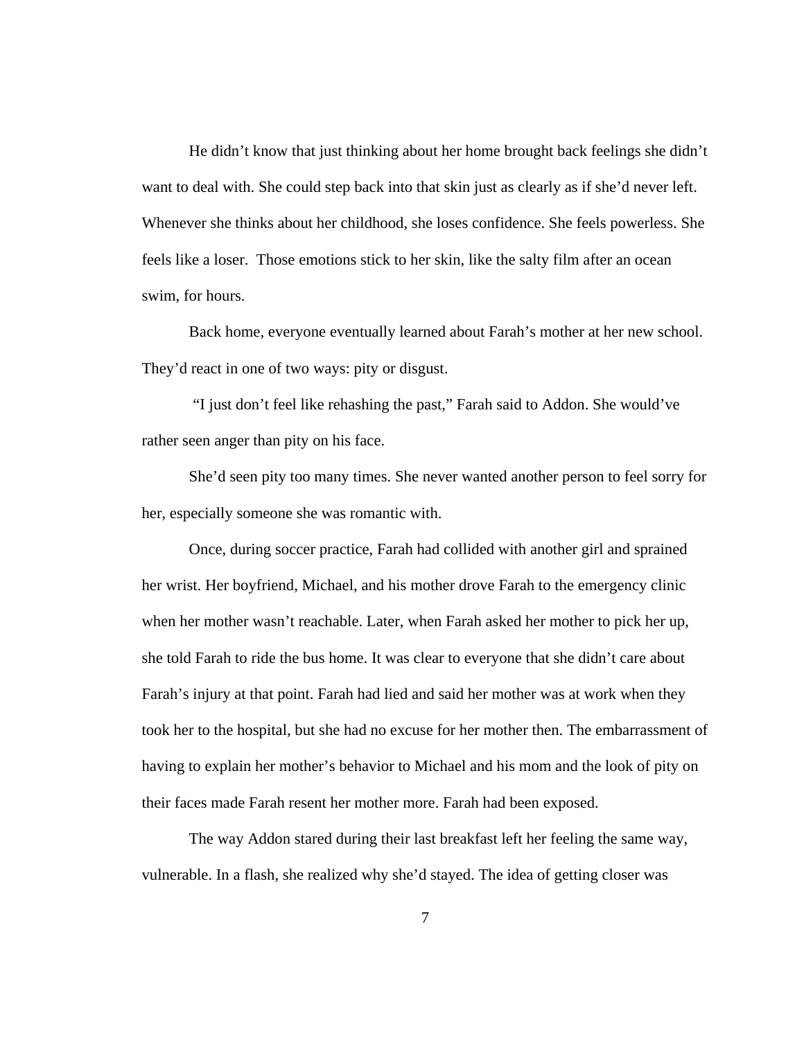He didn't know that just thinking about her home brought back feelings she didn't want to deal with. She could step back into that skin just as clearly as if she'd never left. Whenever she thinks about her childhood, she loses confidence. She feels powerless. She feels like a loser. Those emotions stick to her skin, like the salty film after an ocean swim, for hours.

Back home, everyone eventually learned about Farah's mother at her new school. They'd react in one of two ways: pity or disgust.

 "I just don't feel like rehashing the past," Farah said to Addon. She would've rather seen anger than pity on his face.

 She'd seen pity too many times. She never wanted another person to feel sorry for her, especially someone she was romantic with.

 Once, during soccer practice, Farah had collided with another girl and sprained her wrist. Her boyfriend, Michael, and his mother drove Farah to the emergency clinic when her mother wasn't reachable. Later, when Farah asked her mother to pick her up, she told Farah to ride the bus home. It was clear to everyone that she didn't care about Farah's injury at that point. Farah had lied and said her mother was at work when they took her to the hospital, but she had no excuse for her mother then. The embarrassment of having to explain her mother's behavior to Michael and his mom and the look of pity on their faces made Farah resent her mother more. Farah had been exposed.

 The way Addon stared during their last breakfast left her feeling the same way, vulnerable. In a flash, she realized why she'd stayed. The idea of getting closer was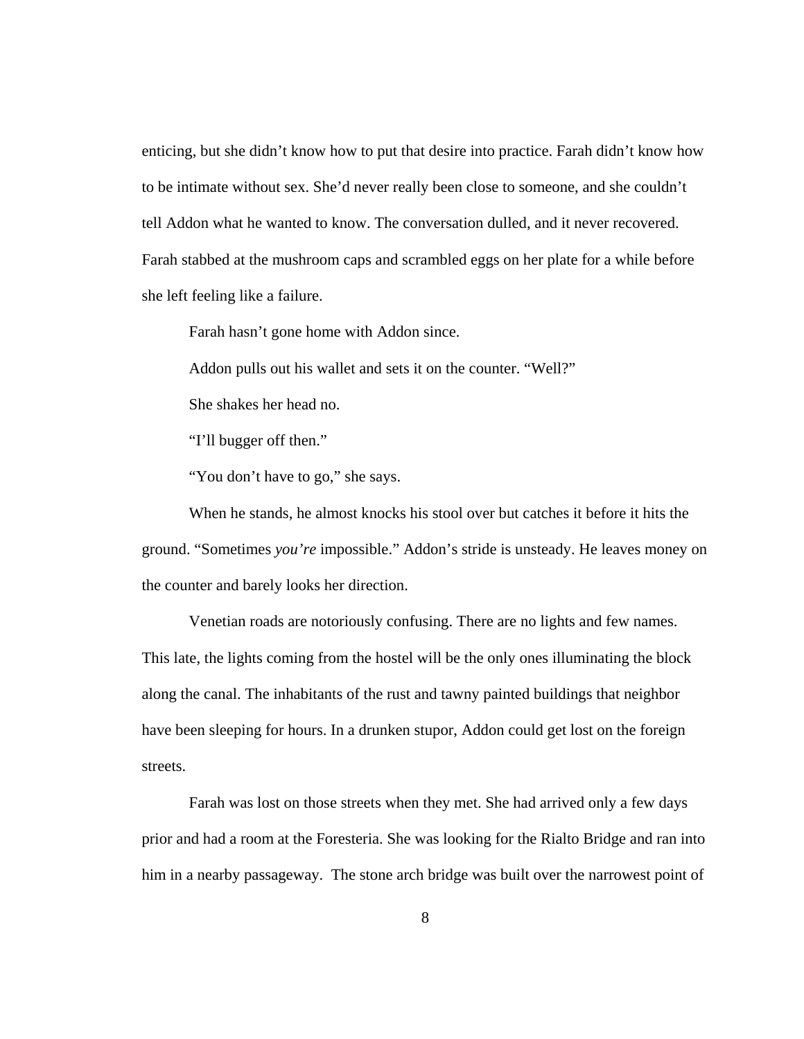enticing, but she didn't know how to put that desire into practice. Farah didn't know how to be intimate without sex. She'd never really been close to someone, and she couldn't tell Addon what he wanted to know. The conversation dulled, and it never recovered. Farah stabbed at the mushroom caps and scrambled eggs on her plate for a while before she left feeling like a failure.

Farah hasn't gone home with Addon since.

Addon pulls out his wallet and sets it on the counter. "Well?"

She shakes her head no.

"I'll bugger off then."

"You don't have to go," she says.

 When he stands, he almost knocks his stool over but catches it before it hits the ground. "Sometimes *you're* impossible." Addon's stride is unsteady. He leaves money on the counter and barely looks her direction.

 Venetian roads are notoriously confusing. There are no lights and few names. This late, the lights coming from the hostel will be the only ones illuminating the block along the canal. The inhabitants of the rust and tawny painted buildings that neighbor have been sleeping for hours. In a drunken stupor, Addon could get lost on the foreign streets.

Farah was lost on those streets when they met. She had arrived only a few days prior and had a room at the Foresteria. She was looking for the Rialto Bridge and ran into him in a nearby passageway. The stone arch bridge was built over the narrowest point of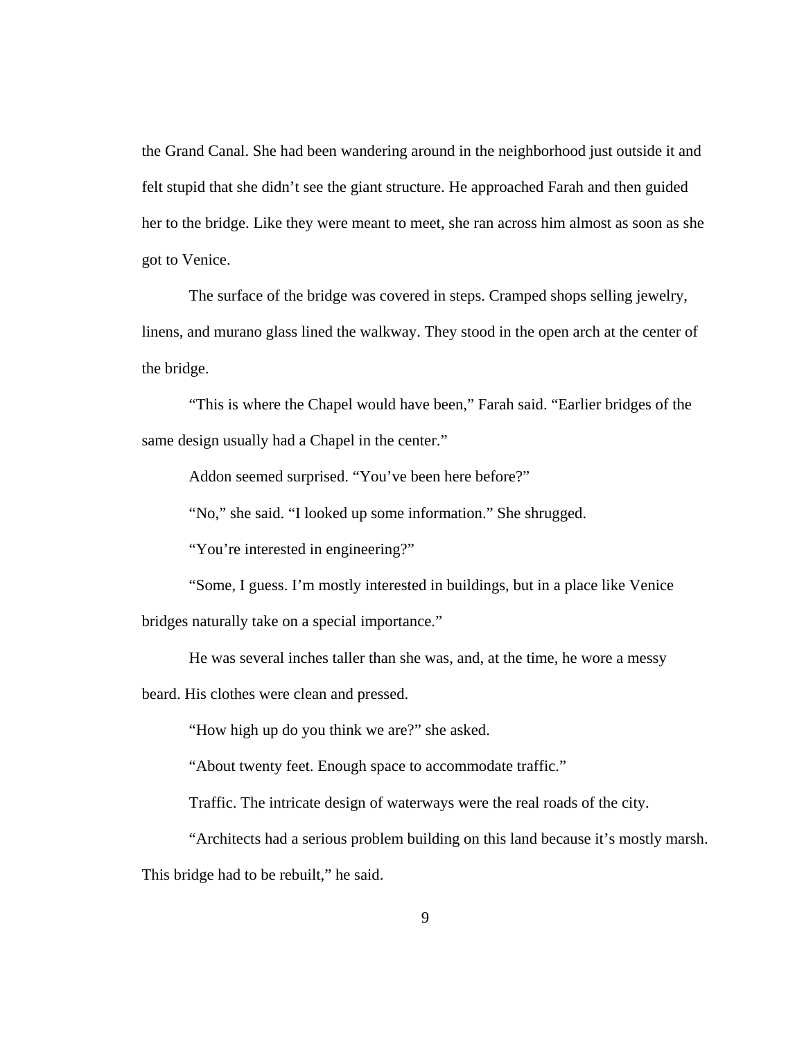the Grand Canal. She had been wandering around in the neighborhood just outside it and felt stupid that she didn't see the giant structure. He approached Farah and then guided her to the bridge. Like they were meant to meet, she ran across him almost as soon as she got to Venice.

 The surface of the bridge was covered in steps. Cramped shops selling jewelry, linens, and murano glass lined the walkway. They stood in the open arch at the center of the bridge.

 "This is where the Chapel would have been," Farah said. "Earlier bridges of the same design usually had a Chapel in the center."

Addon seemed surprised. "You've been here before?"

"No," she said. "I looked up some information." She shrugged.

"You're interested in engineering?"

 "Some, I guess. I'm mostly interested in buildings, but in a place like Venice bridges naturally take on a special importance."

He was several inches taller than she was, and, at the time, he wore a messy

beard. His clothes were clean and pressed.

"How high up do you think we are?" she asked.

"About twenty feet. Enough space to accommodate traffic."

Traffic. The intricate design of waterways were the real roads of the city.

"Architects had a serious problem building on this land because it's mostly marsh.

This bridge had to be rebuilt," he said.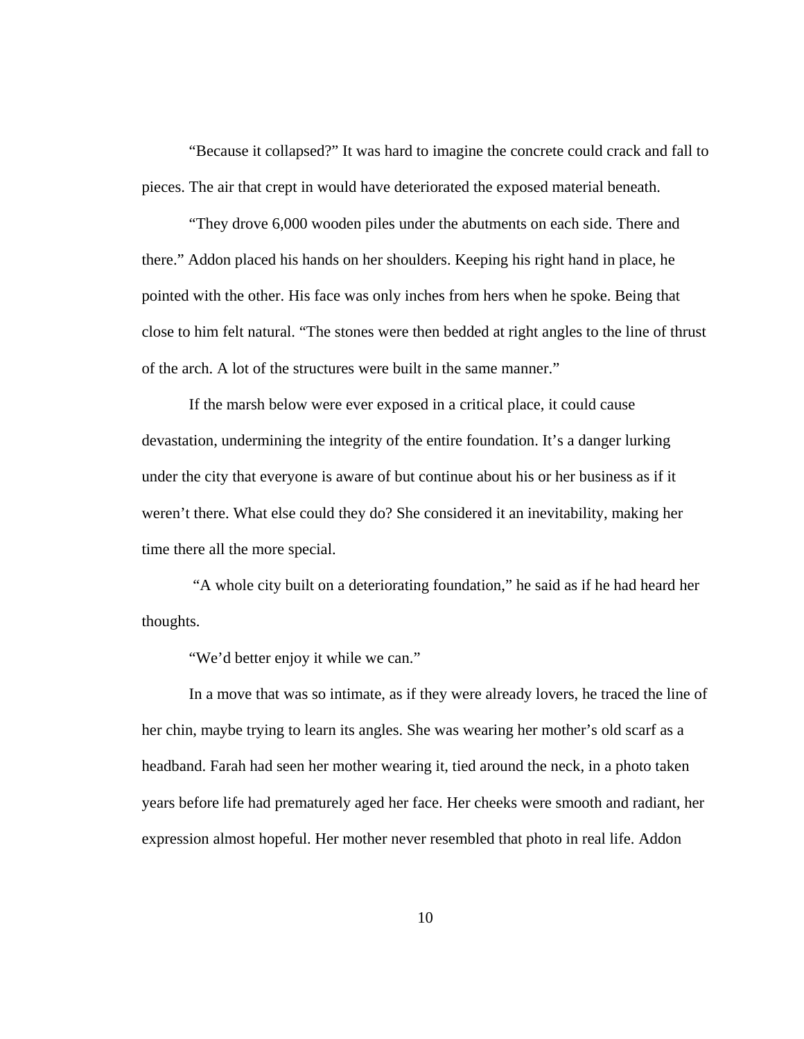"Because it collapsed?" It was hard to imagine the concrete could crack and fall to pieces. The air that crept in would have deteriorated the exposed material beneath.

 "They drove 6,000 wooden piles under the abutments on each side. There and there." Addon placed his hands on her shoulders. Keeping his right hand in place, he pointed with the other. His face was only inches from hers when he spoke. Being that close to him felt natural. "The stones were then bedded at right angles to the line of thrust of the arch. A lot of the structures were built in the same manner."

If the marsh below were ever exposed in a critical place, it could cause devastation, undermining the integrity of the entire foundation. It's a danger lurking under the city that everyone is aware of but continue about his or her business as if it weren't there. What else could they do? She considered it an inevitability, making her time there all the more special.

 "A whole city built on a deteriorating foundation," he said as if he had heard her thoughts.

"We'd better enjoy it while we can."

In a move that was so intimate, as if they were already lovers, he traced the line of her chin, maybe trying to learn its angles. She was wearing her mother's old scarf as a headband. Farah had seen her mother wearing it, tied around the neck, in a photo taken years before life had prematurely aged her face. Her cheeks were smooth and radiant, her expression almost hopeful. Her mother never resembled that photo in real life. Addon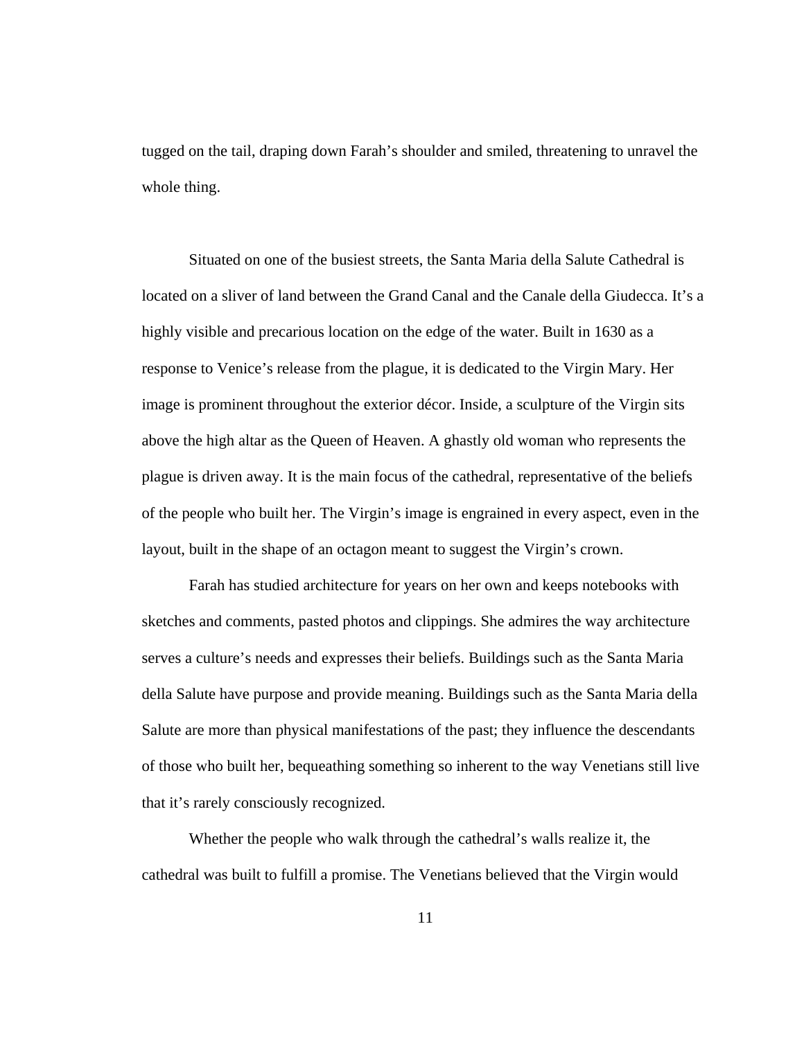tugged on the tail, draping down Farah's shoulder and smiled, threatening to unravel the whole thing.

Situated on one of the busiest streets, the Santa Maria della Salute Cathedral is located on a sliver of land between the Grand Canal and the Canale della Giudecca. It's a highly visible and precarious location on the edge of the water. Built in 1630 as a response to Venice's release from the plague, it is dedicated to the Virgin Mary. Her image is prominent throughout the exterior décor. Inside, a sculpture of the Virgin sits above the high altar as the Queen of Heaven. A ghastly old woman who represents the plague is driven away. It is the main focus of the cathedral, representative of the beliefs of the people who built her. The Virgin's image is engrained in every aspect, even in the layout, built in the shape of an octagon meant to suggest the Virgin's crown.

Farah has studied architecture for years on her own and keeps notebooks with sketches and comments, pasted photos and clippings. She admires the way architecture serves a culture's needs and expresses their beliefs. Buildings such as the Santa Maria della Salute have purpose and provide meaning. Buildings such as the Santa Maria della Salute are more than physical manifestations of the past; they influence the descendants of those who built her, bequeathing something so inherent to the way Venetians still live that it's rarely consciously recognized.

 Whether the people who walk through the cathedral's walls realize it, the cathedral was built to fulfill a promise. The Venetians believed that the Virgin would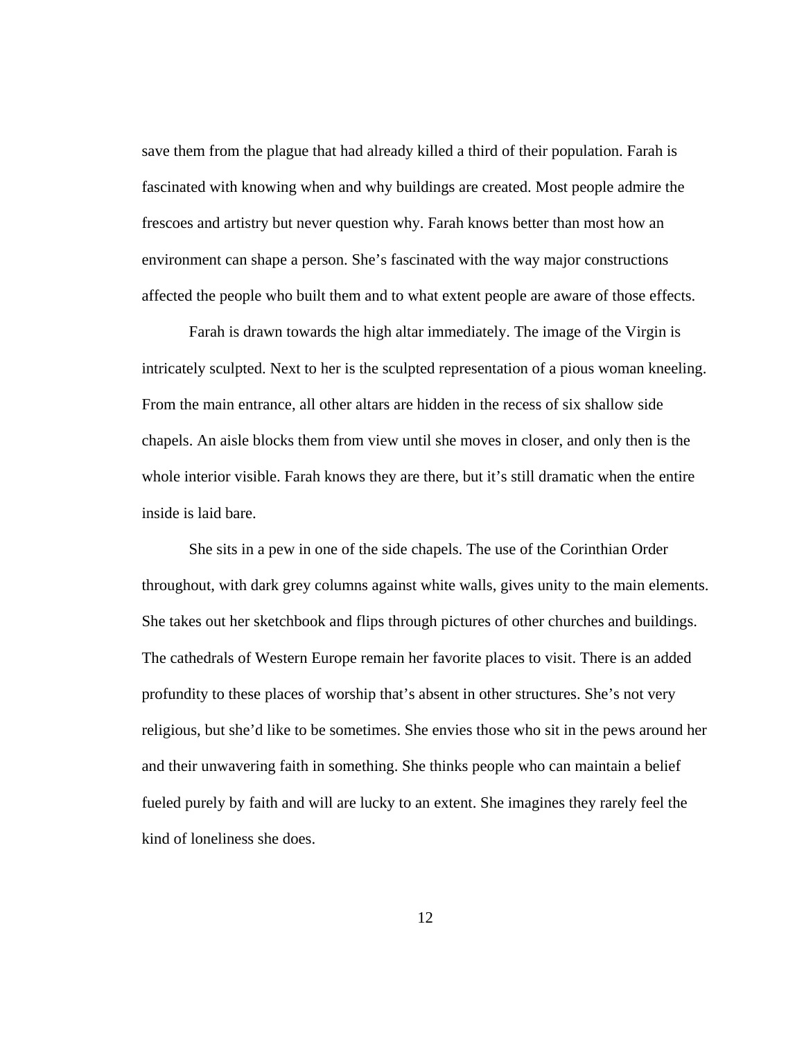save them from the plague that had already killed a third of their population. Farah is fascinated with knowing when and why buildings are created. Most people admire the frescoes and artistry but never question why. Farah knows better than most how an environment can shape a person. She's fascinated with the way major constructions affected the people who built them and to what extent people are aware of those effects.

 Farah is drawn towards the high altar immediately. The image of the Virgin is intricately sculpted. Next to her is the sculpted representation of a pious woman kneeling. From the main entrance, all other altars are hidden in the recess of six shallow side chapels. An aisle blocks them from view until she moves in closer, and only then is the whole interior visible. Farah knows they are there, but it's still dramatic when the entire inside is laid bare.

 She sits in a pew in one of the side chapels. The use of the Corinthian Order throughout, with dark grey columns against white walls, gives unity to the main elements. She takes out her sketchbook and flips through pictures of other churches and buildings. The cathedrals of Western Europe remain her favorite places to visit. There is an added profundity to these places of worship that's absent in other structures. She's not very religious, but she'd like to be sometimes. She envies those who sit in the pews around her and their unwavering faith in something. She thinks people who can maintain a belief fueled purely by faith and will are lucky to an extent. She imagines they rarely feel the kind of loneliness she does.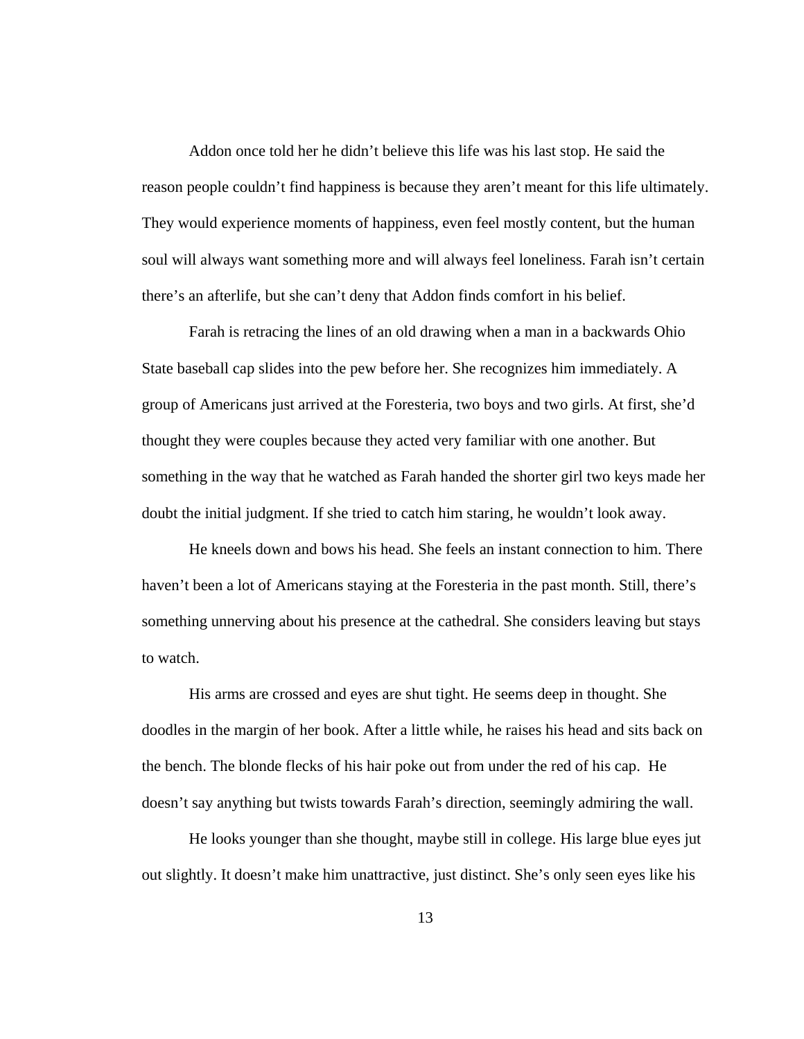Addon once told her he didn't believe this life was his last stop. He said the reason people couldn't find happiness is because they aren't meant for this life ultimately. They would experience moments of happiness, even feel mostly content, but the human soul will always want something more and will always feel loneliness. Farah isn't certain there's an afterlife, but she can't deny that Addon finds comfort in his belief.

 Farah is retracing the lines of an old drawing when a man in a backwards Ohio State baseball cap slides into the pew before her. She recognizes him immediately. A group of Americans just arrived at the Foresteria, two boys and two girls. At first, she'd thought they were couples because they acted very familiar with one another. But something in the way that he watched as Farah handed the shorter girl two keys made her doubt the initial judgment. If she tried to catch him staring, he wouldn't look away.

 He kneels down and bows his head. She feels an instant connection to him. There haven't been a lot of Americans staying at the Foresteria in the past month. Still, there's something unnerving about his presence at the cathedral. She considers leaving but stays to watch.

 His arms are crossed and eyes are shut tight. He seems deep in thought. She doodles in the margin of her book. After a little while, he raises his head and sits back on the bench. The blonde flecks of his hair poke out from under the red of his cap. He doesn't say anything but twists towards Farah's direction, seemingly admiring the wall.

 He looks younger than she thought, maybe still in college. His large blue eyes jut out slightly. It doesn't make him unattractive, just distinct. She's only seen eyes like his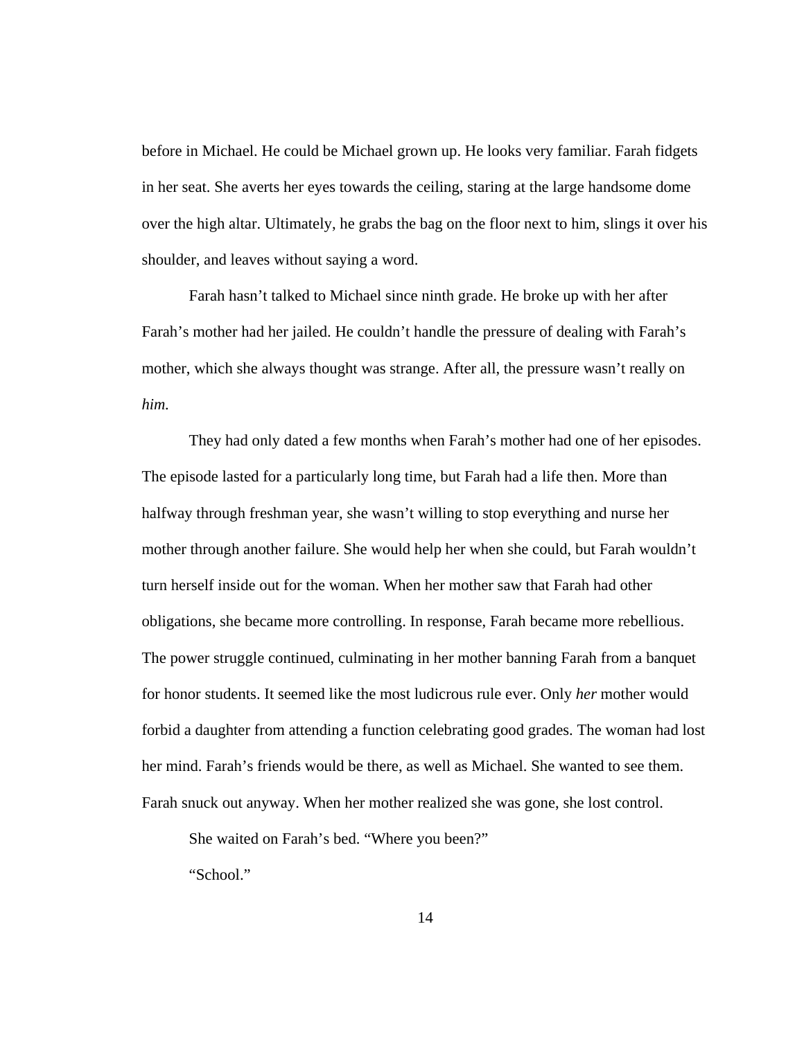before in Michael. He could be Michael grown up. He looks very familiar. Farah fidgets in her seat. She averts her eyes towards the ceiling, staring at the large handsome dome over the high altar. Ultimately, he grabs the bag on the floor next to him, slings it over his shoulder, and leaves without saying a word.

Farah hasn't talked to Michael since ninth grade. He broke up with her after Farah's mother had her jailed. He couldn't handle the pressure of dealing with Farah's mother, which she always thought was strange. After all, the pressure wasn't really on *him.* 

They had only dated a few months when Farah's mother had one of her episodes. The episode lasted for a particularly long time, but Farah had a life then. More than halfway through freshman year, she wasn't willing to stop everything and nurse her mother through another failure. She would help her when she could, but Farah wouldn't turn herself inside out for the woman. When her mother saw that Farah had other obligations, she became more controlling. In response, Farah became more rebellious. The power struggle continued, culminating in her mother banning Farah from a banquet for honor students. It seemed like the most ludicrous rule ever. Only *her* mother would forbid a daughter from attending a function celebrating good grades. The woman had lost her mind. Farah's friends would be there, as well as Michael. She wanted to see them. Farah snuck out anyway. When her mother realized she was gone, she lost control.

She waited on Farah's bed. "Where you been?"

"School."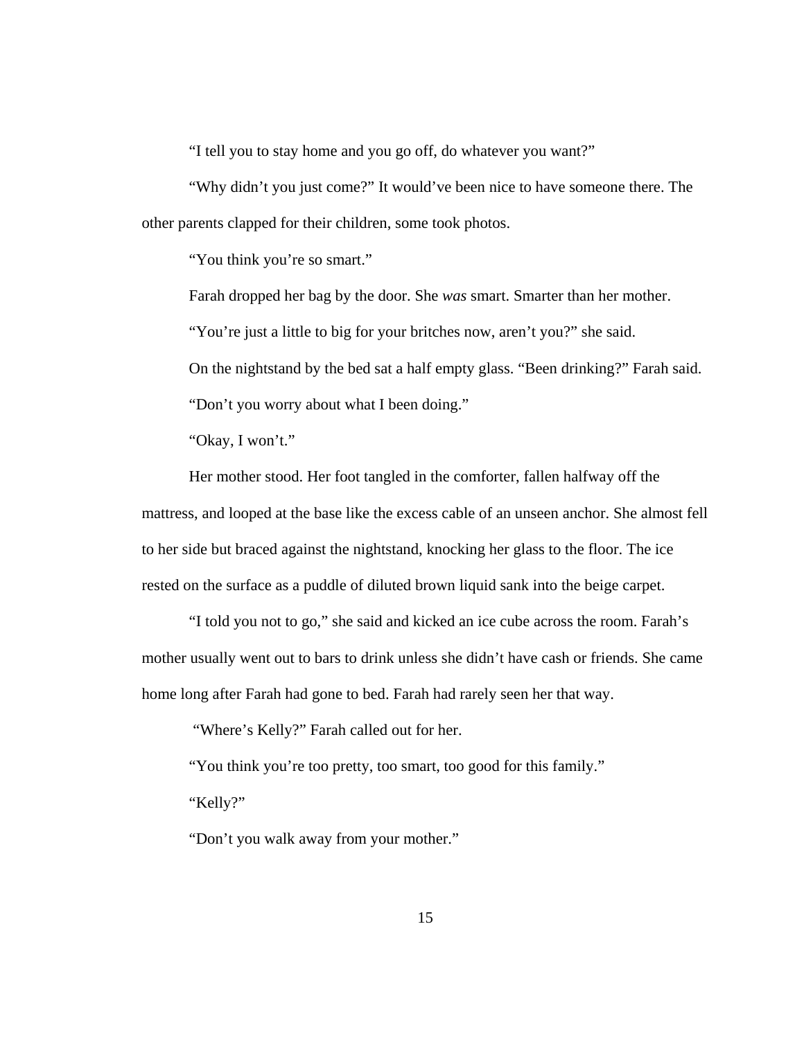"I tell you to stay home and you go off, do whatever you want?"

"Why didn't you just come?" It would've been nice to have someone there. The other parents clapped for their children, some took photos.

"You think you're so smart."

Farah dropped her bag by the door. She *was* smart. Smarter than her mother.

"You're just a little to big for your britches now, aren't you?" she said.

On the nightstand by the bed sat a half empty glass. "Been drinking?" Farah said.

"Don't you worry about what I been doing."

"Okay, I won't."

Her mother stood. Her foot tangled in the comforter, fallen halfway off the mattress, and looped at the base like the excess cable of an unseen anchor. She almost fell to her side but braced against the nightstand, knocking her glass to the floor. The ice rested on the surface as a puddle of diluted brown liquid sank into the beige carpet.

"I told you not to go," she said and kicked an ice cube across the room. Farah's mother usually went out to bars to drink unless she didn't have cash or friends. She came home long after Farah had gone to bed. Farah had rarely seen her that way.

"Where's Kelly?" Farah called out for her.

"You think you're too pretty, too smart, too good for this family."

"Kelly?"

"Don't you walk away from your mother."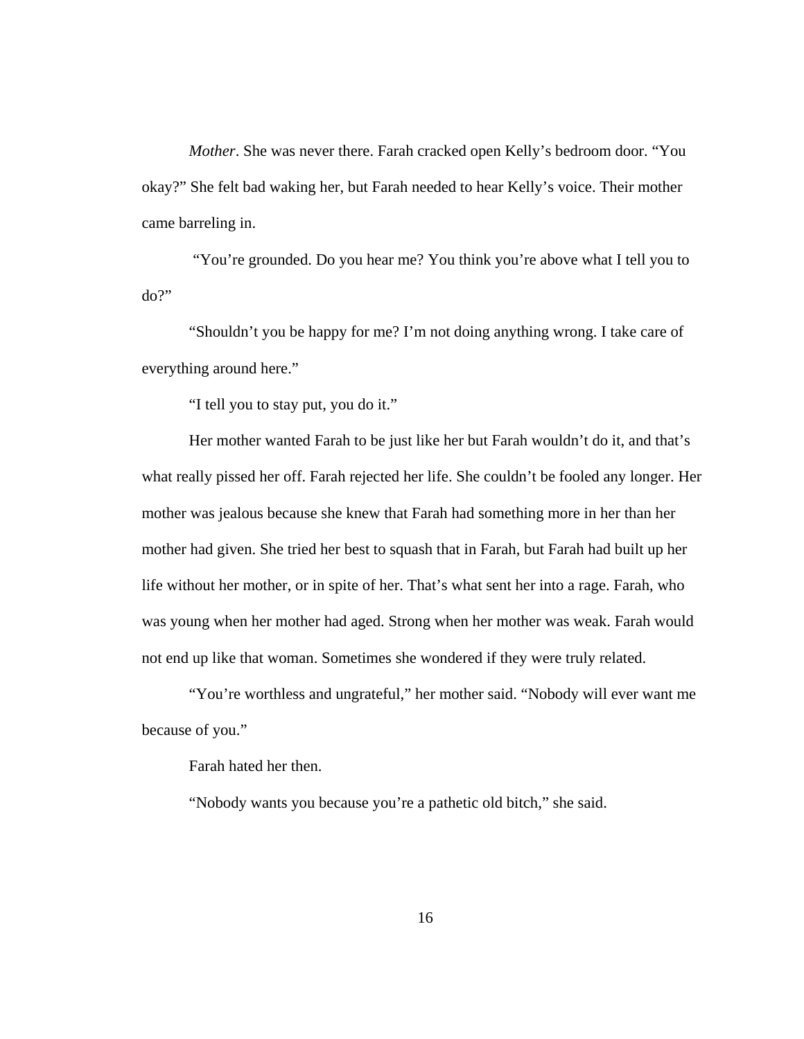*Mother*. She was never there. Farah cracked open Kelly's bedroom door. "You okay?" She felt bad waking her, but Farah needed to hear Kelly's voice. Their mother came barreling in.

 "You're grounded. Do you hear me? You think you're above what I tell you to do?"

"Shouldn't you be happy for me? I'm not doing anything wrong. I take care of everything around here."

"I tell you to stay put, you do it."

Her mother wanted Farah to be just like her but Farah wouldn't do it, and that's what really pissed her off. Farah rejected her life. She couldn't be fooled any longer. Her mother was jealous because she knew that Farah had something more in her than her mother had given. She tried her best to squash that in Farah, but Farah had built up her life without her mother, or in spite of her. That's what sent her into a rage. Farah, who was young when her mother had aged. Strong when her mother was weak. Farah would not end up like that woman. Sometimes she wondered if they were truly related.

"You're worthless and ungrateful," her mother said. "Nobody will ever want me because of you."

Farah hated her then.

"Nobody wants you because you're a pathetic old bitch," she said.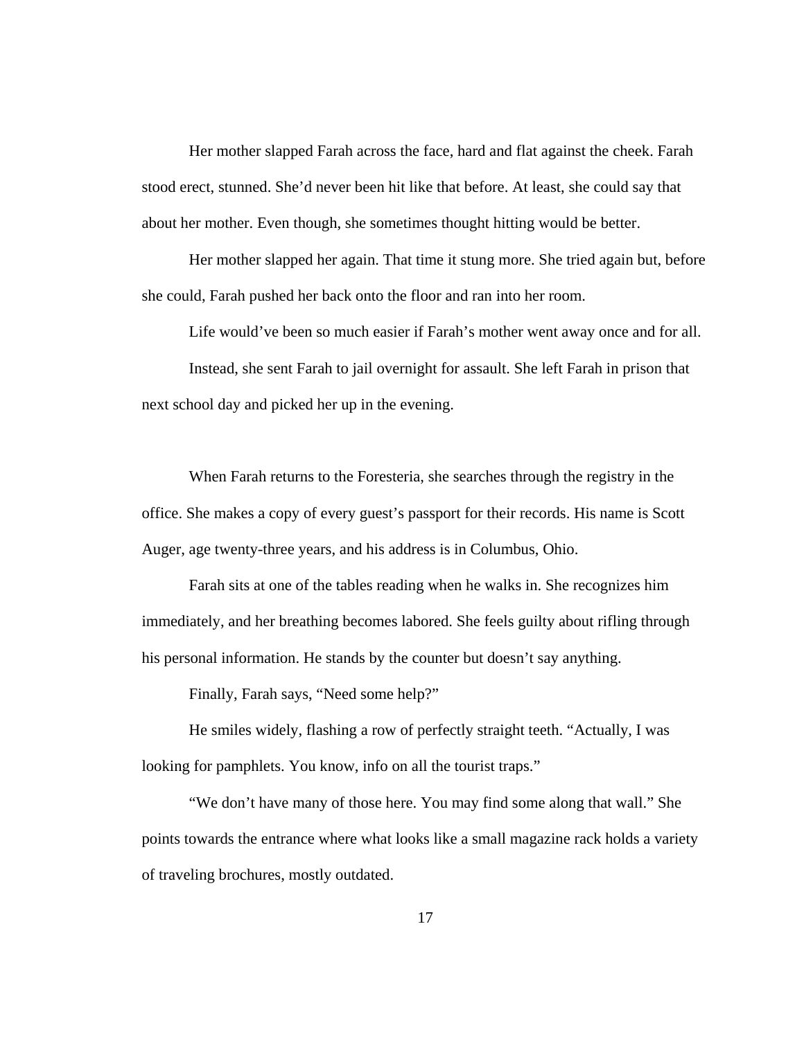Her mother slapped Farah across the face, hard and flat against the cheek. Farah stood erect, stunned. She'd never been hit like that before. At least, she could say that about her mother. Even though, she sometimes thought hitting would be better.

Her mother slapped her again. That time it stung more. She tried again but, before she could, Farah pushed her back onto the floor and ran into her room.

Life would've been so much easier if Farah's mother went away once and for all.

Instead, she sent Farah to jail overnight for assault. She left Farah in prison that next school day and picked her up in the evening.

When Farah returns to the Foresteria, she searches through the registry in the office. She makes a copy of every guest's passport for their records. His name is Scott Auger, age twenty-three years, and his address is in Columbus, Ohio.

 Farah sits at one of the tables reading when he walks in. She recognizes him immediately, and her breathing becomes labored. She feels guilty about rifling through his personal information. He stands by the counter but doesn't say anything.

Finally, Farah says, "Need some help?"

 He smiles widely, flashing a row of perfectly straight teeth. "Actually, I was looking for pamphlets. You know, info on all the tourist traps."

 "We don't have many of those here. You may find some along that wall." She points towards the entrance where what looks like a small magazine rack holds a variety of traveling brochures, mostly outdated.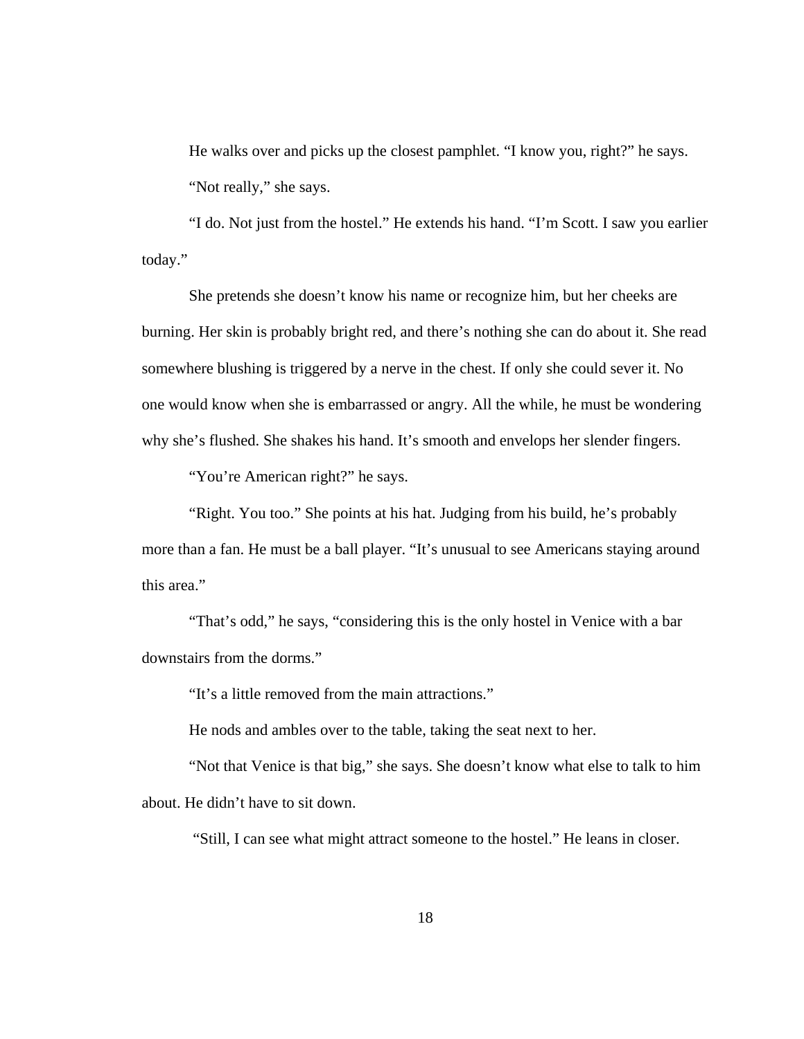He walks over and picks up the closest pamphlet. "I know you, right?" he says. "Not really," she says.

 "I do. Not just from the hostel." He extends his hand. "I'm Scott. I saw you earlier today."

 She pretends she doesn't know his name or recognize him, but her cheeks are burning. Her skin is probably bright red, and there's nothing she can do about it. She read somewhere blushing is triggered by a nerve in the chest. If only she could sever it. No one would know when she is embarrassed or angry. All the while, he must be wondering why she's flushed. She shakes his hand. It's smooth and envelops her slender fingers.

"You're American right?" he says.

 "Right. You too." She points at his hat. Judging from his build, he's probably more than a fan. He must be a ball player. "It's unusual to see Americans staying around this area."

 "That's odd," he says, "considering this is the only hostel in Venice with a bar downstairs from the dorms."

"It's a little removed from the main attractions."

He nods and ambles over to the table, taking the seat next to her.

 "Not that Venice is that big," she says. She doesn't know what else to talk to him about. He didn't have to sit down.

"Still, I can see what might attract someone to the hostel." He leans in closer.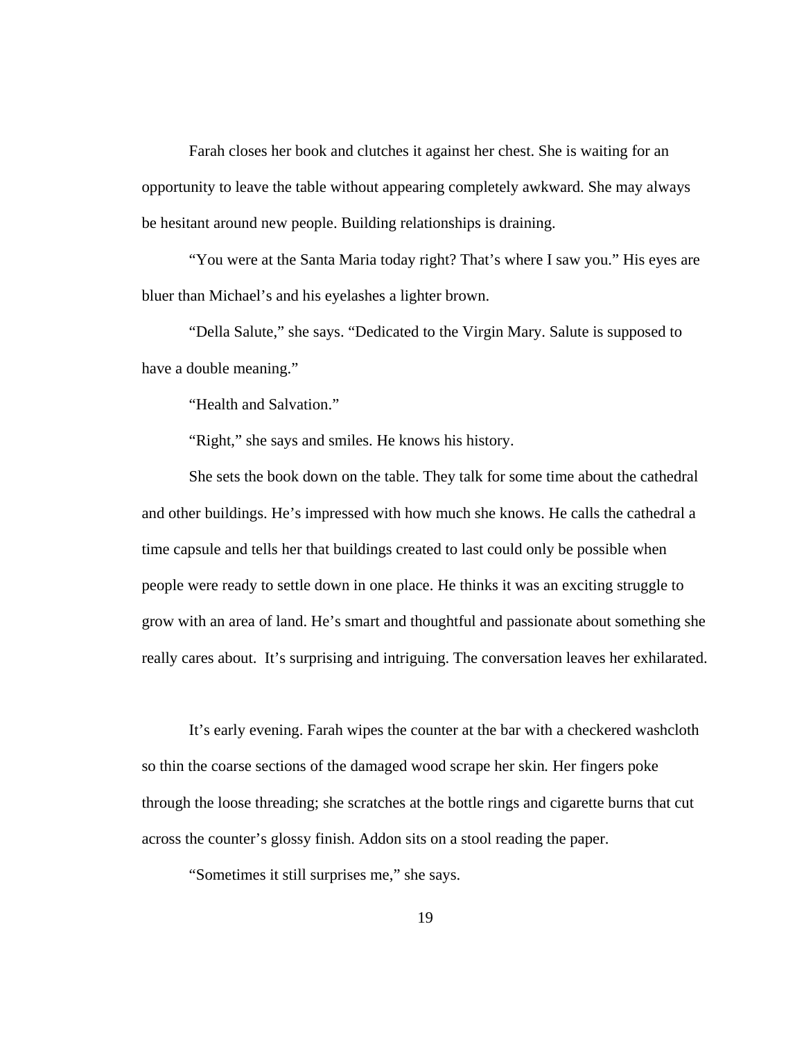Farah closes her book and clutches it against her chest. She is waiting for an opportunity to leave the table without appearing completely awkward. She may always be hesitant around new people. Building relationships is draining.

 "You were at the Santa Maria today right? That's where I saw you." His eyes are bluer than Michael's and his eyelashes a lighter brown.

 "Della Salute," she says. "Dedicated to the Virgin Mary. Salute is supposed to have a double meaning."

"Health and Salvation."

"Right," she says and smiles. He knows his history.

 She sets the book down on the table. They talk for some time about the cathedral and other buildings. He's impressed with how much she knows. He calls the cathedral a time capsule and tells her that buildings created to last could only be possible when people were ready to settle down in one place. He thinks it was an exciting struggle to grow with an area of land. He's smart and thoughtful and passionate about something she really cares about. It's surprising and intriguing. The conversation leaves her exhilarated.

 It's early evening. Farah wipes the counter at the bar with a checkered washcloth so thin the coarse sections of the damaged wood scrape her skin*.* Her fingers poke through the loose threading; she scratches at the bottle rings and cigarette burns that cut across the counter's glossy finish. Addon sits on a stool reading the paper.

"Sometimes it still surprises me," she says.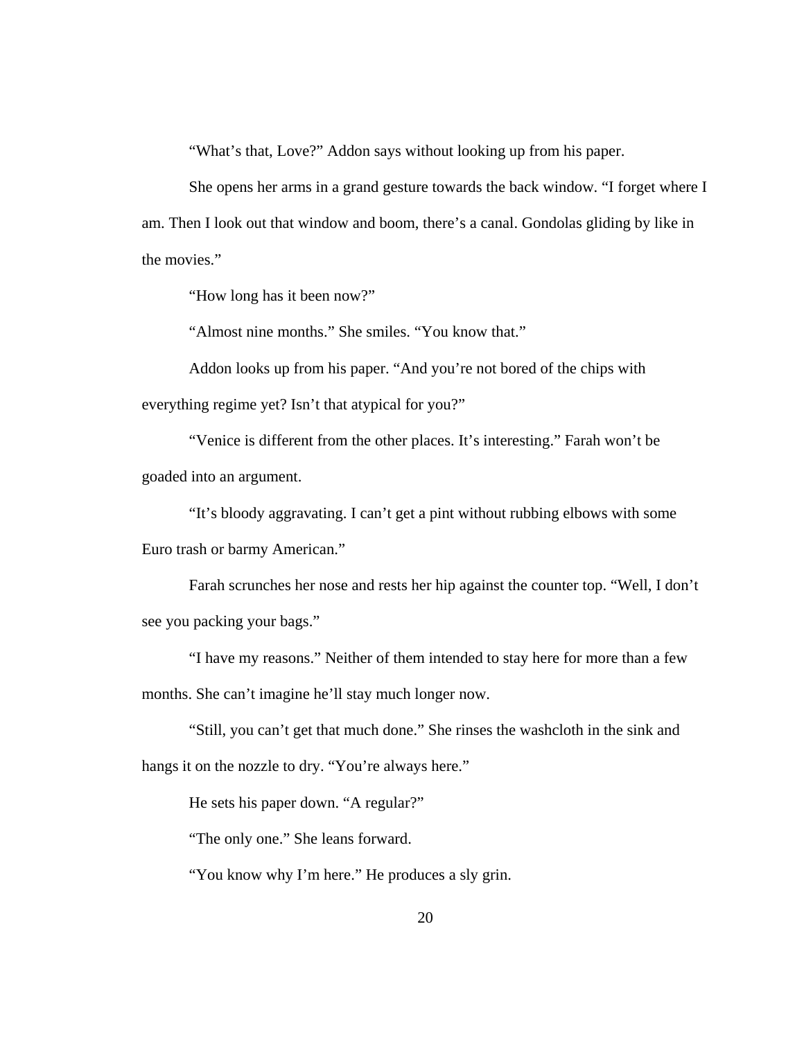"What's that, Love?" Addon says without looking up from his paper.

She opens her arms in a grand gesture towards the back window. "I forget where I am. Then I look out that window and boom, there's a canal. Gondolas gliding by like in the movies."

"How long has it been now?"

"Almost nine months." She smiles. "You know that."

 Addon looks up from his paper. "And you're not bored of the chips with everything regime yet? Isn't that atypical for you?"

 "Venice is different from the other places. It's interesting." Farah won't be goaded into an argument.

"It's bloody aggravating. I can't get a pint without rubbing elbows with some Euro trash or barmy American."

Farah scrunches her nose and rests her hip against the counter top. "Well, I don't see you packing your bags."

"I have my reasons." Neither of them intended to stay here for more than a few months. She can't imagine he'll stay much longer now.

"Still, you can't get that much done." She rinses the washcloth in the sink and hangs it on the nozzle to dry. "You're always here."

He sets his paper down. "A regular?"

"The only one." She leans forward.

"You know why I'm here." He produces a sly grin.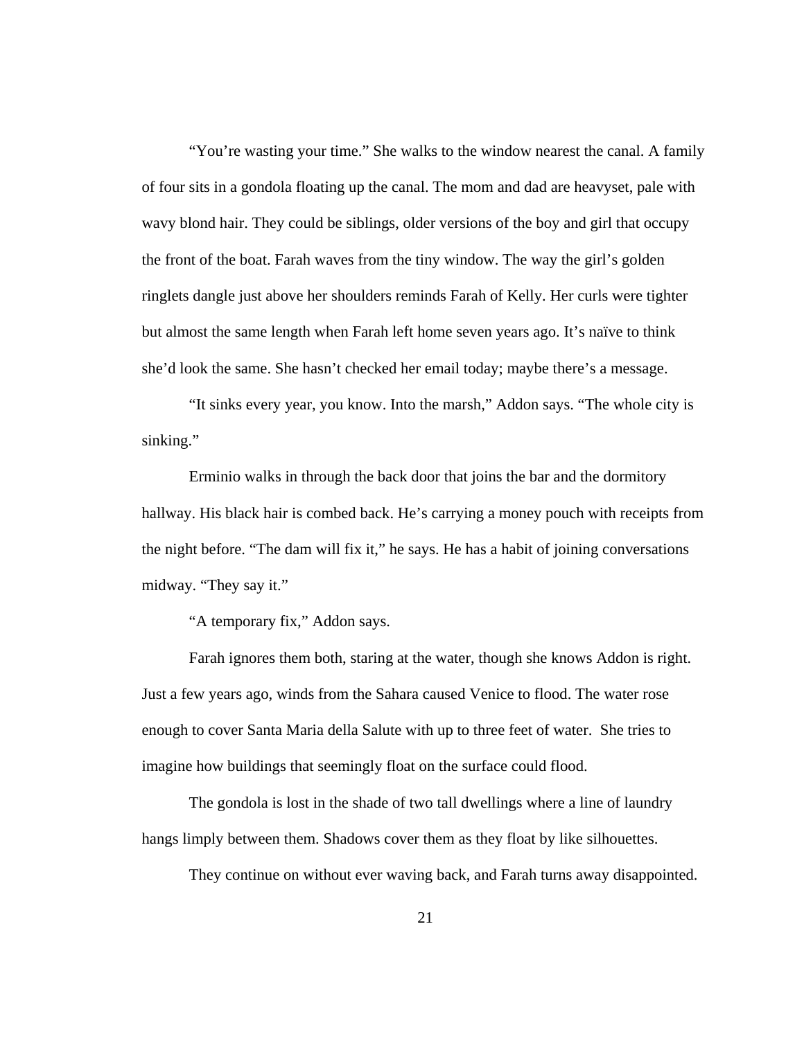"You're wasting your time." She walks to the window nearest the canal. A family of four sits in a gondola floating up the canal. The mom and dad are heavyset, pale with wavy blond hair. They could be siblings, older versions of the boy and girl that occupy the front of the boat. Farah waves from the tiny window. The way the girl's golden ringlets dangle just above her shoulders reminds Farah of Kelly. Her curls were tighter but almost the same length when Farah left home seven years ago. It's naïve to think she'd look the same. She hasn't checked her email today; maybe there's a message.

"It sinks every year, you know. Into the marsh," Addon says. "The whole city is sinking."

Erminio walks in through the back door that joins the bar and the dormitory hallway. His black hair is combed back. He's carrying a money pouch with receipts from the night before. "The dam will fix it," he says. He has a habit of joining conversations midway. "They say it."

"A temporary fix," Addon says.

Farah ignores them both, staring at the water, though she knows Addon is right. Just a few years ago, winds from the Sahara caused Venice to flood. The water rose enough to cover Santa Maria della Salute with up to three feet of water. She tries to imagine how buildings that seemingly float on the surface could flood.

The gondola is lost in the shade of two tall dwellings where a line of laundry hangs limply between them. Shadows cover them as they float by like silhouettes.

They continue on without ever waving back, and Farah turns away disappointed.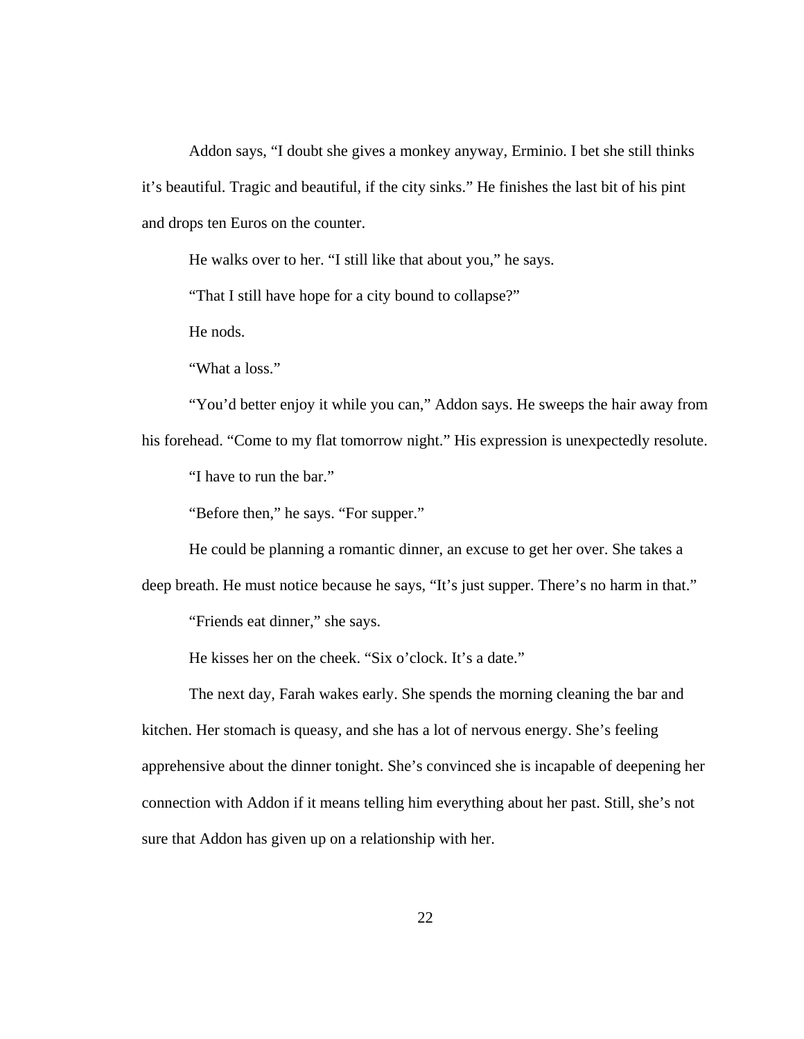Addon says, "I doubt she gives a monkey anyway, Erminio. I bet she still thinks it's beautiful. Tragic and beautiful, if the city sinks." He finishes the last bit of his pint and drops ten Euros on the counter.

He walks over to her. "I still like that about you," he says.

"That I still have hope for a city bound to collapse?"

He nods.

"What a loss."

"You'd better enjoy it while you can," Addon says. He sweeps the hair away from

his forehead. "Come to my flat tomorrow night." His expression is unexpectedly resolute. "I have to run the bar."

"Before then," he says. "For supper."

He could be planning a romantic dinner, an excuse to get her over. She takes a

deep breath. He must notice because he says, "It's just supper. There's no harm in that."

"Friends eat dinner," she says.

He kisses her on the cheek. "Six o'clock. It's a date."

The next day, Farah wakes early. She spends the morning cleaning the bar and kitchen. Her stomach is queasy, and she has a lot of nervous energy. She's feeling apprehensive about the dinner tonight. She's convinced she is incapable of deepening her connection with Addon if it means telling him everything about her past. Still, she's not sure that Addon has given up on a relationship with her.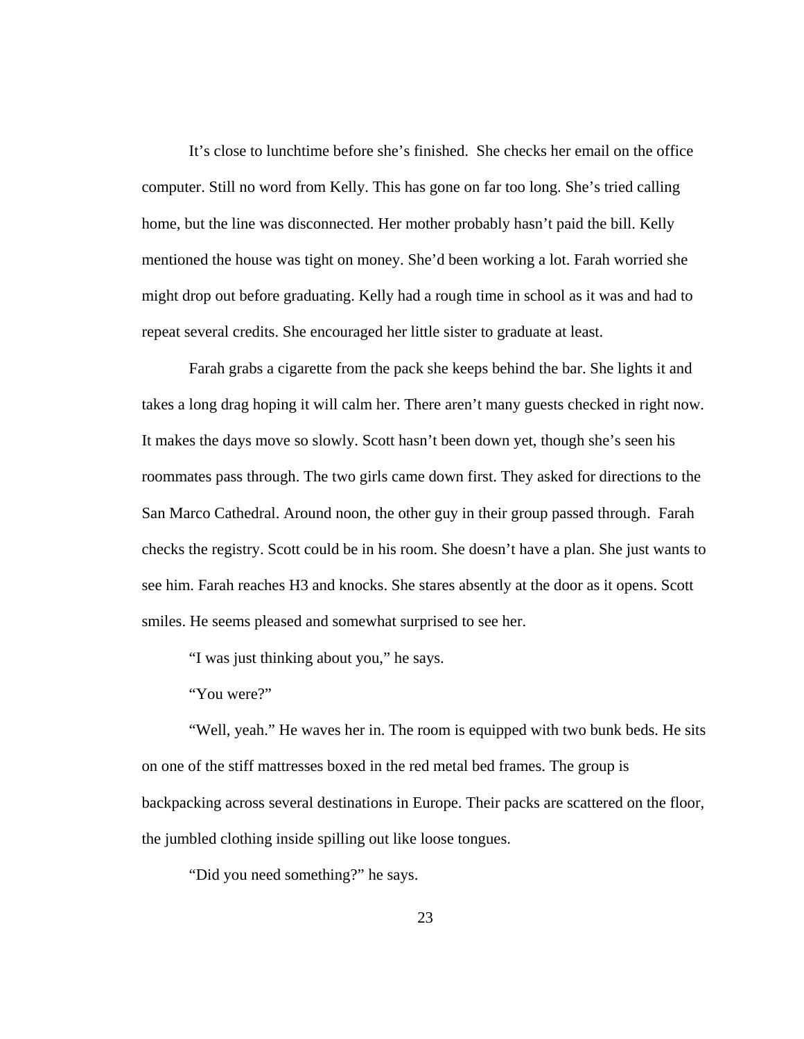It's close to lunchtime before she's finished. She checks her email on the office computer. Still no word from Kelly. This has gone on far too long. She's tried calling home, but the line was disconnected. Her mother probably hasn't paid the bill. Kelly mentioned the house was tight on money. She'd been working a lot. Farah worried she might drop out before graduating. Kelly had a rough time in school as it was and had to repeat several credits. She encouraged her little sister to graduate at least.

Farah grabs a cigarette from the pack she keeps behind the bar. She lights it and takes a long drag hoping it will calm her. There aren't many guests checked in right now. It makes the days move so slowly. Scott hasn't been down yet, though she's seen his roommates pass through. The two girls came down first. They asked for directions to the San Marco Cathedral. Around noon, the other guy in their group passed through. Farah checks the registry. Scott could be in his room. She doesn't have a plan. She just wants to see him. Farah reaches H3 and knocks. She stares absently at the door as it opens. Scott smiles. He seems pleased and somewhat surprised to see her.

"I was just thinking about you," he says.

"You were?"

"Well, yeah." He waves her in. The room is equipped with two bunk beds. He sits on one of the stiff mattresses boxed in the red metal bed frames. The group is backpacking across several destinations in Europe. Their packs are scattered on the floor, the jumbled clothing inside spilling out like loose tongues.

"Did you need something?" he says.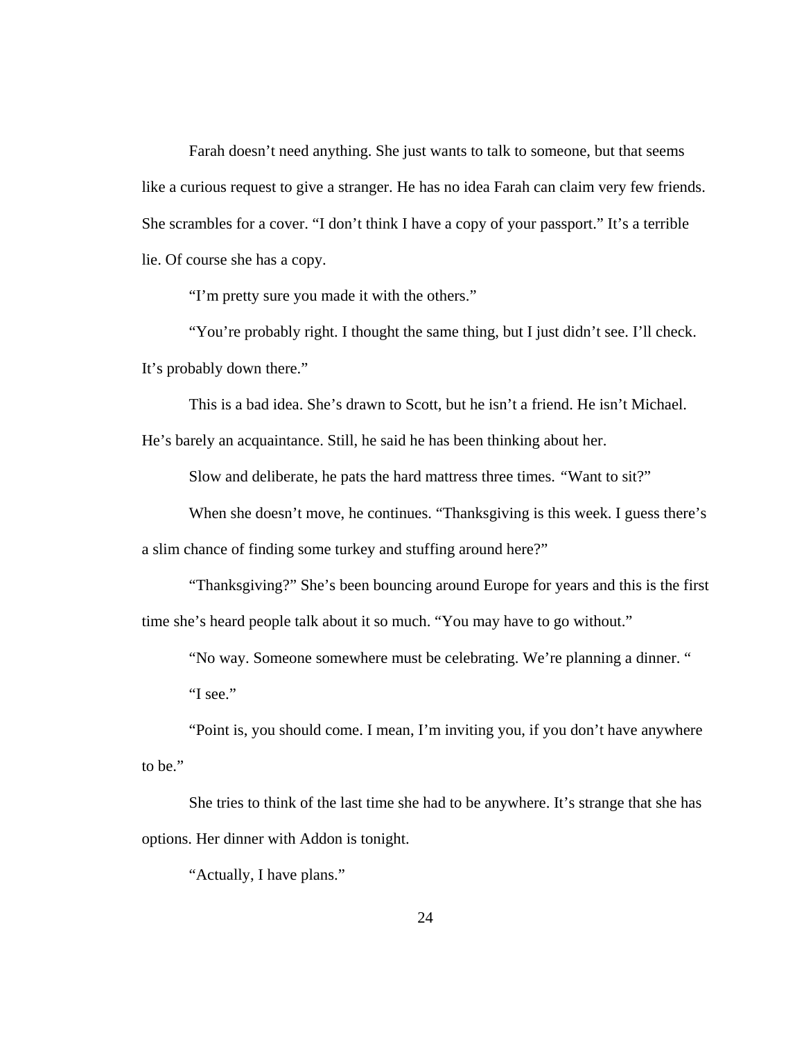Farah doesn't need anything. She just wants to talk to someone, but that seems like a curious request to give a stranger. He has no idea Farah can claim very few friends. She scrambles for a cover. "I don't think I have a copy of your passport." It's a terrible lie. Of course she has a copy.

"I'm pretty sure you made it with the others."

"You're probably right. I thought the same thing, but I just didn't see. I'll check. It's probably down there."

This is a bad idea. She's drawn to Scott, but he isn't a friend. He isn't Michael.

He's barely an acquaintance. Still, he said he has been thinking about her.

Slow and deliberate, he pats the hard mattress three times. *"*Want to sit?"

When she doesn't move, he continues. "Thanksgiving is this week. I guess there's a slim chance of finding some turkey and stuffing around here?"

 "Thanksgiving?" She's been bouncing around Europe for years and this is the first time she's heard people talk about it so much. "You may have to go without."

 "No way. Someone somewhere must be celebrating. We're planning a dinner. " "I see."

 "Point is, you should come. I mean, I'm inviting you, if you don't have anywhere to be."

 She tries to think of the last time she had to be anywhere. It's strange that she has options. Her dinner with Addon is tonight.

"Actually, I have plans."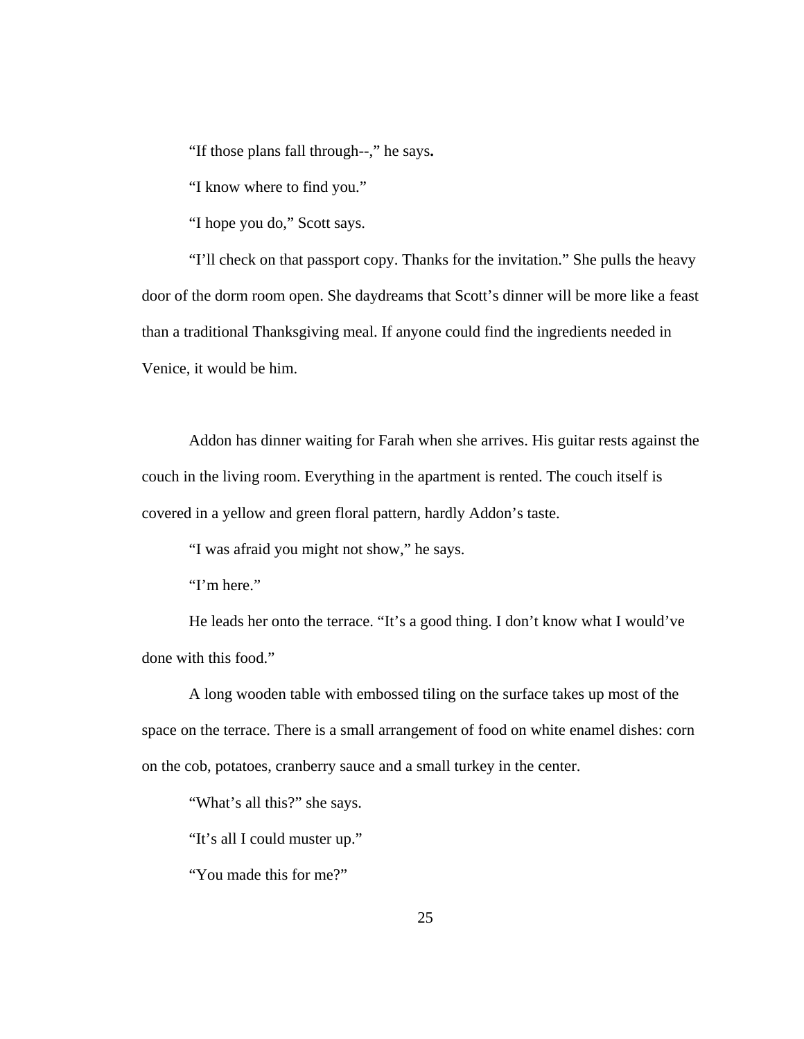"If those plans fall through--," he says**.** 

"I know where to find you."

"I hope you do," Scott says.

"I'll check on that passport copy. Thanks for the invitation." She pulls the heavy door of the dorm room open. She daydreams that Scott's dinner will be more like a feast than a traditional Thanksgiving meal. If anyone could find the ingredients needed in Venice, it would be him.

Addon has dinner waiting for Farah when she arrives. His guitar rests against the couch in the living room. Everything in the apartment is rented. The couch itself is covered in a yellow and green floral pattern, hardly Addon's taste.

"I was afraid you might not show," he says.

"I'm here."

He leads her onto the terrace. "It's a good thing. I don't know what I would've done with this food."

A long wooden table with embossed tiling on the surface takes up most of the space on the terrace. There is a small arrangement of food on white enamel dishes: corn on the cob, potatoes, cranberry sauce and a small turkey in the center.

"What's all this?" she says.

"It's all I could muster up."

"You made this for me?"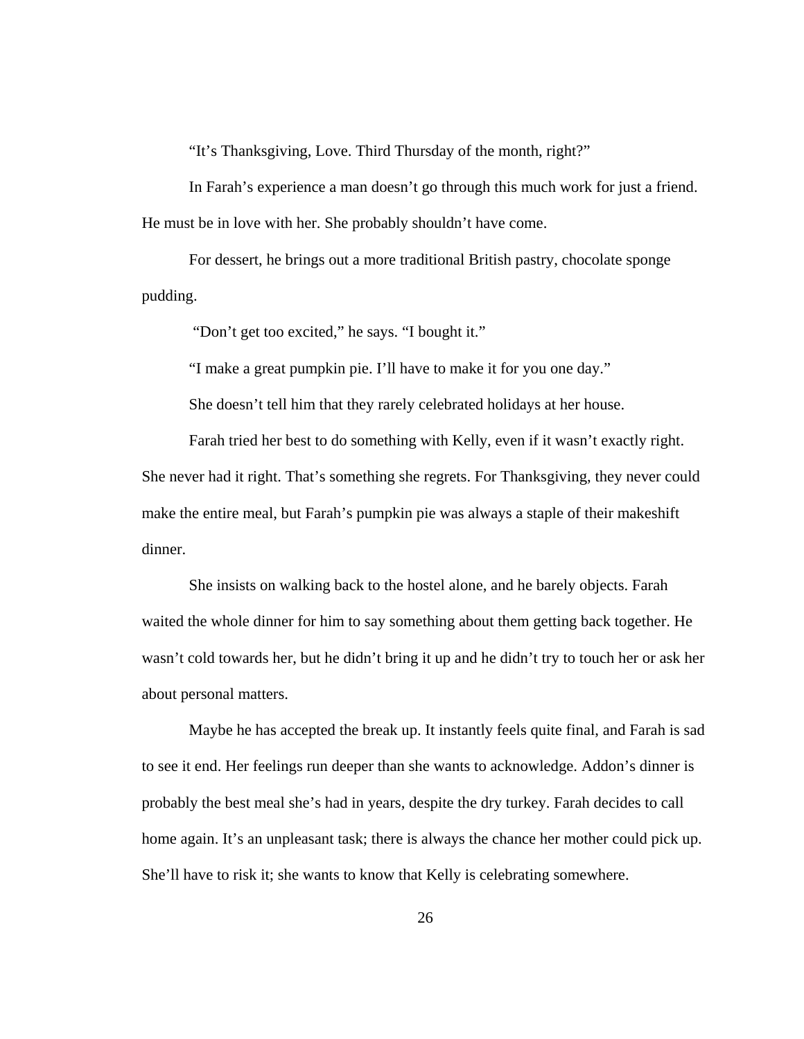"It's Thanksgiving, Love. Third Thursday of the month, right?"

In Farah's experience a man doesn't go through this much work for just a friend. He must be in love with her. She probably shouldn't have come.

For dessert, he brings out a more traditional British pastry, chocolate sponge pudding.

"Don't get too excited," he says. "I bought it."

"I make a great pumpkin pie. I'll have to make it for you one day."

She doesn't tell him that they rarely celebrated holidays at her house.

Farah tried her best to do something with Kelly, even if it wasn't exactly right. She never had it right. That's something she regrets. For Thanksgiving, they never could make the entire meal, but Farah's pumpkin pie was always a staple of their makeshift dinner.

She insists on walking back to the hostel alone, and he barely objects. Farah waited the whole dinner for him to say something about them getting back together. He wasn't cold towards her, but he didn't bring it up and he didn't try to touch her or ask her about personal matters.

Maybe he has accepted the break up. It instantly feels quite final, and Farah is sad to see it end. Her feelings run deeper than she wants to acknowledge. Addon's dinner is probably the best meal she's had in years, despite the dry turkey. Farah decides to call home again. It's an unpleasant task; there is always the chance her mother could pick up. She'll have to risk it; she wants to know that Kelly is celebrating somewhere.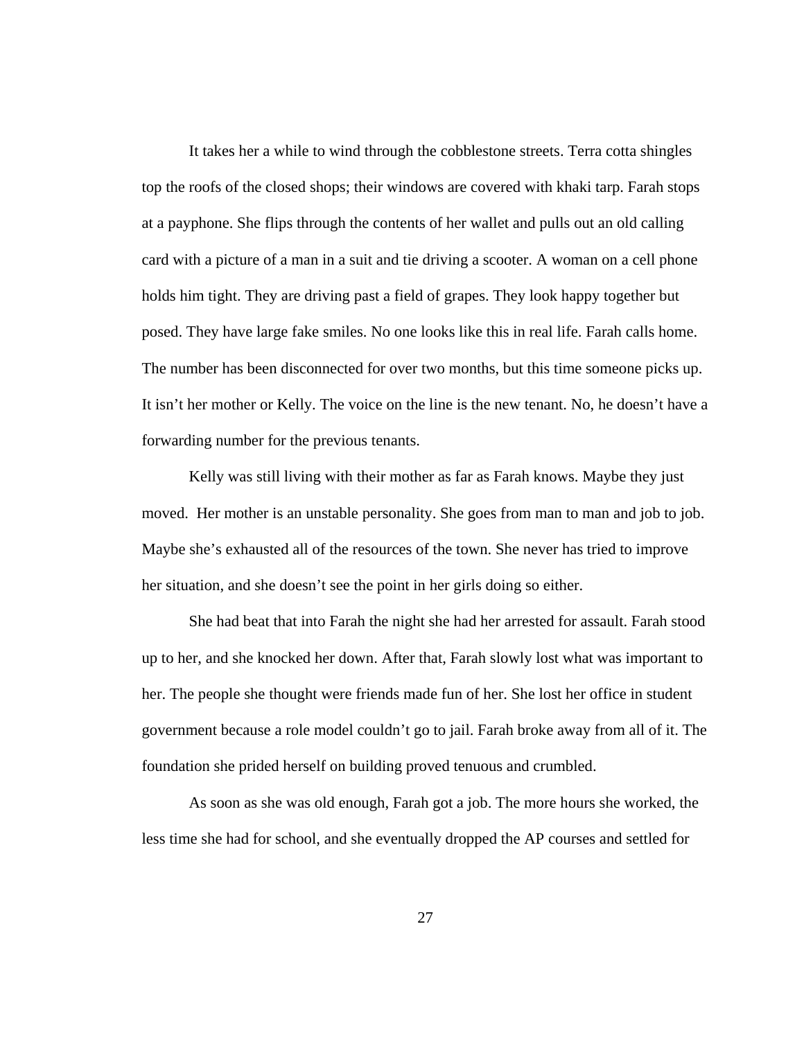It takes her a while to wind through the cobblestone streets. Terra cotta shingles top the roofs of the closed shops; their windows are covered with khaki tarp. Farah stops at a payphone. She flips through the contents of her wallet and pulls out an old calling card with a picture of a man in a suit and tie driving a scooter. A woman on a cell phone holds him tight. They are driving past a field of grapes. They look happy together but posed. They have large fake smiles. No one looks like this in real life. Farah calls home. The number has been disconnected for over two months, but this time someone picks up. It isn't her mother or Kelly. The voice on the line is the new tenant. No, he doesn't have a forwarding number for the previous tenants.

Kelly was still living with their mother as far as Farah knows. Maybe they just moved. Her mother is an unstable personality. She goes from man to man and job to job. Maybe she's exhausted all of the resources of the town. She never has tried to improve her situation, and she doesn't see the point in her girls doing so either.

She had beat that into Farah the night she had her arrested for assault. Farah stood up to her, and she knocked her down. After that, Farah slowly lost what was important to her. The people she thought were friends made fun of her. She lost her office in student government because a role model couldn't go to jail. Farah broke away from all of it. The foundation she prided herself on building proved tenuous and crumbled.

As soon as she was old enough, Farah got a job. The more hours she worked, the less time she had for school, and she eventually dropped the AP courses and settled for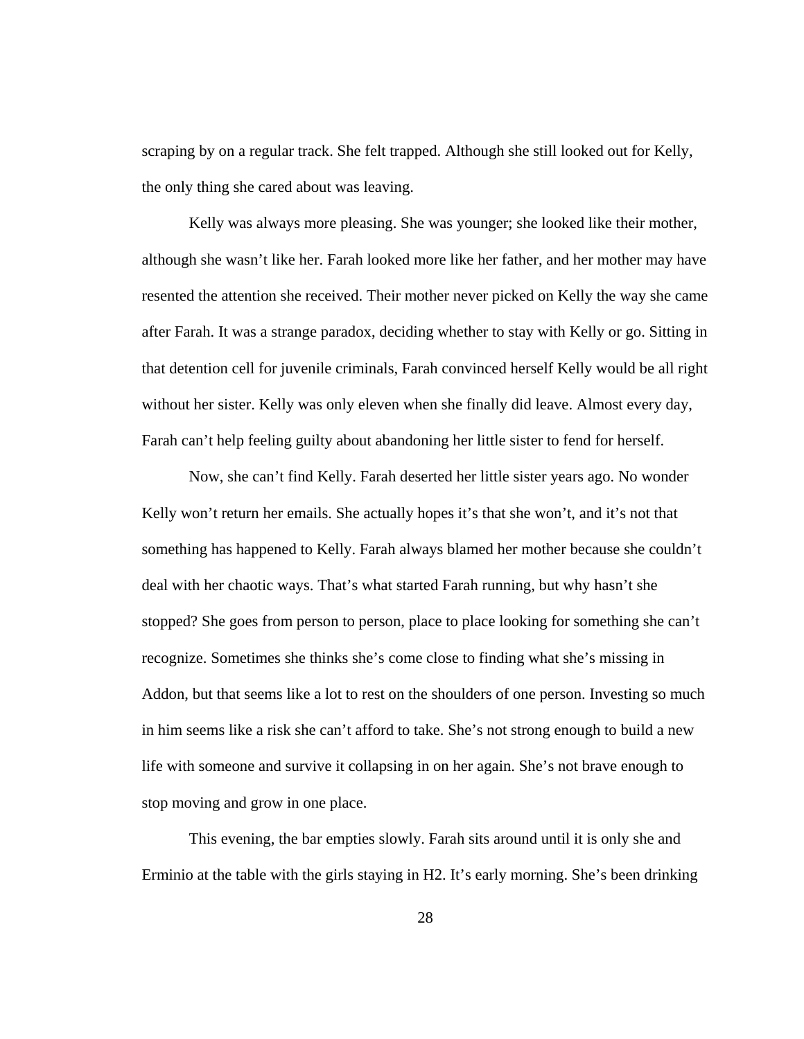scraping by on a regular track. She felt trapped. Although she still looked out for Kelly, the only thing she cared about was leaving.

Kelly was always more pleasing. She was younger; she looked like their mother, although she wasn't like her. Farah looked more like her father, and her mother may have resented the attention she received. Their mother never picked on Kelly the way she came after Farah. It was a strange paradox, deciding whether to stay with Kelly or go. Sitting in that detention cell for juvenile criminals, Farah convinced herself Kelly would be all right without her sister. Kelly was only eleven when she finally did leave. Almost every day, Farah can't help feeling guilty about abandoning her little sister to fend for herself.

 Now, she can't find Kelly. Farah deserted her little sister years ago. No wonder Kelly won't return her emails. She actually hopes it's that she won't, and it's not that something has happened to Kelly. Farah always blamed her mother because she couldn't deal with her chaotic ways. That's what started Farah running, but why hasn't she stopped? She goes from person to person, place to place looking for something she can't recognize. Sometimes she thinks she's come close to finding what she's missing in Addon, but that seems like a lot to rest on the shoulders of one person. Investing so much in him seems like a risk she can't afford to take. She's not strong enough to build a new life with someone and survive it collapsing in on her again. She's not brave enough to stop moving and grow in one place.

 This evening, the bar empties slowly. Farah sits around until it is only she and Erminio at the table with the girls staying in H2. It's early morning. She's been drinking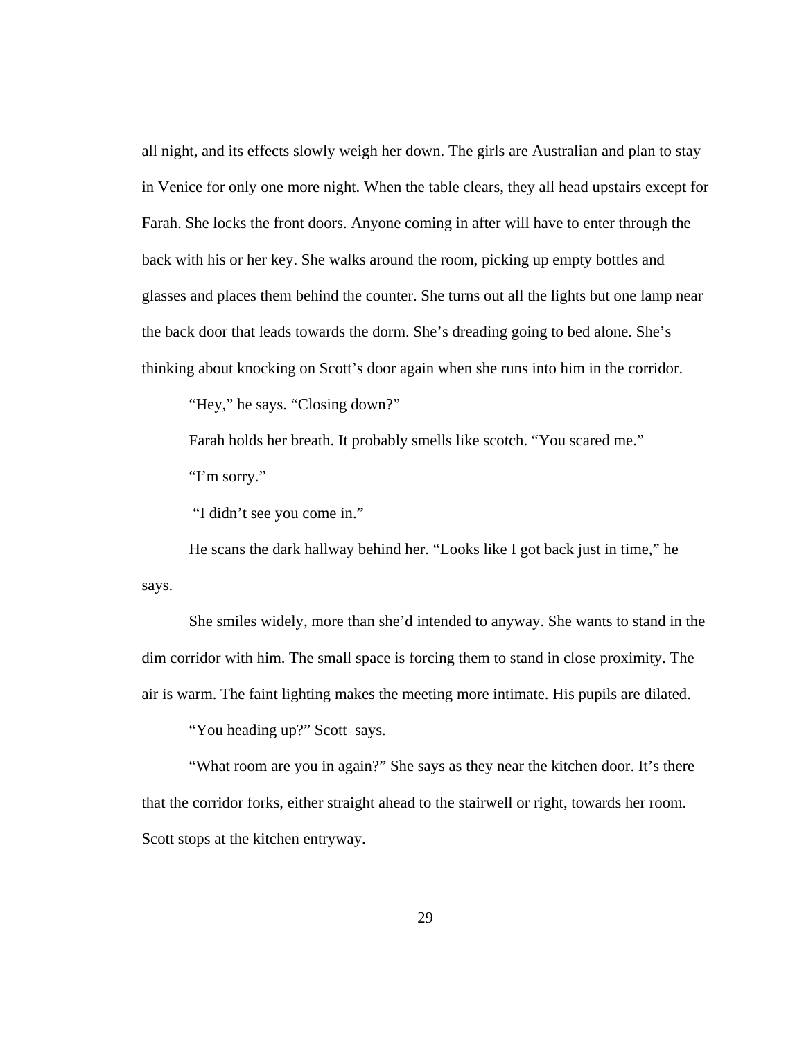all night, and its effects slowly weigh her down. The girls are Australian and plan to stay in Venice for only one more night. When the table clears, they all head upstairs except for Farah. She locks the front doors. Anyone coming in after will have to enter through the back with his or her key. She walks around the room, picking up empty bottles and glasses and places them behind the counter. She turns out all the lights but one lamp near the back door that leads towards the dorm. She's dreading going to bed alone. She's thinking about knocking on Scott's door again when she runs into him in the corridor.

"Hey," he says. "Closing down?"

 Farah holds her breath. It probably smells like scotch. "You scared me." "I'm sorry."

"I didn't see you come in."

 He scans the dark hallway behind her. "Looks like I got back just in time," he says.

 She smiles widely, more than she'd intended to anyway. She wants to stand in the dim corridor with him. The small space is forcing them to stand in close proximity. The air is warm. The faint lighting makes the meeting more intimate. His pupils are dilated.

"You heading up?" Scott says.

"What room are you in again?" She says as they near the kitchen door. It's there that the corridor forks, either straight ahead to the stairwell or right, towards her room. Scott stops at the kitchen entryway.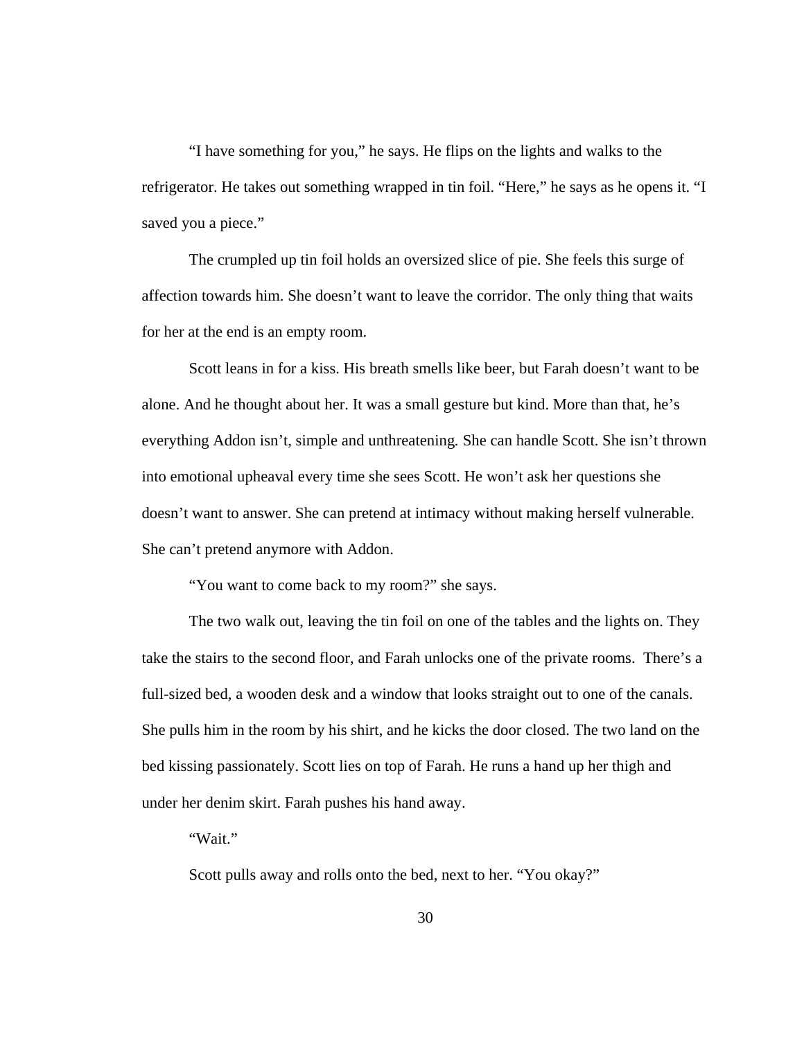"I have something for you," he says. He flips on the lights and walks to the refrigerator. He takes out something wrapped in tin foil. "Here," he says as he opens it. "I saved you a piece."

 The crumpled up tin foil holds an oversized slice of pie. She feels this surge of affection towards him. She doesn't want to leave the corridor. The only thing that waits for her at the end is an empty room.

 Scott leans in for a kiss. His breath smells like beer, but Farah doesn't want to be alone. And he thought about her. It was a small gesture but kind. More than that, he's everything Addon isn't, simple and unthreatening*.* She can handle Scott. She isn't thrown into emotional upheaval every time she sees Scott. He won't ask her questions she doesn't want to answer. She can pretend at intimacy without making herself vulnerable. She can't pretend anymore with Addon.

"You want to come back to my room?" she says.

 The two walk out, leaving the tin foil on one of the tables and the lights on. They take the stairs to the second floor, and Farah unlocks one of the private rooms. There's a full-sized bed, a wooden desk and a window that looks straight out to one of the canals. She pulls him in the room by his shirt, and he kicks the door closed. The two land on the bed kissing passionately. Scott lies on top of Farah. He runs a hand up her thigh and under her denim skirt. Farah pushes his hand away.

"Wait."

Scott pulls away and rolls onto the bed, next to her. "You okay?"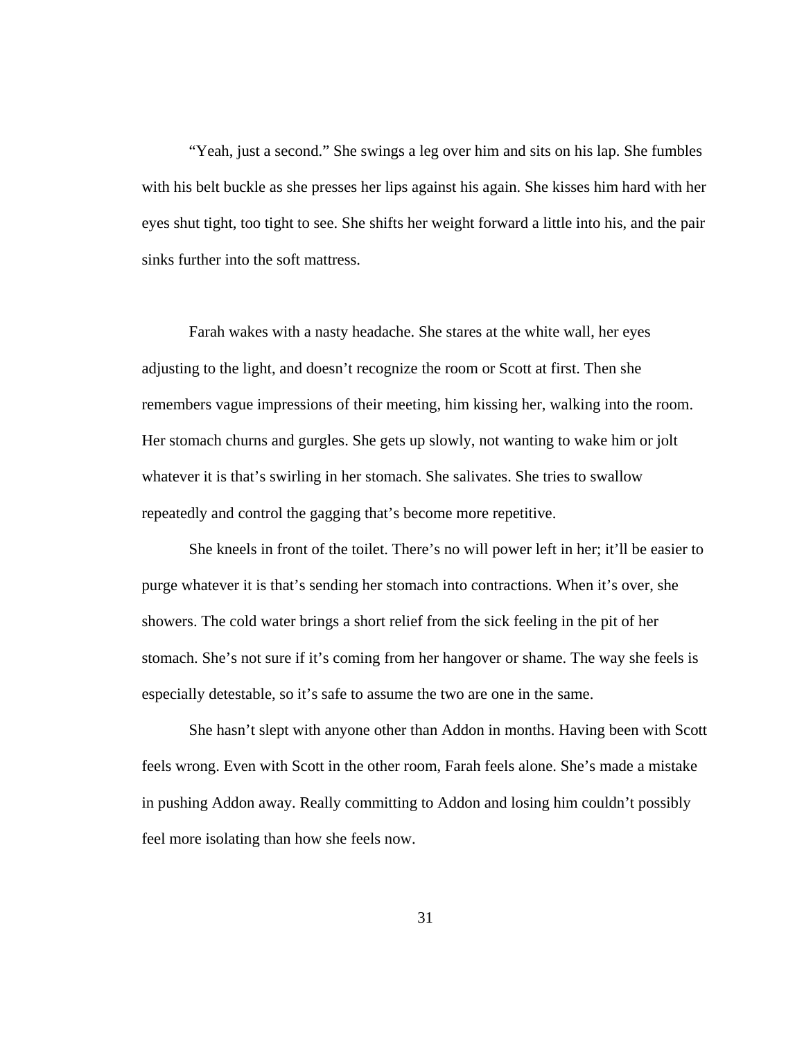"Yeah, just a second." She swings a leg over him and sits on his lap. She fumbles with his belt buckle as she presses her lips against his again. She kisses him hard with her eyes shut tight, too tight to see. She shifts her weight forward a little into his, and the pair sinks further into the soft mattress.

Farah wakes with a nasty headache. She stares at the white wall, her eyes adjusting to the light, and doesn't recognize the room or Scott at first. Then she remembers vague impressions of their meeting, him kissing her, walking into the room. Her stomach churns and gurgles. She gets up slowly, not wanting to wake him or jolt whatever it is that's swirling in her stomach. She salivates. She tries to swallow repeatedly and control the gagging that's become more repetitive.

She kneels in front of the toilet. There's no will power left in her; it'll be easier to purge whatever it is that's sending her stomach into contractions. When it's over, she showers. The cold water brings a short relief from the sick feeling in the pit of her stomach. She's not sure if it's coming from her hangover or shame. The way she feels is especially detestable, so it's safe to assume the two are one in the same.

She hasn't slept with anyone other than Addon in months. Having been with Scott feels wrong. Even with Scott in the other room, Farah feels alone. She's made a mistake in pushing Addon away. Really committing to Addon and losing him couldn't possibly feel more isolating than how she feels now.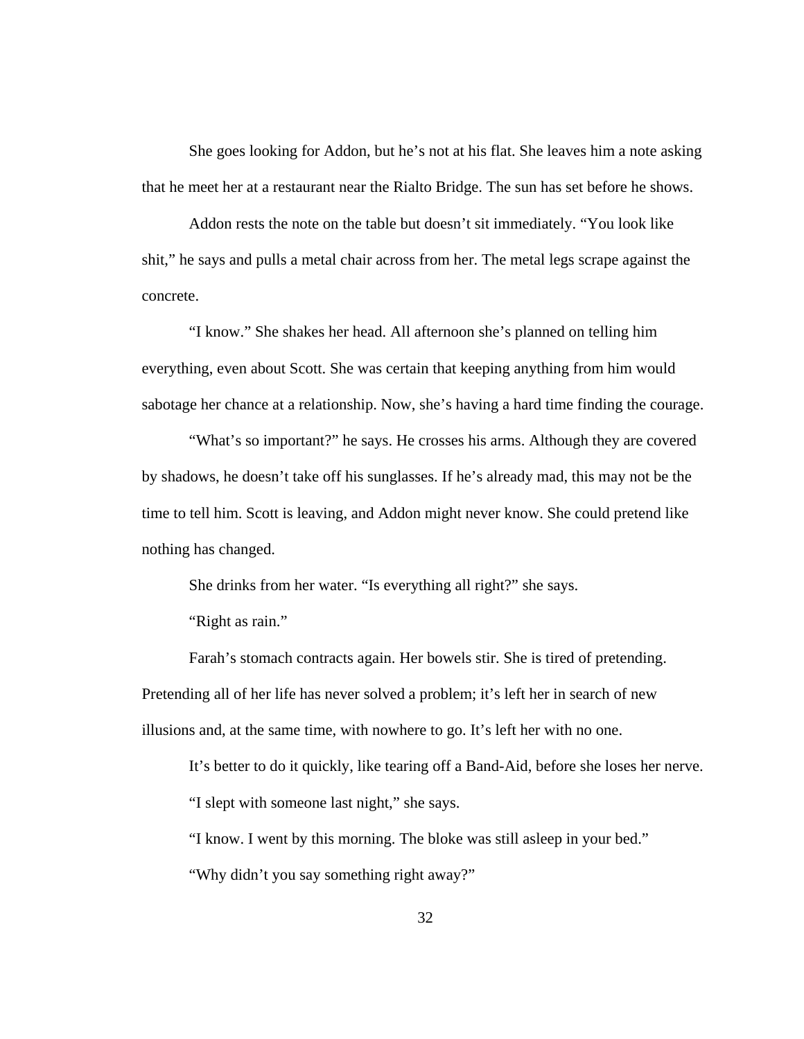She goes looking for Addon, but he's not at his flat. She leaves him a note asking that he meet her at a restaurant near the Rialto Bridge. The sun has set before he shows.

Addon rests the note on the table but doesn't sit immediately. "You look like shit," he says and pulls a metal chair across from her. The metal legs scrape against the concrete.

"I know." She shakes her head. All afternoon she's planned on telling him everything, even about Scott. She was certain that keeping anything from him would sabotage her chance at a relationship. Now, she's having a hard time finding the courage.

"What's so important?" he says. He crosses his arms. Although they are covered by shadows, he doesn't take off his sunglasses. If he's already mad, this may not be the time to tell him. Scott is leaving, and Addon might never know. She could pretend like nothing has changed.

She drinks from her water. "Is everything all right?" she says.

"Right as rain."

Farah's stomach contracts again. Her bowels stir. She is tired of pretending. Pretending all of her life has never solved a problem; it's left her in search of new illusions and, at the same time, with nowhere to go. It's left her with no one.

It's better to do it quickly, like tearing off a Band-Aid, before she loses her nerve. "I slept with someone last night," she says.

"I know. I went by this morning. The bloke was still asleep in your bed." "Why didn't you say something right away?"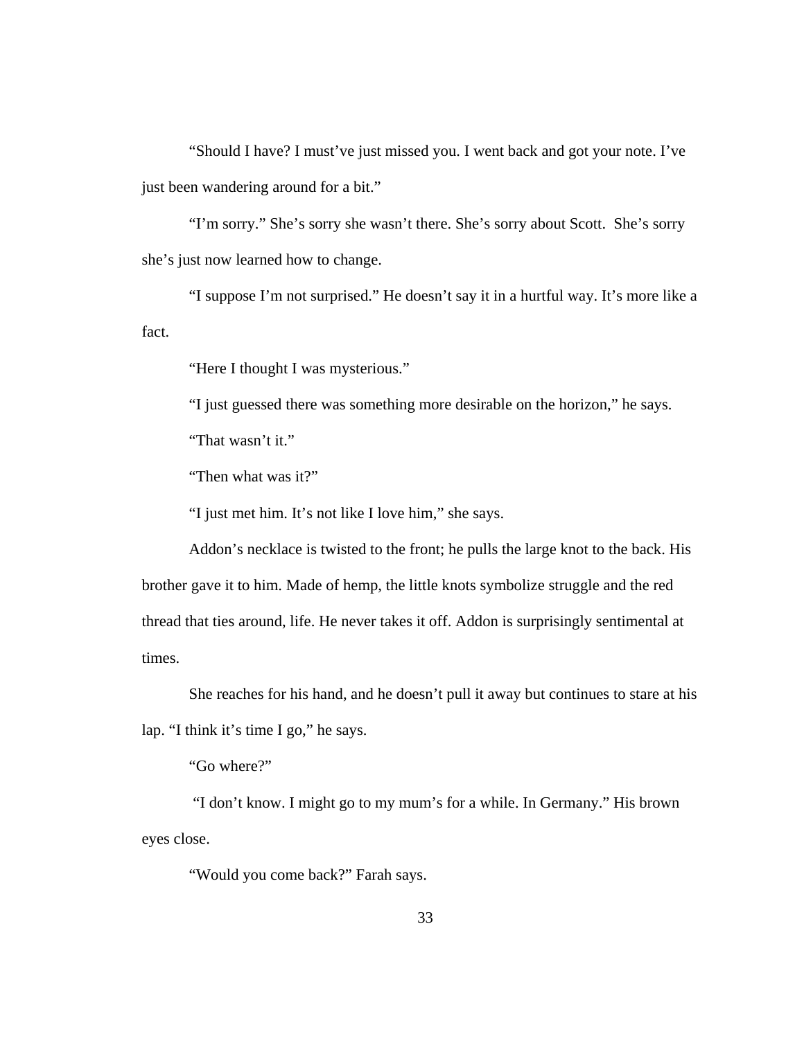"Should I have? I must've just missed you. I went back and got your note. I've just been wandering around for a bit."

"I'm sorry." She's sorry she wasn't there. She's sorry about Scott. She's sorry she's just now learned how to change.

"I suppose I'm not surprised." He doesn't say it in a hurtful way. It's more like a fact.

"Here I thought I was mysterious."

"I just guessed there was something more desirable on the horizon," he says.

"That wasn't it."

"Then what was it?"

"I just met him. It's not like I love him," she says.

 Addon's necklace is twisted to the front; he pulls the large knot to the back. His brother gave it to him. Made of hemp, the little knots symbolize struggle and the red thread that ties around, life. He never takes it off. Addon is surprisingly sentimental at times.

She reaches for his hand, and he doesn't pull it away but continues to stare at his lap. "I think it's time I go," he says.

"Go where?"

 "I don't know. I might go to my mum's for a while. In Germany." His brown eyes close.

"Would you come back?" Farah says.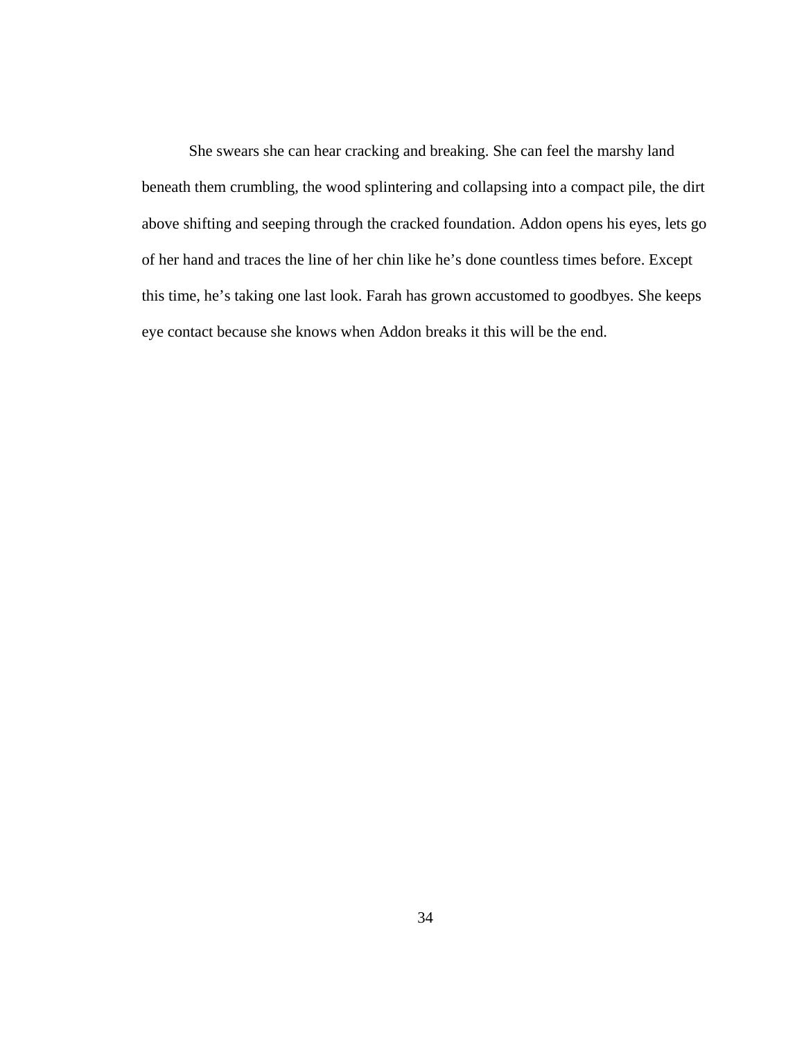She swears she can hear cracking and breaking. She can feel the marshy land beneath them crumbling, the wood splintering and collapsing into a compact pile, the dirt above shifting and seeping through the cracked foundation. Addon opens his eyes, lets go of her hand and traces the line of her chin like he's done countless times before. Except this time, he's taking one last look. Farah has grown accustomed to goodbyes. She keeps eye contact because she knows when Addon breaks it this will be the end.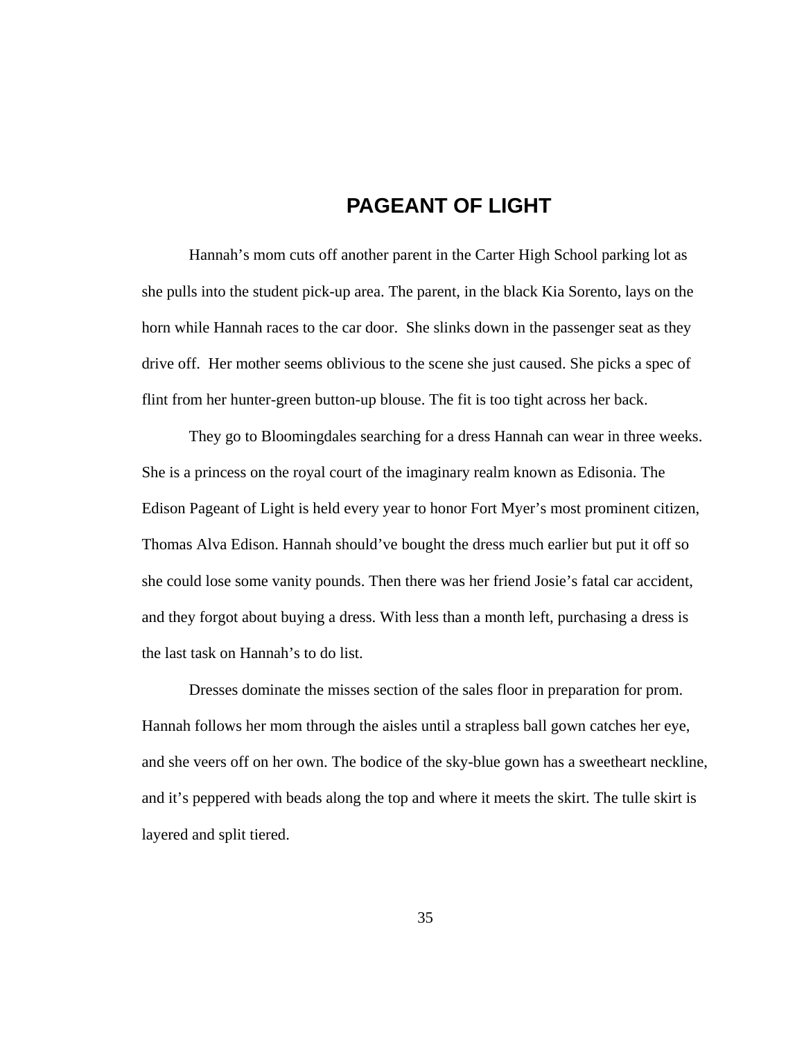## **PAGEANT OF LIGHT**

 Hannah's mom cuts off another parent in the Carter High School parking lot as she pulls into the student pick-up area. The parent, in the black Kia Sorento, lays on the horn while Hannah races to the car door. She slinks down in the passenger seat as they drive off. Her mother seems oblivious to the scene she just caused. She picks a spec of flint from her hunter-green button-up blouse. The fit is too tight across her back.

They go to Bloomingdales searching for a dress Hannah can wear in three weeks. She is a princess on the royal court of the imaginary realm known as Edisonia. The Edison Pageant of Light is held every year to honor Fort Myer's most prominent citizen, Thomas Alva Edison. Hannah should've bought the dress much earlier but put it off so she could lose some vanity pounds. Then there was her friend Josie's fatal car accident, and they forgot about buying a dress. With less than a month left, purchasing a dress is the last task on Hannah's to do list.

Dresses dominate the misses section of the sales floor in preparation for prom. Hannah follows her mom through the aisles until a strapless ball gown catches her eye, and she veers off on her own. The bodice of the sky-blue gown has a sweetheart neckline, and it's peppered with beads along the top and where it meets the skirt. The tulle skirt is layered and split tiered.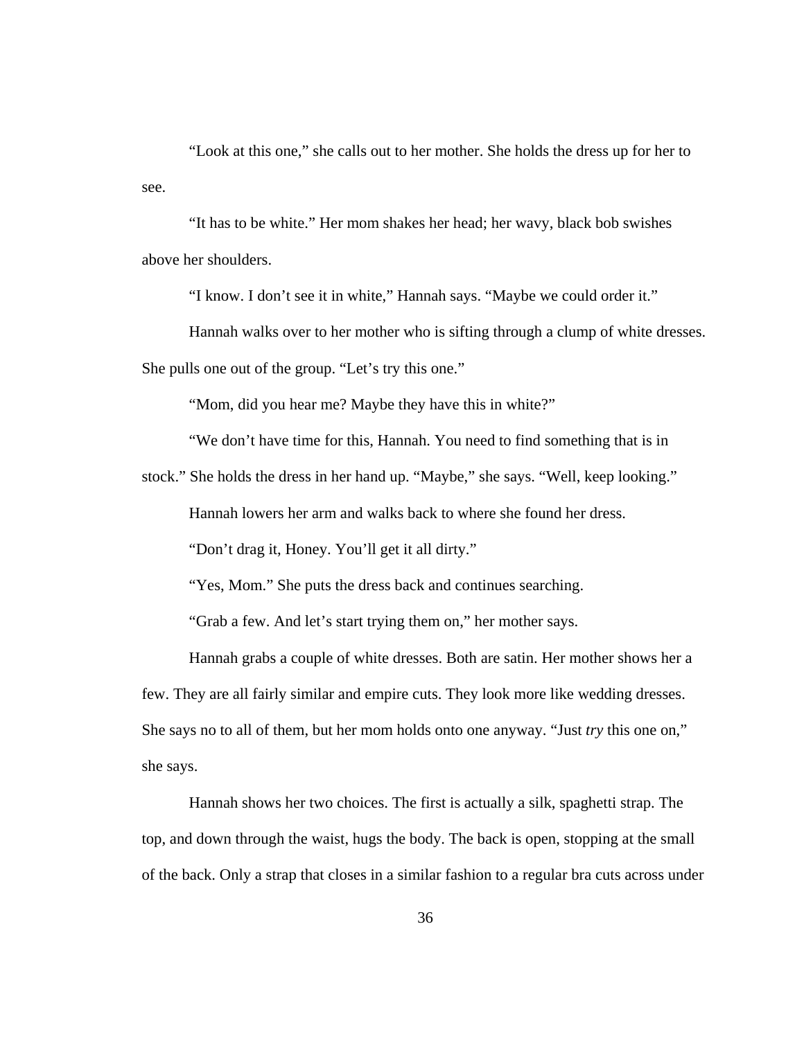"Look at this one," she calls out to her mother. She holds the dress up for her to see.

"It has to be white." Her mom shakes her head; her wavy, black bob swishes above her shoulders.

"I know. I don't see it in white," Hannah says. "Maybe we could order it."

Hannah walks over to her mother who is sifting through a clump of white dresses.

She pulls one out of the group. "Let's try this one."

"Mom, did you hear me? Maybe they have this in white?"

"We don't have time for this, Hannah. You need to find something that is in

stock." She holds the dress in her hand up. "Maybe," she says. "Well, keep looking."

Hannah lowers her arm and walks back to where she found her dress.

"Don't drag it, Honey. You'll get it all dirty."

"Yes, Mom." She puts the dress back and continues searching.

"Grab a few. And let's start trying them on," her mother says.

Hannah grabs a couple of white dresses. Both are satin. Her mother shows her a few. They are all fairly similar and empire cuts. They look more like wedding dresses. She says no to all of them, but her mom holds onto one anyway. "Just *try* this one on," she says.

Hannah shows her two choices. The first is actually a silk, spaghetti strap. The top, and down through the waist, hugs the body. The back is open, stopping at the small of the back. Only a strap that closes in a similar fashion to a regular bra cuts across under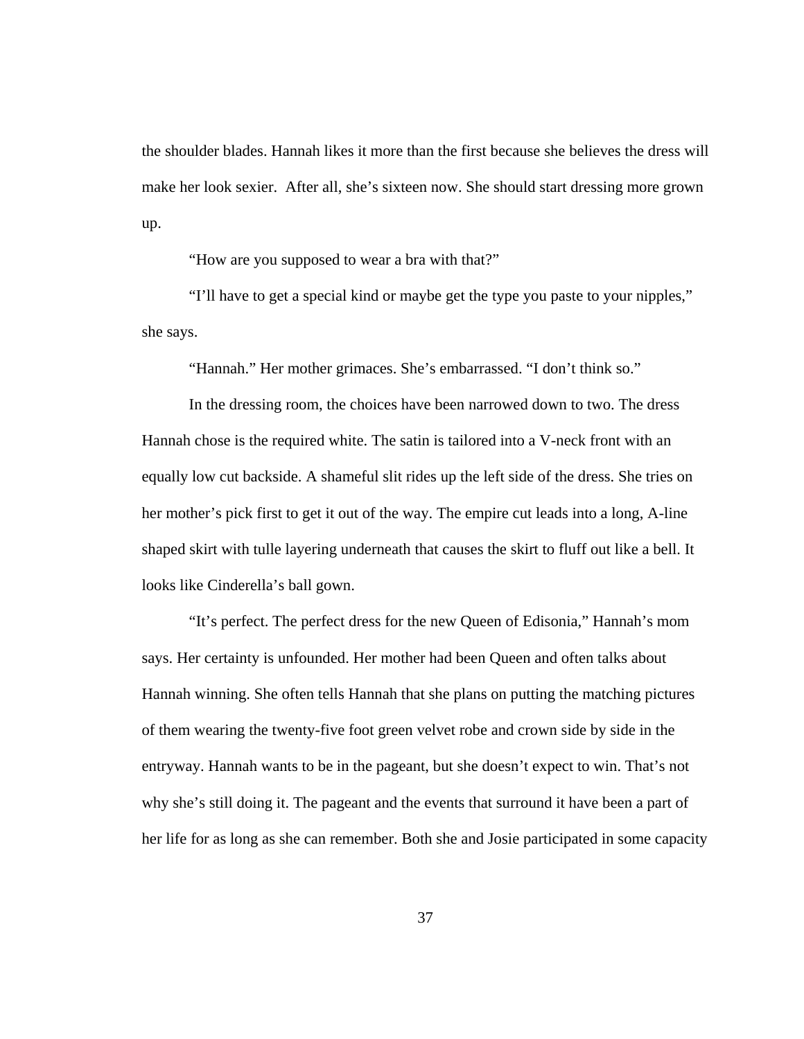the shoulder blades. Hannah likes it more than the first because she believes the dress will make her look sexier. After all, she's sixteen now. She should start dressing more grown up.

"How are you supposed to wear a bra with that?"

"I'll have to get a special kind or maybe get the type you paste to your nipples," she says.

"Hannah." Her mother grimaces. She's embarrassed. "I don't think so."

In the dressing room, the choices have been narrowed down to two. The dress Hannah chose is the required white. The satin is tailored into a V-neck front with an equally low cut backside. A shameful slit rides up the left side of the dress. She tries on her mother's pick first to get it out of the way. The empire cut leads into a long, A-line shaped skirt with tulle layering underneath that causes the skirt to fluff out like a bell. It looks like Cinderella's ball gown.

"It's perfect. The perfect dress for the new Queen of Edisonia," Hannah's mom says. Her certainty is unfounded. Her mother had been Queen and often talks about Hannah winning. She often tells Hannah that she plans on putting the matching pictures of them wearing the twenty-five foot green velvet robe and crown side by side in the entryway. Hannah wants to be in the pageant, but she doesn't expect to win. That's not why she's still doing it. The pageant and the events that surround it have been a part of her life for as long as she can remember. Both she and Josie participated in some capacity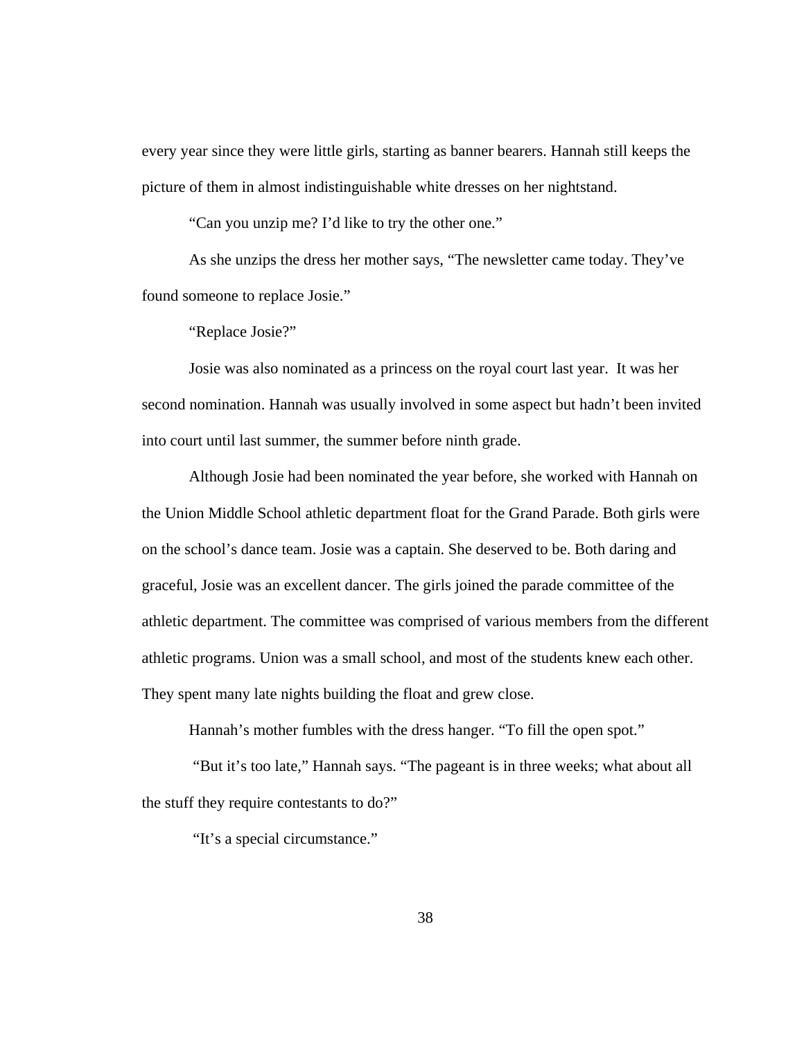every year since they were little girls, starting as banner bearers. Hannah still keeps the picture of them in almost indistinguishable white dresses on her nightstand.

"Can you unzip me? I'd like to try the other one."

 As she unzips the dress her mother says, "The newsletter came today. They've found someone to replace Josie."

"Replace Josie?"

 Josie was also nominated as a princess on the royal court last year. It was her second nomination. Hannah was usually involved in some aspect but hadn't been invited into court until last summer, the summer before ninth grade.

 Although Josie had been nominated the year before, she worked with Hannah on the Union Middle School athletic department float for the Grand Parade. Both girls were on the school's dance team. Josie was a captain. She deserved to be. Both daring and graceful, Josie was an excellent dancer. The girls joined the parade committee of the athletic department. The committee was comprised of various members from the different athletic programs. Union was a small school, and most of the students knew each other. They spent many late nights building the float and grew close.

Hannah's mother fumbles with the dress hanger. "To fill the open spot."

 "But it's too late," Hannah says. "The pageant is in three weeks; what about all the stuff they require contestants to do?"

"It's a special circumstance."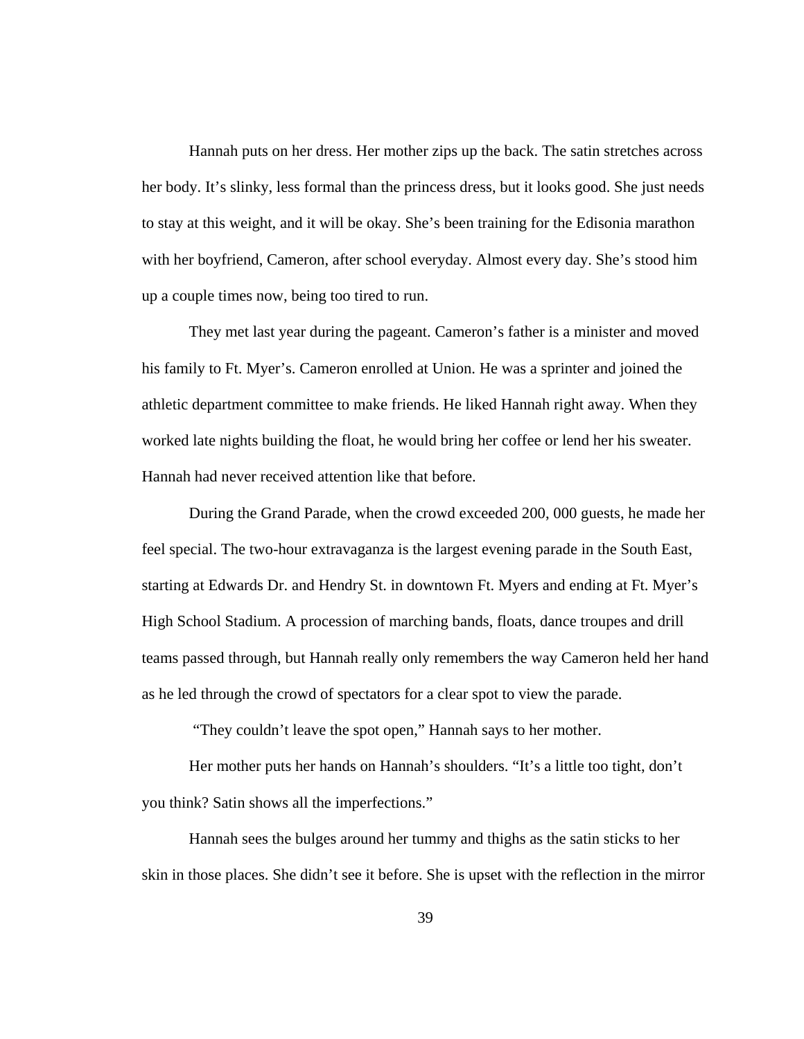Hannah puts on her dress. Her mother zips up the back. The satin stretches across her body. It's slinky, less formal than the princess dress, but it looks good. She just needs to stay at this weight, and it will be okay. She's been training for the Edisonia marathon with her boyfriend, Cameron, after school everyday. Almost every day. She's stood him up a couple times now, being too tired to run.

They met last year during the pageant. Cameron's father is a minister and moved his family to Ft. Myer's. Cameron enrolled at Union. He was a sprinter and joined the athletic department committee to make friends. He liked Hannah right away. When they worked late nights building the float, he would bring her coffee or lend her his sweater. Hannah had never received attention like that before.

During the Grand Parade, when the crowd exceeded 200, 000 guests, he made her feel special. The two-hour extravaganza is the largest evening parade in the South East, starting at Edwards Dr. and Hendry St. in downtown Ft. Myers and ending at Ft. Myer's High School Stadium. A procession of marching bands, floats, dance troupes and drill teams passed through, but Hannah really only remembers the way Cameron held her hand as he led through the crowd of spectators for a clear spot to view the parade.

"They couldn't leave the spot open," Hannah says to her mother.

Her mother puts her hands on Hannah's shoulders. "It's a little too tight, don't you think? Satin shows all the imperfections."

Hannah sees the bulges around her tummy and thighs as the satin sticks to her skin in those places. She didn't see it before. She is upset with the reflection in the mirror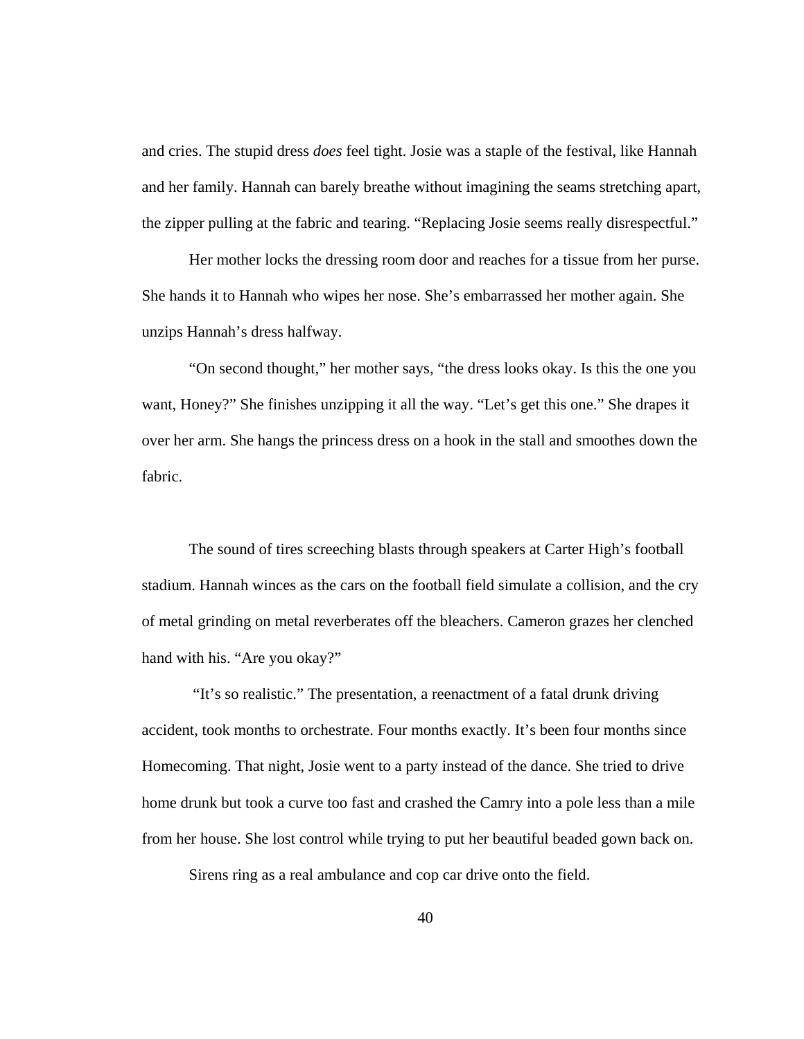and cries. The stupid dress *does* feel tight. Josie was a staple of the festival, like Hannah and her family. Hannah can barely breathe without imagining the seams stretching apart, the zipper pulling at the fabric and tearing. "Replacing Josie seems really disrespectful."

Her mother locks the dressing room door and reaches for a tissue from her purse. She hands it to Hannah who wipes her nose. She's embarrassed her mother again. She unzips Hannah's dress halfway.

 "On second thought," her mother says, "the dress looks okay. Is this the one you want, Honey?" She finishes unzipping it all the way. "Let's get this one." She drapes it over her arm. She hangs the princess dress on a hook in the stall and smoothes down the fabric.

 The sound of tires screeching blasts through speakers at Carter High's football stadium. Hannah winces as the cars on the football field simulate a collision, and the cry of metal grinding on metal reverberates off the bleachers. Cameron grazes her clenched hand with his. "Are you okay?"

 "It's so realistic." The presentation, a reenactment of a fatal drunk driving accident, took months to orchestrate. Four months exactly. It's been four months since Homecoming. That night, Josie went to a party instead of the dance. She tried to drive home drunk but took a curve too fast and crashed the Camry into a pole less than a mile from her house. She lost control while trying to put her beautiful beaded gown back on.

Sirens ring as a real ambulance and cop car drive onto the field.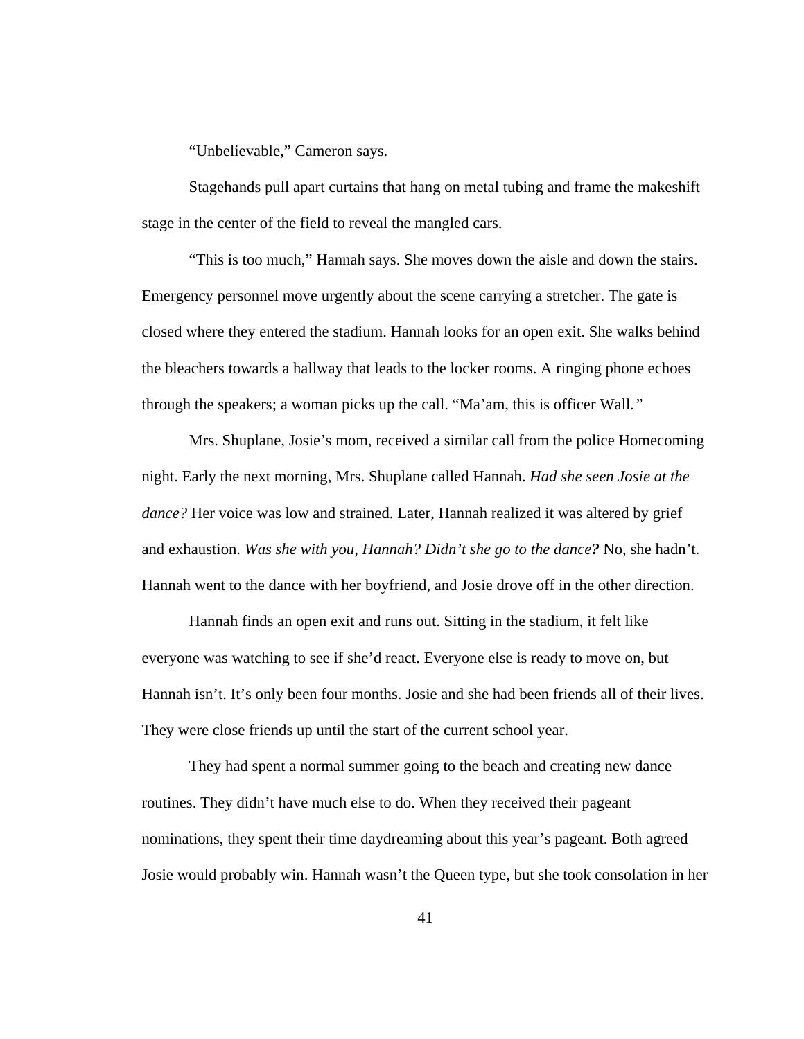"Unbelievable," Cameron says.

 Stagehands pull apart curtains that hang on metal tubing and frame the makeshift stage in the center of the field to reveal the mangled cars.

 "This is too much," Hannah says. She moves down the aisle and down the stairs. Emergency personnel move urgently about the scene carrying a stretcher. The gate is closed where they entered the stadium. Hannah looks for an open exit. She walks behind the bleachers towards a hallway that leads to the locker rooms. A ringing phone echoes through the speakers; a woman picks up the call. "Ma'am, this is officer Wall*."* 

Mrs. Shuplane, Josie's mom, received a similar call from the police Homecoming night. Early the next morning, Mrs. Shuplane called Hannah. *Had she seen Josie at the dance?* Her voice was low and strained. Later, Hannah realized it was altered by grief and exhaustion. *Was she with you, Hannah? Didn't she go to the dance?* No, she hadn't. Hannah went to the dance with her boyfriend, and Josie drove off in the other direction.

 Hannah finds an open exit and runs out. Sitting in the stadium, it felt like everyone was watching to see if she'd react. Everyone else is ready to move on, but Hannah isn't. It's only been four months. Josie and she had been friends all of their lives. They were close friends up until the start of the current school year.

 They had spent a normal summer going to the beach and creating new dance routines. They didn't have much else to do. When they received their pageant nominations, they spent their time daydreaming about this year's pageant. Both agreed Josie would probably win. Hannah wasn't the Queen type, but she took consolation in her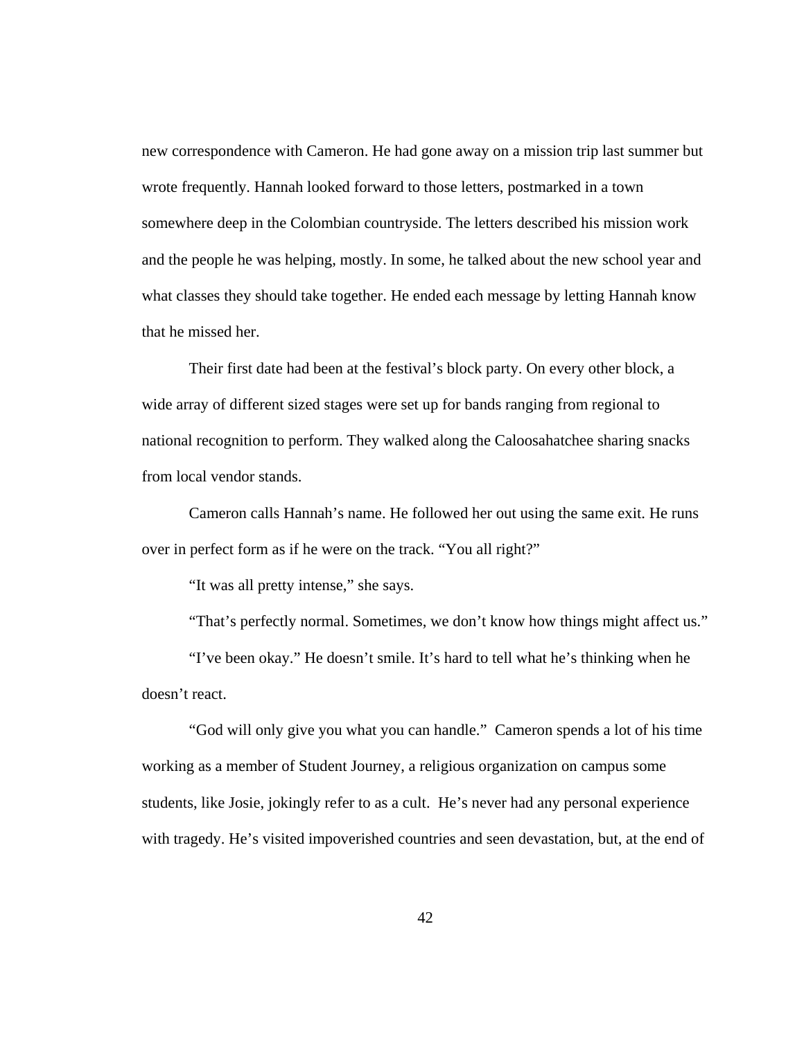new correspondence with Cameron. He had gone away on a mission trip last summer but wrote frequently. Hannah looked forward to those letters, postmarked in a town somewhere deep in the Colombian countryside. The letters described his mission work and the people he was helping, mostly. In some, he talked about the new school year and what classes they should take together. He ended each message by letting Hannah know that he missed her.

 Their first date had been at the festival's block party. On every other block, a wide array of different sized stages were set up for bands ranging from regional to national recognition to perform. They walked along the Caloosahatchee sharing snacks from local vendor stands.

 Cameron calls Hannah's name. He followed her out using the same exit. He runs over in perfect form as if he were on the track. "You all right?"

"It was all pretty intense," she says.

"That's perfectly normal. Sometimes, we don't know how things might affect us."

 "I've been okay." He doesn't smile. It's hard to tell what he's thinking when he doesn't react.

 "God will only give you what you can handle." Cameron spends a lot of his time working as a member of Student Journey, a religious organization on campus some students, like Josie, jokingly refer to as a cult. He's never had any personal experience with tragedy. He's visited impoverished countries and seen devastation, but, at the end of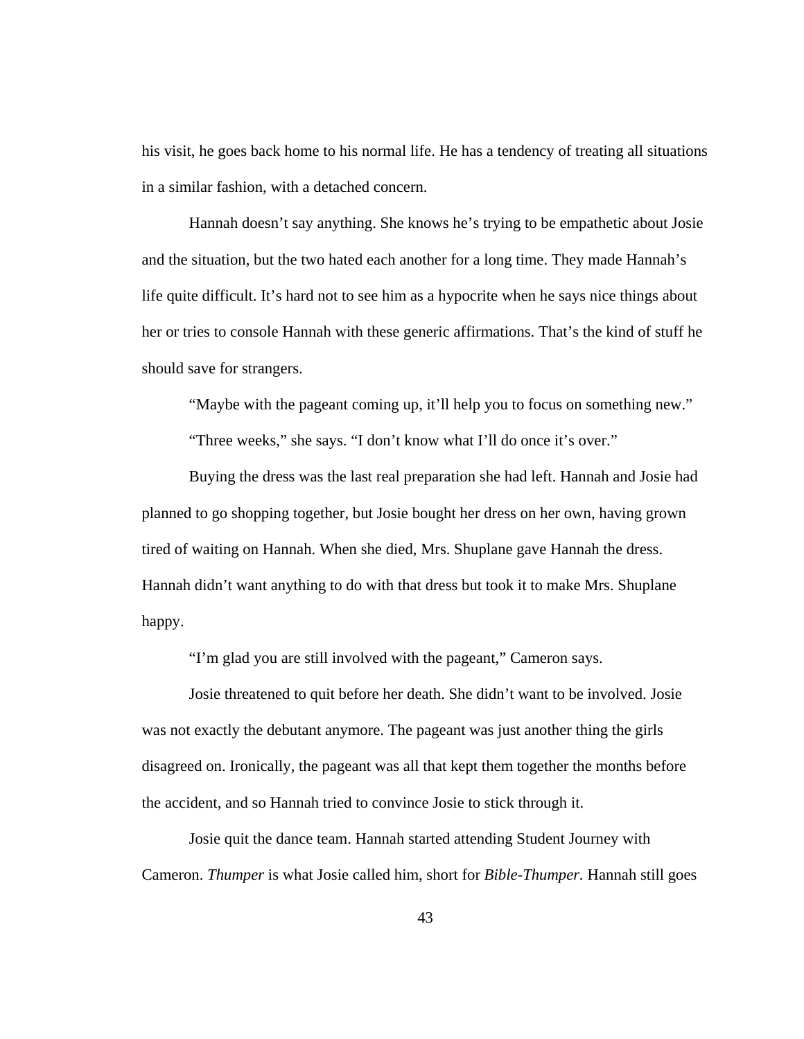his visit, he goes back home to his normal life. He has a tendency of treating all situations in a similar fashion, with a detached concern.

 Hannah doesn't say anything. She knows he's trying to be empathetic about Josie and the situation, but the two hated each another for a long time. They made Hannah's life quite difficult. It's hard not to see him as a hypocrite when he says nice things about her or tries to console Hannah with these generic affirmations. That's the kind of stuff he should save for strangers.

"Maybe with the pageant coming up, it'll help you to focus on something new."

"Three weeks," she says. "I don't know what I'll do once it's over."

 Buying the dress was the last real preparation she had left. Hannah and Josie had planned to go shopping together, but Josie bought her dress on her own, having grown tired of waiting on Hannah. When she died, Mrs. Shuplane gave Hannah the dress. Hannah didn't want anything to do with that dress but took it to make Mrs. Shuplane happy.

"I'm glad you are still involved with the pageant," Cameron says.

Josie threatened to quit before her death. She didn't want to be involved. Josie was not exactly the debutant anymore. The pageant was just another thing the girls disagreed on. Ironically, the pageant was all that kept them together the months before the accident, and so Hannah tried to convince Josie to stick through it.

Josie quit the dance team. Hannah started attending Student Journey with Cameron. *Thumper* is what Josie called him, short for *Bible-Thumper.* Hannah still goes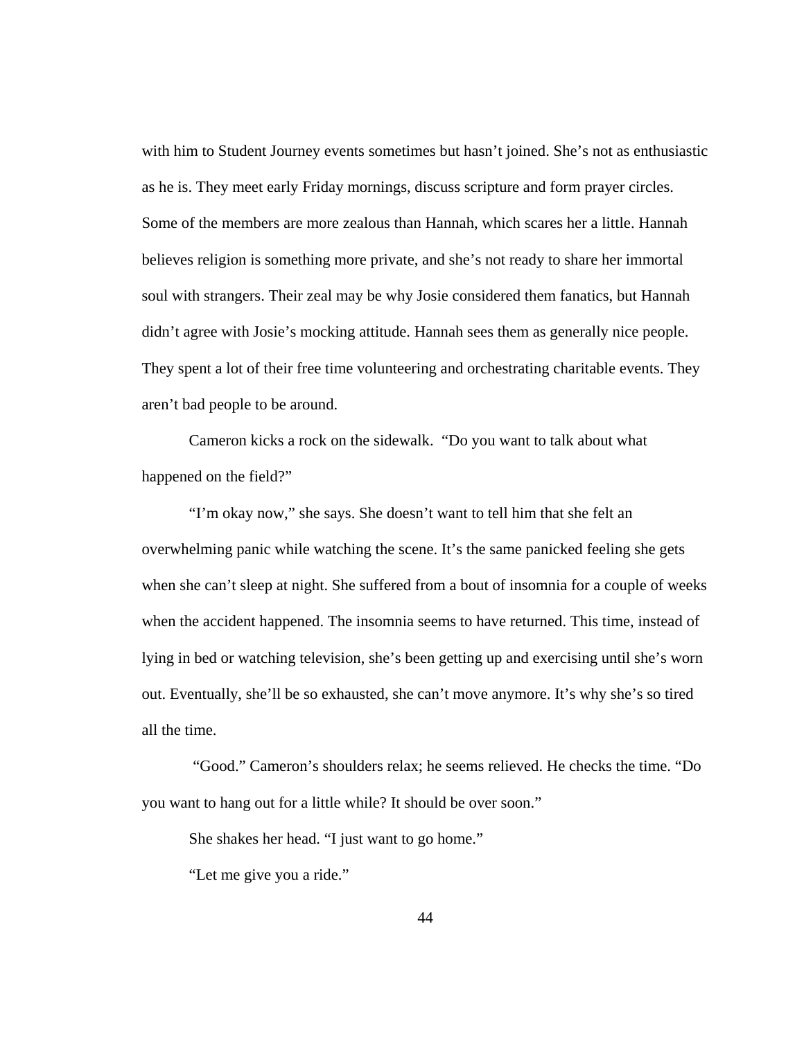with him to Student Journey events sometimes but hasn't joined. She's not as enthusiastic as he is. They meet early Friday mornings, discuss scripture and form prayer circles. Some of the members are more zealous than Hannah, which scares her a little. Hannah believes religion is something more private, and she's not ready to share her immortal soul with strangers. Their zeal may be why Josie considered them fanatics, but Hannah didn't agree with Josie's mocking attitude. Hannah sees them as generally nice people. They spent a lot of their free time volunteering and orchestrating charitable events. They aren't bad people to be around.

 Cameron kicks a rock on the sidewalk. "Do you want to talk about what happened on the field?"

 "I'm okay now," she says. She doesn't want to tell him that she felt an overwhelming panic while watching the scene. It's the same panicked feeling she gets when she can't sleep at night. She suffered from a bout of insomnia for a couple of weeks when the accident happened. The insomnia seems to have returned. This time, instead of lying in bed or watching television, she's been getting up and exercising until she's worn out. Eventually, she'll be so exhausted, she can't move anymore. It's why she's so tired all the time.

 "Good." Cameron's shoulders relax; he seems relieved. He checks the time. "Do you want to hang out for a little while? It should be over soon."

She shakes her head. "I just want to go home."

"Let me give you a ride."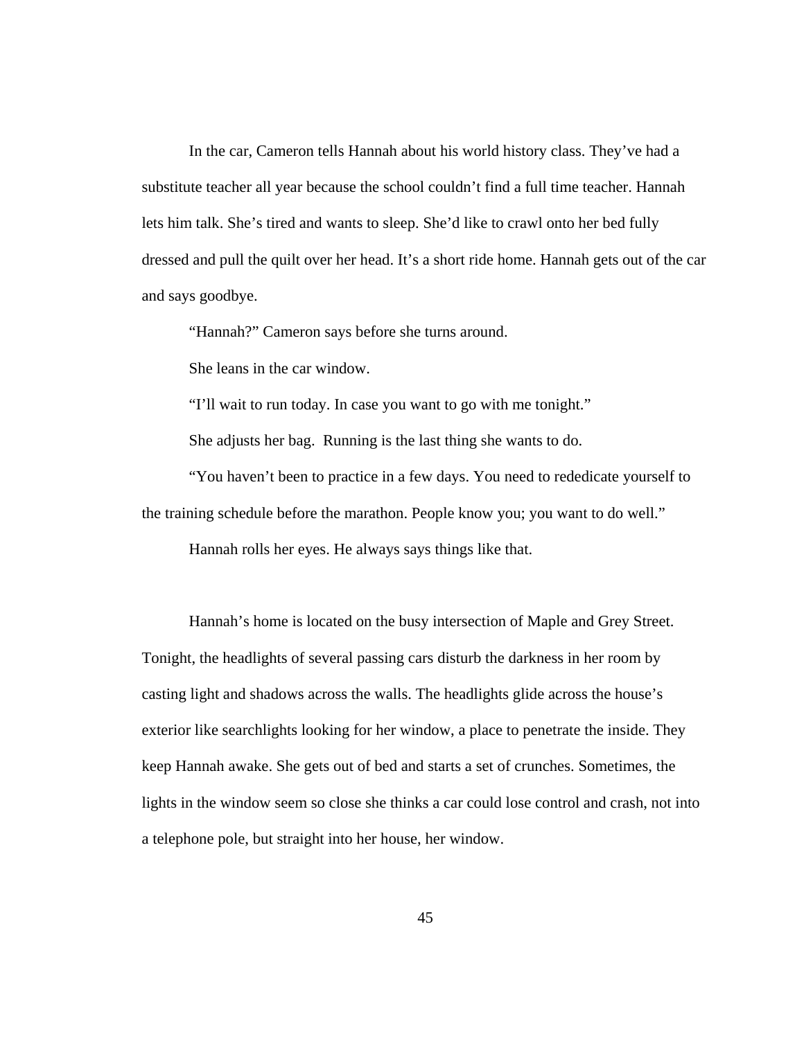In the car, Cameron tells Hannah about his world history class. They've had a substitute teacher all year because the school couldn't find a full time teacher. Hannah lets him talk. She's tired and wants to sleep. She'd like to crawl onto her bed fully dressed and pull the quilt over her head. It's a short ride home. Hannah gets out of the car and says goodbye.

"Hannah?" Cameron says before she turns around.

She leans in the car window.

"I'll wait to run today. In case you want to go with me tonight."

She adjusts her bag. Running is the last thing she wants to do.

 "You haven't been to practice in a few days. You need to rededicate yourself to the training schedule before the marathon. People know you; you want to do well."

Hannah rolls her eyes. He always says things like that.

Hannah's home is located on the busy intersection of Maple and Grey Street. Tonight, the headlights of several passing cars disturb the darkness in her room by casting light and shadows across the walls. The headlights glide across the house's exterior like searchlights looking for her window, a place to penetrate the inside. They keep Hannah awake. She gets out of bed and starts a set of crunches. Sometimes, the lights in the window seem so close she thinks a car could lose control and crash, not into a telephone pole, but straight into her house, her window.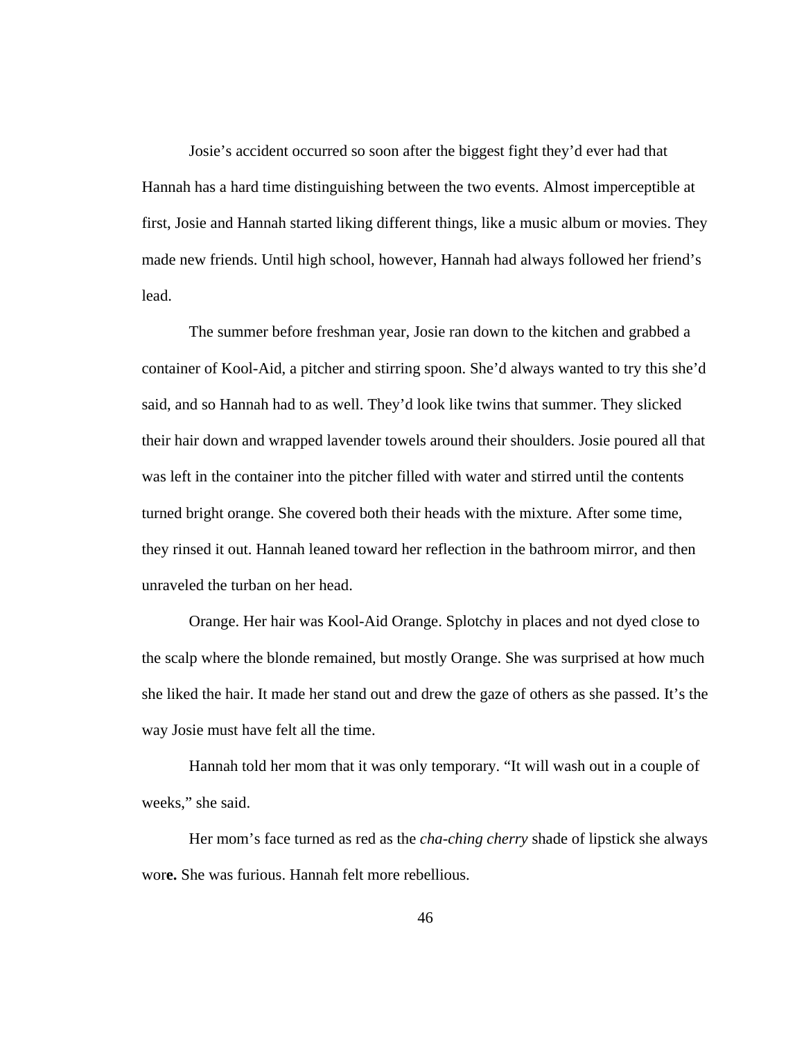Josie's accident occurred so soon after the biggest fight they'd ever had that Hannah has a hard time distinguishing between the two events. Almost imperceptible at first, Josie and Hannah started liking different things, like a music album or movies. They made new friends. Until high school, however, Hannah had always followed her friend's lead.

The summer before freshman year, Josie ran down to the kitchen and grabbed a container of Kool-Aid, a pitcher and stirring spoon. She'd always wanted to try this she'd said, and so Hannah had to as well. They'd look like twins that summer. They slicked their hair down and wrapped lavender towels around their shoulders. Josie poured all that was left in the container into the pitcher filled with water and stirred until the contents turned bright orange. She covered both their heads with the mixture. After some time, they rinsed it out. Hannah leaned toward her reflection in the bathroom mirror, and then unraveled the turban on her head.

Orange. Her hair was Kool-Aid Orange. Splotchy in places and not dyed close to the scalp where the blonde remained, but mostly Orange. She was surprised at how much she liked the hair. It made her stand out and drew the gaze of others as she passed. It's the way Josie must have felt all the time.

Hannah told her mom that it was only temporary. "It will wash out in a couple of weeks," she said.

Her mom's face turned as red as the *cha-ching cherry* shade of lipstick she always wor**e.** She was furious. Hannah felt more rebellious.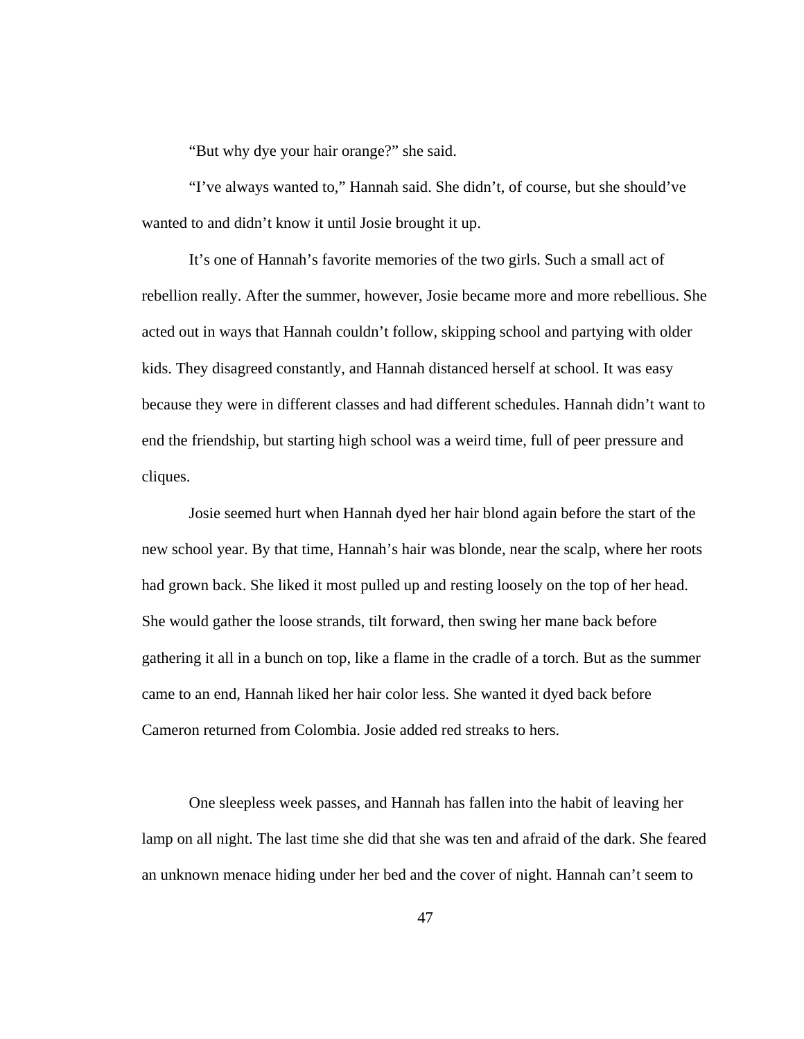"But why dye your hair orange?" she said.

"I've always wanted to," Hannah said. She didn't, of course, but she should've wanted to and didn't know it until Josie brought it up.

It's one of Hannah's favorite memories of the two girls. Such a small act of rebellion really. After the summer, however, Josie became more and more rebellious. She acted out in ways that Hannah couldn't follow, skipping school and partying with older kids. They disagreed constantly, and Hannah distanced herself at school. It was easy because they were in different classes and had different schedules. Hannah didn't want to end the friendship, but starting high school was a weird time, full of peer pressure and cliques.

Josie seemed hurt when Hannah dyed her hair blond again before the start of the new school year. By that time, Hannah's hair was blonde, near the scalp, where her roots had grown back. She liked it most pulled up and resting loosely on the top of her head. She would gather the loose strands, tilt forward, then swing her mane back before gathering it all in a bunch on top, like a flame in the cradle of a torch. But as the summer came to an end, Hannah liked her hair color less. She wanted it dyed back before Cameron returned from Colombia. Josie added red streaks to hers.

One sleepless week passes, and Hannah has fallen into the habit of leaving her lamp on all night. The last time she did that she was ten and afraid of the dark. She feared an unknown menace hiding under her bed and the cover of night. Hannah can't seem to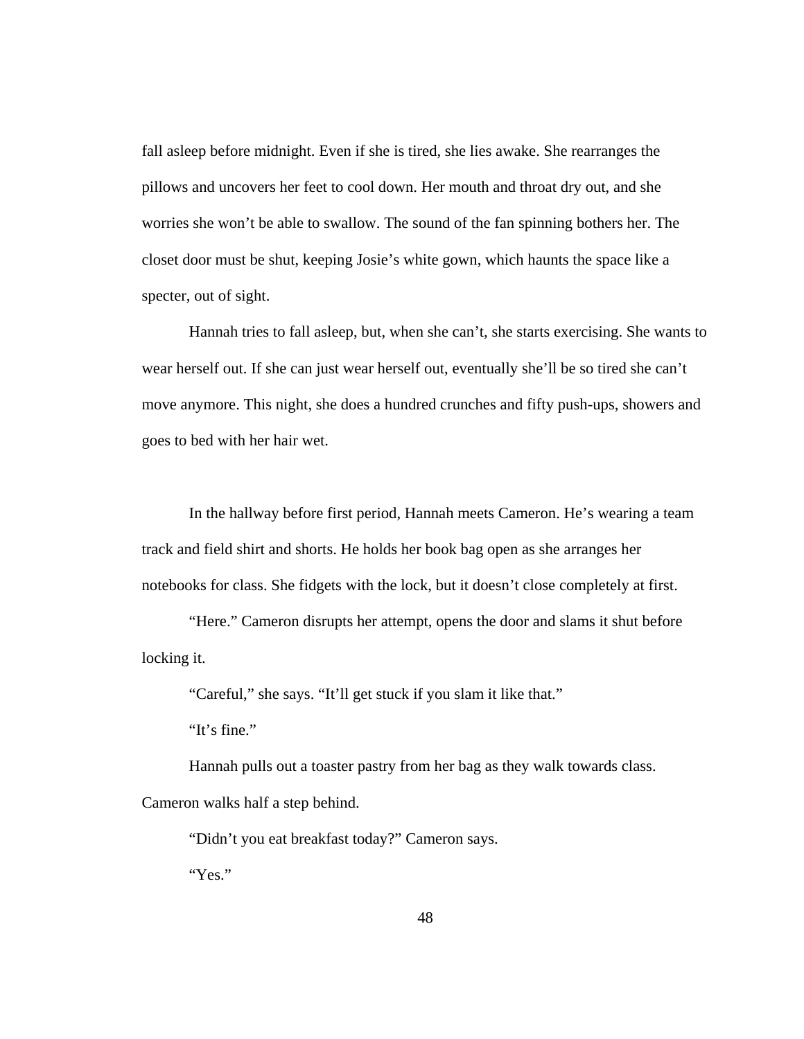fall asleep before midnight. Even if she is tired, she lies awake. She rearranges the pillows and uncovers her feet to cool down. Her mouth and throat dry out, and she worries she won't be able to swallow. The sound of the fan spinning bothers her. The closet door must be shut, keeping Josie's white gown, which haunts the space like a specter, out of sight.

Hannah tries to fall asleep, but, when she can't, she starts exercising. She wants to wear herself out. If she can just wear herself out, eventually she'll be so tired she can't move anymore. This night, she does a hundred crunches and fifty push-ups, showers and goes to bed with her hair wet.

In the hallway before first period, Hannah meets Cameron. He's wearing a team track and field shirt and shorts. He holds her book bag open as she arranges her notebooks for class. She fidgets with the lock, but it doesn't close completely at first.

"Here." Cameron disrupts her attempt, opens the door and slams it shut before locking it.

"Careful," she says. "It'll get stuck if you slam it like that."

"It's fine."

Hannah pulls out a toaster pastry from her bag as they walk towards class.

Cameron walks half a step behind.

"Didn't you eat breakfast today?" Cameron says.

"Yes."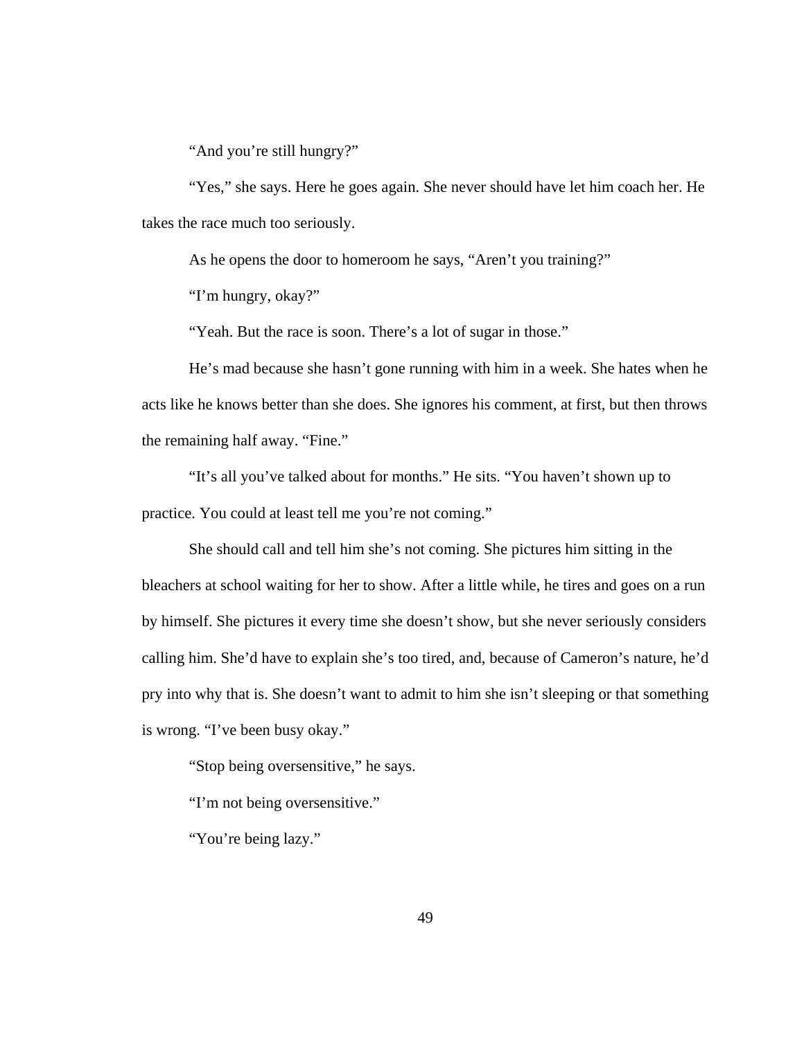"And you're still hungry?"

"Yes," she says. Here he goes again. She never should have let him coach her. He takes the race much too seriously.

As he opens the door to homeroom he says, "Aren't you training?"

"I'm hungry, okay?"

"Yeah. But the race is soon. There's a lot of sugar in those."

He's mad because she hasn't gone running with him in a week. She hates when he acts like he knows better than she does. She ignores his comment, at first, but then throws the remaining half away. "Fine."

"It's all you've talked about for months." He sits. "You haven't shown up to practice. You could at least tell me you're not coming."

She should call and tell him she's not coming. She pictures him sitting in the bleachers at school waiting for her to show. After a little while, he tires and goes on a run by himself. She pictures it every time she doesn't show, but she never seriously considers calling him. She'd have to explain she's too tired, and, because of Cameron's nature, he'd pry into why that is. She doesn't want to admit to him she isn't sleeping or that something is wrong. "I've been busy okay."

"Stop being oversensitive," he says.

"I'm not being oversensitive."

"You're being lazy."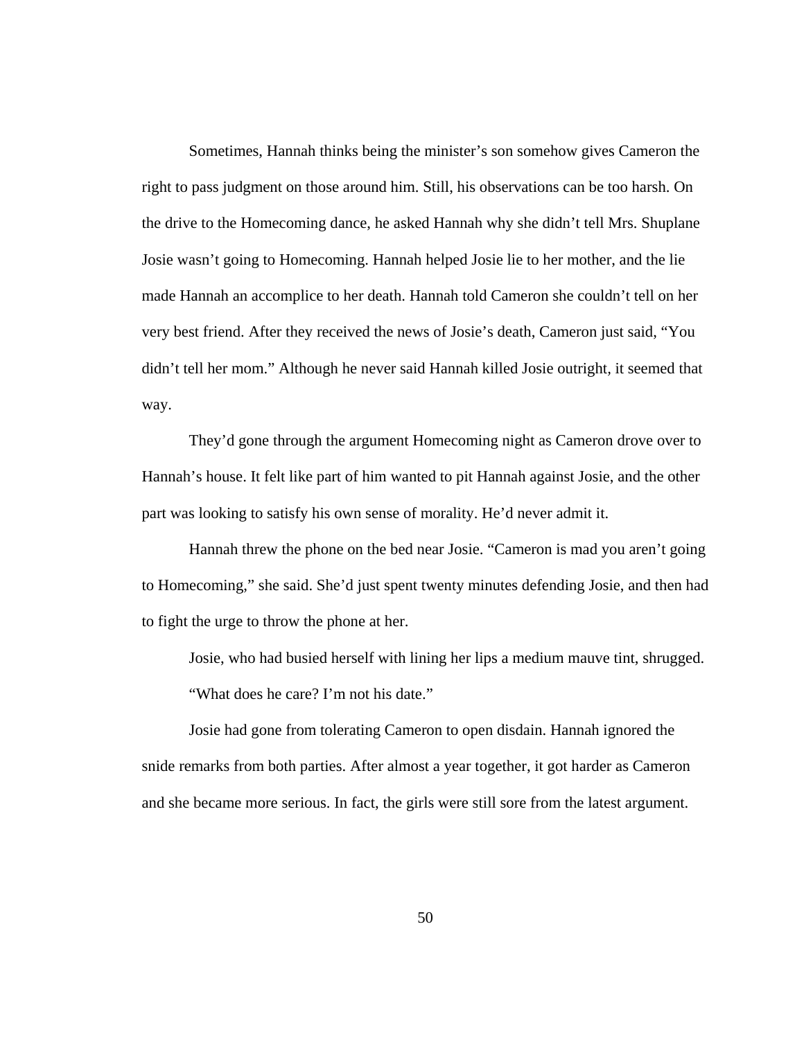Sometimes, Hannah thinks being the minister's son somehow gives Cameron the right to pass judgment on those around him. Still, his observations can be too harsh. On the drive to the Homecoming dance, he asked Hannah why she didn't tell Mrs. Shuplane Josie wasn't going to Homecoming. Hannah helped Josie lie to her mother, and the lie made Hannah an accomplice to her death. Hannah told Cameron she couldn't tell on her very best friend. After they received the news of Josie's death, Cameron just said, "You didn't tell her mom." Although he never said Hannah killed Josie outright*,* it seemed that way.

They'd gone through the argument Homecoming night as Cameron drove over to Hannah's house. It felt like part of him wanted to pit Hannah against Josie, and the other part was looking to satisfy his own sense of morality. He'd never admit it.

Hannah threw the phone on the bed near Josie. "Cameron is mad you aren't going to Homecoming," she said. She'd just spent twenty minutes defending Josie, and then had to fight the urge to throw the phone at her.

Josie, who had busied herself with lining her lips a medium mauve tint, shrugged.

"What does he care? I'm not his date."

Josie had gone from tolerating Cameron to open disdain. Hannah ignored the snide remarks from both parties. After almost a year together, it got harder as Cameron and she became more serious. In fact, the girls were still sore from the latest argument.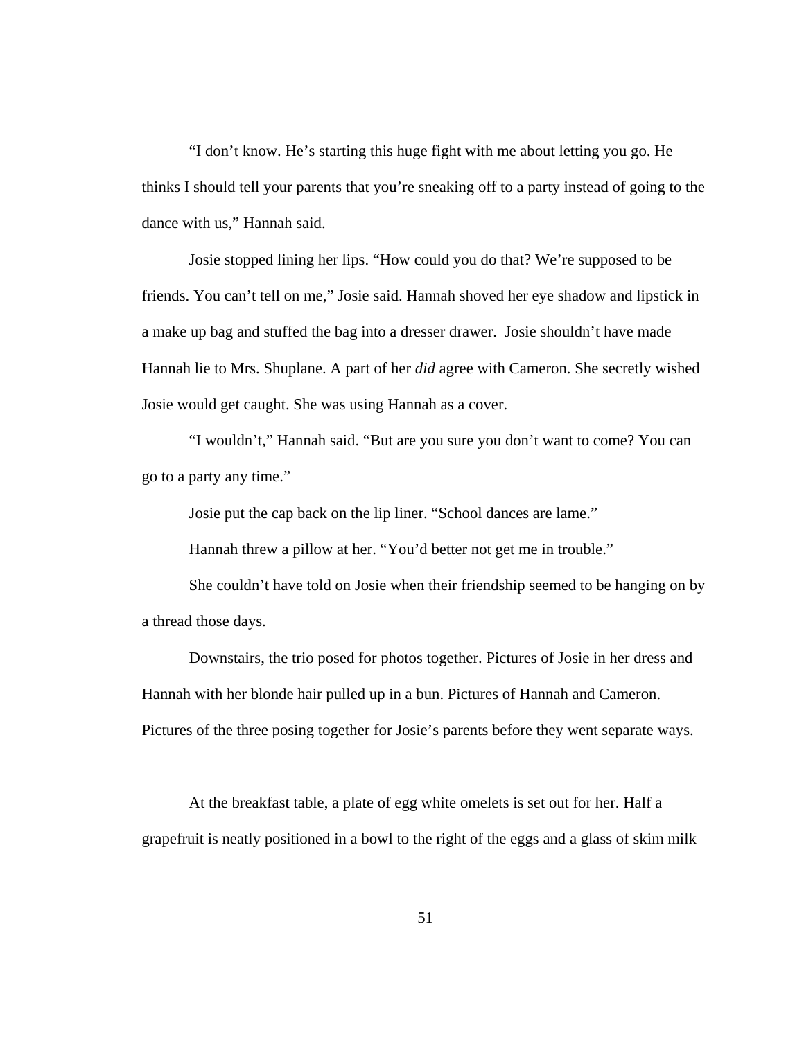"I don't know. He's starting this huge fight with me about letting you go. He thinks I should tell your parents that you're sneaking off to a party instead of going to the dance with us," Hannah said.

Josie stopped lining her lips. "How could you do that? We're supposed to be friends. You can't tell on me," Josie said. Hannah shoved her eye shadow and lipstick in a make up bag and stuffed the bag into a dresser drawer. Josie shouldn't have made Hannah lie to Mrs. Shuplane. A part of her *did* agree with Cameron. She secretly wished Josie would get caught. She was using Hannah as a cover.

 "I wouldn't," Hannah said. "But are you sure you don't want to come? You can go to a party any time."

Josie put the cap back on the lip liner. "School dances are lame."

Hannah threw a pillow at her. "You'd better not get me in trouble."

She couldn't have told on Josie when their friendship seemed to be hanging on by a thread those days.

 Downstairs, the trio posed for photos together. Pictures of Josie in her dress and Hannah with her blonde hair pulled up in a bun. Pictures of Hannah and Cameron. Pictures of the three posing together for Josie's parents before they went separate ways.

 At the breakfast table, a plate of egg white omelets is set out for her. Half a grapefruit is neatly positioned in a bowl to the right of the eggs and a glass of skim milk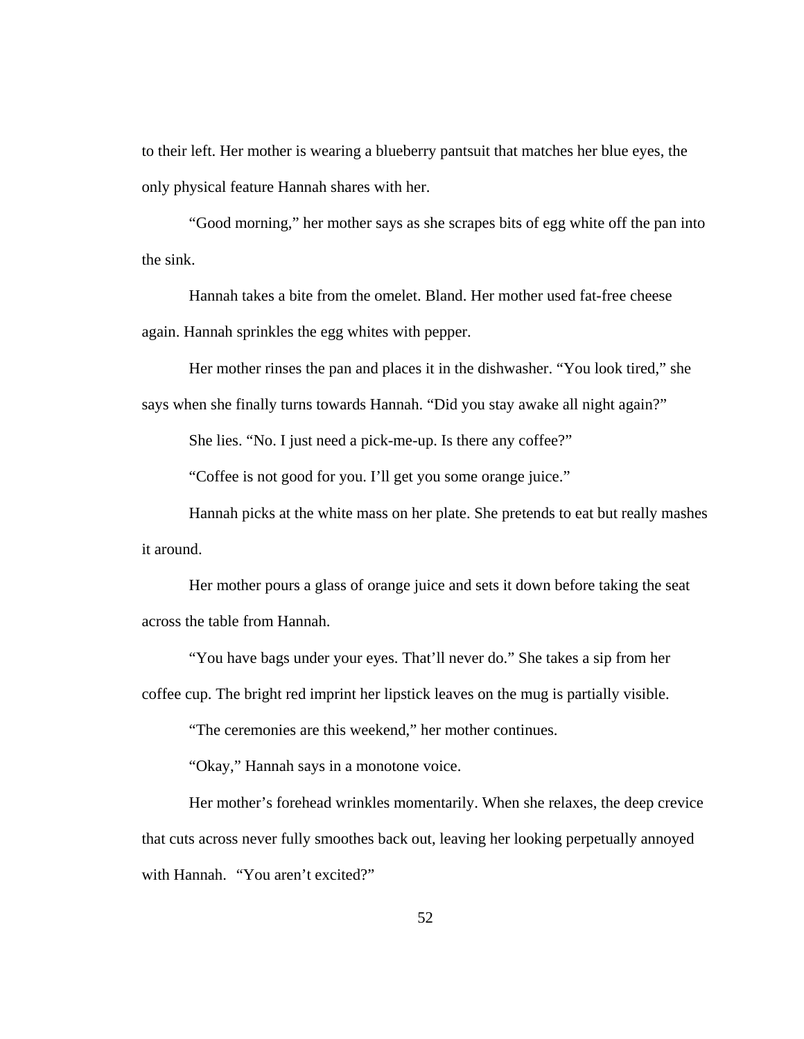to their left. Her mother is wearing a blueberry pantsuit that matches her blue eyes, the only physical feature Hannah shares with her.

"Good morning," her mother says as she scrapes bits of egg white off the pan into the sink.

Hannah takes a bite from the omelet. Bland. Her mother used fat-free cheese again. Hannah sprinkles the egg whites with pepper.

Her mother rinses the pan and places it in the dishwasher. "You look tired," she says when she finally turns towards Hannah. "Did you stay awake all night again?"

She lies. "No. I just need a pick-me-up. Is there any coffee?"

"Coffee is not good for you. I'll get you some orange juice."

Hannah picks at the white mass on her plate. She pretends to eat but really mashes it around.

Her mother pours a glass of orange juice and sets it down before taking the seat across the table from Hannah.

"You have bags under your eyes. That'll never do." She takes a sip from her

coffee cup. The bright red imprint her lipstick leaves on the mug is partially visible.

"The ceremonies are this weekend," her mother continues.

"Okay," Hannah says in a monotone voice.

Her mother's forehead wrinkles momentarily. When she relaxes, the deep crevice that cuts across never fully smoothes back out, leaving her looking perpetually annoyed with Hannah. "You aren't excited?"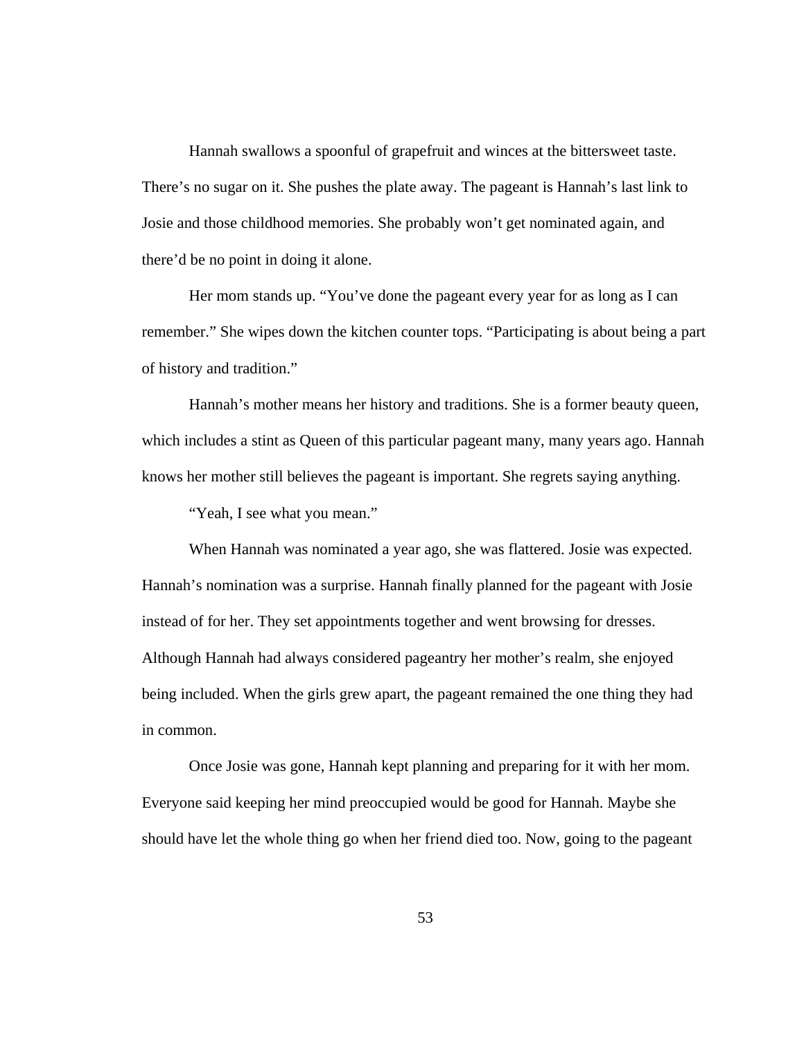Hannah swallows a spoonful of grapefruit and winces at the bittersweet taste. There's no sugar on it. She pushes the plate away. The pageant is Hannah's last link to Josie and those childhood memories. She probably won't get nominated again, and there'd be no point in doing it alone.

Her mom stands up. "You've done the pageant every year for as long as I can remember." She wipes down the kitchen counter tops. "Participating is about being a part of history and tradition."

Hannah's mother means her history and traditions. She is a former beauty queen, which includes a stint as Queen of this particular pageant many, many years ago. Hannah knows her mother still believes the pageant is important. She regrets saying anything.

"Yeah, I see what you mean."

 When Hannah was nominated a year ago, she was flattered. Josie was expected. Hannah's nomination was a surprise. Hannah finally planned for the pageant with Josie instead of for her. They set appointments together and went browsing for dresses. Although Hannah had always considered pageantry her mother's realm, she enjoyed being included. When the girls grew apart, the pageant remained the one thing they had in common.

 Once Josie was gone, Hannah kept planning and preparing for it with her mom. Everyone said keeping her mind preoccupied would be good for Hannah. Maybe she should have let the whole thing go when her friend died too. Now, going to the pageant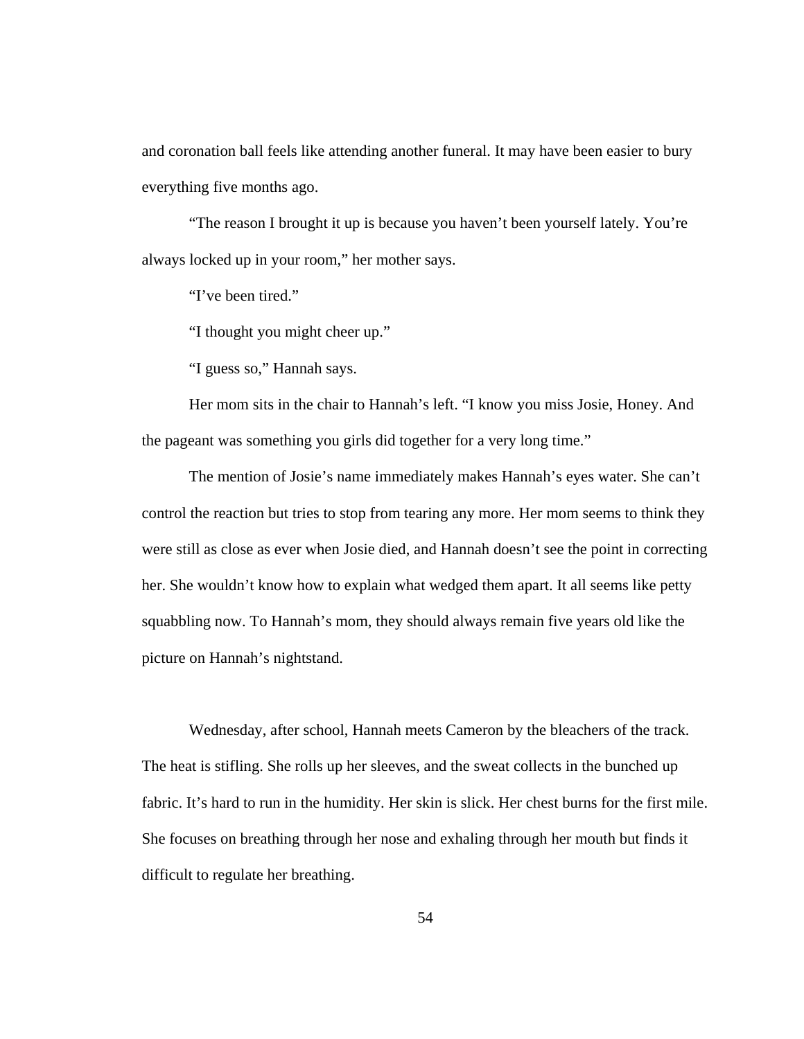and coronation ball feels like attending another funeral. It may have been easier to bury everything five months ago.

 "The reason I brought it up is because you haven't been yourself lately. You're always locked up in your room," her mother says.

"I've been tired."

"I thought you might cheer up."

"I guess so," Hannah says.

 Her mom sits in the chair to Hannah's left. "I know you miss Josie, Honey. And the pageant was something you girls did together for a very long time."

 The mention of Josie's name immediately makes Hannah's eyes water. She can't control the reaction but tries to stop from tearing any more. Her mom seems to think they were still as close as ever when Josie died, and Hannah doesn't see the point in correcting her. She wouldn't know how to explain what wedged them apart. It all seems like petty squabbling now. To Hannah's mom, they should always remain five years old like the picture on Hannah's nightstand.

 Wednesday, after school, Hannah meets Cameron by the bleachers of the track. The heat is stifling. She rolls up her sleeves, and the sweat collects in the bunched up fabric. It's hard to run in the humidity. Her skin is slick. Her chest burns for the first mile. She focuses on breathing through her nose and exhaling through her mouth but finds it difficult to regulate her breathing.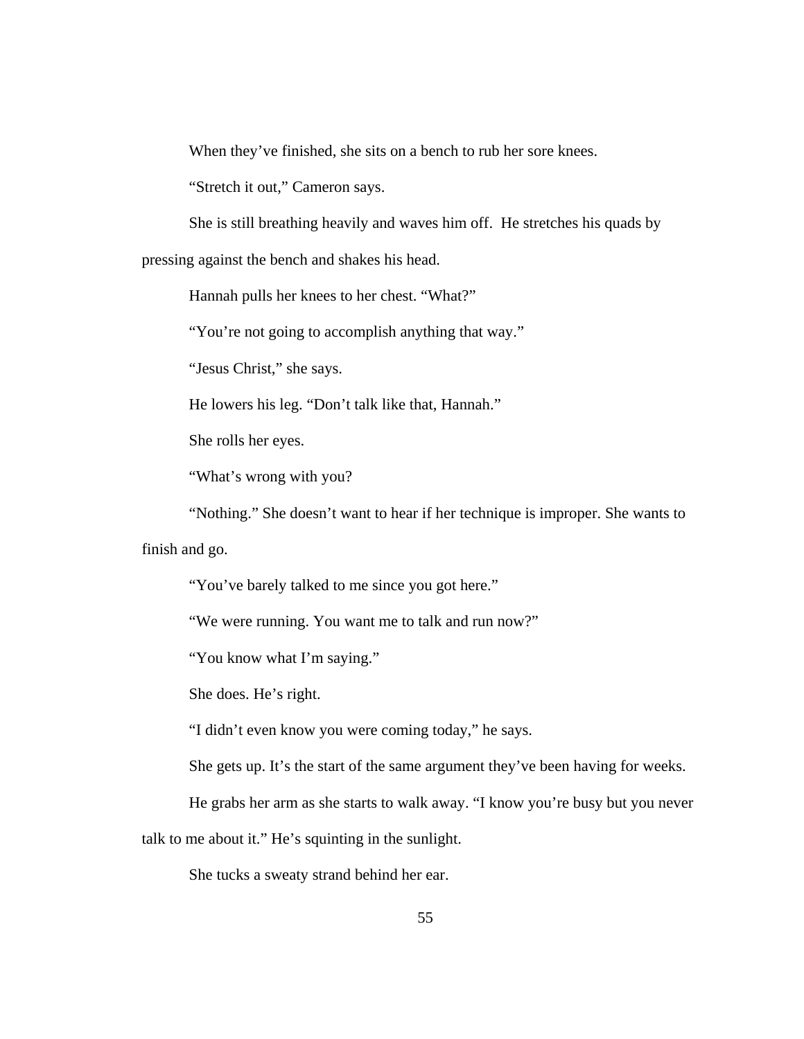When they've finished, she sits on a bench to rub her sore knees.

"Stretch it out," Cameron says.

She is still breathing heavily and waves him off. He stretches his quads by

pressing against the bench and shakes his head.

Hannah pulls her knees to her chest. "What?"

"You're not going to accomplish anything that way."

"Jesus Christ," she says.

He lowers his leg. "Don't talk like that, Hannah."

She rolls her eyes.

"What's wrong with you?

"Nothing." She doesn't want to hear if her technique is improper. She wants to

finish and go.

"You've barely talked to me since you got here."

"We were running. You want me to talk and run now?"

"You know what I'm saying."

She does. He's right.

"I didn't even know you were coming today," he says.

She gets up. It's the start of the same argument they've been having for weeks.

He grabs her arm as she starts to walk away. "I know you're busy but you never

talk to me about it." He's squinting in the sunlight.

She tucks a sweaty strand behind her ear.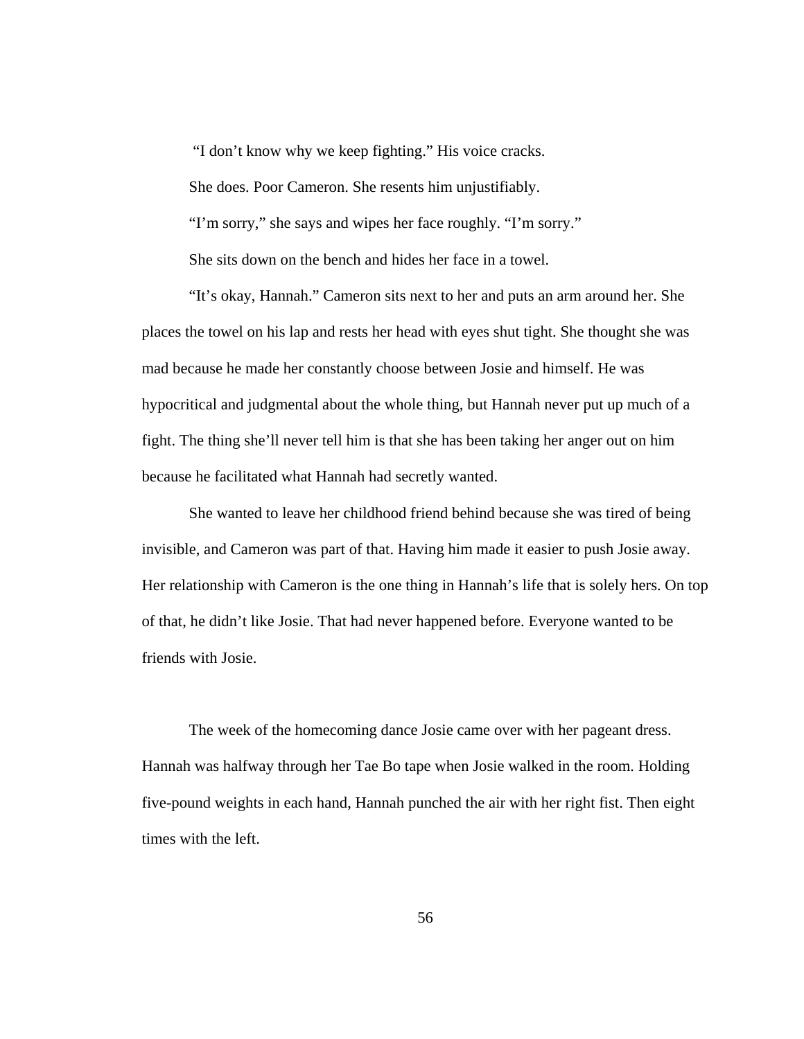"I don't know why we keep fighting." His voice cracks.

She does. Poor Cameron. She resents him unjustifiably.

"I'm sorry," she says and wipes her face roughly. "I'm sorry."

She sits down on the bench and hides her face in a towel.

 "It's okay, Hannah." Cameron sits next to her and puts an arm around her. She places the towel on his lap and rests her head with eyes shut tight. She thought she was mad because he made her constantly choose between Josie and himself. He was hypocritical and judgmental about the whole thing, but Hannah never put up much of a fight. The thing she'll never tell him is that she has been taking her anger out on him because he facilitated what Hannah had secretly wanted.

 She wanted to leave her childhood friend behind because she was tired of being invisible, and Cameron was part of that. Having him made it easier to push Josie away. Her relationship with Cameron is the one thing in Hannah's life that is solely hers. On top of that, he didn't like Josie. That had never happened before. Everyone wanted to be friends with Josie.

The week of the homecoming dance Josie came over with her pageant dress. Hannah was halfway through her Tae Bo tape when Josie walked in the room. Holding five-pound weights in each hand, Hannah punched the air with her right fist. Then eight times with the left.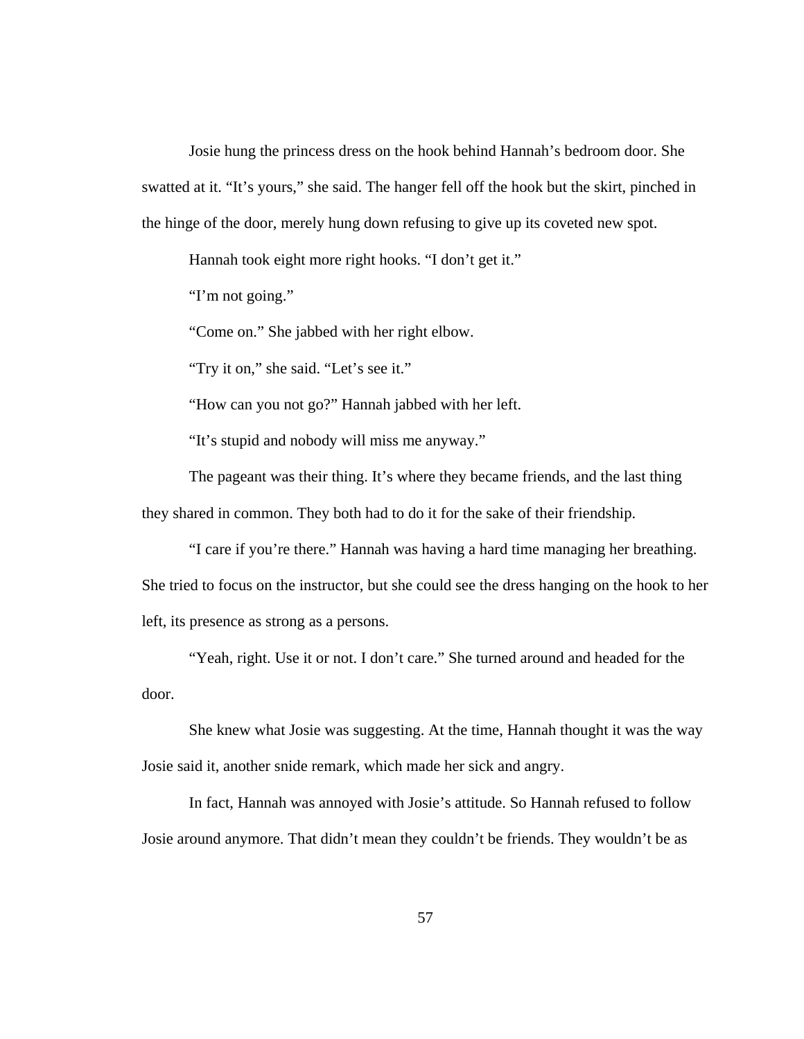Josie hung the princess dress on the hook behind Hannah's bedroom door. She swatted at it. "It's yours," she said. The hanger fell off the hook but the skirt, pinched in the hinge of the door, merely hung down refusing to give up its coveted new spot.

Hannah took eight more right hooks. "I don't get it."

"I'm not going."

"Come on." She jabbed with her right elbow.

"Try it on," she said. "Let's see it."

"How can you not go?" Hannah jabbed with her left.

"It's stupid and nobody will miss me anyway."

The pageant was their thing. It's where they became friends, and the last thing they shared in common. They both had to do it for the sake of their friendship.

"I care if you're there." Hannah was having a hard time managing her breathing. She tried to focus on the instructor, but she could see the dress hanging on the hook to her left, its presence as strong as a persons.

"Yeah, right. Use it or not. I don't care." She turned around and headed for the door.

She knew what Josie was suggesting. At the time, Hannah thought it was the way Josie said it, another snide remark, which made her sick and angry.

In fact, Hannah was annoyed with Josie's attitude. So Hannah refused to follow Josie around anymore. That didn't mean they couldn't be friends. They wouldn't be as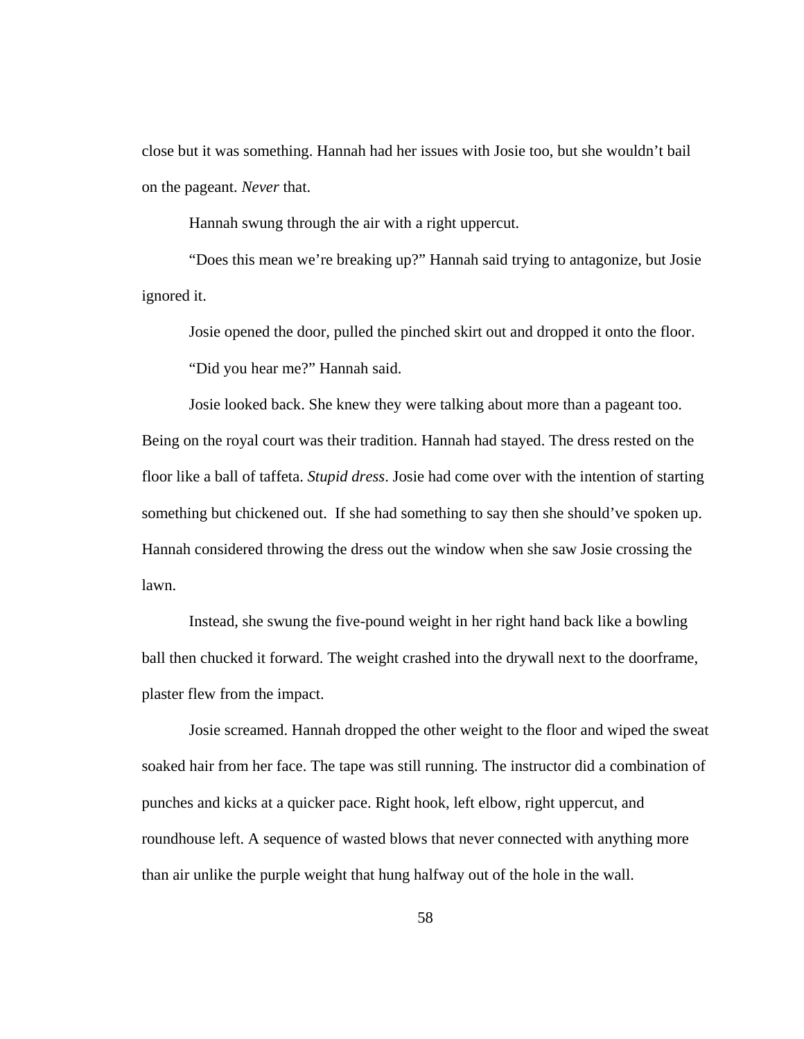close but it was something. Hannah had her issues with Josie too, but she wouldn't bail on the pageant. *Never* that.

Hannah swung through the air with a right uppercut.

"Does this mean we're breaking up?" Hannah said trying to antagonize, but Josie ignored it.

Josie opened the door, pulled the pinched skirt out and dropped it onto the floor. "Did you hear me?" Hannah said.

Josie looked back. She knew they were talking about more than a pageant too. Being on the royal court was their tradition. Hannah had stayed. The dress rested on the floor like a ball of taffeta. *Stupid dress*. Josie had come over with the intention of starting something but chickened out. If she had something to say then she should've spoken up. Hannah considered throwing the dress out the window when she saw Josie crossing the lawn.

Instead, she swung the five-pound weight in her right hand back like a bowling ball then chucked it forward. The weight crashed into the drywall next to the doorframe, plaster flew from the impact.

Josie screamed. Hannah dropped the other weight to the floor and wiped the sweat soaked hair from her face. The tape was still running. The instructor did a combination of punches and kicks at a quicker pace. Right hook, left elbow, right uppercut, and roundhouse left. A sequence of wasted blows that never connected with anything more than air unlike the purple weight that hung halfway out of the hole in the wall.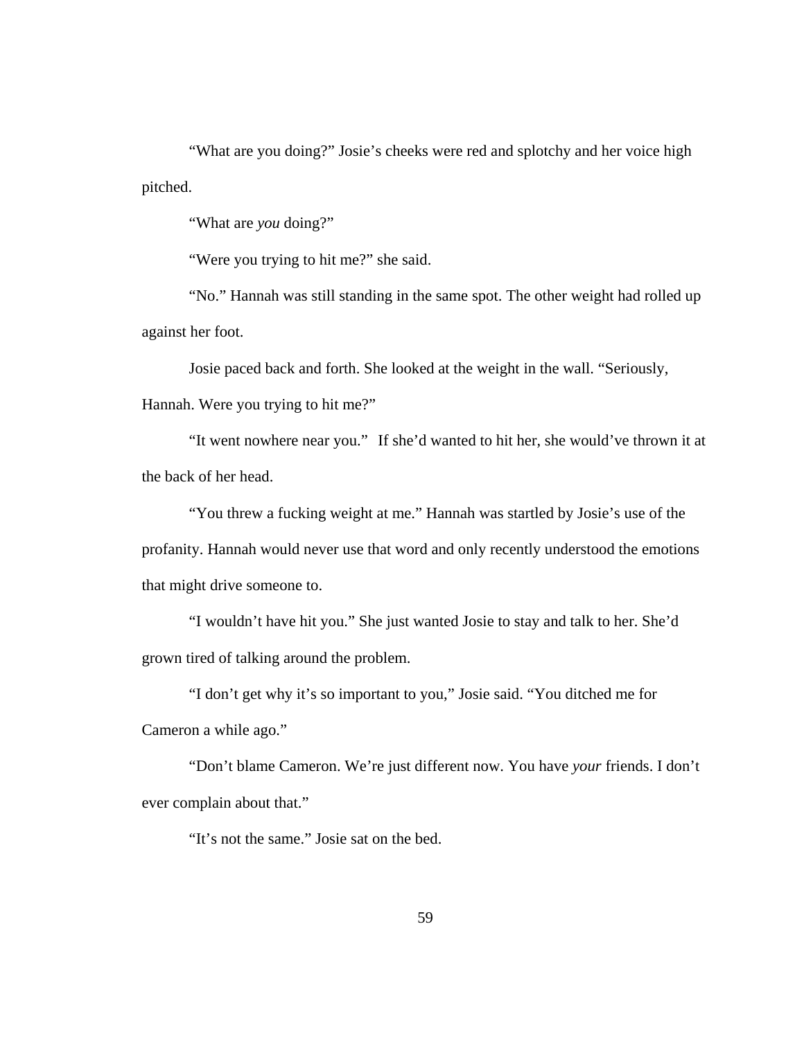"What are you doing?" Josie's cheeks were red and splotchy and her voice high pitched.

"What are *you* doing?"

"Were you trying to hit me?" she said.

 "No." Hannah was still standing in the same spot. The other weight had rolled up against her foot.

 Josie paced back and forth. She looked at the weight in the wall. "Seriously, Hannah. Were you trying to hit me?"

"It went nowhere near you." If she'd wanted to hit her, she would've thrown it at the back of her head.

"You threw a fucking weight at me." Hannah was startled by Josie's use of the profanity. Hannah would never use that word and only recently understood the emotions that might drive someone to.

"I wouldn't have hit you." She just wanted Josie to stay and talk to her. She'd grown tired of talking around the problem.

"I don't get why it's so important to you," Josie said. "You ditched me for Cameron a while ago."

"Don't blame Cameron. We're just different now. You have *your* friends. I don't ever complain about that."

"It's not the same." Josie sat on the bed.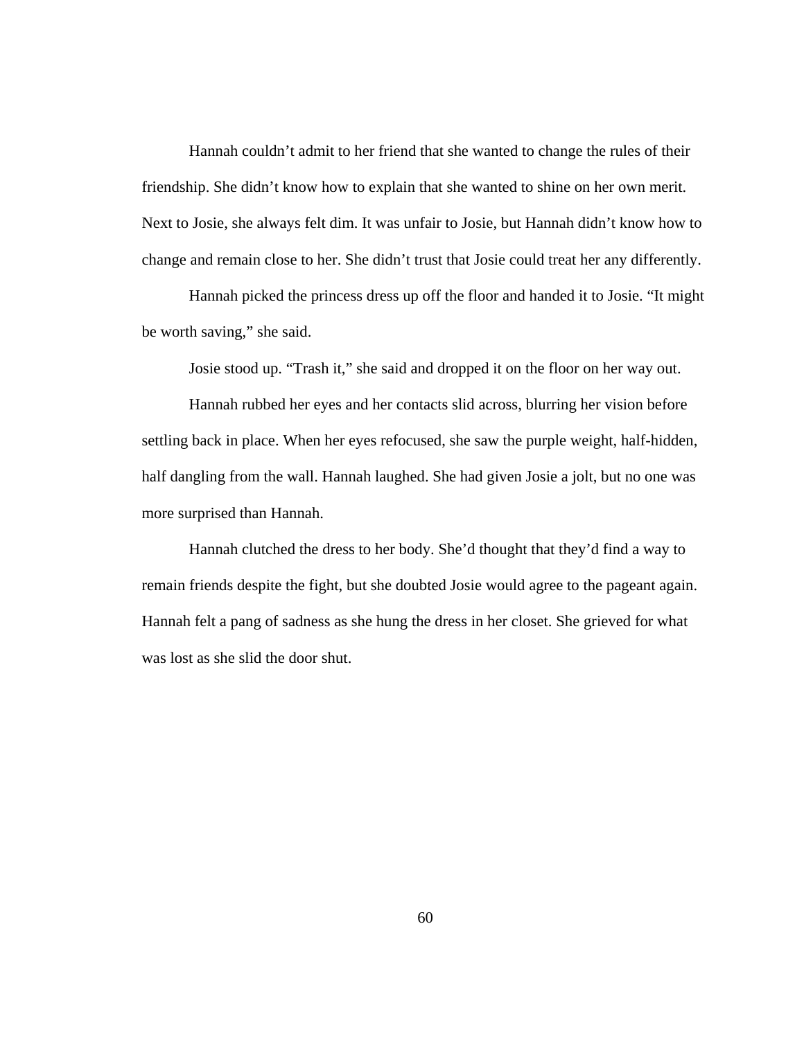Hannah couldn't admit to her friend that she wanted to change the rules of their friendship. She didn't know how to explain that she wanted to shine on her own merit. Next to Josie, she always felt dim. It was unfair to Josie, but Hannah didn't know how to change and remain close to her. She didn't trust that Josie could treat her any differently.

Hannah picked the princess dress up off the floor and handed it to Josie. "It might be worth saving," she said.

Josie stood up. "Trash it," she said and dropped it on the floor on her way out.

Hannah rubbed her eyes and her contacts slid across, blurring her vision before settling back in place. When her eyes refocused, she saw the purple weight, half-hidden, half dangling from the wall. Hannah laughed. She had given Josie a jolt, but no one was more surprised than Hannah.

Hannah clutched the dress to her body. She'd thought that they'd find a way to remain friends despite the fight, but she doubted Josie would agree to the pageant again. Hannah felt a pang of sadness as she hung the dress in her closet. She grieved for what was lost as she slid the door shut.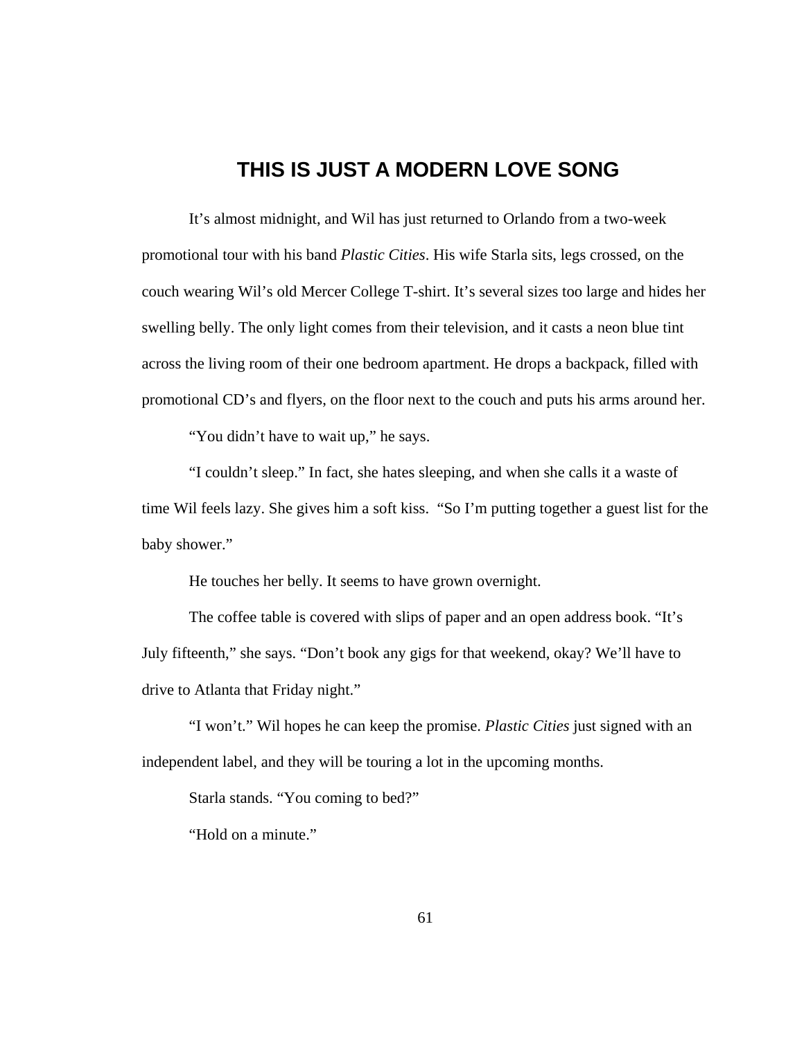## **THIS IS JUST A MODERN LOVE SONG**

 It's almost midnight, and Wil has just returned to Orlando from a two-week promotional tour with his band *Plastic Cities*. His wife Starla sits, legs crossed, on the couch wearing Wil's old Mercer College T-shirt. It's several sizes too large and hides her swelling belly. The only light comes from their television, and it casts a neon blue tint across the living room of their one bedroom apartment. He drops a backpack, filled with promotional CD's and flyers, on the floor next to the couch and puts his arms around her.

"You didn't have to wait up," he says.

 "I couldn't sleep." In fact, she hates sleeping, and when she calls it a waste of time Wil feels lazy. She gives him a soft kiss. "So I'm putting together a guest list for the baby shower."

He touches her belly. It seems to have grown overnight.

 The coffee table is covered with slips of paper and an open address book. "It's July fifteenth," she says. "Don't book any gigs for that weekend, okay? We'll have to drive to Atlanta that Friday night."

 "I won't." Wil hopes he can keep the promise. *Plastic Cities* just signed with an independent label, and they will be touring a lot in the upcoming months.

Starla stands. "You coming to bed?"

"Hold on a minute."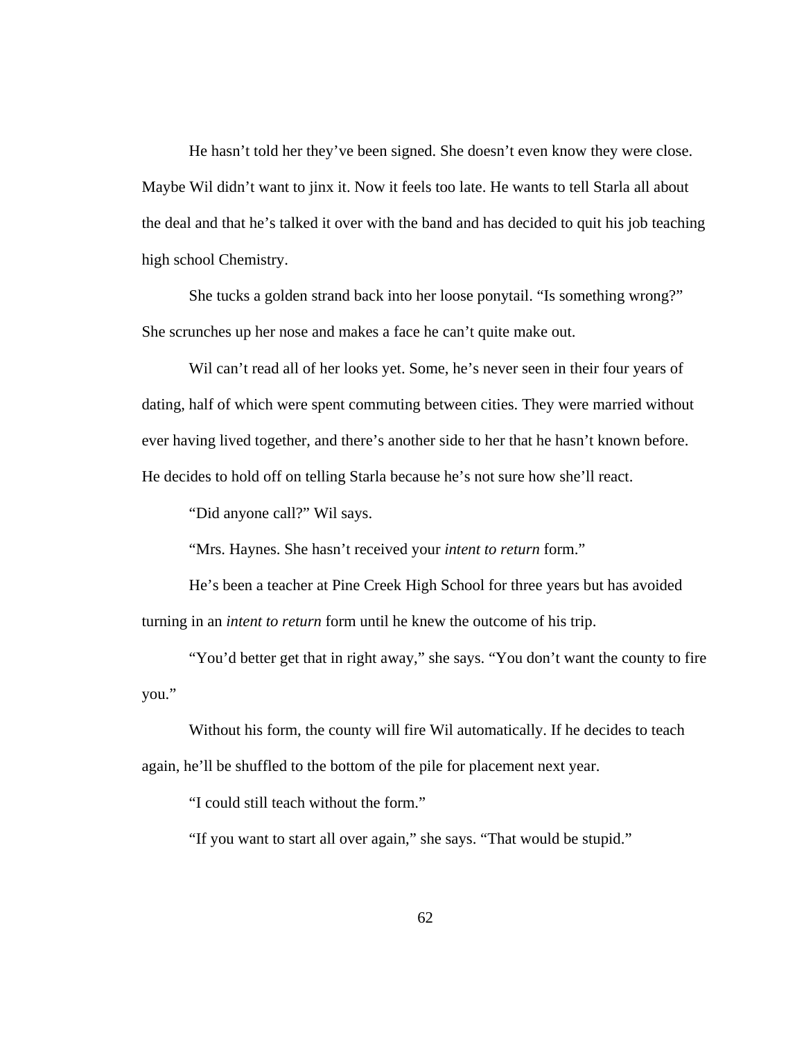He hasn't told her they've been signed. She doesn't even know they were close. Maybe Wil didn't want to jinx it. Now it feels too late. He wants to tell Starla all about the deal and that he's talked it over with the band and has decided to quit his job teaching high school Chemistry.

 She tucks a golden strand back into her loose ponytail. "Is something wrong?" She scrunches up her nose and makes a face he can't quite make out.

 Wil can't read all of her looks yet. Some, he's never seen in their four years of dating, half of which were spent commuting between cities. They were married without ever having lived together, and there's another side to her that he hasn't known before. He decides to hold off on telling Starla because he's not sure how she'll react.

"Did anyone call?" Wil says.

"Mrs. Haynes. She hasn't received your *intent to return* form."

 He's been a teacher at Pine Creek High School for three years but has avoided turning in an *intent to return* form until he knew the outcome of his trip.

 "You'd better get that in right away," she says. "You don't want the county to fire you."

 Without his form, the county will fire Wil automatically. If he decides to teach again, he'll be shuffled to the bottom of the pile for placement next year.

"I could still teach without the form."

"If you want to start all over again," she says. "That would be stupid."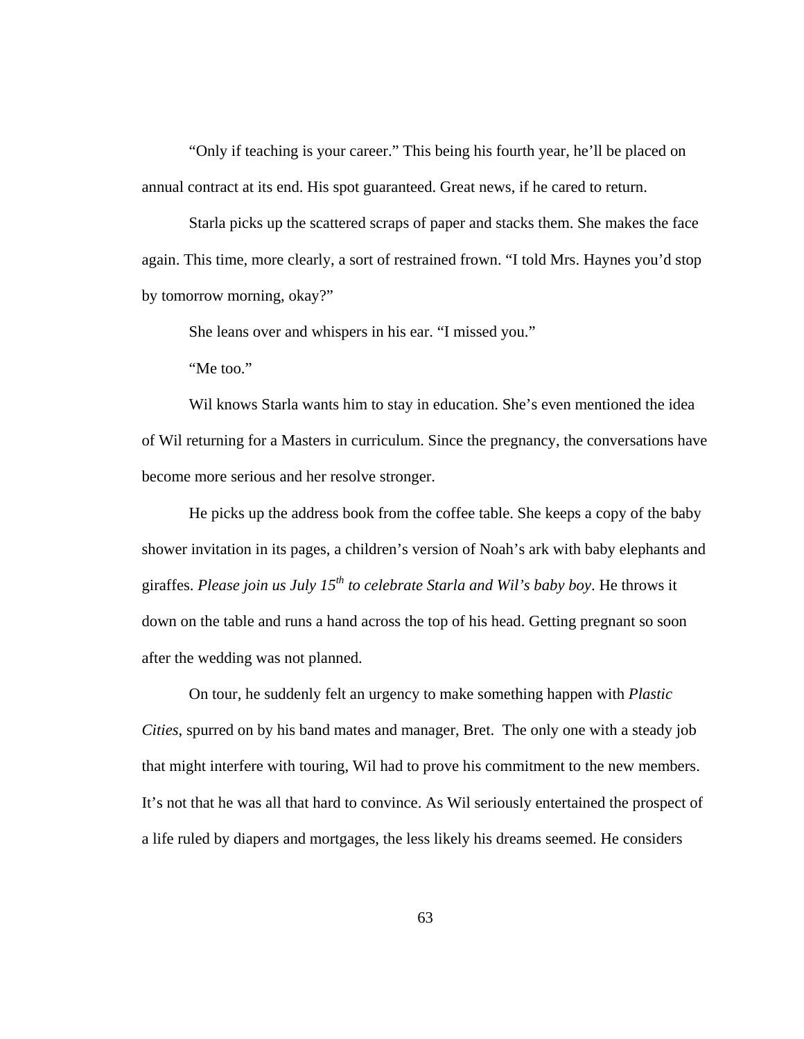"Only if teaching is your career." This being his fourth year, he'll be placed on annual contract at its end. His spot guaranteed. Great news, if he cared to return.

 Starla picks up the scattered scraps of paper and stacks them. She makes the face again. This time, more clearly, a sort of restrained frown. "I told Mrs. Haynes you'd stop by tomorrow morning, okay?"

She leans over and whispers in his ear. "I missed you."

"Me too."

 Wil knows Starla wants him to stay in education. She's even mentioned the idea of Wil returning for a Masters in curriculum. Since the pregnancy, the conversations have become more serious and her resolve stronger.

 He picks up the address book from the coffee table. She keeps a copy of the baby shower invitation in its pages, a children's version of Noah's ark with baby elephants and giraffes. *Please join us July 15th to celebrate Starla and Wil's baby boy*. He throws it down on the table and runs a hand across the top of his head. Getting pregnant so soon after the wedding was not planned.

 On tour, he suddenly felt an urgency to make something happen with *Plastic Cities*, spurred on by his band mates and manager, Bret. The only one with a steady job that might interfere with touring, Wil had to prove his commitment to the new members. It's not that he was all that hard to convince. As Wil seriously entertained the prospect of a life ruled by diapers and mortgages, the less likely his dreams seemed. He considers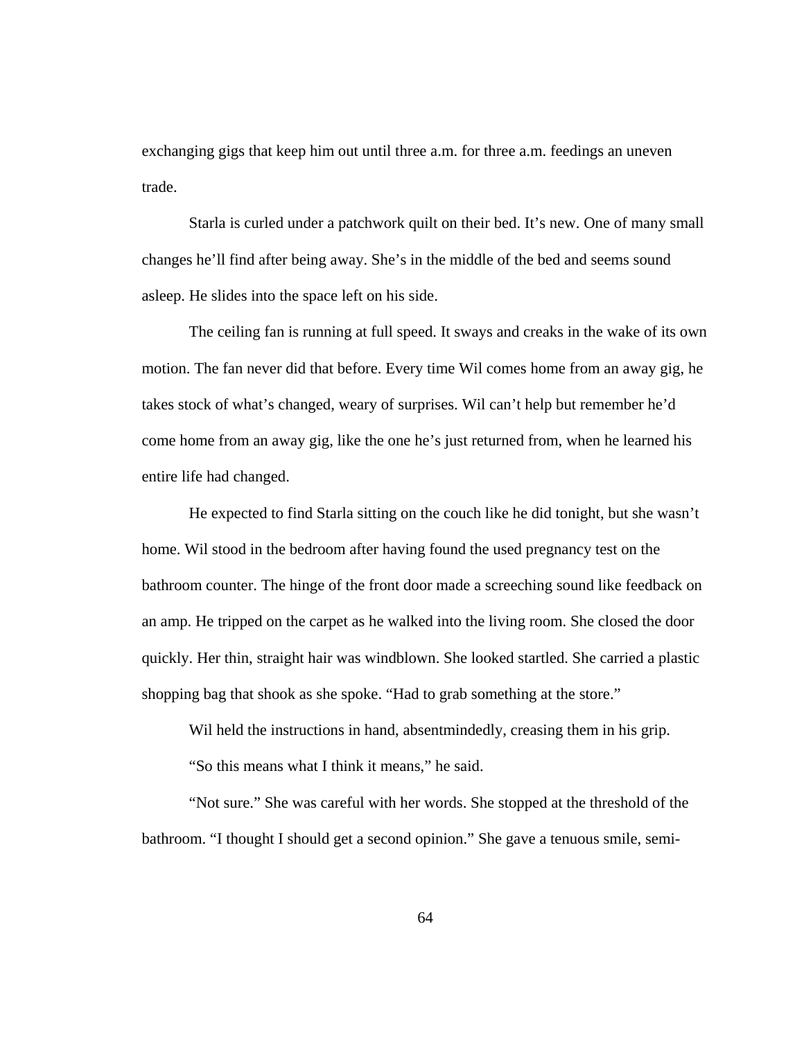exchanging gigs that keep him out until three a.m. for three a.m. feedings an uneven trade.

Starla is curled under a patchwork quilt on their bed. It's new. One of many small changes he'll find after being away. She's in the middle of the bed and seems sound asleep. He slides into the space left on his side.

The ceiling fan is running at full speed. It sways and creaks in the wake of its own motion. The fan never did that before. Every time Wil comes home from an away gig, he takes stock of what's changed, weary of surprises. Wil can't help but remember he'd come home from an away gig, like the one he's just returned from, when he learned his entire life had changed.

He expected to find Starla sitting on the couch like he did tonight, but she wasn't home. Wil stood in the bedroom after having found the used pregnancy test on the bathroom counter. The hinge of the front door made a screeching sound like feedback on an amp. He tripped on the carpet as he walked into the living room. She closed the door quickly. Her thin, straight hair was windblown. She looked startled. She carried a plastic shopping bag that shook as she spoke. "Had to grab something at the store."

Wil held the instructions in hand, absentmindedly, creasing them in his grip.

"So this means what I think it means," he said.

 "Not sure." She was careful with her words. She stopped at the threshold of the bathroom. "I thought I should get a second opinion." She gave a tenuous smile, semi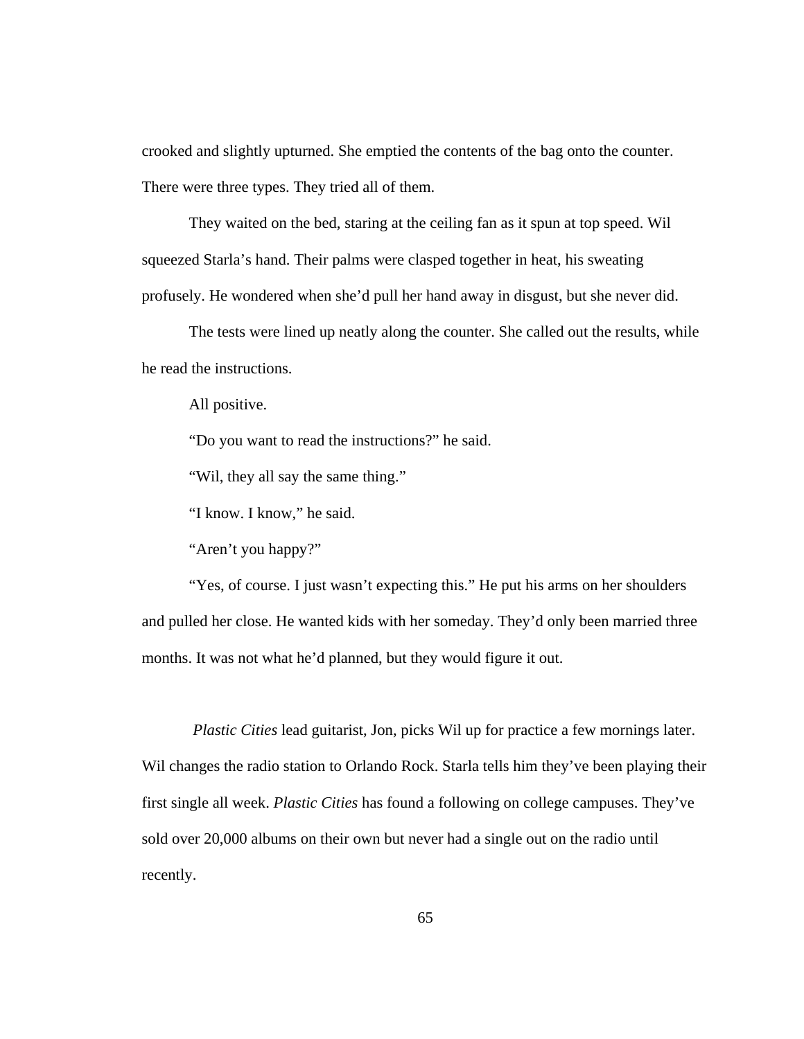crooked and slightly upturned. She emptied the contents of the bag onto the counter. There were three types. They tried all of them.

 They waited on the bed, staring at the ceiling fan as it spun at top speed. Wil squeezed Starla's hand. Their palms were clasped together in heat, his sweating profusely. He wondered when she'd pull her hand away in disgust, but she never did.

 The tests were lined up neatly along the counter. She called out the results, while he read the instructions.

All positive.

"Do you want to read the instructions?" he said.

"Wil, they all say the same thing."

"I know. I know," he said.

"Aren't you happy?"

"Yes, of course. I just wasn't expecting this." He put his arms on her shoulders and pulled her close. He wanted kids with her someday. They'd only been married three months. It was not what he'd planned, but they would figure it out.

 *Plastic Cities* lead guitarist, Jon, picks Wil up for practice a few mornings later. Wil changes the radio station to Orlando Rock. Starla tells him they've been playing their first single all week. *Plastic Cities* has found a following on college campuses. They've sold over 20,000 albums on their own but never had a single out on the radio until recently.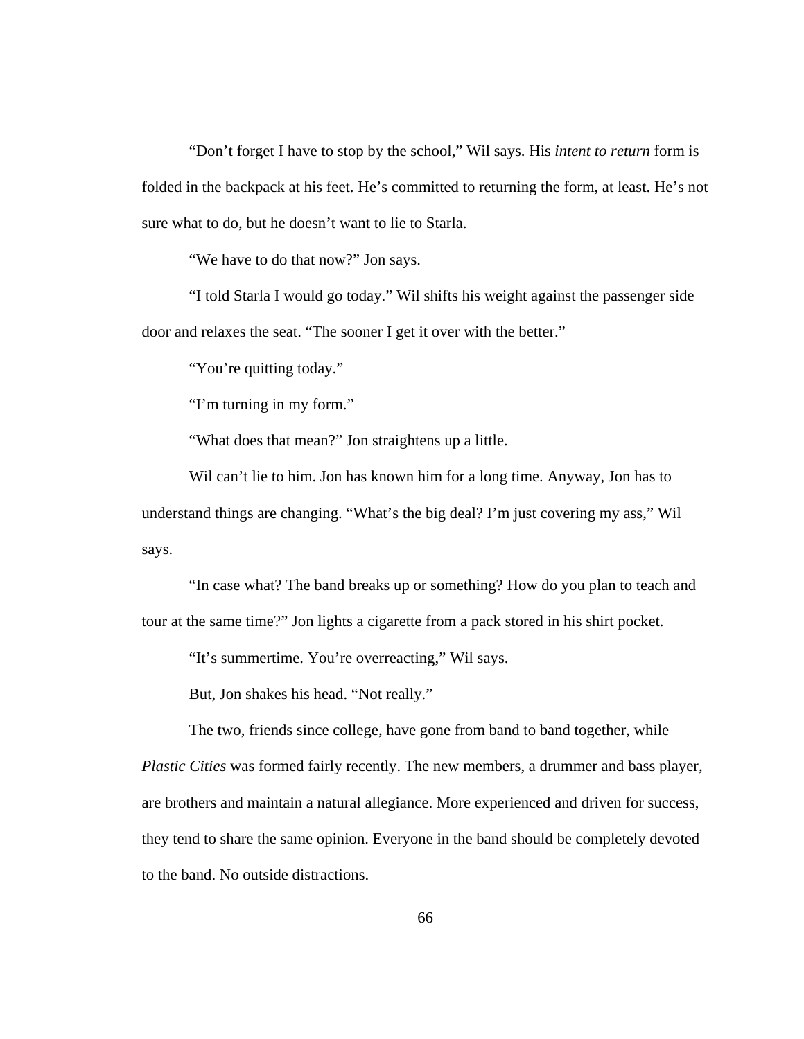"Don't forget I have to stop by the school," Wil says. His *intent to return* form is folded in the backpack at his feet. He's committed to returning the form, at least. He's not sure what to do, but he doesn't want to lie to Starla.

"We have to do that now?" Jon says.

 "I told Starla I would go today." Wil shifts his weight against the passenger side door and relaxes the seat. "The sooner I get it over with the better."

"You're quitting today."

"I'm turning in my form."

"What does that mean?" Jon straightens up a little.

 Wil can't lie to him. Jon has known him for a long time. Anyway, Jon has to understand things are changing. "What's the big deal? I'm just covering my ass," Wil says.

 "In case what? The band breaks up or something? How do you plan to teach and tour at the same time?" Jon lights a cigarette from a pack stored in his shirt pocket.

"It's summertime. You're overreacting," Wil says.

But, Jon shakes his head. "Not really."

The two, friends since college, have gone from band to band together, while

*Plastic Cities* was formed fairly recently. The new members, a drummer and bass player, are brothers and maintain a natural allegiance. More experienced and driven for success, they tend to share the same opinion. Everyone in the band should be completely devoted to the band. No outside distractions.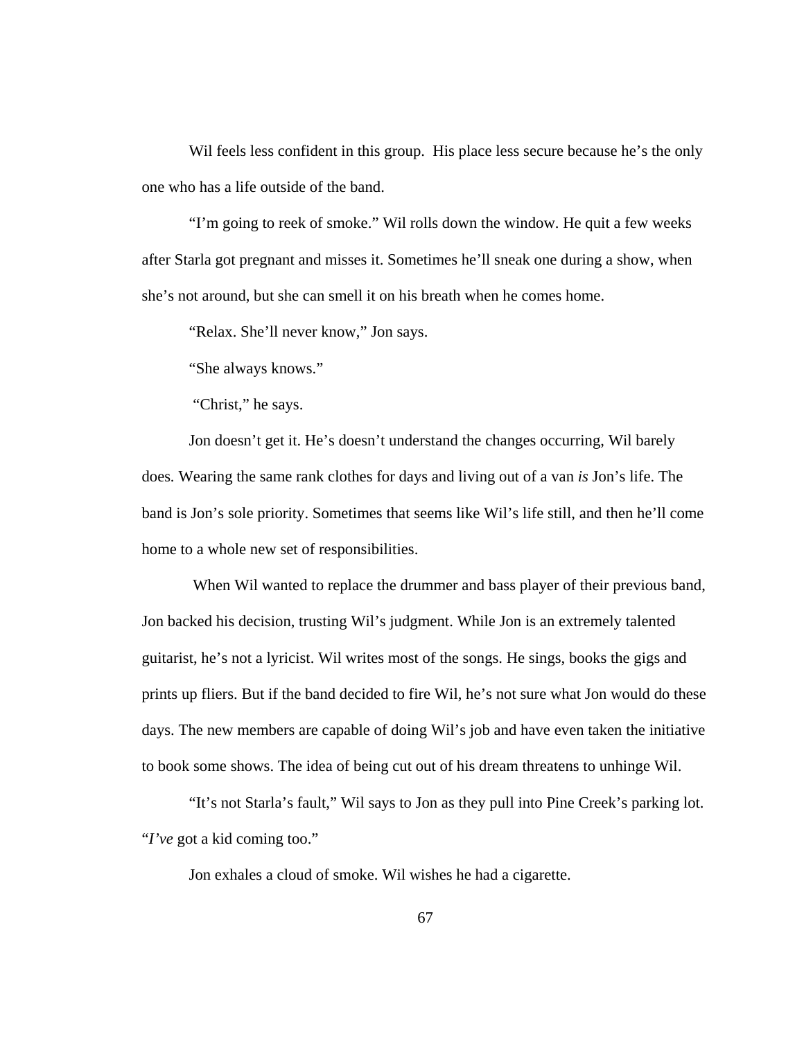Wil feels less confident in this group. His place less secure because he's the only one who has a life outside of the band.

 "I'm going to reek of smoke." Wil rolls down the window. He quit a few weeks after Starla got pregnant and misses it. Sometimes he'll sneak one during a show, when she's not around, but she can smell it on his breath when he comes home.

"Relax. She'll never know," Jon says.

"She always knows."

"Christ," he says.

 Jon doesn't get it. He's doesn't understand the changes occurring, Wil barely does*.* Wearing the same rank clothes for days and living out of a van *is* Jon's life. The band is Jon's sole priority. Sometimes that seems like Wil's life still, and then he'll come home to a whole new set of responsibilities.

 When Wil wanted to replace the drummer and bass player of their previous band, Jon backed his decision, trusting Wil's judgment. While Jon is an extremely talented guitarist, he's not a lyricist. Wil writes most of the songs. He sings, books the gigs and prints up fliers. But if the band decided to fire Wil, he's not sure what Jon would do these days. The new members are capable of doing Wil's job and have even taken the initiative to book some shows. The idea of being cut out of his dream threatens to unhinge Wil.

 "It's not Starla's fault," Wil says to Jon as they pull into Pine Creek's parking lot. "*I've* got a kid coming too."

Jon exhales a cloud of smoke. Wil wishes he had a cigarette.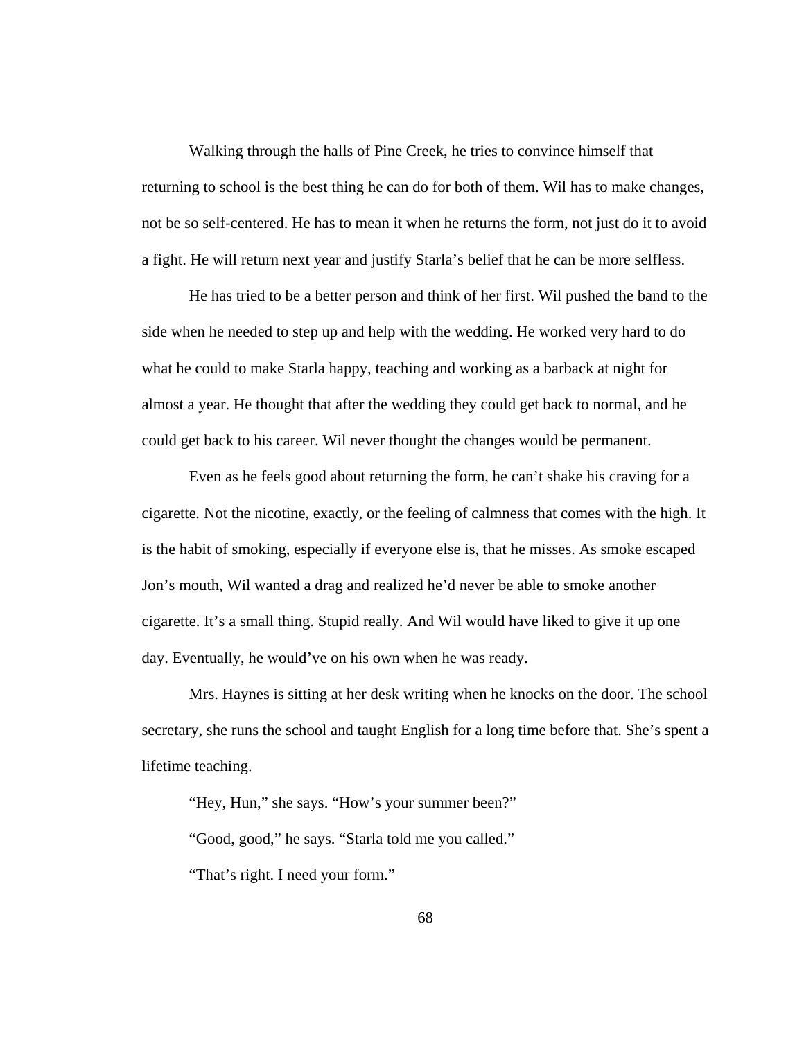Walking through the halls of Pine Creek, he tries to convince himself that returning to school is the best thing he can do for both of them. Wil has to make changes, not be so self-centered. He has to mean it when he returns the form, not just do it to avoid a fight. He will return next year and justify Starla's belief that he can be more selfless.

 He has tried to be a better person and think of her first. Wil pushed the band to the side when he needed to step up and help with the wedding. He worked very hard to do what he could to make Starla happy, teaching and working as a barback at night for almost a year. He thought that after the wedding they could get back to normal, and he could get back to his career. Wil never thought the changes would be permanent.

Even as he feels good about returning the form, he can't shake his craving for a cigarette*.* Not the nicotine, exactly, or the feeling of calmness that comes with the high. It is the habit of smoking, especially if everyone else is, that he misses. As smoke escaped Jon's mouth, Wil wanted a drag and realized he'd never be able to smoke another cigarette. It's a small thing. Stupid really. And Wil would have liked to give it up one day. Eventually, he would've on his own when he was ready.

 Mrs. Haynes is sitting at her desk writing when he knocks on the door. The school secretary, she runs the school and taught English for a long time before that. She's spent a lifetime teaching.

 "Hey, Hun," she says. "How's your summer been?" "Good, good," he says. "Starla told me you called." "That's right. I need your form."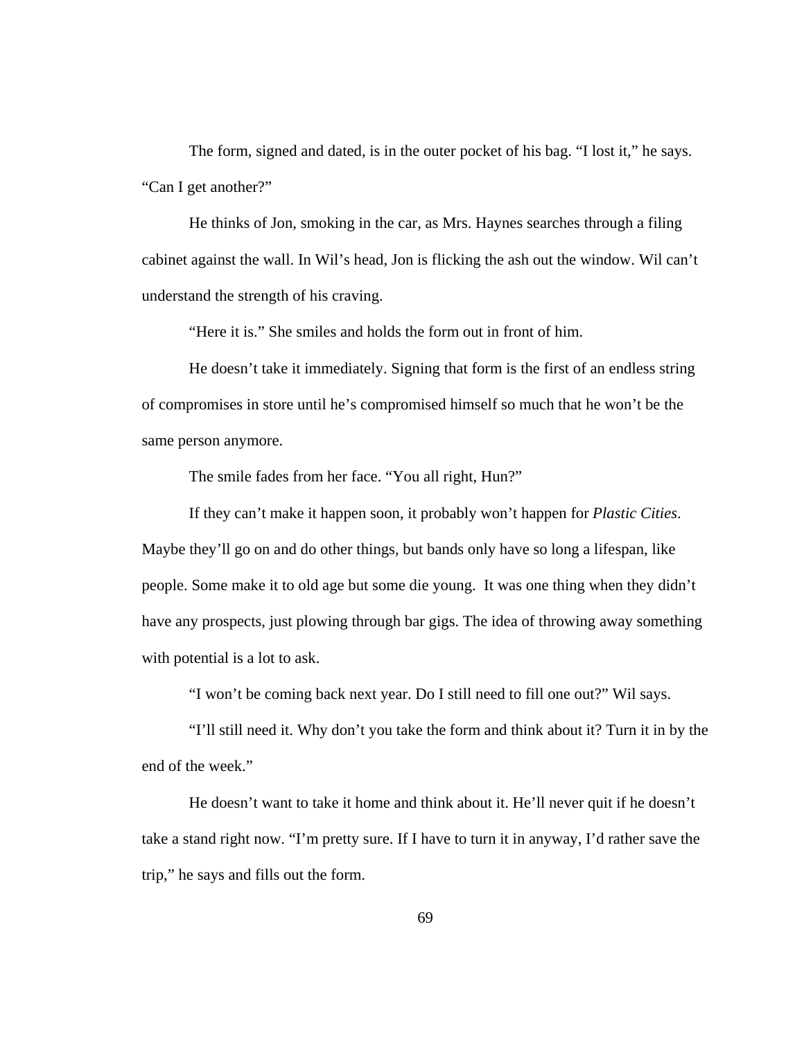The form, signed and dated, is in the outer pocket of his bag. "I lost it," he says. "Can I get another?"

 He thinks of Jon, smoking in the car, as Mrs. Haynes searches through a filing cabinet against the wall. In Wil's head, Jon is flicking the ash out the window. Wil can't understand the strength of his craving.

"Here it is." She smiles and holds the form out in front of him.

 He doesn't take it immediately. Signing that form is the first of an endless string of compromises in store until he's compromised himself so much that he won't be the same person anymore.

The smile fades from her face. "You all right, Hun?"

 If they can't make it happen soon, it probably won't happen for *Plastic Cities*. Maybe they'll go on and do other things, but bands only have so long a lifespan, like people. Some make it to old age but some die young. It was one thing when they didn't have any prospects, just plowing through bar gigs. The idea of throwing away something with potential is a lot to ask.

"I won't be coming back next year. Do I still need to fill one out?" Wil says.

 "I'll still need it. Why don't you take the form and think about it? Turn it in by the end of the week."

 He doesn't want to take it home and think about it. He'll never quit if he doesn't take a stand right now. "I'm pretty sure. If I have to turn it in anyway, I'd rather save the trip," he says and fills out the form.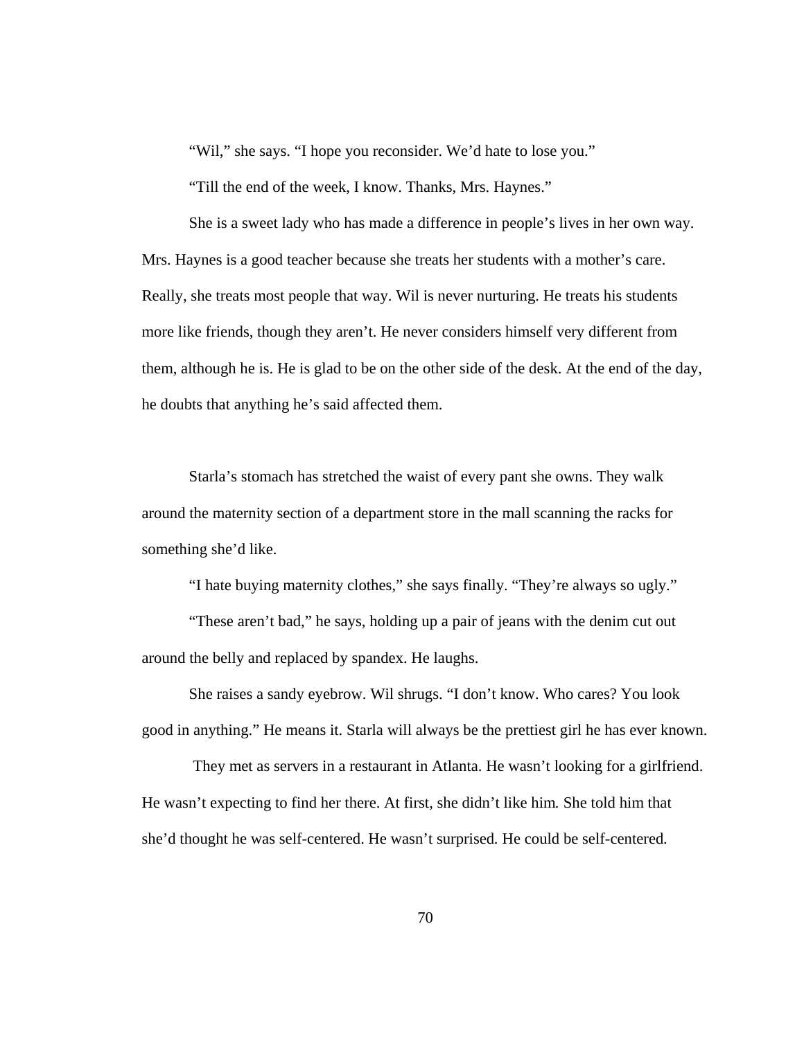"Wil," she says. "I hope you reconsider. We'd hate to lose you."

"Till the end of the week, I know. Thanks, Mrs. Haynes."

She is a sweet lady who has made a difference in people's lives in her own way. Mrs. Haynes is a good teacher because she treats her students with a mother's care. Really, she treats most people that way. Wil is never nurturing. He treats his students more like friends, though they aren't. He never considers himself very different from them, although he is. He is glad to be on the other side of the desk. At the end of the day, he doubts that anything he's said affected them.

 Starla's stomach has stretched the waist of every pant she owns. They walk around the maternity section of a department store in the mall scanning the racks for something she'd like.

"I hate buying maternity clothes," she says finally. "They're always so ugly."

 "These aren't bad," he says, holding up a pair of jeans with the denim cut out around the belly and replaced by spandex. He laughs.

 She raises a sandy eyebrow. Wil shrugs. "I don't know. Who cares? You look good in anything." He means it. Starla will always be the prettiest girl he has ever known.

 They met as servers in a restaurant in Atlanta. He wasn't looking for a girlfriend. He wasn't expecting to find her there. At first, she didn't like him*.* She told him that she'd thought he was self-centered. He wasn't surprised*.* He could be self-centered*.*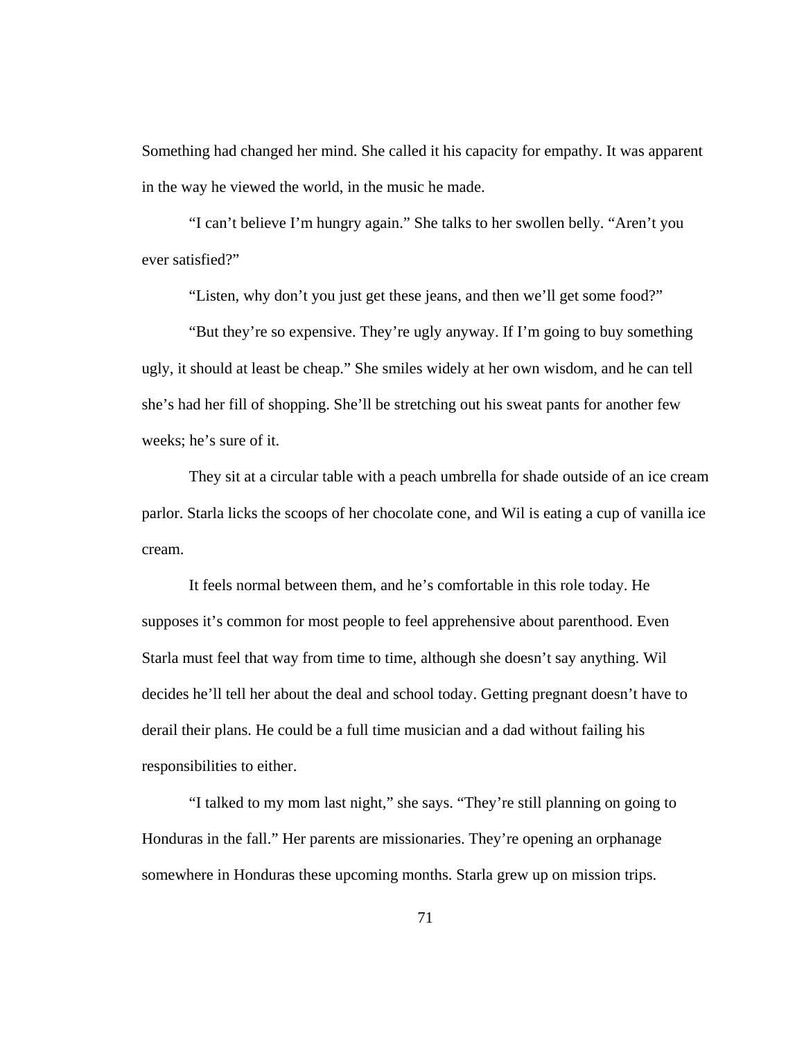Something had changed her mind. She called it his capacity for empathy. It was apparent in the way he viewed the world, in the music he made.

 "I can't believe I'm hungry again." She talks to her swollen belly. "Aren't you ever satisfied?"

"Listen, why don't you just get these jeans, and then we'll get some food?"

 "But they're so expensive. They're ugly anyway. If I'm going to buy something ugly, it should at least be cheap." She smiles widely at her own wisdom, and he can tell she's had her fill of shopping. She'll be stretching out his sweat pants for another few weeks; he's sure of it.

 They sit at a circular table with a peach umbrella for shade outside of an ice cream parlor. Starla licks the scoops of her chocolate cone, and Wil is eating a cup of vanilla ice cream.

 It feels normal between them, and he's comfortable in this role today. He supposes it's common for most people to feel apprehensive about parenthood. Even Starla must feel that way from time to time, although she doesn't say anything. Wil decides he'll tell her about the deal and school today. Getting pregnant doesn't have to derail their plans. He could be a full time musician and a dad without failing his responsibilities to either.

 "I talked to my mom last night," she says. "They're still planning on going to Honduras in the fall." Her parents are missionaries. They're opening an orphanage somewhere in Honduras these upcoming months. Starla grew up on mission trips.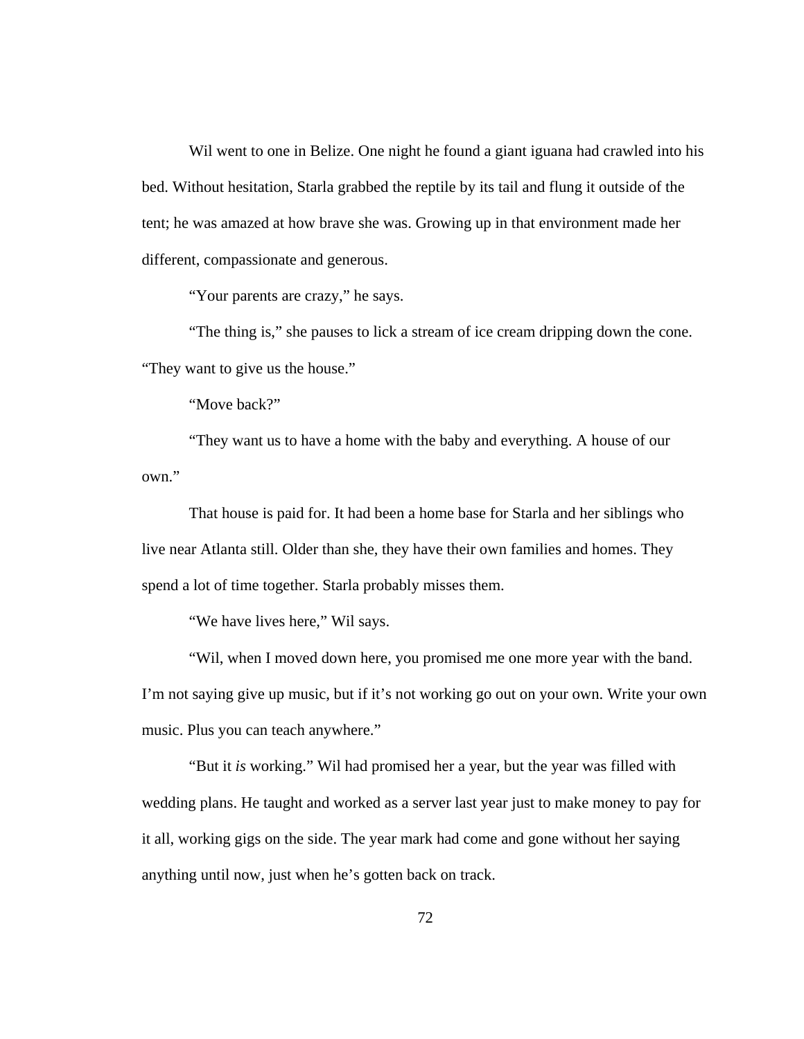Wil went to one in Belize. One night he found a giant iguana had crawled into his bed. Without hesitation, Starla grabbed the reptile by its tail and flung it outside of the tent; he was amazed at how brave she was. Growing up in that environment made her different, compassionate and generous.

"Your parents are crazy," he says.

 "The thing is," she pauses to lick a stream of ice cream dripping down the cone. "They want to give us the house."

"Move back?"

 "They want us to have a home with the baby and everything. A house of our own."

 That house is paid for. It had been a home base for Starla and her siblings who live near Atlanta still. Older than she, they have their own families and homes. They spend a lot of time together. Starla probably misses them.

"We have lives here," Wil says.

 "Wil, when I moved down here, you promised me one more year with the band. I'm not saying give up music, but if it's not working go out on your own. Write your own music. Plus you can teach anywhere."

 "But it *is* working." Wil had promised her a year, but the year was filled with wedding plans. He taught and worked as a server last year just to make money to pay for it all, working gigs on the side. The year mark had come and gone without her saying anything until now, just when he's gotten back on track.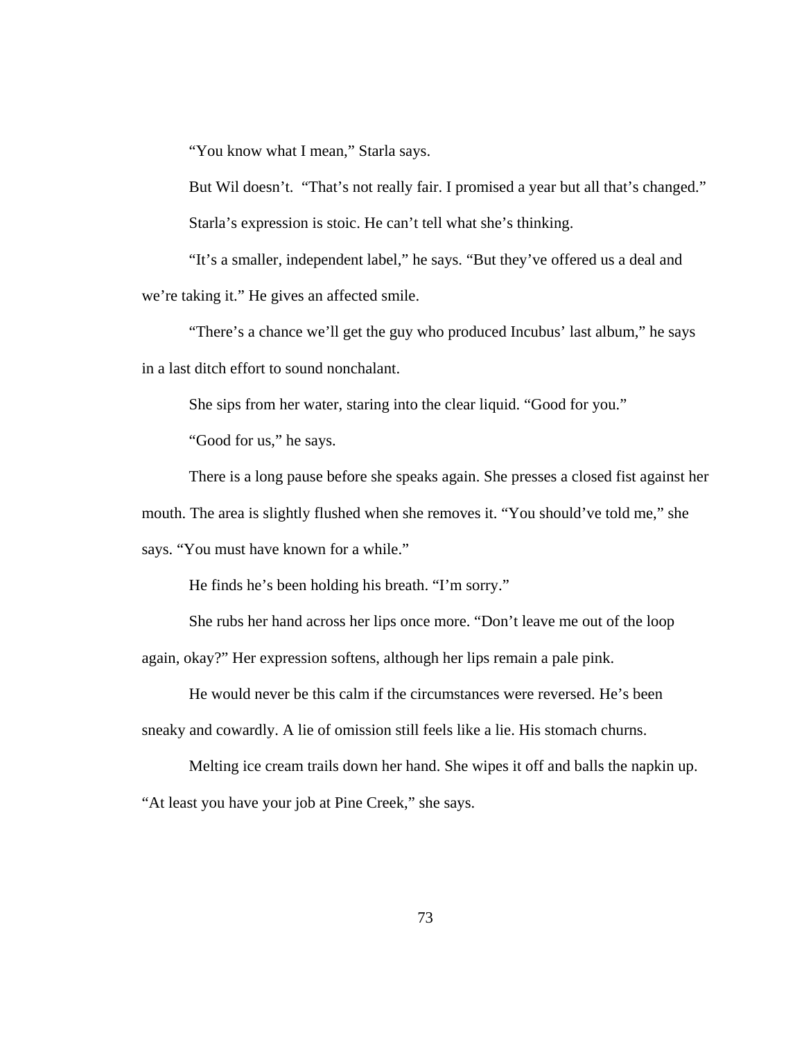"You know what I mean," Starla says.

 But Wil doesn't. "That's not really fair. I promised a year but all that's changed." Starla's expression is stoic. He can't tell what she's thinking.

"It's a smaller, independent label," he says. "But they've offered us a deal and we're taking it." He gives an affected smile.

 "There's a chance we'll get the guy who produced Incubus' last album," he says in a last ditch effort to sound nonchalant.

She sips from her water, staring into the clear liquid. "Good for you."

"Good for us," he says.

There is a long pause before she speaks again. She presses a closed fist against her

mouth. The area is slightly flushed when she removes it. "You should've told me," she

says. "You must have known for a while."

He finds he's been holding his breath. "I'm sorry."

She rubs her hand across her lips once more. "Don't leave me out of the loop

again, okay?" Her expression softens, although her lips remain a pale pink.

 He would never be this calm if the circumstances were reversed. He's been sneaky and cowardly. A lie of omission still feels like a lie. His stomach churns.

 Melting ice cream trails down her hand. She wipes it off and balls the napkin up. "At least you have your job at Pine Creek," she says.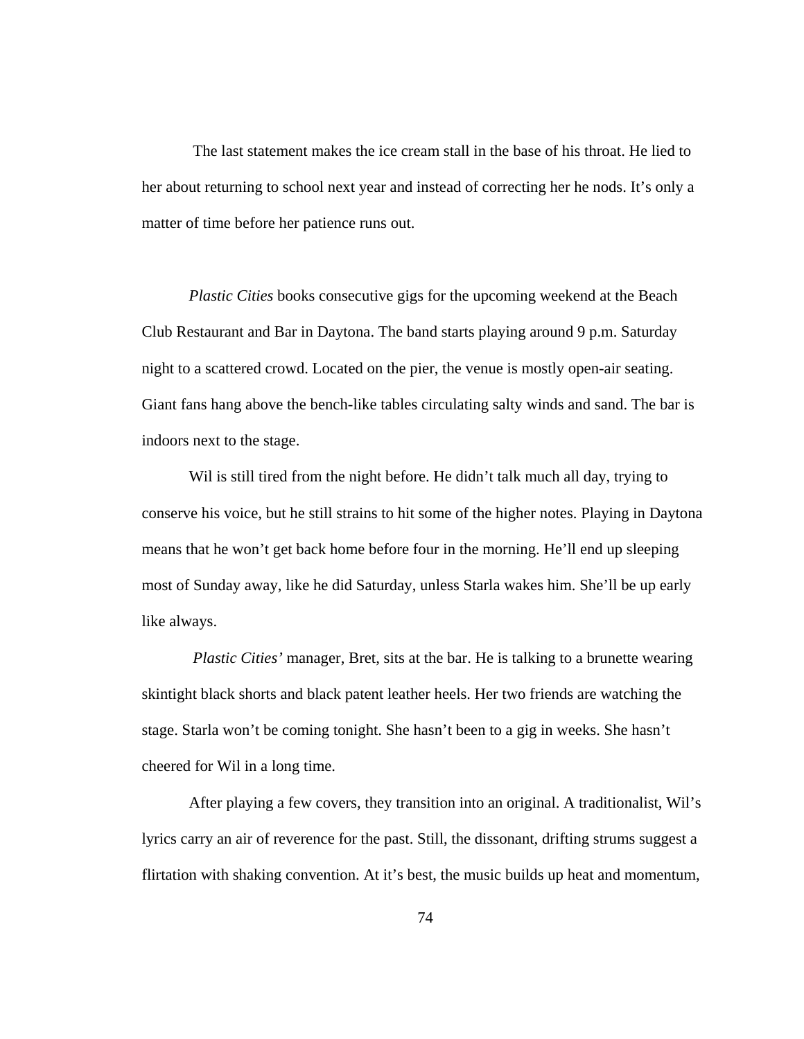The last statement makes the ice cream stall in the base of his throat. He lied to her about returning to school next year and instead of correcting her he nods. It's only a matter of time before her patience runs out.

*Plastic Cities* books consecutive gigs for the upcoming weekend at the Beach Club Restaurant and Bar in Daytona. The band starts playing around 9 p.m. Saturday night to a scattered crowd. Located on the pier, the venue is mostly open-air seating. Giant fans hang above the bench-like tables circulating salty winds and sand. The bar is indoors next to the stage.

Wil is still tired from the night before. He didn't talk much all day, trying to conserve his voice, but he still strains to hit some of the higher notes. Playing in Daytona means that he won't get back home before four in the morning. He'll end up sleeping most of Sunday away, like he did Saturday, unless Starla wakes him. She'll be up early like always.

 *Plastic Cities'* manager, Bret, sits at the bar. He is talking to a brunette wearing skintight black shorts and black patent leather heels. Her two friends are watching the stage. Starla won't be coming tonight. She hasn't been to a gig in weeks. She hasn't cheered for Wil in a long time.

 After playing a few covers, they transition into an original. A traditionalist, Wil's lyrics carry an air of reverence for the past. Still, the dissonant, drifting strums suggest a flirtation with shaking convention. At it's best, the music builds up heat and momentum,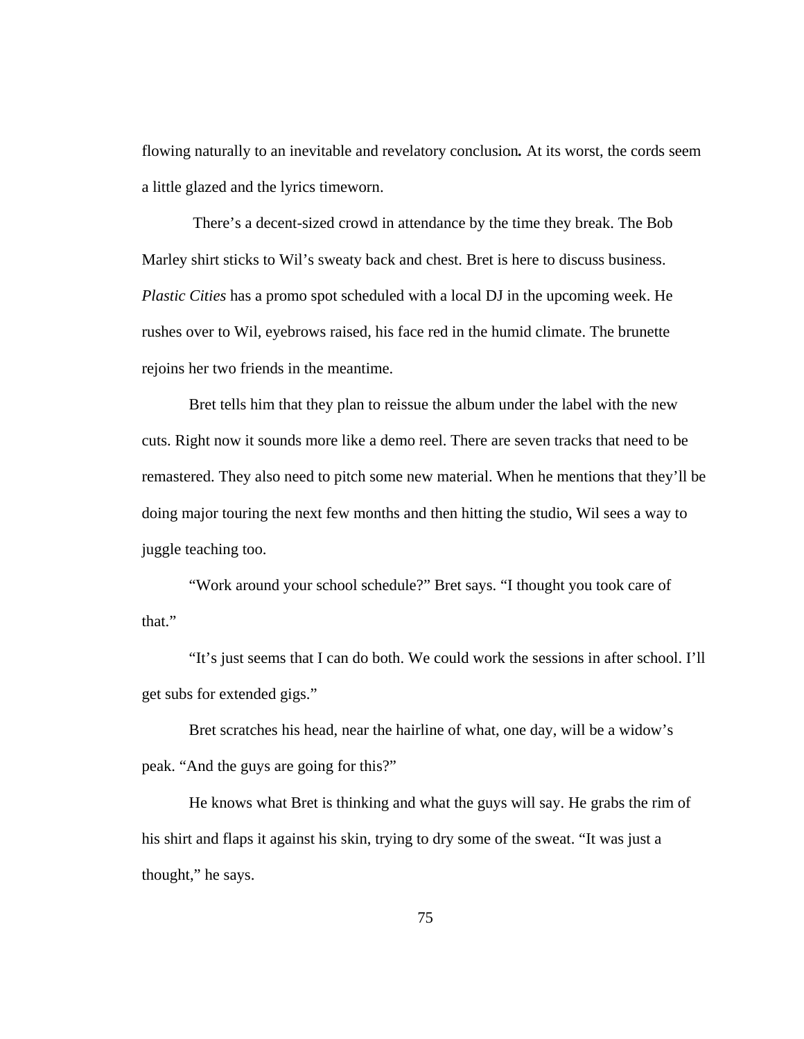flowing naturally to an inevitable and revelatory conclusion*.* At its worst, the cords seem a little glazed and the lyrics timeworn.

 There's a decent-sized crowd in attendance by the time they break. The Bob Marley shirt sticks to Wil's sweaty back and chest. Bret is here to discuss business. *Plastic Cities* has a promo spot scheduled with a local DJ in the upcoming week. He rushes over to Wil, eyebrows raised, his face red in the humid climate. The brunette rejoins her two friends in the meantime.

Bret tells him that they plan to reissue the album under the label with the new cuts. Right now it sounds more like a demo reel. There are seven tracks that need to be remastered. They also need to pitch some new material. When he mentions that they'll be doing major touring the next few months and then hitting the studio, Wil sees a way to juggle teaching too.

 "Work around your school schedule?" Bret says. "I thought you took care of that."

 "It's just seems that I can do both. We could work the sessions in after school. I'll get subs for extended gigs."

 Bret scratches his head, near the hairline of what, one day, will be a widow's peak. "And the guys are going for this?"

 He knows what Bret is thinking and what the guys will say. He grabs the rim of his shirt and flaps it against his skin, trying to dry some of the sweat. "It was just a thought," he says.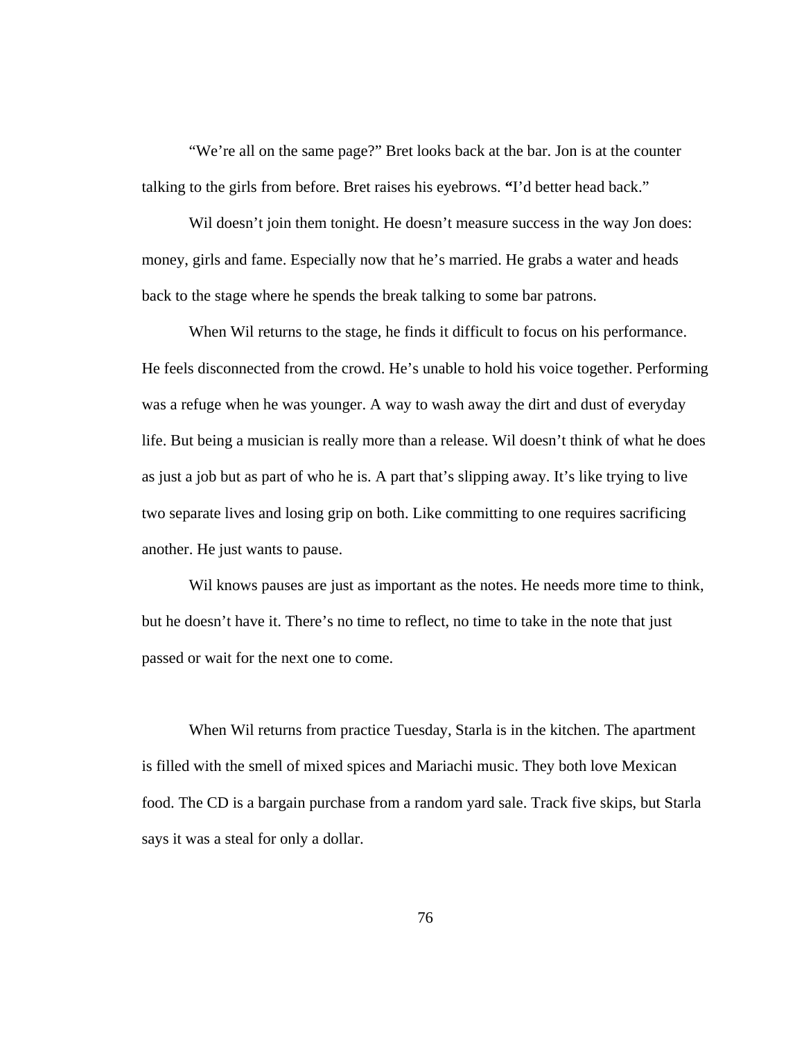"We're all on the same page?" Bret looks back at the bar. Jon is at the counter talking to the girls from before. Bret raises his eyebrows. **"**I'd better head back."

Wil doesn't join them tonight. He doesn't measure success in the way Jon does: money, girls and fame. Especially now that he's married. He grabs a water and heads back to the stage where he spends the break talking to some bar patrons.

When Wil returns to the stage, he finds it difficult to focus on his performance. He feels disconnected from the crowd. He's unable to hold his voice together. Performing was a refuge when he was younger. A way to wash away the dirt and dust of everyday life. But being a musician is really more than a release. Wil doesn't think of what he does as just a job but as part of who he is. A part that's slipping away. It's like trying to live two separate lives and losing grip on both. Like committing to one requires sacrificing another. He just wants to pause.

 Wil knows pauses are just as important as the notes. He needs more time to think, but he doesn't have it. There's no time to reflect, no time to take in the note that just passed or wait for the next one to come.

 When Wil returns from practice Tuesday, Starla is in the kitchen. The apartment is filled with the smell of mixed spices and Mariachi music. They both love Mexican food. The CD is a bargain purchase from a random yard sale. Track five skips, but Starla says it was a steal for only a dollar.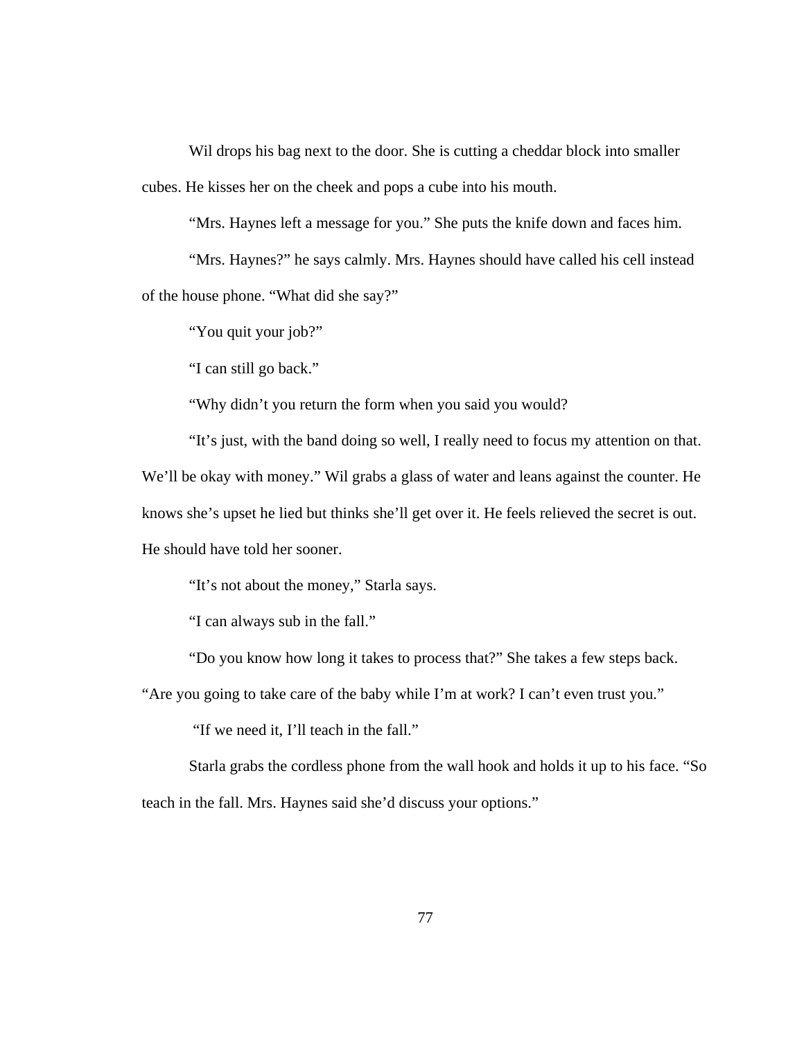Wil drops his bag next to the door. She is cutting a cheddar block into smaller cubes. He kisses her on the cheek and pops a cube into his mouth.

"Mrs. Haynes left a message for you." She puts the knife down and faces him.

 "Mrs. Haynes?" he says calmly. Mrs. Haynes should have called his cell instead of the house phone. "What did she say?"

"You quit your job?"

"I can still go back."

"Why didn't you return the form when you said you would?

 "It's just, with the band doing so well, I really need to focus my attention on that. We'll be okay with money." Wil grabs a glass of water and leans against the counter. He knows she's upset he lied but thinks she'll get over it. He feels relieved the secret is out. He should have told her sooner.

"It's not about the money," Starla says.

"I can always sub in the fall."

"Do you know how long it takes to process that?" She takes a few steps back.

"Are you going to take care of the baby while I'm at work? I can't even trust you."

"If we need it, I'll teach in the fall."

 Starla grabs the cordless phone from the wall hook and holds it up to his face. "So teach in the fall. Mrs. Haynes said she'd discuss your options."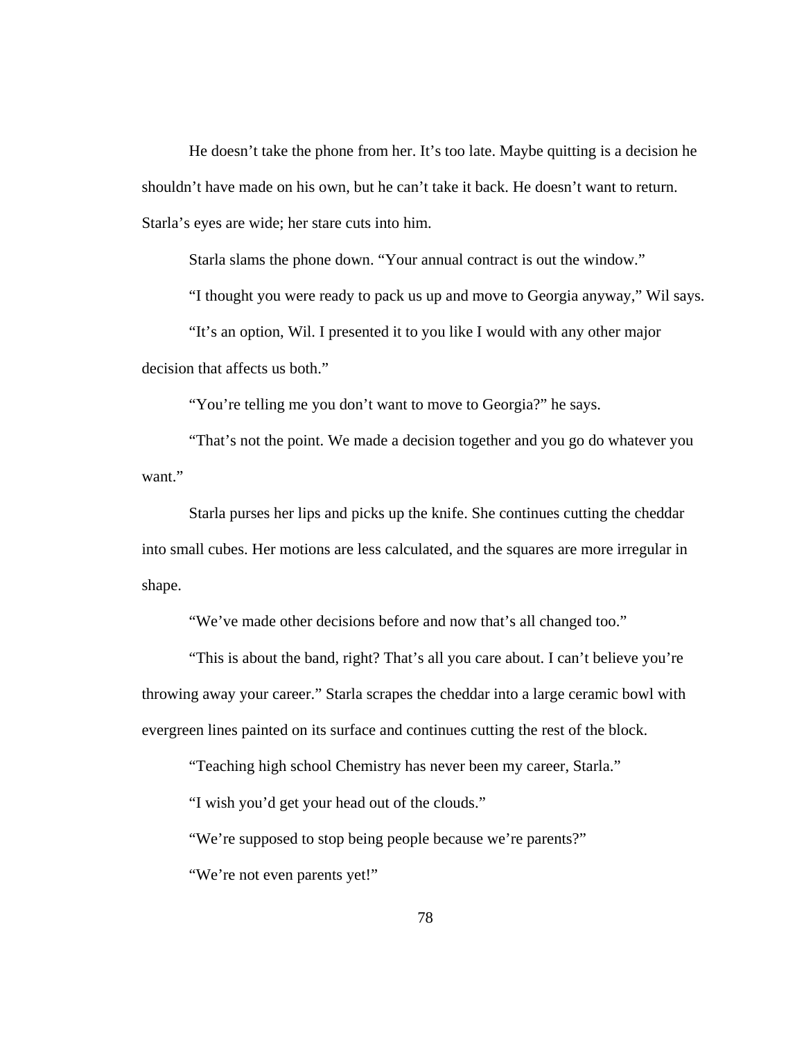He doesn't take the phone from her. It's too late. Maybe quitting is a decision he shouldn't have made on his own, but he can't take it back. He doesn't want to return. Starla's eyes are wide; her stare cuts into him.

Starla slams the phone down. "Your annual contract is out the window."

"I thought you were ready to pack us up and move to Georgia anyway," Wil says.

 "It's an option, Wil. I presented it to you like I would with any other major decision that affects us both."

"You're telling me you don't want to move to Georgia?" he says.

 "That's not the point. We made a decision together and you go do whatever you want."

 Starla purses her lips and picks up the knife. She continues cutting the cheddar into small cubes. Her motions are less calculated, and the squares are more irregular in shape.

"We've made other decisions before and now that's all changed too."

 "This is about the band, right? That's all you care about. I can't believe you're throwing away your career." Starla scrapes the cheddar into a large ceramic bowl with evergreen lines painted on its surface and continues cutting the rest of the block.

"Teaching high school Chemistry has never been my career, Starla."

"I wish you'd get your head out of the clouds."

"We're supposed to stop being people because we're parents?"

"We're not even parents yet!"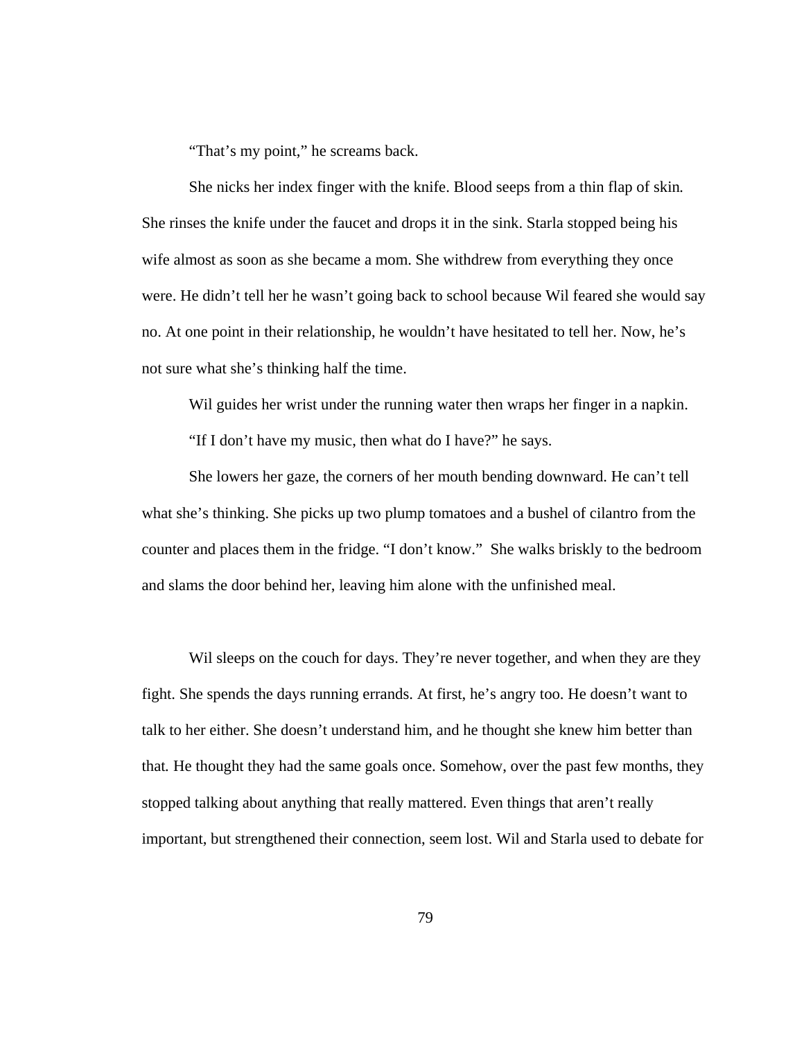"That's my point," he screams back.

 She nicks her index finger with the knife. Blood seeps from a thin flap of skin*.*  She rinses the knife under the faucet and drops it in the sink. Starla stopped being his wife almost as soon as she became a mom. She withdrew from everything they once were. He didn't tell her he wasn't going back to school because Wil feared she would say no. At one point in their relationship, he wouldn't have hesitated to tell her. Now, he's not sure what she's thinking half the time.

Wil guides her wrist under the running water then wraps her finger in a napkin.

"If I don't have my music, then what do I have?" he says.

 She lowers her gaze, the corners of her mouth bending downward. He can't tell what she's thinking. She picks up two plump tomatoes and a bushel of cilantro from the counter and places them in the fridge. "I don't know." She walks briskly to the bedroom and slams the door behind her, leaving him alone with the unfinished meal.

Wil sleeps on the couch for days. They're never together, and when they are they fight. She spends the days running errands. At first, he's angry too. He doesn't want to talk to her either. She doesn't understand him, and he thought she knew him better than that*.* He thought they had the same goals once. Somehow, over the past few months, they stopped talking about anything that really mattered. Even things that aren't really important, but strengthened their connection, seem lost. Wil and Starla used to debate for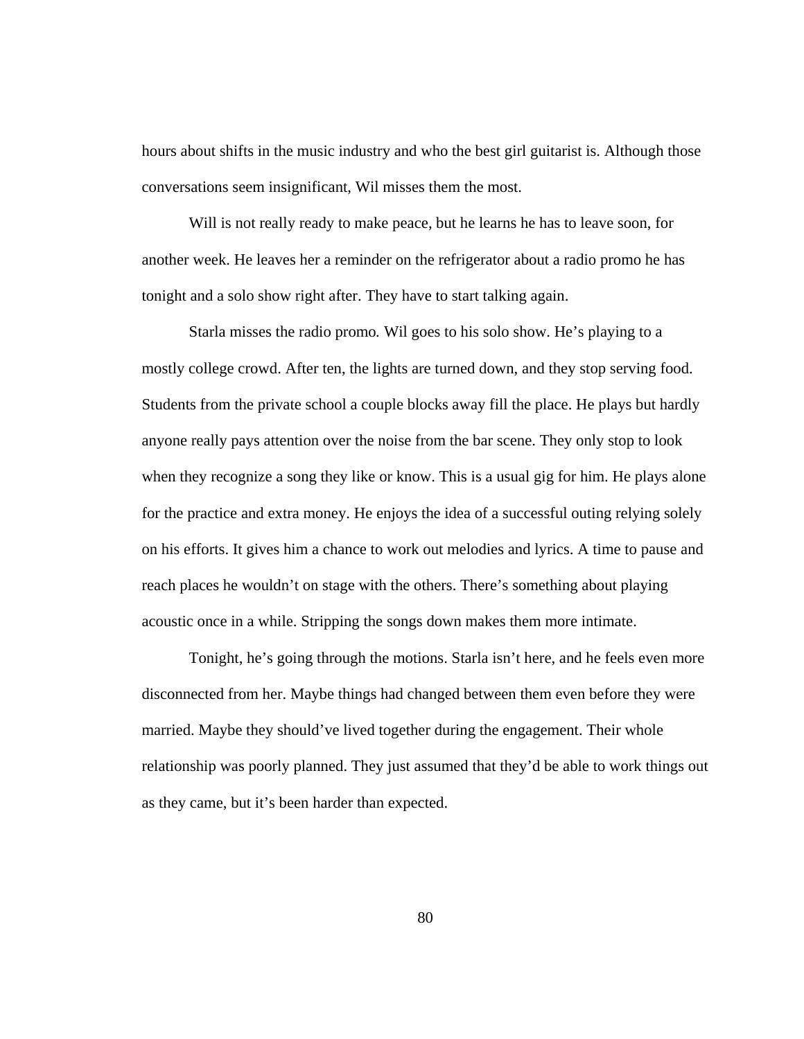hours about shifts in the music industry and who the best girl guitarist is. Although those conversations seem insignificant, Wil misses them the most.

 Will is not really ready to make peace, but he learns he has to leave soon, for another week. He leaves her a reminder on the refrigerator about a radio promo he has tonight and a solo show right after. They have to start talking again.

 Starla misses the radio promo*.* Wil goes to his solo show. He's playing to a mostly college crowd. After ten, the lights are turned down, and they stop serving food. Students from the private school a couple blocks away fill the place. He plays but hardly anyone really pays attention over the noise from the bar scene. They only stop to look when they recognize a song they like or know. This is a usual gig for him. He plays alone for the practice and extra money. He enjoys the idea of a successful outing relying solely on his efforts. It gives him a chance to work out melodies and lyrics. A time to pause and reach places he wouldn't on stage with the others. There's something about playing acoustic once in a while. Stripping the songs down makes them more intimate.

 Tonight, he's going through the motions. Starla isn't here, and he feels even more disconnected from her. Maybe things had changed between them even before they were married. Maybe they should've lived together during the engagement. Their whole relationship was poorly planned. They just assumed that they'd be able to work things out as they came, but it's been harder than expected.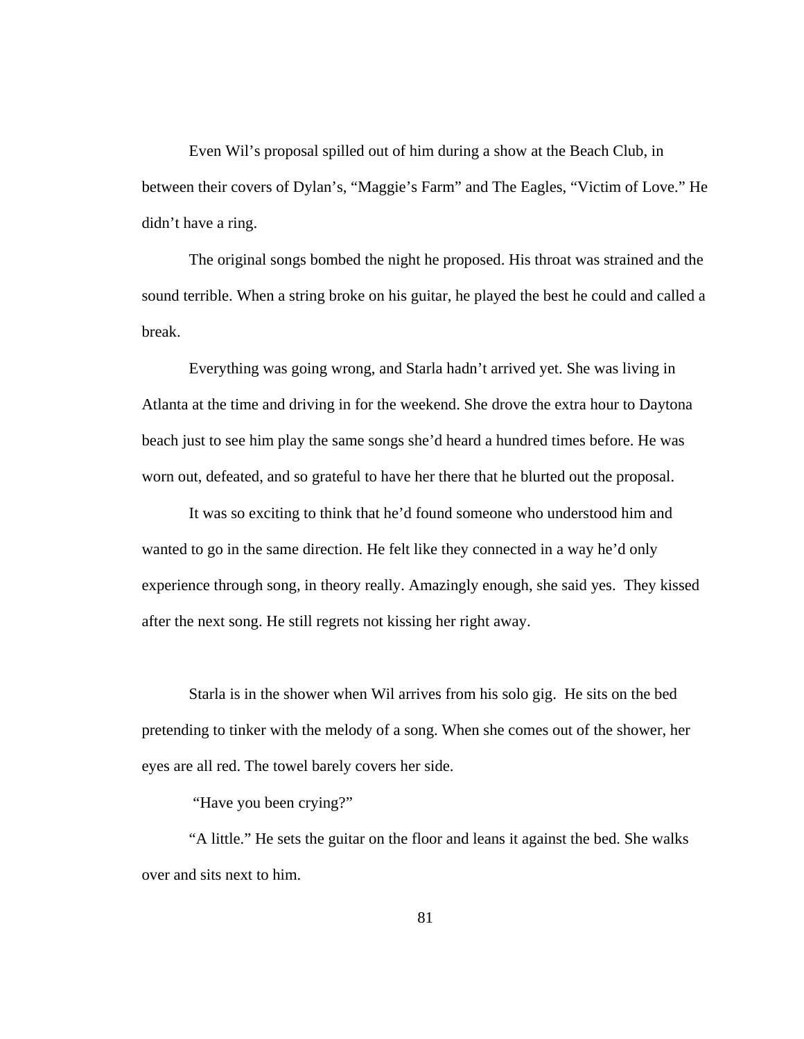Even Wil's proposal spilled out of him during a show at the Beach Club, in between their covers of Dylan's, "Maggie's Farm" and The Eagles, "Victim of Love." He didn't have a ring.

 The original songs bombed the night he proposed. His throat was strained and the sound terrible. When a string broke on his guitar, he played the best he could and called a break.

 Everything was going wrong, and Starla hadn't arrived yet. She was living in Atlanta at the time and driving in for the weekend. She drove the extra hour to Daytona beach just to see him play the same songs she'd heard a hundred times before. He was worn out, defeated, and so grateful to have her there that he blurted out the proposal.

It was so exciting to think that he'd found someone who understood him and wanted to go in the same direction. He felt like they connected in a way he'd only experience through song, in theory really. Amazingly enough, she said yes. They kissed after the next song. He still regrets not kissing her right away.

Starla is in the shower when Wil arrives from his solo gig. He sits on the bed pretending to tinker with the melody of a song. When she comes out of the shower, her eyes are all red. The towel barely covers her side.

## "Have you been crying?"

 "A little." He sets the guitar on the floor and leans it against the bed. She walks over and sits next to him.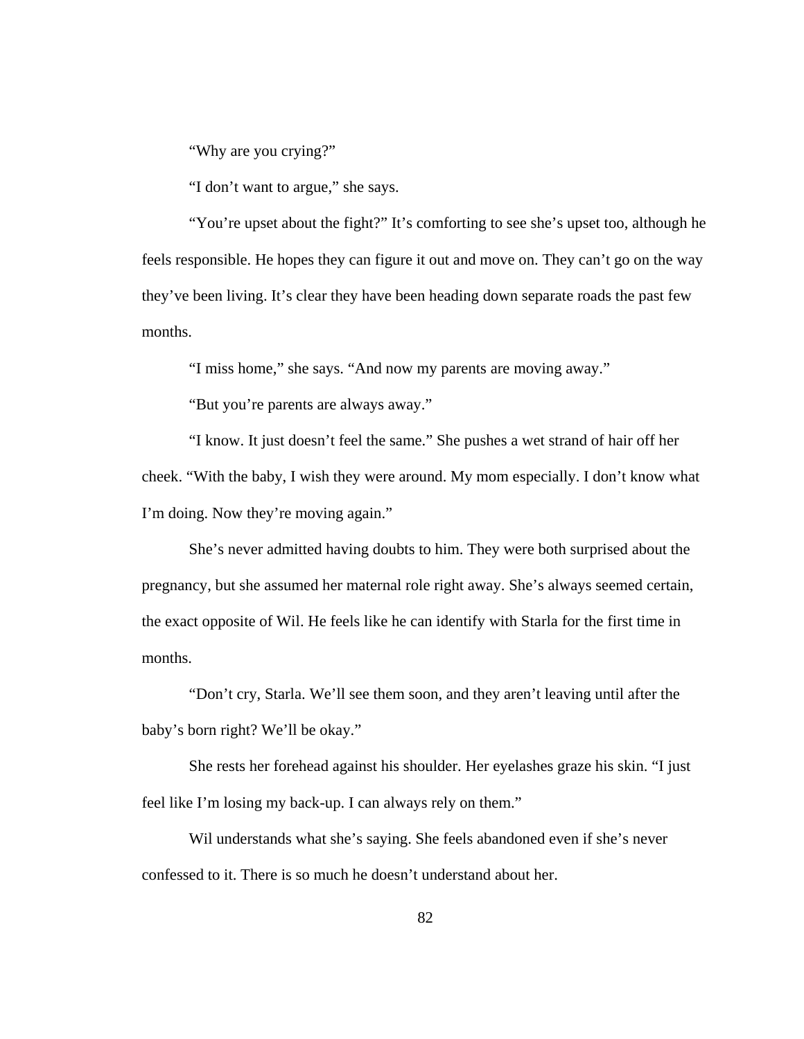"Why are you crying?"

"I don't want to argue," she says.

 "You're upset about the fight?" It's comforting to see she's upset too, although he feels responsible. He hopes they can figure it out and move on. They can't go on the way they've been living. It's clear they have been heading down separate roads the past few months.

"I miss home," she says. "And now my parents are moving away."

"But you're parents are always away."

 "I know. It just doesn't feel the same." She pushes a wet strand of hair off her cheek. "With the baby, I wish they were around. My mom especially. I don't know what I'm doing. Now they're moving again."

 She's never admitted having doubts to him. They were both surprised about the pregnancy, but she assumed her maternal role right away. She's always seemed certain, the exact opposite of Wil. He feels like he can identify with Starla for the first time in months.

"Don't cry, Starla. We'll see them soon, and they aren't leaving until after the baby's born right? We'll be okay."

 She rests her forehead against his shoulder. Her eyelashes graze his skin. "I just feel like I'm losing my back-up. I can always rely on them."

 Wil understands what she's saying. She feels abandoned even if she's never confessed to it. There is so much he doesn't understand about her.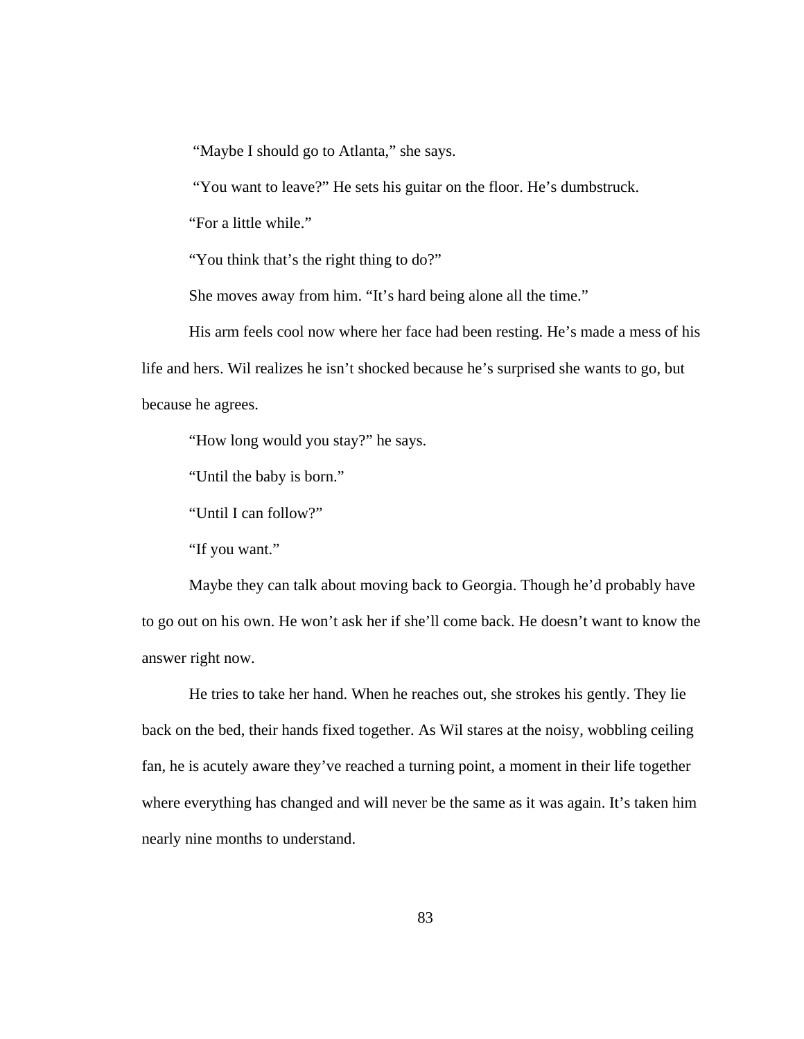"Maybe I should go to Atlanta," she says.

"You want to leave?" He sets his guitar on the floor. He's dumbstruck.

"For a little while."

"You think that's the right thing to do?"

She moves away from him. "It's hard being alone all the time."

His arm feels cool now where her face had been resting. He's made a mess of his life and hers. Wil realizes he isn't shocked because he's surprised she wants to go, but because he agrees.

"How long would you stay?" he says.

"Until the baby is born."

"Until I can follow?"

"If you want."

 Maybe they can talk about moving back to Georgia. Though he'd probably have to go out on his own. He won't ask her if she'll come back. He doesn't want to know the answer right now.

 He tries to take her hand. When he reaches out, she strokes his gently. They lie back on the bed, their hands fixed together. As Wil stares at the noisy, wobbling ceiling fan, he is acutely aware they've reached a turning point, a moment in their life together where everything has changed and will never be the same as it was again. It's taken him nearly nine months to understand.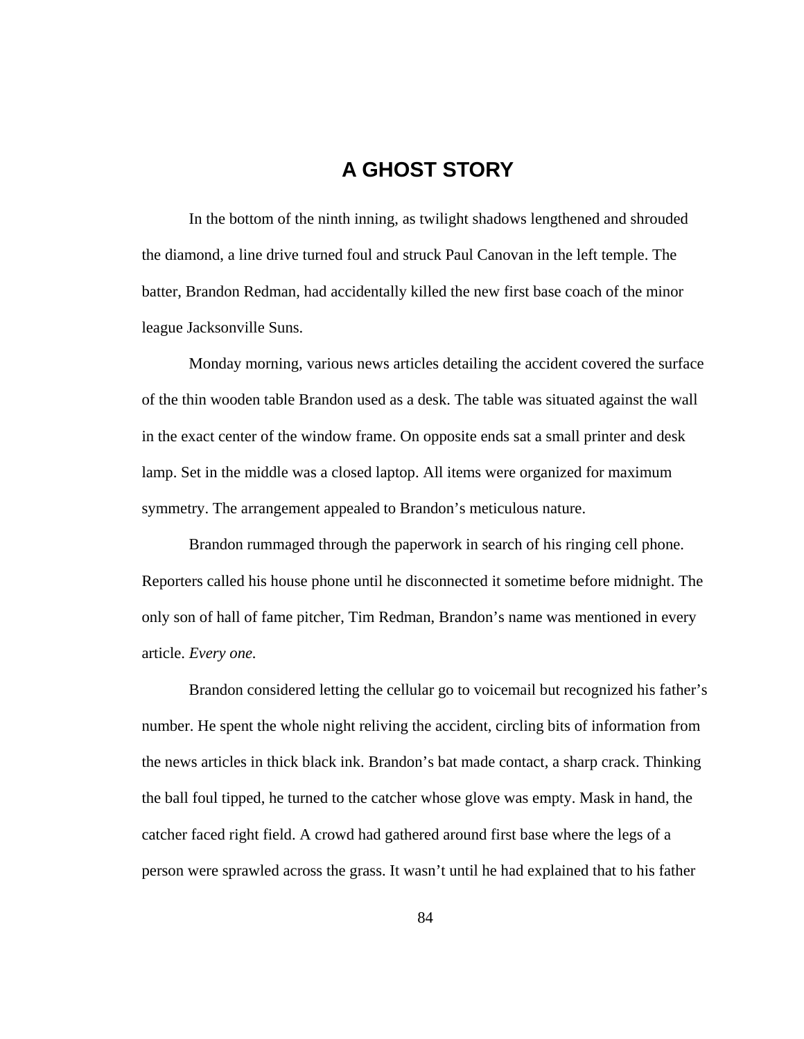## **A GHOST STORY**

 In the bottom of the ninth inning, as twilight shadows lengthened and shrouded the diamond, a line drive turned foul and struck Paul Canovan in the left temple. The batter, Brandon Redman, had accidentally killed the new first base coach of the minor league Jacksonville Suns.

 Monday morning, various news articles detailing the accident covered the surface of the thin wooden table Brandon used as a desk. The table was situated against the wall in the exact center of the window frame. On opposite ends sat a small printer and desk lamp. Set in the middle was a closed laptop. All items were organized for maximum symmetry. The arrangement appealed to Brandon's meticulous nature.

 Brandon rummaged through the paperwork in search of his ringing cell phone. Reporters called his house phone until he disconnected it sometime before midnight. The only son of hall of fame pitcher, Tim Redman, Brandon's name was mentioned in every article. *Every one.* 

 Brandon considered letting the cellular go to voicemail but recognized his father's number. He spent the whole night reliving the accident, circling bits of information from the news articles in thick black ink. Brandon's bat made contact, a sharp crack. Thinking the ball foul tipped, he turned to the catcher whose glove was empty. Mask in hand, the catcher faced right field. A crowd had gathered around first base where the legs of a person were sprawled across the grass. It wasn't until he had explained that to his father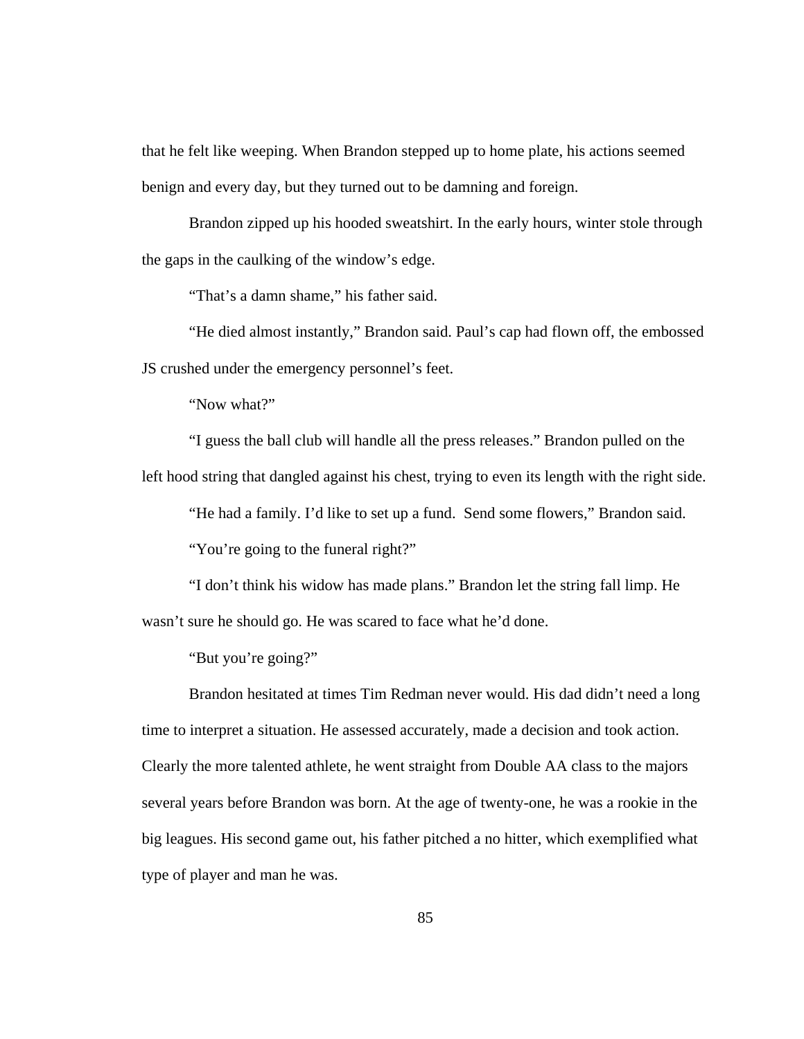that he felt like weeping. When Brandon stepped up to home plate, his actions seemed benign and every day, but they turned out to be damning and foreign.

 Brandon zipped up his hooded sweatshirt. In the early hours, winter stole through the gaps in the caulking of the window's edge.

"That's a damn shame," his father said.

 "He died almost instantly," Brandon said. Paul's cap had flown off, the embossed JS crushed under the emergency personnel's feet.

"Now what?"

 "I guess the ball club will handle all the press releases." Brandon pulled on the left hood string that dangled against his chest, trying to even its length with the right side.

"He had a family. I'd like to set up a fund. Send some flowers," Brandon said.

"You're going to the funeral right?"

 "I don't think his widow has made plans." Brandon let the string fall limp. He wasn't sure he should go. He was scared to face what he'd done.

"But you're going?"

 Brandon hesitated at times Tim Redman never would. His dad didn't need a long time to interpret a situation. He assessed accurately, made a decision and took action. Clearly the more talented athlete, he went straight from Double AA class to the majors several years before Brandon was born. At the age of twenty-one, he was a rookie in the big leagues. His second game out, his father pitched a no hitter, which exemplified what type of player and man he was.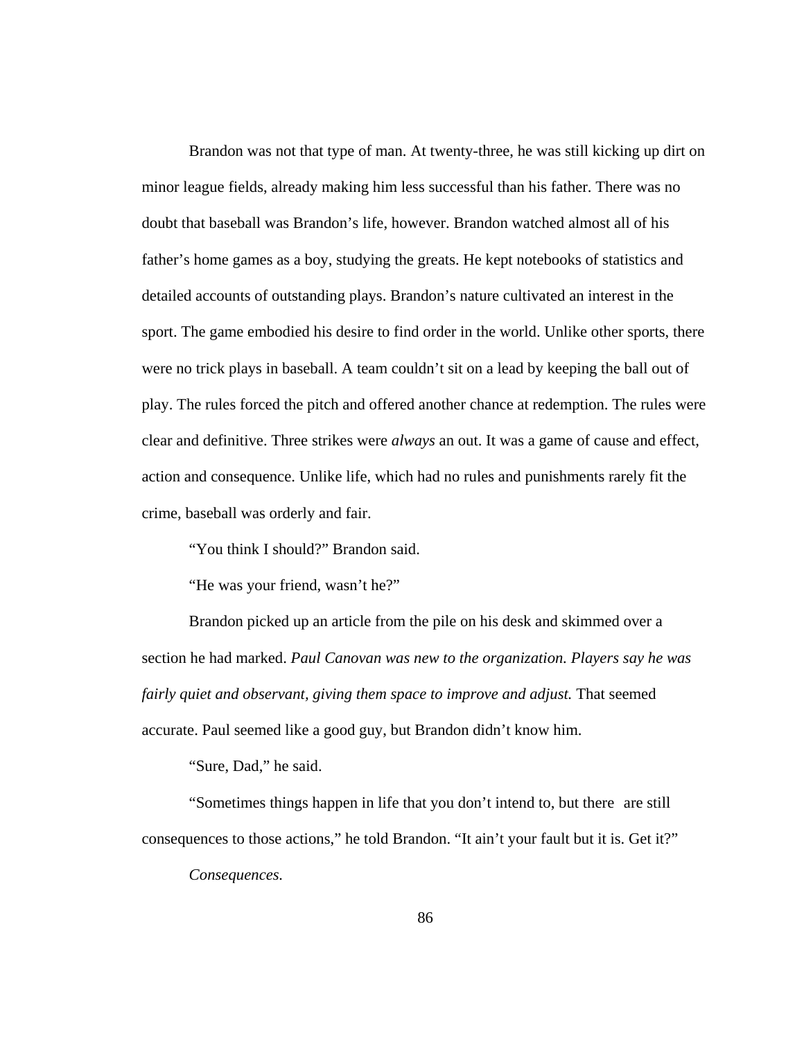Brandon was not that type of man. At twenty-three, he was still kicking up dirt on minor league fields, already making him less successful than his father. There was no doubt that baseball was Brandon's life, however. Brandon watched almost all of his father's home games as a boy, studying the greats. He kept notebooks of statistics and detailed accounts of outstanding plays. Brandon's nature cultivated an interest in the sport. The game embodied his desire to find order in the world. Unlike other sports, there were no trick plays in baseball. A team couldn't sit on a lead by keeping the ball out of play. The rules forced the pitch and offered another chance at redemption. The rules were clear and definitive. Three strikes were *always* an out. It was a game of cause and effect, action and consequence. Unlike life, which had no rules and punishments rarely fit the crime, baseball was orderly and fair.

"You think I should?" Brandon said.

"He was your friend, wasn't he?"

 Brandon picked up an article from the pile on his desk and skimmed over a section he had marked. *Paul Canovan was new to the organization. Players say he was fairly quiet and observant, giving them space to improve and adjust.* That seemed accurate. Paul seemed like a good guy, but Brandon didn't know him.

"Sure, Dad," he said.

 "Sometimes things happen in life that you don't intend to, but there are still consequences to those actions," he told Brandon. "It ain't your fault but it is. Get it?"

*Consequences.*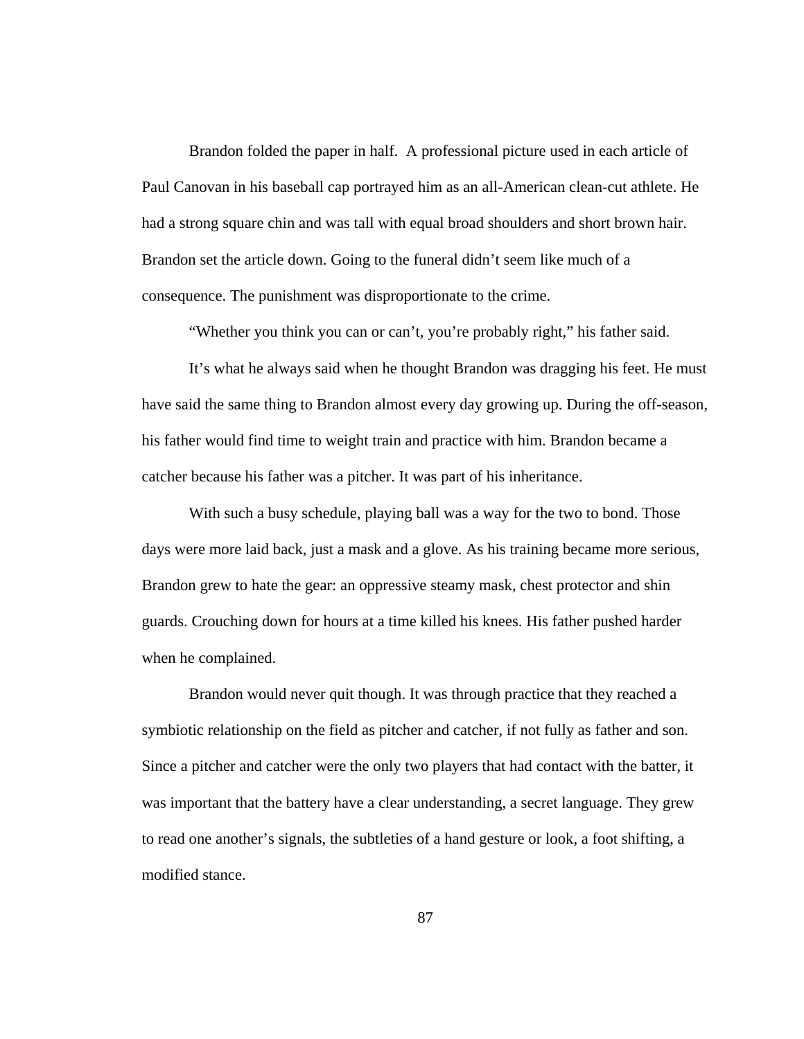Brandon folded the paper in half. A professional picture used in each article of Paul Canovan in his baseball cap portrayed him as an all-American clean-cut athlete. He had a strong square chin and was tall with equal broad shoulders and short brown hair. Brandon set the article down. Going to the funeral didn't seem like much of a consequence. The punishment was disproportionate to the crime.

"Whether you think you can or can't, you're probably right," his father said.

 It's what he always said when he thought Brandon was dragging his feet. He must have said the same thing to Brandon almost every day growing up. During the off-season, his father would find time to weight train and practice with him. Brandon became a catcher because his father was a pitcher. It was part of his inheritance.

 With such a busy schedule, playing ball was a way for the two to bond. Those days were more laid back, just a mask and a glove. As his training became more serious, Brandon grew to hate the gear: an oppressive steamy mask, chest protector and shin guards. Crouching down for hours at a time killed his knees. His father pushed harder when he complained.

 Brandon would never quit though. It was through practice that they reached a symbiotic relationship on the field as pitcher and catcher, if not fully as father and son. Since a pitcher and catcher were the only two players that had contact with the batter, it was important that the battery have a clear understanding, a secret language. They grew to read one another's signals, the subtleties of a hand gesture or look, a foot shifting, a modified stance.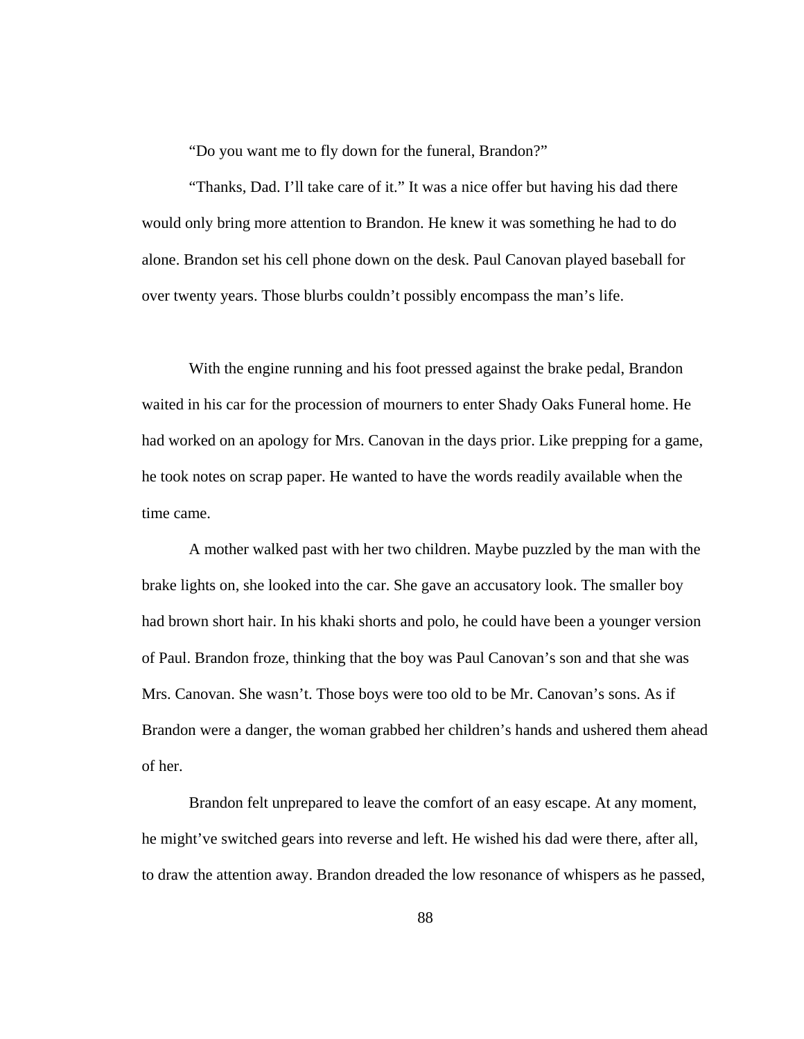"Do you want me to fly down for the funeral, Brandon?"

 "Thanks, Dad. I'll take care of it." It was a nice offer but having his dad there would only bring more attention to Brandon. He knew it was something he had to do alone. Brandon set his cell phone down on the desk. Paul Canovan played baseball for over twenty years. Those blurbs couldn't possibly encompass the man's life.

 With the engine running and his foot pressed against the brake pedal, Brandon waited in his car for the procession of mourners to enter Shady Oaks Funeral home. He had worked on an apology for Mrs. Canovan in the days prior. Like prepping for a game, he took notes on scrap paper. He wanted to have the words readily available when the time came.

 A mother walked past with her two children. Maybe puzzled by the man with the brake lights on, she looked into the car. She gave an accusatory look. The smaller boy had brown short hair. In his khaki shorts and polo, he could have been a younger version of Paul. Brandon froze, thinking that the boy was Paul Canovan's son and that she was Mrs. Canovan. She wasn't. Those boys were too old to be Mr. Canovan's sons. As if Brandon were a danger, the woman grabbed her children's hands and ushered them ahead of her.

 Brandon felt unprepared to leave the comfort of an easy escape. At any moment, he might've switched gears into reverse and left. He wished his dad were there, after all, to draw the attention away. Brandon dreaded the low resonance of whispers as he passed,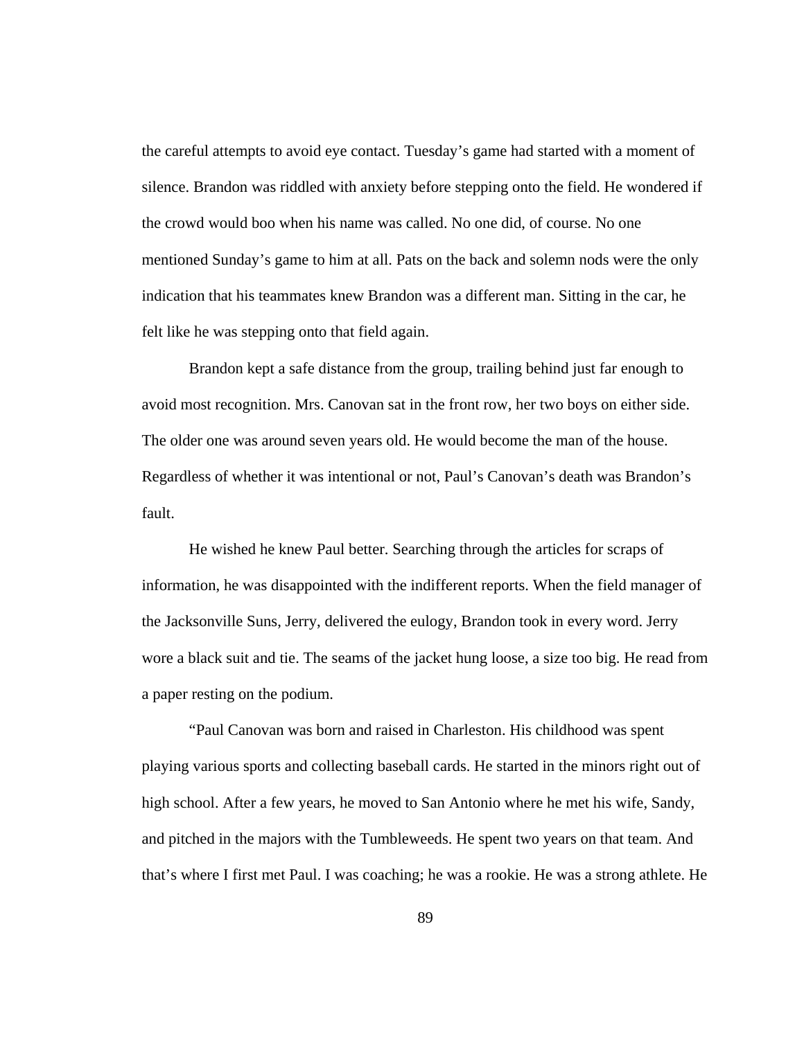the careful attempts to avoid eye contact. Tuesday's game had started with a moment of silence. Brandon was riddled with anxiety before stepping onto the field. He wondered if the crowd would boo when his name was called. No one did, of course. No one mentioned Sunday's game to him at all. Pats on the back and solemn nods were the only indication that his teammates knew Brandon was a different man. Sitting in the car, he felt like he was stepping onto that field again.

 Brandon kept a safe distance from the group, trailing behind just far enough to avoid most recognition. Mrs. Canovan sat in the front row, her two boys on either side. The older one was around seven years old. He would become the man of the house. Regardless of whether it was intentional or not, Paul's Canovan's death was Brandon's fault.

 He wished he knew Paul better. Searching through the articles for scraps of information, he was disappointed with the indifferent reports. When the field manager of the Jacksonville Suns, Jerry, delivered the eulogy, Brandon took in every word. Jerry wore a black suit and tie. The seams of the jacket hung loose, a size too big. He read from a paper resting on the podium.

 "Paul Canovan was born and raised in Charleston. His childhood was spent playing various sports and collecting baseball cards. He started in the minors right out of high school. After a few years, he moved to San Antonio where he met his wife, Sandy, and pitched in the majors with the Tumbleweeds. He spent two years on that team. And that's where I first met Paul. I was coaching; he was a rookie. He was a strong athlete. He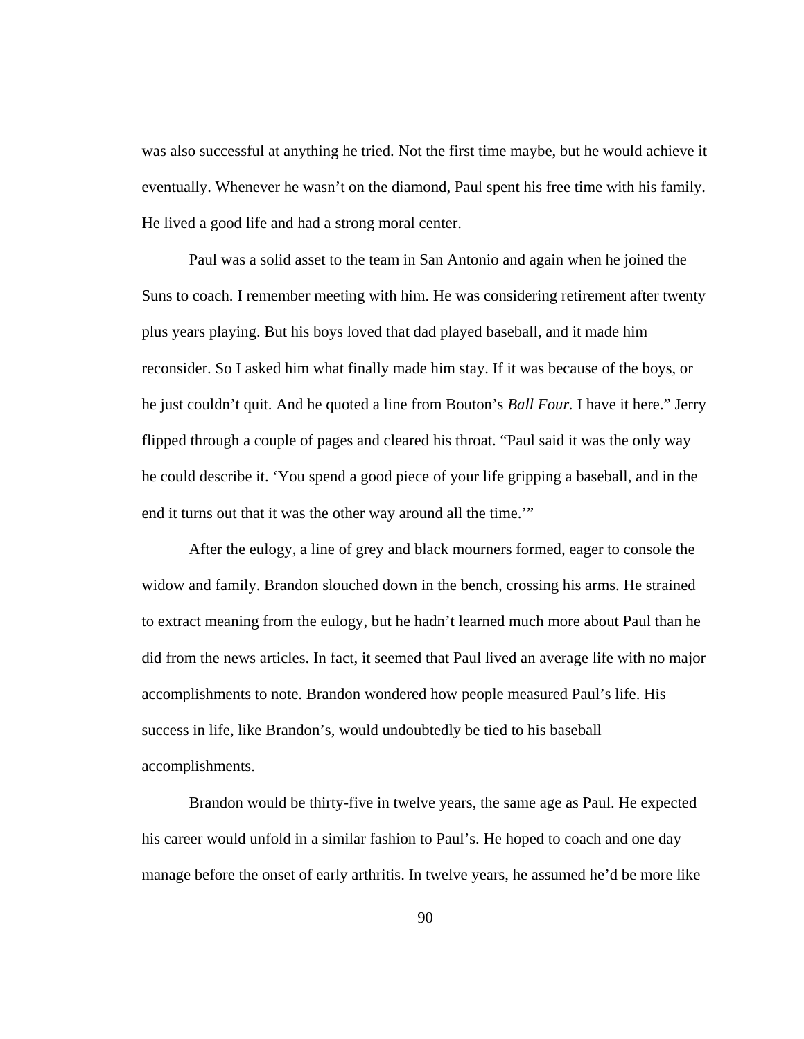was also successful at anything he tried. Not the first time maybe, but he would achieve it eventually. Whenever he wasn't on the diamond, Paul spent his free time with his family. He lived a good life and had a strong moral center.

 Paul was a solid asset to the team in San Antonio and again when he joined the Suns to coach. I remember meeting with him. He was considering retirement after twenty plus years playing. But his boys loved that dad played baseball, and it made him reconsider. So I asked him what finally made him stay. If it was because of the boys, or he just couldn't quit. And he quoted a line from Bouton's *Ball Four.* I have it here." Jerry flipped through a couple of pages and cleared his throat. "Paul said it was the only way he could describe it. 'You spend a good piece of your life gripping a baseball, and in the end it turns out that it was the other way around all the time.'"

 After the eulogy, a line of grey and black mourners formed, eager to console the widow and family. Brandon slouched down in the bench, crossing his arms. He strained to extract meaning from the eulogy, but he hadn't learned much more about Paul than he did from the news articles. In fact, it seemed that Paul lived an average life with no major accomplishments to note. Brandon wondered how people measured Paul's life. His success in life, like Brandon's, would undoubtedly be tied to his baseball accomplishments.

 Brandon would be thirty-five in twelve years, the same age as Paul. He expected his career would unfold in a similar fashion to Paul's. He hoped to coach and one day manage before the onset of early arthritis. In twelve years, he assumed he'd be more like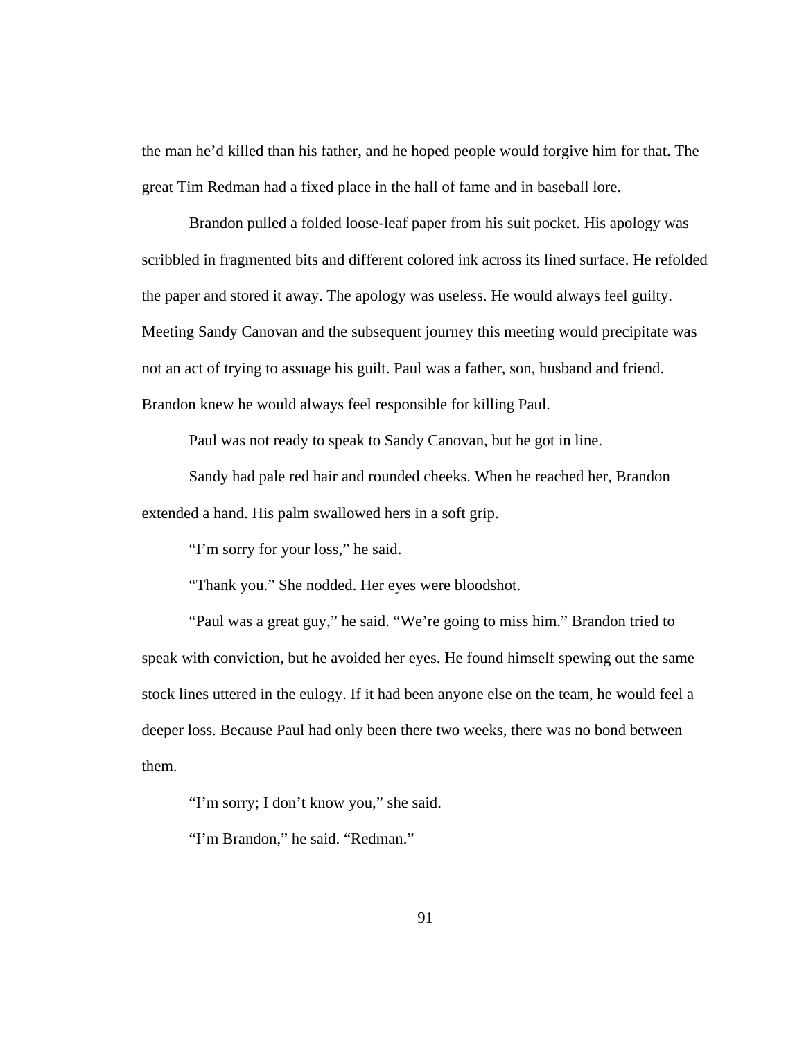the man he'd killed than his father, and he hoped people would forgive him for that. The great Tim Redman had a fixed place in the hall of fame and in baseball lore.

 Brandon pulled a folded loose-leaf paper from his suit pocket. His apology was scribbled in fragmented bits and different colored ink across its lined surface. He refolded the paper and stored it away. The apology was useless. He would always feel guilty. Meeting Sandy Canovan and the subsequent journey this meeting would precipitate was not an act of trying to assuage his guilt. Paul was a father, son, husband and friend. Brandon knew he would always feel responsible for killing Paul.

Paul was not ready to speak to Sandy Canovan, but he got in line.

 Sandy had pale red hair and rounded cheeks. When he reached her, Brandon extended a hand. His palm swallowed hers in a soft grip.

"I'm sorry for your loss," he said.

"Thank you." She nodded. Her eyes were bloodshot.

 "Paul was a great guy," he said. "We're going to miss him." Brandon tried to speak with conviction, but he avoided her eyes. He found himself spewing out the same stock lines uttered in the eulogy. If it had been anyone else on the team, he would feel a deeper loss. Because Paul had only been there two weeks, there was no bond between them.

"I'm sorry; I don't know you," she said.

"I'm Brandon," he said. "Redman."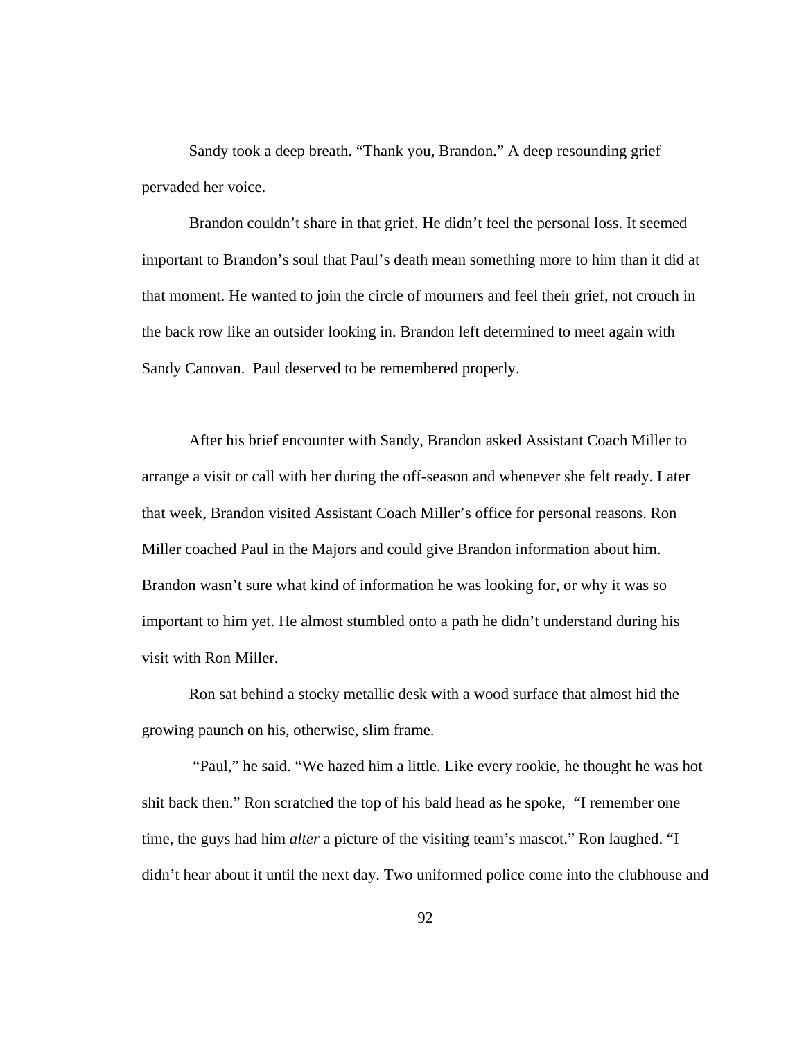Sandy took a deep breath. "Thank you, Brandon." A deep resounding grief pervaded her voice.

 Brandon couldn't share in that grief. He didn't feel the personal loss. It seemed important to Brandon's soul that Paul's death mean something more to him than it did at that moment. He wanted to join the circle of mourners and feel their grief, not crouch in the back row like an outsider looking in. Brandon left determined to meet again with Sandy Canovan. Paul deserved to be remembered properly.

 After his brief encounter with Sandy, Brandon asked Assistant Coach Miller to arrange a visit or call with her during the off-season and whenever she felt ready. Later that week, Brandon visited Assistant Coach Miller's office for personal reasons. Ron Miller coached Paul in the Majors and could give Brandon information about him. Brandon wasn't sure what kind of information he was looking for, or why it was so important to him yet. He almost stumbled onto a path he didn't understand during his visit with Ron Miller.

 Ron sat behind a stocky metallic desk with a wood surface that almost hid the growing paunch on his, otherwise, slim frame.

 "Paul," he said. "We hazed him a little. Like every rookie, he thought he was hot shit back then." Ron scratched the top of his bald head as he spoke, "I remember one time, the guys had him *alter* a picture of the visiting team's mascot." Ron laughed. "I didn't hear about it until the next day. Two uniformed police come into the clubhouse and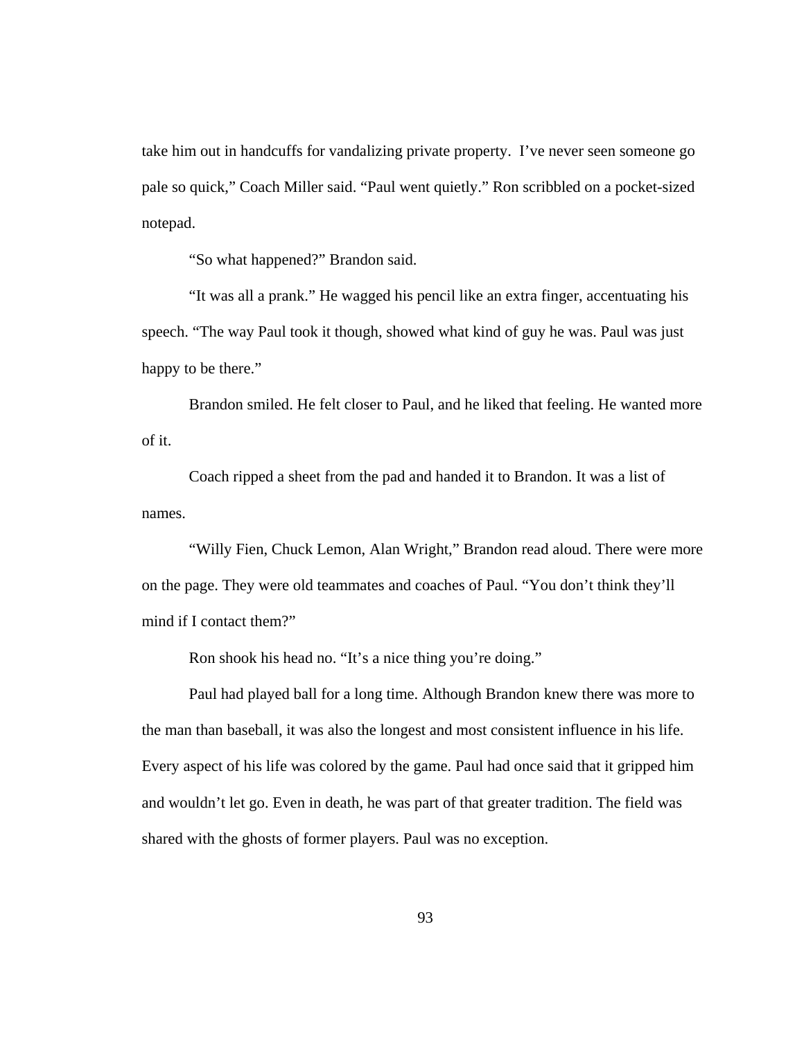take him out in handcuffs for vandalizing private property. I've never seen someone go pale so quick," Coach Miller said. "Paul went quietly." Ron scribbled on a pocket-sized notepad.

"So what happened?" Brandon said.

 "It was all a prank." He wagged his pencil like an extra finger, accentuating his speech. "The way Paul took it though, showed what kind of guy he was. Paul was just happy to be there."

 Brandon smiled. He felt closer to Paul, and he liked that feeling. He wanted more of it.

 Coach ripped a sheet from the pad and handed it to Brandon. It was a list of names.

 "Willy Fien, Chuck Lemon, Alan Wright," Brandon read aloud. There were more on the page. They were old teammates and coaches of Paul. "You don't think they'll mind if I contact them?"

Ron shook his head no. "It's a nice thing you're doing."

 Paul had played ball for a long time. Although Brandon knew there was more to the man than baseball, it was also the longest and most consistent influence in his life. Every aspect of his life was colored by the game. Paul had once said that it gripped him and wouldn't let go. Even in death, he was part of that greater tradition. The field was shared with the ghosts of former players. Paul was no exception.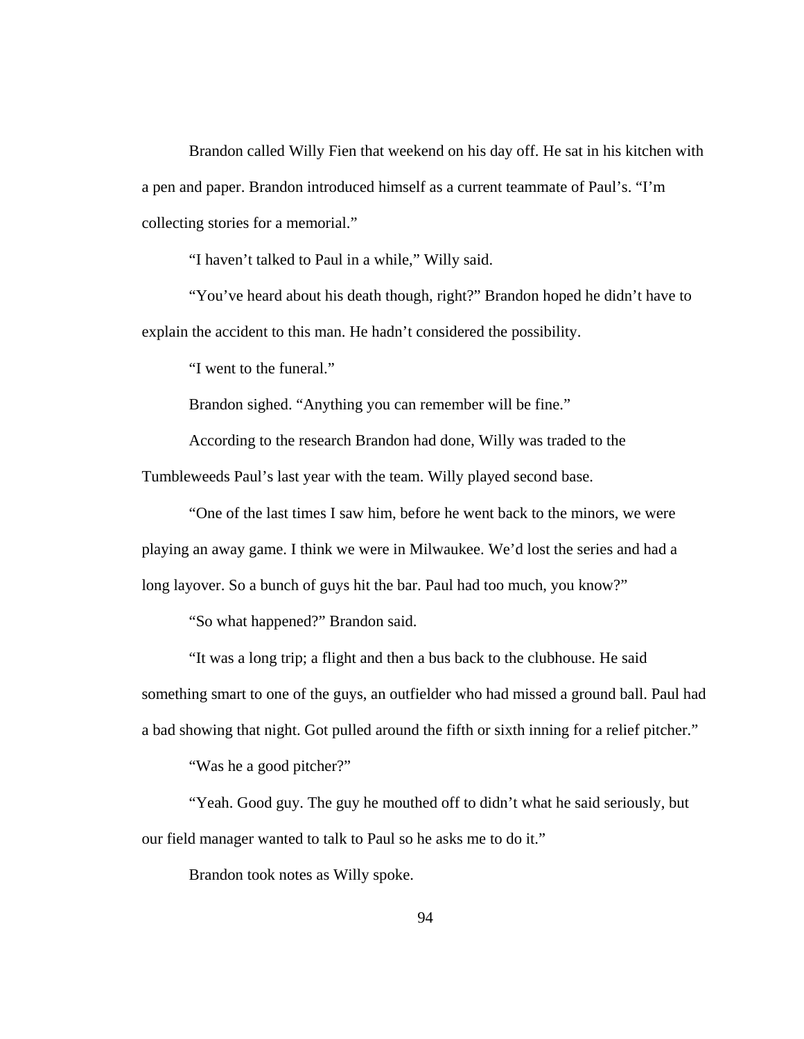Brandon called Willy Fien that weekend on his day off. He sat in his kitchen with a pen and paper. Brandon introduced himself as a current teammate of Paul's. "I'm collecting stories for a memorial."

"I haven't talked to Paul in a while," Willy said.

 "You've heard about his death though, right?" Brandon hoped he didn't have to explain the accident to this man. He hadn't considered the possibility.

"I went to the funeral."

Brandon sighed. "Anything you can remember will be fine."

 According to the research Brandon had done, Willy was traded to the Tumbleweeds Paul's last year with the team. Willy played second base.

 "One of the last times I saw him, before he went back to the minors, we were playing an away game. I think we were in Milwaukee. We'd lost the series and had a long layover. So a bunch of guys hit the bar. Paul had too much, you know?"

"So what happened?" Brandon said.

 "It was a long trip; a flight and then a bus back to the clubhouse. He said something smart to one of the guys, an outfielder who had missed a ground ball. Paul had a bad showing that night. Got pulled around the fifth or sixth inning for a relief pitcher."

"Was he a good pitcher?"

 "Yeah. Good guy. The guy he mouthed off to didn't what he said seriously, but our field manager wanted to talk to Paul so he asks me to do it."

Brandon took notes as Willy spoke.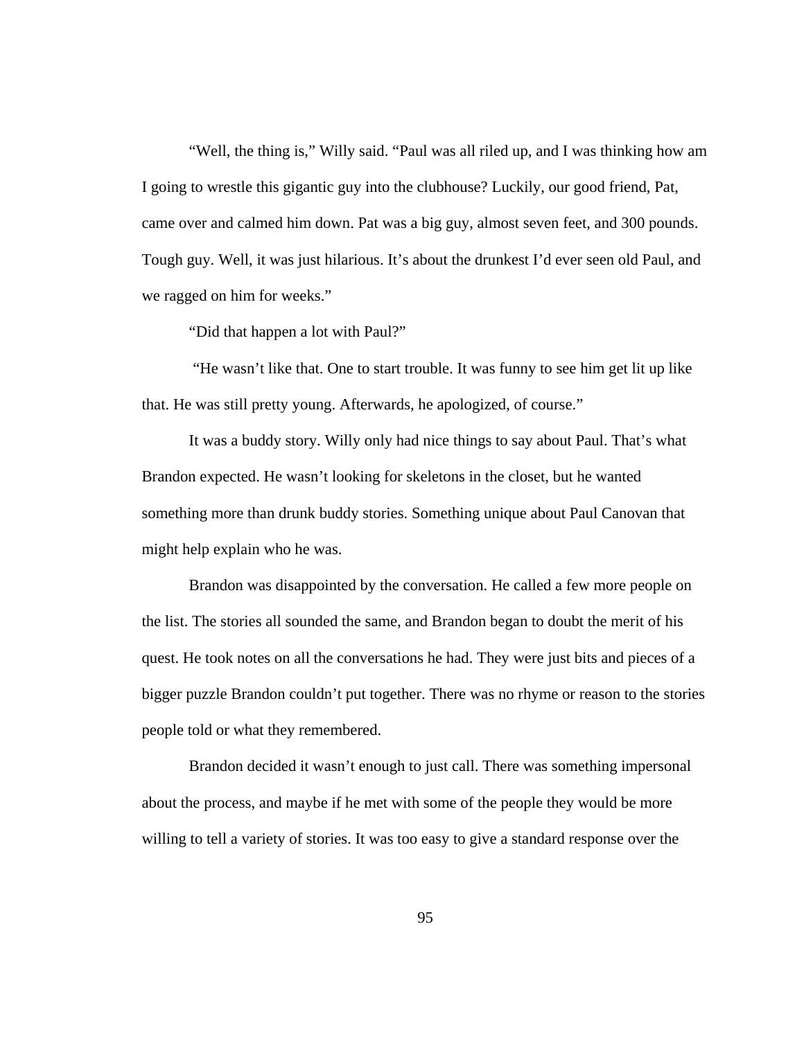"Well, the thing is," Willy said. "Paul was all riled up, and I was thinking how am I going to wrestle this gigantic guy into the clubhouse? Luckily, our good friend, Pat, came over and calmed him down. Pat was a big guy, almost seven feet, and 300 pounds. Tough guy. Well, it was just hilarious. It's about the drunkest I'd ever seen old Paul, and we ragged on him for weeks."

"Did that happen a lot with Paul?"

 "He wasn't like that. One to start trouble. It was funny to see him get lit up like that. He was still pretty young. Afterwards, he apologized, of course."

 It was a buddy story. Willy only had nice things to say about Paul. That's what Brandon expected. He wasn't looking for skeletons in the closet, but he wanted something more than drunk buddy stories. Something unique about Paul Canovan that might help explain who he was.

 Brandon was disappointed by the conversation. He called a few more people on the list. The stories all sounded the same, and Brandon began to doubt the merit of his quest. He took notes on all the conversations he had. They were just bits and pieces of a bigger puzzle Brandon couldn't put together. There was no rhyme or reason to the stories people told or what they remembered.

 Brandon decided it wasn't enough to just call. There was something impersonal about the process, and maybe if he met with some of the people they would be more willing to tell a variety of stories. It was too easy to give a standard response over the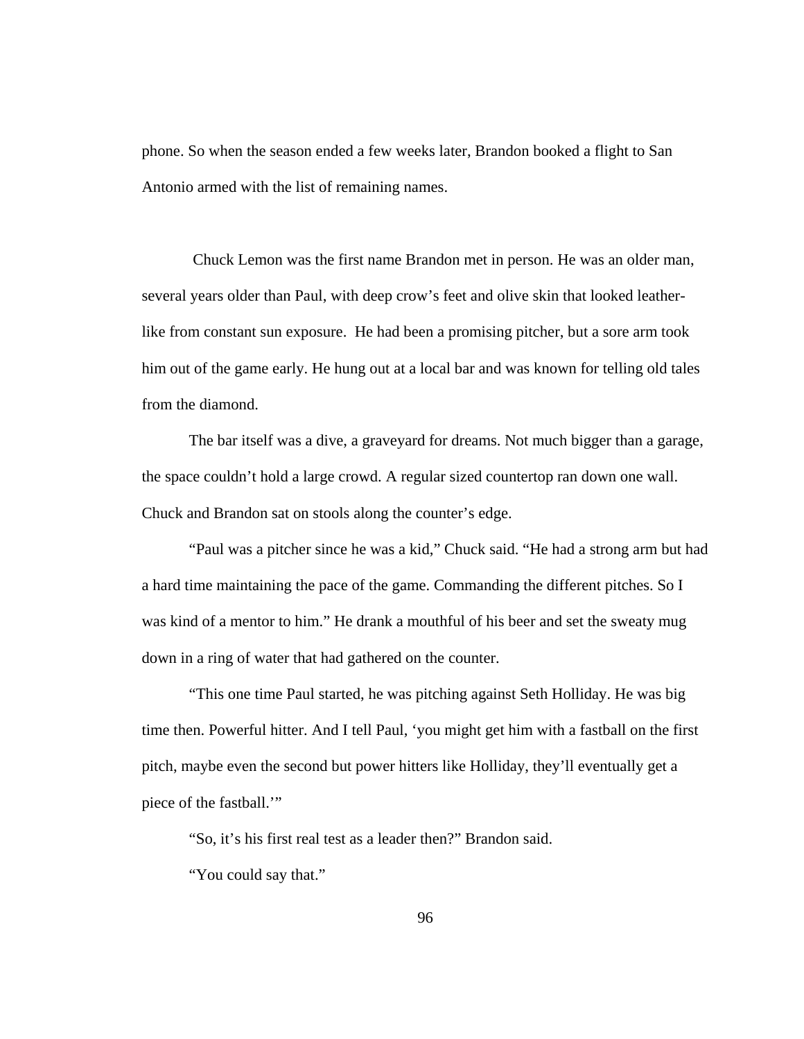phone. So when the season ended a few weeks later, Brandon booked a flight to San Antonio armed with the list of remaining names.

 Chuck Lemon was the first name Brandon met in person. He was an older man, several years older than Paul, with deep crow's feet and olive skin that looked leatherlike from constant sun exposure. He had been a promising pitcher, but a sore arm took him out of the game early. He hung out at a local bar and was known for telling old tales from the diamond.

 The bar itself was a dive, a graveyard for dreams. Not much bigger than a garage, the space couldn't hold a large crowd. A regular sized countertop ran down one wall. Chuck and Brandon sat on stools along the counter's edge.

 "Paul was a pitcher since he was a kid," Chuck said. "He had a strong arm but had a hard time maintaining the pace of the game. Commanding the different pitches. So I was kind of a mentor to him." He drank a mouthful of his beer and set the sweaty mug down in a ring of water that had gathered on the counter.

 "This one time Paul started, he was pitching against Seth Holliday. He was big time then. Powerful hitter. And I tell Paul, 'you might get him with a fastball on the first pitch, maybe even the second but power hitters like Holliday, they'll eventually get a piece of the fastball.'"

"So, it's his first real test as a leader then?" Brandon said.

"You could say that."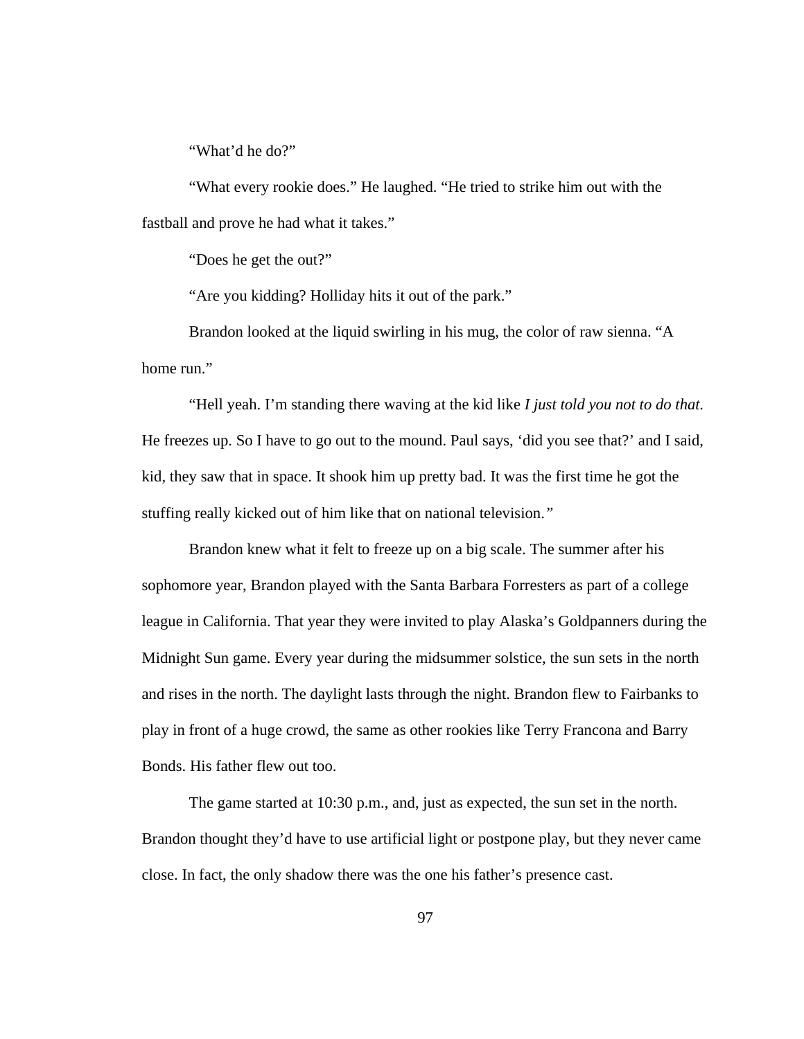"What'd he do?"

 "What every rookie does." He laughed. "He tried to strike him out with the fastball and prove he had what it takes."

"Does he get the out?"

"Are you kidding? Holliday hits it out of the park."

 Brandon looked at the liquid swirling in his mug, the color of raw sienna. "A home run."

 "Hell yeah. I'm standing there waving at the kid like *I just told you not to do that.* He freezes up. So I have to go out to the mound. Paul says, 'did you see that?' and I said, kid, they saw that in space. It shook him up pretty bad. It was the first time he got the stuffing really kicked out of him like that on national television.*"* 

 Brandon knew what it felt to freeze up on a big scale. The summer after his sophomore year, Brandon played with the Santa Barbara Forresters as part of a college league in California. That year they were invited to play Alaska's Goldpanners during the Midnight Sun game. Every year during the midsummer solstice, the sun sets in the north and rises in the north. The daylight lasts through the night. Brandon flew to Fairbanks to play in front of a huge crowd, the same as other rookies like Terry Francona and Barry Bonds. His father flew out too.

 The game started at 10:30 p.m., and, just as expected, the sun set in the north. Brandon thought they'd have to use artificial light or postpone play, but they never came close. In fact, the only shadow there was the one his father's presence cast.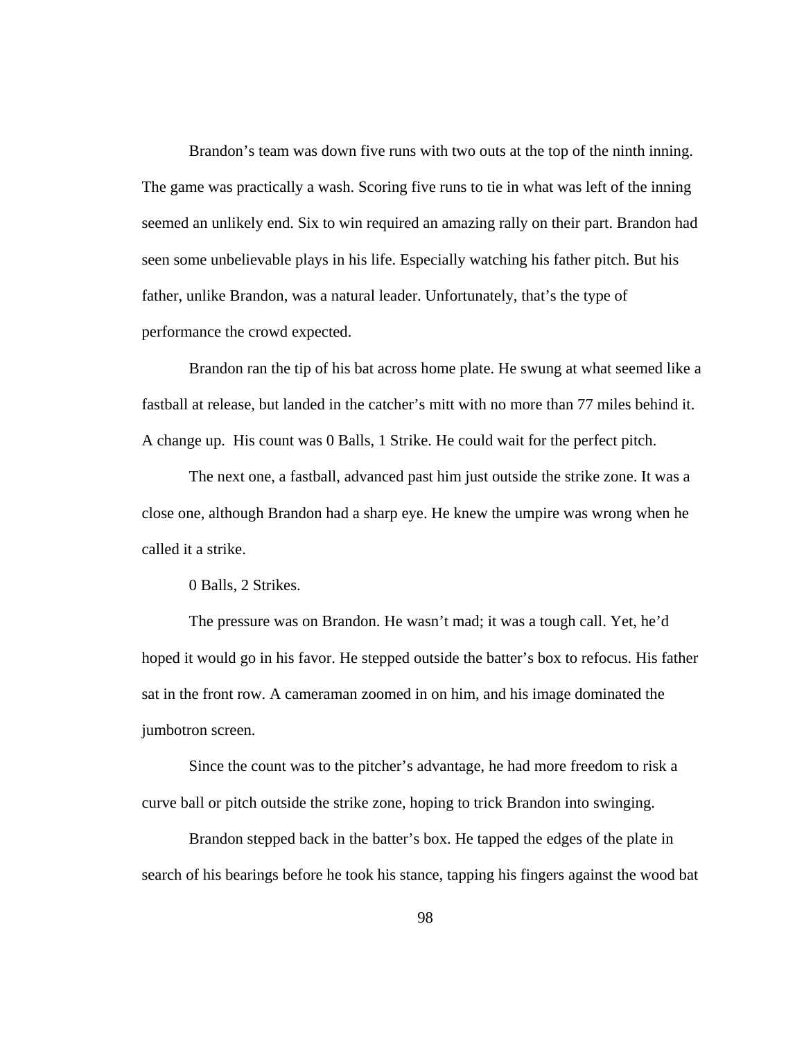Brandon's team was down five runs with two outs at the top of the ninth inning. The game was practically a wash. Scoring five runs to tie in what was left of the inning seemed an unlikely end. Six to win required an amazing rally on their part. Brandon had seen some unbelievable plays in his life. Especially watching his father pitch. But his father, unlike Brandon, was a natural leader. Unfortunately, that's the type of performance the crowd expected.

 Brandon ran the tip of his bat across home plate. He swung at what seemed like a fastball at release, but landed in the catcher's mitt with no more than 77 miles behind it. A change up. His count was 0 Balls, 1 Strike. He could wait for the perfect pitch.

 The next one, a fastball, advanced past him just outside the strike zone. It was a close one, although Brandon had a sharp eye. He knew the umpire was wrong when he called it a strike.

0 Balls, 2 Strikes.

 The pressure was on Brandon. He wasn't mad; it was a tough call. Yet, he'd hoped it would go in his favor. He stepped outside the batter's box to refocus. His father sat in the front row. A cameraman zoomed in on him, and his image dominated the jumbotron screen.

 Since the count was to the pitcher's advantage, he had more freedom to risk a curve ball or pitch outside the strike zone, hoping to trick Brandon into swinging.

 Brandon stepped back in the batter's box. He tapped the edges of the plate in search of his bearings before he took his stance, tapping his fingers against the wood bat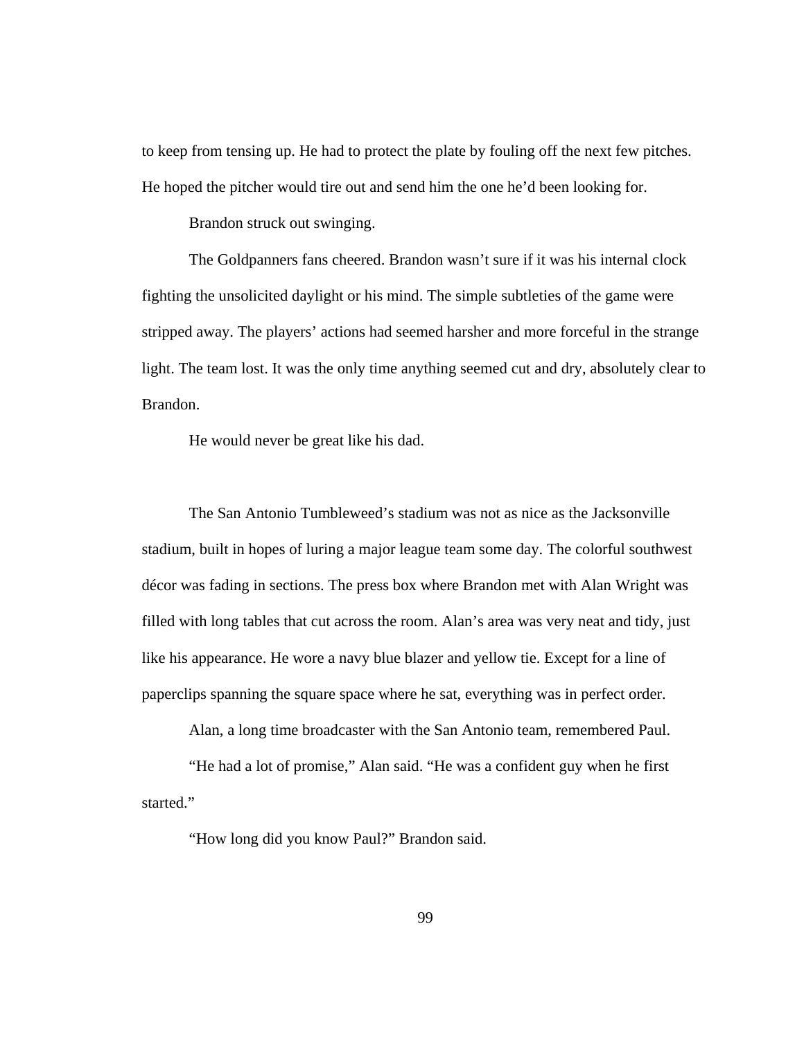to keep from tensing up. He had to protect the plate by fouling off the next few pitches. He hoped the pitcher would tire out and send him the one he'd been looking for.

Brandon struck out swinging.

 The Goldpanners fans cheered. Brandon wasn't sure if it was his internal clock fighting the unsolicited daylight or his mind. The simple subtleties of the game were stripped away. The players' actions had seemed harsher and more forceful in the strange light. The team lost. It was the only time anything seemed cut and dry, absolutely clear to Brandon.

He would never be great like his dad.

 The San Antonio Tumbleweed's stadium was not as nice as the Jacksonville stadium, built in hopes of luring a major league team some day. The colorful southwest décor was fading in sections. The press box where Brandon met with Alan Wright was filled with long tables that cut across the room. Alan's area was very neat and tidy, just like his appearance. He wore a navy blue blazer and yellow tie. Except for a line of paperclips spanning the square space where he sat, everything was in perfect order.

Alan, a long time broadcaster with the San Antonio team, remembered Paul.

 "He had a lot of promise," Alan said. "He was a confident guy when he first started."

"How long did you know Paul?" Brandon said.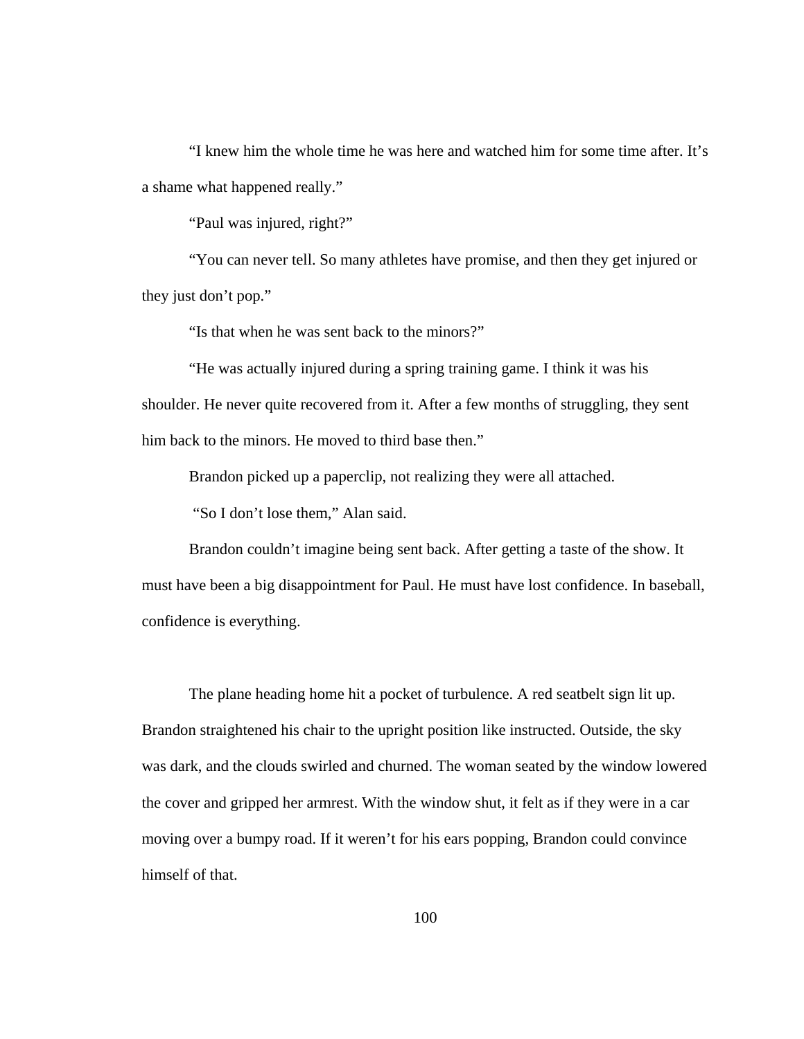"I knew him the whole time he was here and watched him for some time after. It's a shame what happened really."

"Paul was injured, right?"

 "You can never tell. So many athletes have promise, and then they get injured or they just don't pop."

"Is that when he was sent back to the minors?"

 "He was actually injured during a spring training game. I think it was his shoulder. He never quite recovered from it. After a few months of struggling, they sent him back to the minors. He moved to third base then."

Brandon picked up a paperclip, not realizing they were all attached.

"So I don't lose them," Alan said.

 Brandon couldn't imagine being sent back. After getting a taste of the show. It must have been a big disappointment for Paul. He must have lost confidence. In baseball, confidence is everything.

 The plane heading home hit a pocket of turbulence. A red seatbelt sign lit up. Brandon straightened his chair to the upright position like instructed. Outside, the sky was dark, and the clouds swirled and churned. The woman seated by the window lowered the cover and gripped her armrest. With the window shut, it felt as if they were in a car moving over a bumpy road. If it weren't for his ears popping, Brandon could convince himself of that.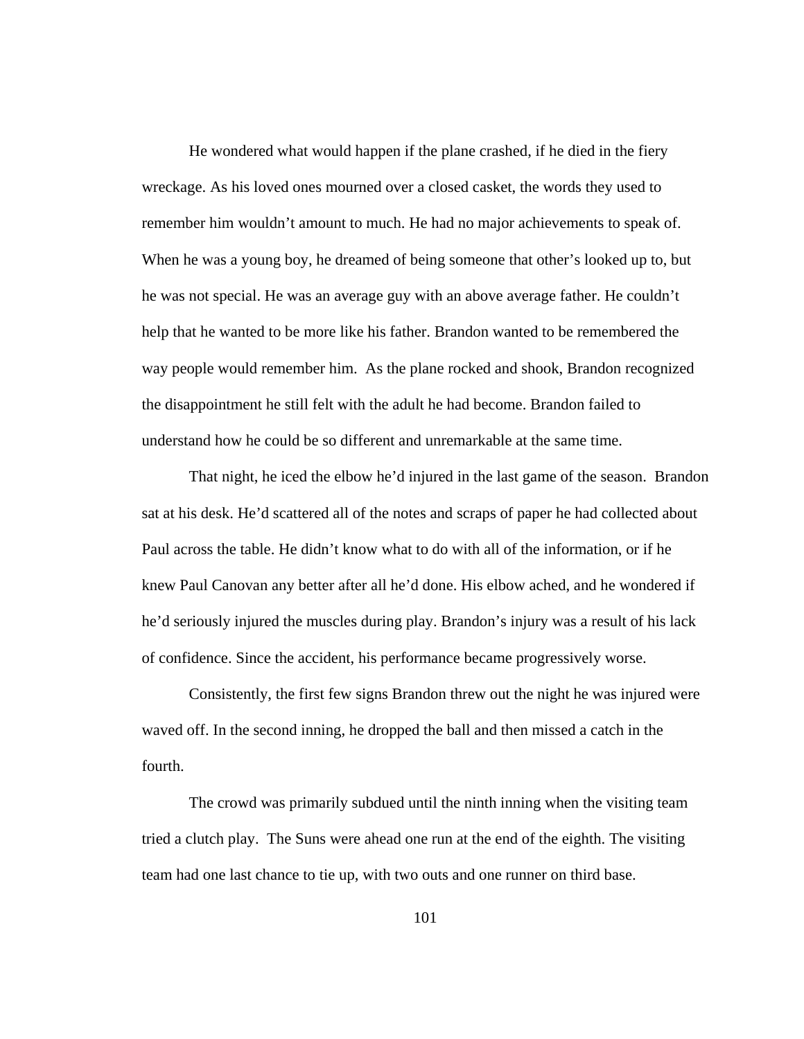He wondered what would happen if the plane crashed, if he died in the fiery wreckage. As his loved ones mourned over a closed casket, the words they used to remember him wouldn't amount to much. He had no major achievements to speak of. When he was a young boy, he dreamed of being someone that other's looked up to, but he was not special. He was an average guy with an above average father. He couldn't help that he wanted to be more like his father. Brandon wanted to be remembered the way people would remember him. As the plane rocked and shook, Brandon recognized the disappointment he still felt with the adult he had become. Brandon failed to understand how he could be so different and unremarkable at the same time.

 That night, he iced the elbow he'd injured in the last game of the season. Brandon sat at his desk. He'd scattered all of the notes and scraps of paper he had collected about Paul across the table. He didn't know what to do with all of the information, or if he knew Paul Canovan any better after all he'd done. His elbow ached, and he wondered if he'd seriously injured the muscles during play. Brandon's injury was a result of his lack of confidence. Since the accident, his performance became progressively worse.

 Consistently, the first few signs Brandon threw out the night he was injured were waved off. In the second inning, he dropped the ball and then missed a catch in the fourth.

 The crowd was primarily subdued until the ninth inning when the visiting team tried a clutch play. The Suns were ahead one run at the end of the eighth. The visiting team had one last chance to tie up, with two outs and one runner on third base.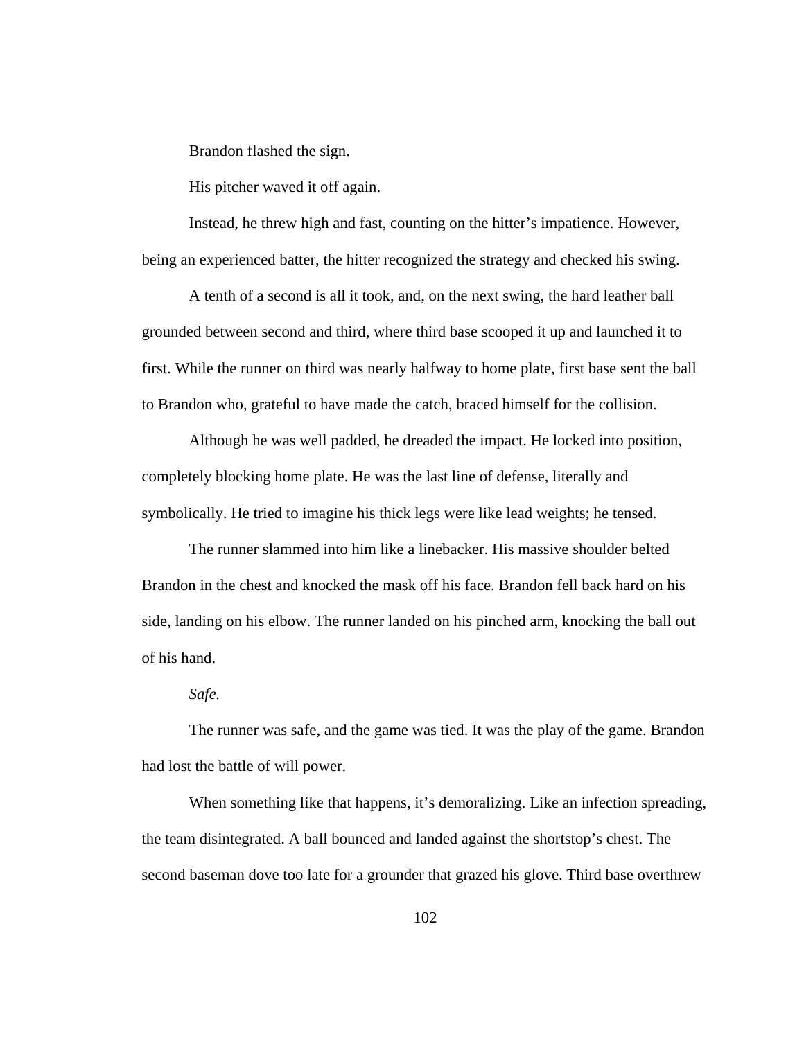Brandon flashed the sign.

His pitcher waved it off again.

 Instead, he threw high and fast, counting on the hitter's impatience. However, being an experienced batter, the hitter recognized the strategy and checked his swing.

 A tenth of a second is all it took, and, on the next swing, the hard leather ball grounded between second and third, where third base scooped it up and launched it to first. While the runner on third was nearly halfway to home plate, first base sent the ball to Brandon who, grateful to have made the catch, braced himself for the collision.

 Although he was well padded, he dreaded the impact. He locked into position, completely blocking home plate. He was the last line of defense, literally and symbolically. He tried to imagine his thick legs were like lead weights; he tensed.

 The runner slammed into him like a linebacker. His massive shoulder belted Brandon in the chest and knocked the mask off his face. Brandon fell back hard on his side, landing on his elbow. The runner landed on his pinched arm, knocking the ball out of his hand.

## *Safe.*

 The runner was safe, and the game was tied. It was the play of the game. Brandon had lost the battle of will power.

When something like that happens, it's demoralizing. Like an infection spreading, the team disintegrated. A ball bounced and landed against the shortstop's chest. The second baseman dove too late for a grounder that grazed his glove. Third base overthrew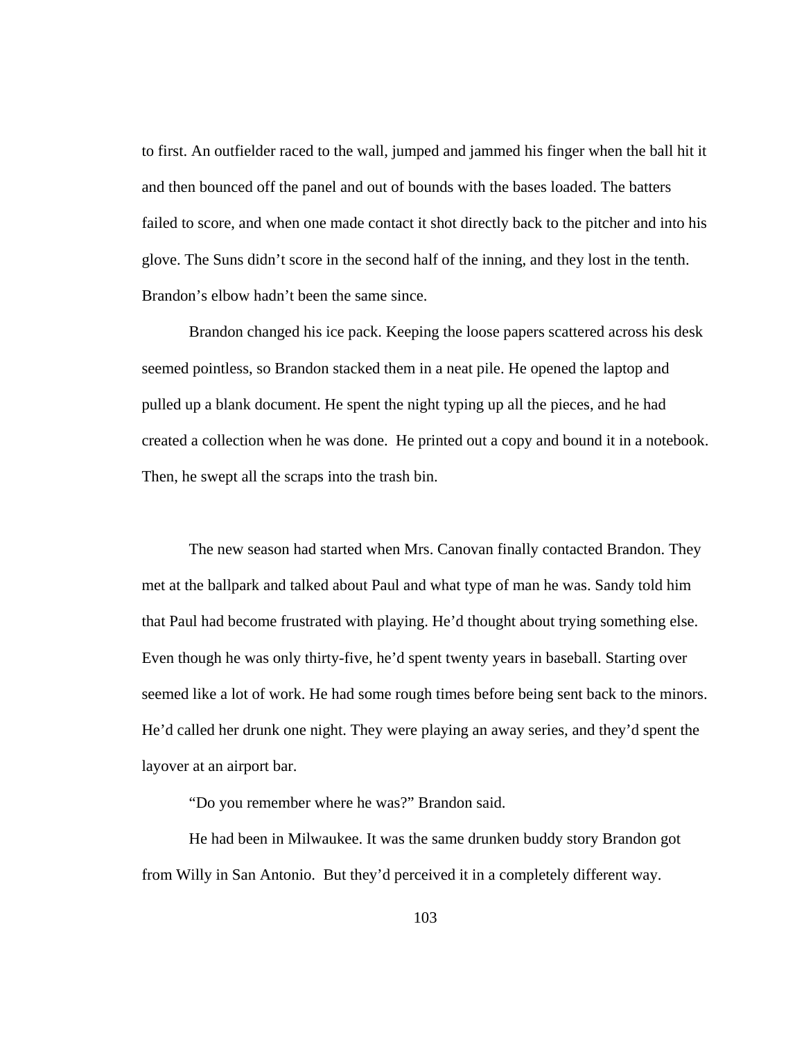to first. An outfielder raced to the wall, jumped and jammed his finger when the ball hit it and then bounced off the panel and out of bounds with the bases loaded. The batters failed to score, and when one made contact it shot directly back to the pitcher and into his glove. The Suns didn't score in the second half of the inning, and they lost in the tenth. Brandon's elbow hadn't been the same since.

 Brandon changed his ice pack. Keeping the loose papers scattered across his desk seemed pointless, so Brandon stacked them in a neat pile. He opened the laptop and pulled up a blank document. He spent the night typing up all the pieces, and he had created a collection when he was done. He printed out a copy and bound it in a notebook. Then, he swept all the scraps into the trash bin.

 The new season had started when Mrs. Canovan finally contacted Brandon. They met at the ballpark and talked about Paul and what type of man he was. Sandy told him that Paul had become frustrated with playing. He'd thought about trying something else. Even though he was only thirty-five, he'd spent twenty years in baseball. Starting over seemed like a lot of work. He had some rough times before being sent back to the minors. He'd called her drunk one night. They were playing an away series, and they'd spent the layover at an airport bar.

"Do you remember where he was?" Brandon said.

 He had been in Milwaukee. It was the same drunken buddy story Brandon got from Willy in San Antonio. But they'd perceived it in a completely different way.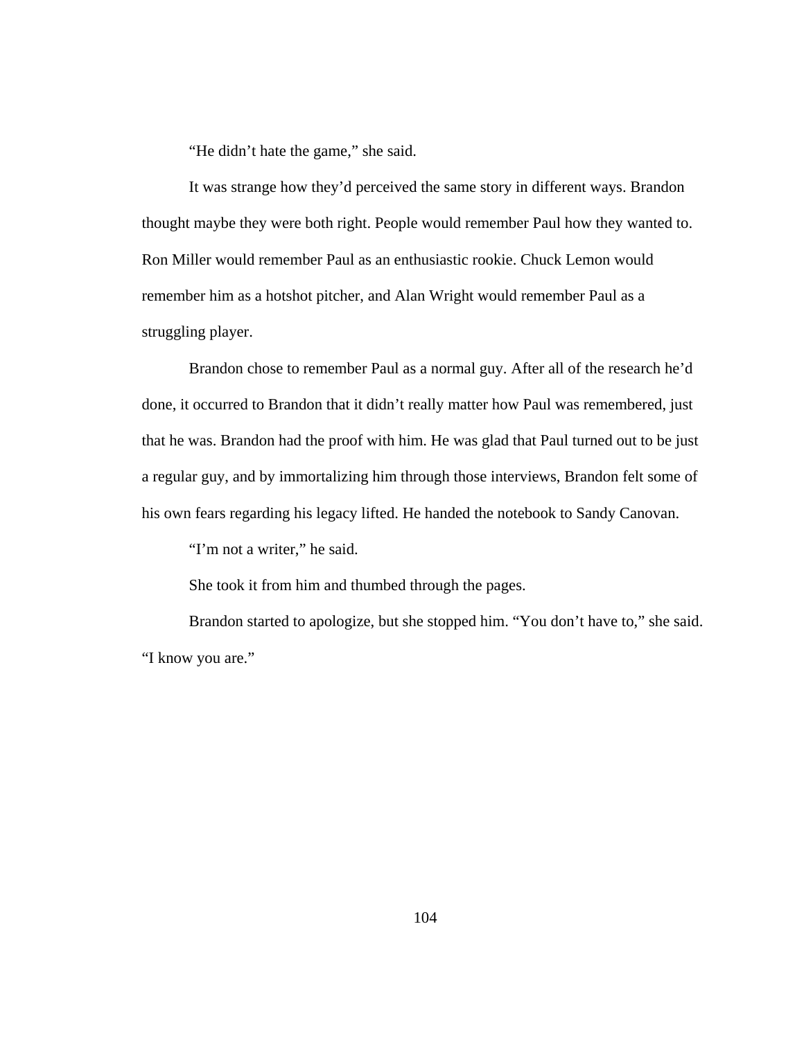"He didn't hate the game," she said.

 It was strange how they'd perceived the same story in different ways. Brandon thought maybe they were both right. People would remember Paul how they wanted to. Ron Miller would remember Paul as an enthusiastic rookie. Chuck Lemon would remember him as a hotshot pitcher, and Alan Wright would remember Paul as a struggling player.

 Brandon chose to remember Paul as a normal guy. After all of the research he'd done, it occurred to Brandon that it didn't really matter how Paul was remembered, just that he was. Brandon had the proof with him. He was glad that Paul turned out to be just a regular guy, and by immortalizing him through those interviews, Brandon felt some of his own fears regarding his legacy lifted. He handed the notebook to Sandy Canovan.

"I'm not a writer," he said.

She took it from him and thumbed through the pages.

 Brandon started to apologize, but she stopped him. "You don't have to," she said. "I know you are."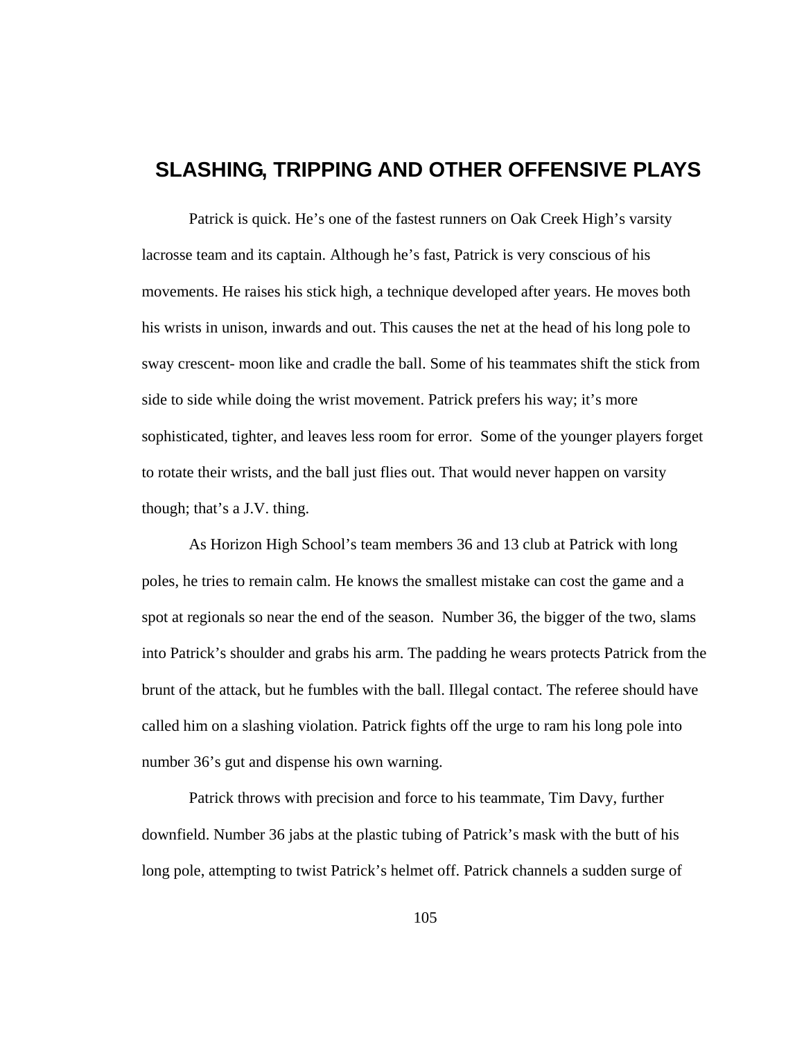## **SLASHING, TRIPPING AND OTHER OFFENSIVE PLAYS**

Patrick is quick. He's one of the fastest runners on Oak Creek High's varsity lacrosse team and its captain. Although he's fast, Patrick is very conscious of his movements. He raises his stick high, a technique developed after years. He moves both his wrists in unison, inwards and out. This causes the net at the head of his long pole to sway crescent- moon like and cradle the ball. Some of his teammates shift the stick from side to side while doing the wrist movement. Patrick prefers his way; it's more sophisticated, tighter, and leaves less room for error. Some of the younger players forget to rotate their wrists, and the ball just flies out. That would never happen on varsity though; that's a J.V. thing.

As Horizon High School's team members 36 and 13 club at Patrick with long poles, he tries to remain calm. He knows the smallest mistake can cost the game and a spot at regionals so near the end of the season. Number 36, the bigger of the two, slams into Patrick's shoulder and grabs his arm. The padding he wears protects Patrick from the brunt of the attack, but he fumbles with the ball. Illegal contact. The referee should have called him on a slashing violation. Patrick fights off the urge to ram his long pole into number 36's gut and dispense his own warning.

Patrick throws with precision and force to his teammate, Tim Davy, further downfield. Number 36 jabs at the plastic tubing of Patrick's mask with the butt of his long pole, attempting to twist Patrick's helmet off. Patrick channels a sudden surge of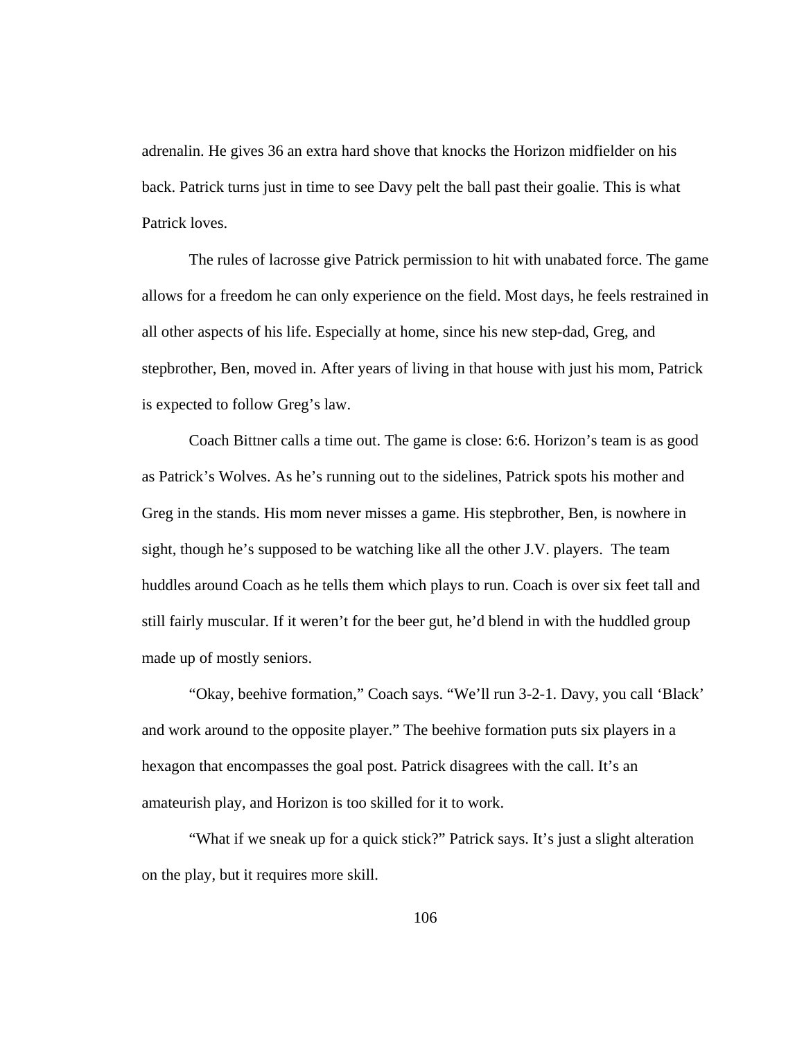adrenalin. He gives 36 an extra hard shove that knocks the Horizon midfielder on his back. Patrick turns just in time to see Davy pelt the ball past their goalie. This is what Patrick loves.

The rules of lacrosse give Patrick permission to hit with unabated force. The game allows for a freedom he can only experience on the field. Most days, he feels restrained in all other aspects of his life. Especially at home, since his new step-dad, Greg, and stepbrother, Ben, moved in. After years of living in that house with just his mom, Patrick is expected to follow Greg's law.

Coach Bittner calls a time out. The game is close: 6:6. Horizon's team is as good as Patrick's Wolves. As he's running out to the sidelines, Patrick spots his mother and Greg in the stands. His mom never misses a game. His stepbrother, Ben, is nowhere in sight, though he's supposed to be watching like all the other J.V. players. The team huddles around Coach as he tells them which plays to run. Coach is over six feet tall and still fairly muscular. If it weren't for the beer gut, he'd blend in with the huddled group made up of mostly seniors.

"Okay, beehive formation," Coach says. "We'll run 3-2-1. Davy, you call 'Black' and work around to the opposite player." The beehive formation puts six players in a hexagon that encompasses the goal post. Patrick disagrees with the call. It's an amateurish play, and Horizon is too skilled for it to work.

"What if we sneak up for a quick stick?" Patrick says. It's just a slight alteration on the play, but it requires more skill.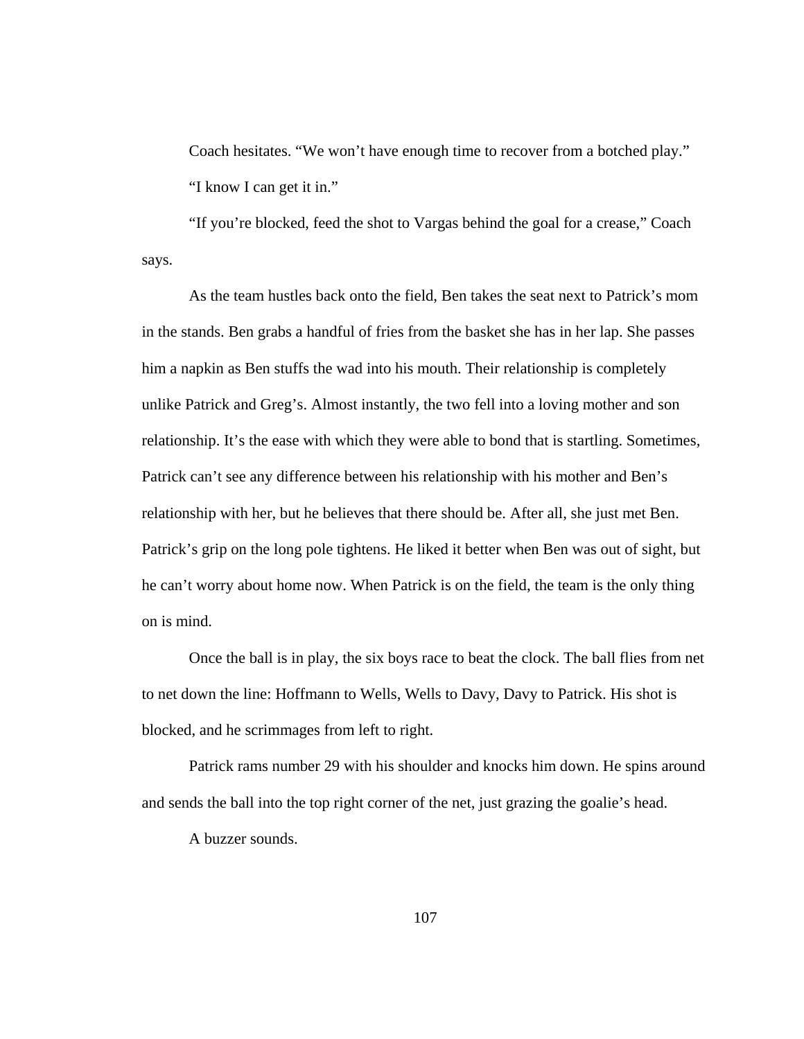Coach hesitates. "We won't have enough time to recover from a botched play." "I know I can get it in."

"If you're blocked, feed the shot to Vargas behind the goal for a crease," Coach says.

As the team hustles back onto the field, Ben takes the seat next to Patrick's mom in the stands. Ben grabs a handful of fries from the basket she has in her lap. She passes him a napkin as Ben stuffs the wad into his mouth. Their relationship is completely unlike Patrick and Greg's. Almost instantly, the two fell into a loving mother and son relationship. It's the ease with which they were able to bond that is startling. Sometimes, Patrick can't see any difference between his relationship with his mother and Ben's relationship with her, but he believes that there should be. After all, she just met Ben. Patrick's grip on the long pole tightens. He liked it better when Ben was out of sight, but he can't worry about home now. When Patrick is on the field, the team is the only thing on is mind.

Once the ball is in play, the six boys race to beat the clock. The ball flies from net to net down the line: Hoffmann to Wells, Wells to Davy, Davy to Patrick. His shot is blocked, and he scrimmages from left to right.

Patrick rams number 29 with his shoulder and knocks him down. He spins around and sends the ball into the top right corner of the net, just grazing the goalie's head.

A buzzer sounds.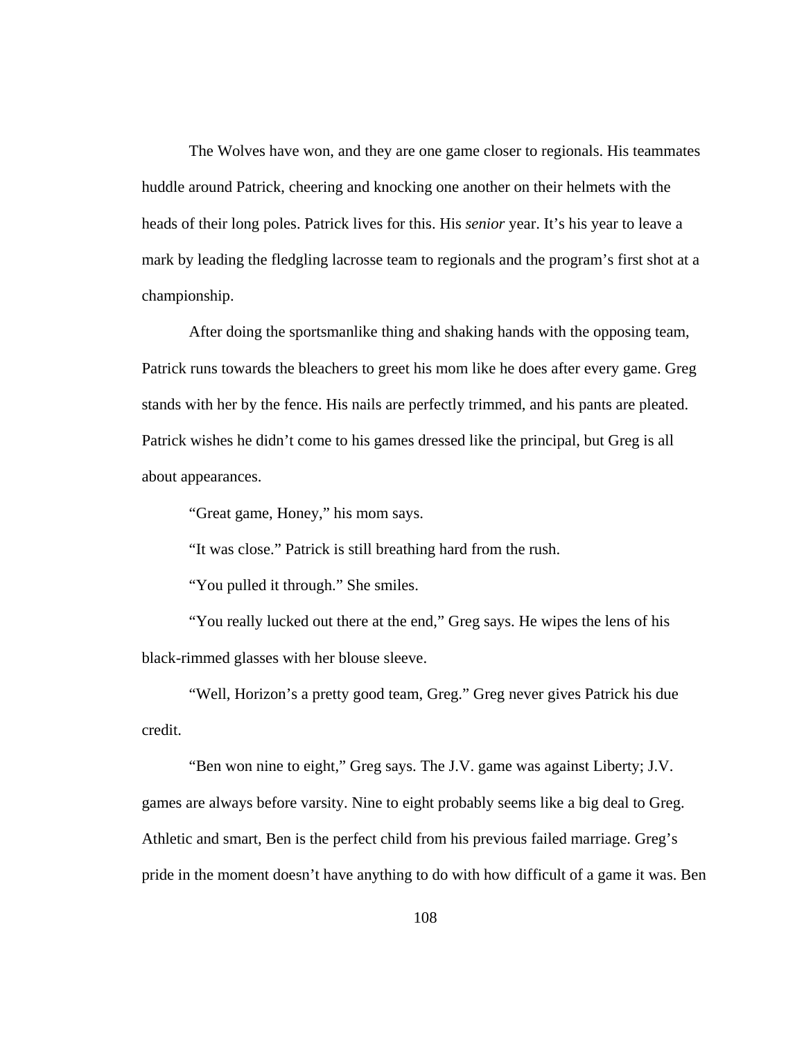The Wolves have won, and they are one game closer to regionals. His teammates huddle around Patrick, cheering and knocking one another on their helmets with the heads of their long poles. Patrick lives for this. His *senior* year. It's his year to leave a mark by leading the fledgling lacrosse team to regionals and the program's first shot at a championship.

After doing the sportsmanlike thing and shaking hands with the opposing team, Patrick runs towards the bleachers to greet his mom like he does after every game. Greg stands with her by the fence. His nails are perfectly trimmed, and his pants are pleated. Patrick wishes he didn't come to his games dressed like the principal, but Greg is all about appearances.

"Great game, Honey," his mom says.

"It was close." Patrick is still breathing hard from the rush.

"You pulled it through." She smiles.

"You really lucked out there at the end," Greg says. He wipes the lens of his black-rimmed glasses with her blouse sleeve.

"Well, Horizon's a pretty good team, Greg." Greg never gives Patrick his due credit.

"Ben won nine to eight," Greg says. The J.V. game was against Liberty; J.V. games are always before varsity. Nine to eight probably seems like a big deal to Greg. Athletic and smart, Ben is the perfect child from his previous failed marriage. Greg's pride in the moment doesn't have anything to do with how difficult of a game it was. Ben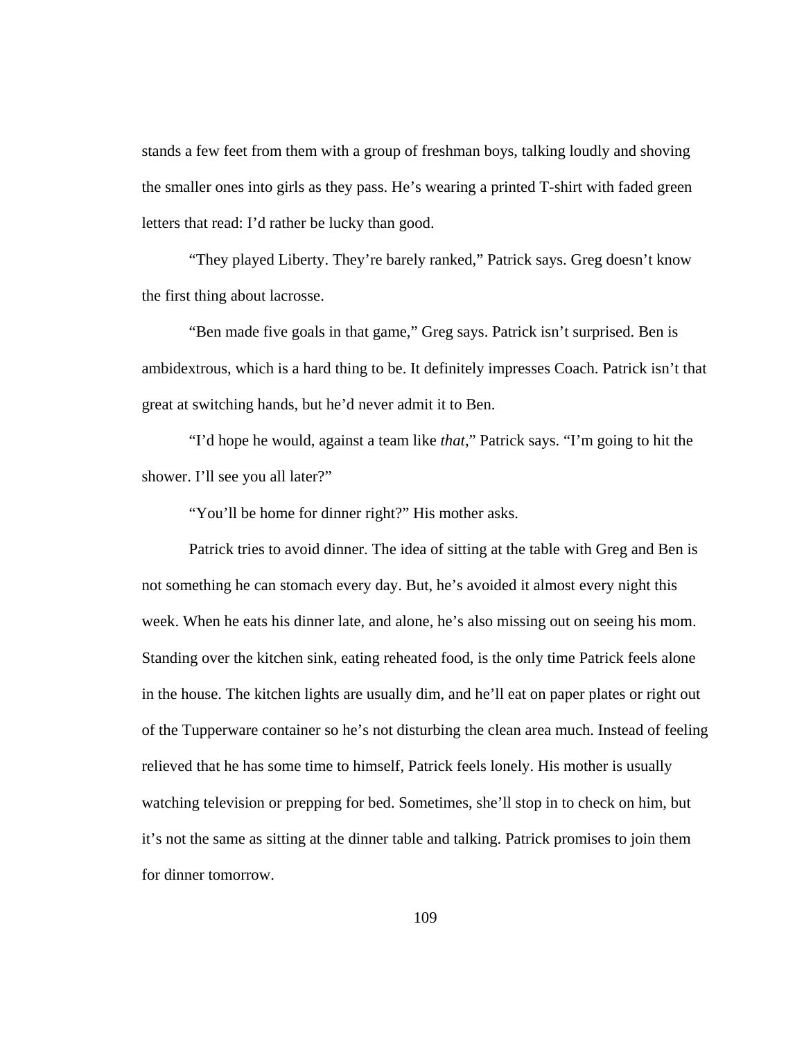stands a few feet from them with a group of freshman boys, talking loudly and shoving the smaller ones into girls as they pass. He's wearing a printed T-shirt with faded green letters that read: I'd rather be lucky than good.

"They played Liberty. They're barely ranked," Patrick says. Greg doesn't know the first thing about lacrosse.

"Ben made five goals in that game," Greg says. Patrick isn't surprised. Ben is ambidextrous, which is a hard thing to be. It definitely impresses Coach. Patrick isn't that great at switching hands, but he'd never admit it to Ben.

"I'd hope he would, against a team like *that*," Patrick says. "I'm going to hit the shower. I'll see you all later?"

"You'll be home for dinner right?" His mother asks.

Patrick tries to avoid dinner. The idea of sitting at the table with Greg and Ben is not something he can stomach every day. But, he's avoided it almost every night this week. When he eats his dinner late, and alone, he's also missing out on seeing his mom. Standing over the kitchen sink, eating reheated food, is the only time Patrick feels alone in the house. The kitchen lights are usually dim, and he'll eat on paper plates or right out of the Tupperware container so he's not disturbing the clean area much. Instead of feeling relieved that he has some time to himself, Patrick feels lonely. His mother is usually watching television or prepping for bed. Sometimes, she'll stop in to check on him, but it's not the same as sitting at the dinner table and talking. Patrick promises to join them for dinner tomorrow.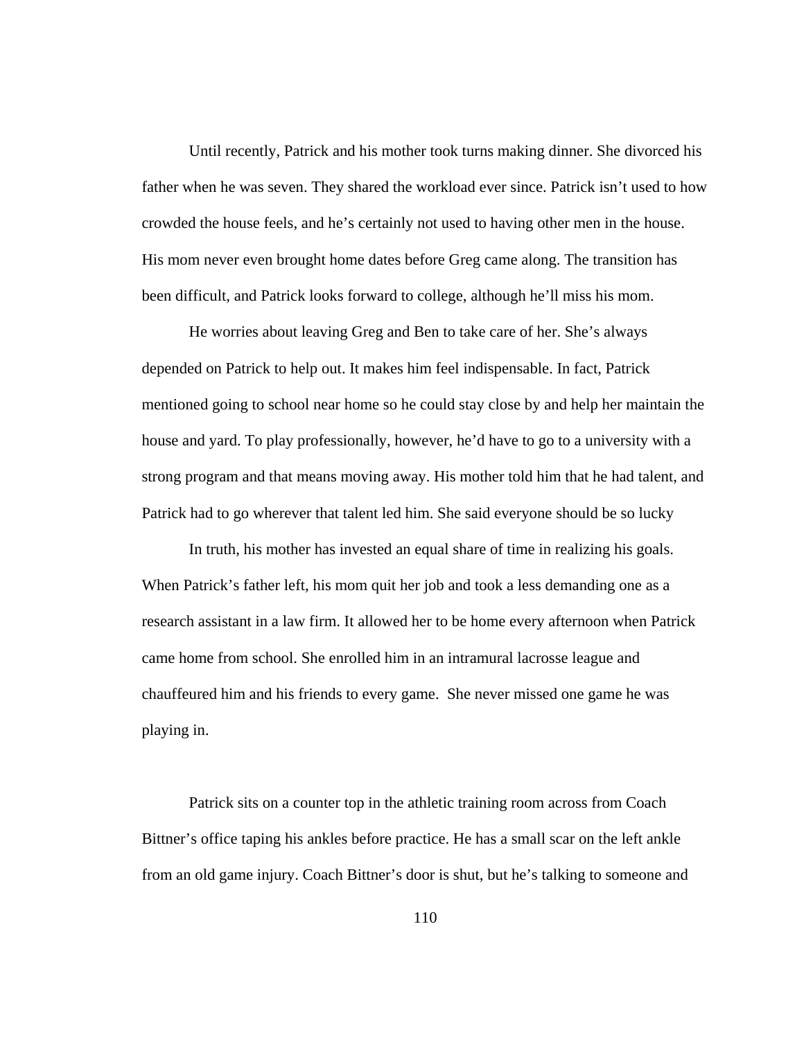Until recently, Patrick and his mother took turns making dinner. She divorced his father when he was seven. They shared the workload ever since. Patrick isn't used to how crowded the house feels, and he's certainly not used to having other men in the house. His mom never even brought home dates before Greg came along. The transition has been difficult, and Patrick looks forward to college, although he'll miss his mom.

He worries about leaving Greg and Ben to take care of her. She's always depended on Patrick to help out. It makes him feel indispensable. In fact, Patrick mentioned going to school near home so he could stay close by and help her maintain the house and yard. To play professionally, however, he'd have to go to a university with a strong program and that means moving away. His mother told him that he had talent, and Patrick had to go wherever that talent led him. She said everyone should be so lucky

In truth, his mother has invested an equal share of time in realizing his goals. When Patrick's father left, his mom quit her job and took a less demanding one as a research assistant in a law firm. It allowed her to be home every afternoon when Patrick came home from school. She enrolled him in an intramural lacrosse league and chauffeured him and his friends to every game. She never missed one game he was playing in.

Patrick sits on a counter top in the athletic training room across from Coach Bittner's office taping his ankles before practice. He has a small scar on the left ankle from an old game injury. Coach Bittner's door is shut, but he's talking to someone and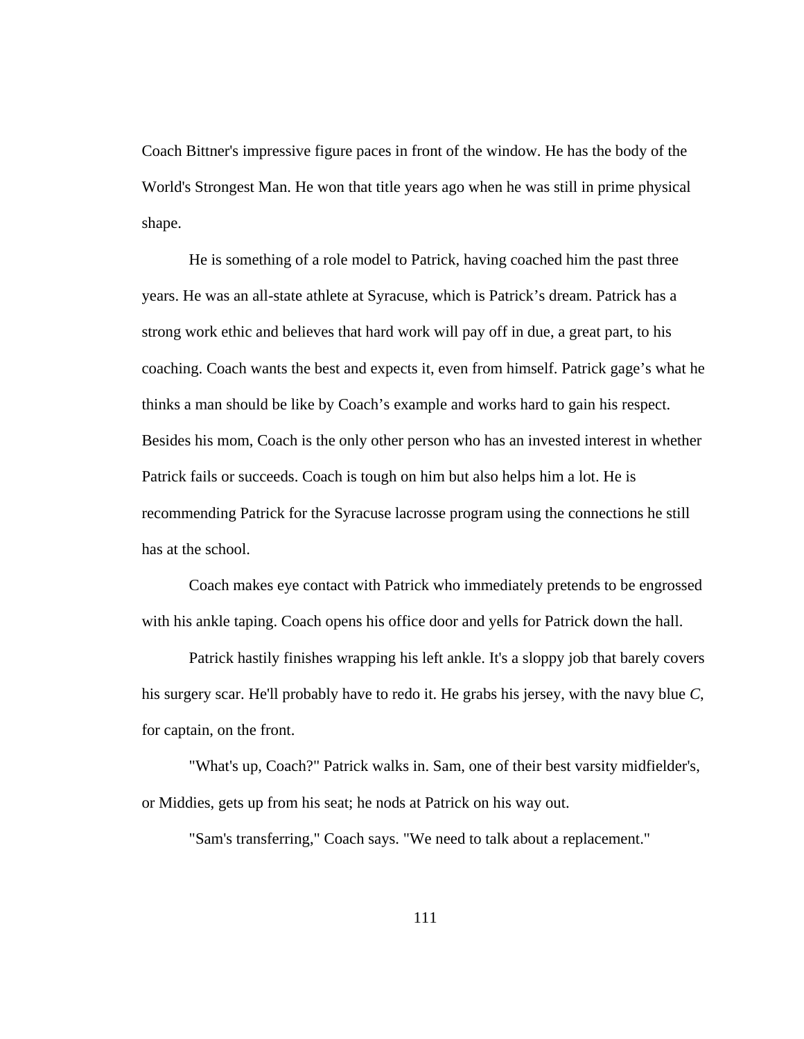Coach Bittner's impressive figure paces in front of the window. He has the body of the World's Strongest Man. He won that title years ago when he was still in prime physical shape.

He is something of a role model to Patrick, having coached him the past three years. He was an all-state athlete at Syracuse, which is Patrick's dream. Patrick has a strong work ethic and believes that hard work will pay off in due, a great part, to his coaching. Coach wants the best and expects it, even from himself. Patrick gage's what he thinks a man should be like by Coach's example and works hard to gain his respect. Besides his mom, Coach is the only other person who has an invested interest in whether Patrick fails or succeeds. Coach is tough on him but also helps him a lot. He is recommending Patrick for the Syracuse lacrosse program using the connections he still has at the school.

Coach makes eye contact with Patrick who immediately pretends to be engrossed with his ankle taping. Coach opens his office door and yells for Patrick down the hall.

Patrick hastily finishes wrapping his left ankle. It's a sloppy job that barely covers his surgery scar. He'll probably have to redo it. He grabs his jersey, with the navy blue *C*, for captain, on the front.

"What's up, Coach?" Patrick walks in. Sam, one of their best varsity midfielder's, or Middies, gets up from his seat; he nods at Patrick on his way out.

"Sam's transferring," Coach says. "We need to talk about a replacement."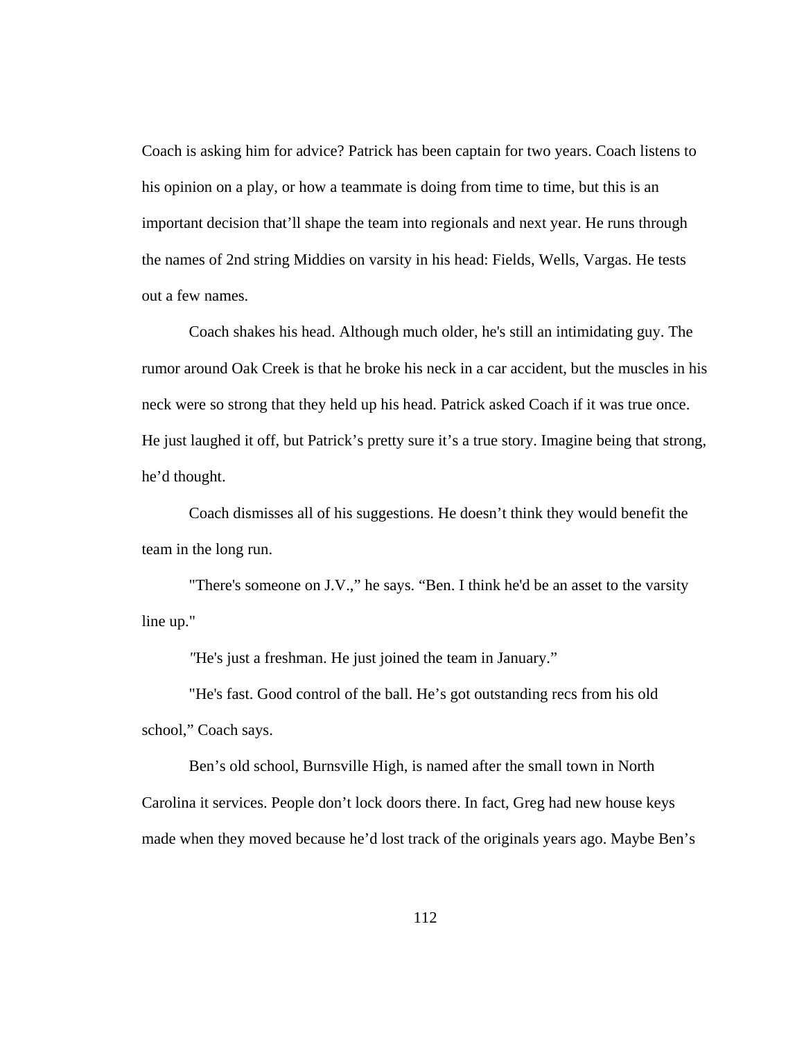Coach is asking him for advice? Patrick has been captain for two years. Coach listens to his opinion on a play, or how a teammate is doing from time to time, but this is an important decision that'll shape the team into regionals and next year. He runs through the names of 2nd string Middies on varsity in his head: Fields, Wells, Vargas. He tests out a few names.

Coach shakes his head. Although much older, he's still an intimidating guy. The rumor around Oak Creek is that he broke his neck in a car accident, but the muscles in his neck were so strong that they held up his head. Patrick asked Coach if it was true once. He just laughed it off, but Patrick's pretty sure it's a true story. Imagine being that strong, he'd thought.

Coach dismisses all of his suggestions. He doesn't think they would benefit the team in the long run.

"There's someone on J.V.," he says. "Ben. I think he'd be an asset to the varsity line up."

*"*He's just a freshman. He just joined the team in January."

"He's fast. Good control of the ball. He's got outstanding recs from his old school," Coach says.

Ben's old school, Burnsville High, is named after the small town in North Carolina it services. People don't lock doors there. In fact, Greg had new house keys made when they moved because he'd lost track of the originals years ago. Maybe Ben's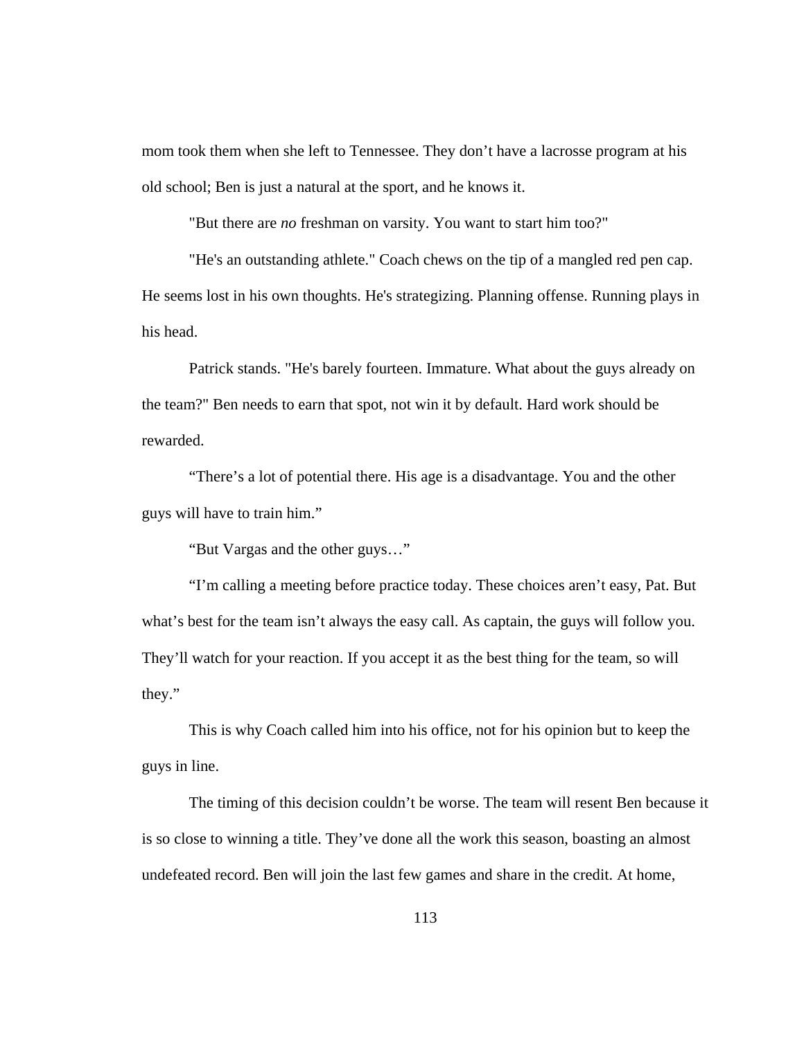mom took them when she left to Tennessee. They don't have a lacrosse program at his old school; Ben is just a natural at the sport, and he knows it.

"But there are *no* freshman on varsity. You want to start him too?"

"He's an outstanding athlete." Coach chews on the tip of a mangled red pen cap. He seems lost in his own thoughts. He's strategizing. Planning offense. Running plays in his head.

Patrick stands. "He's barely fourteen. Immature. What about the guys already on the team?" Ben needs to earn that spot, not win it by default. Hard work should be rewarded.

"There's a lot of potential there. His age is a disadvantage. You and the other guys will have to train him."

"But Vargas and the other guys…"

"I'm calling a meeting before practice today. These choices aren't easy, Pat. But what's best for the team isn't always the easy call. As captain, the guys will follow you. They'll watch for your reaction. If you accept it as the best thing for the team, so will they."

This is why Coach called him into his office, not for his opinion but to keep the guys in line.

The timing of this decision couldn't be worse. The team will resent Ben because it is so close to winning a title. They've done all the work this season, boasting an almost undefeated record. Ben will join the last few games and share in the credit. At home,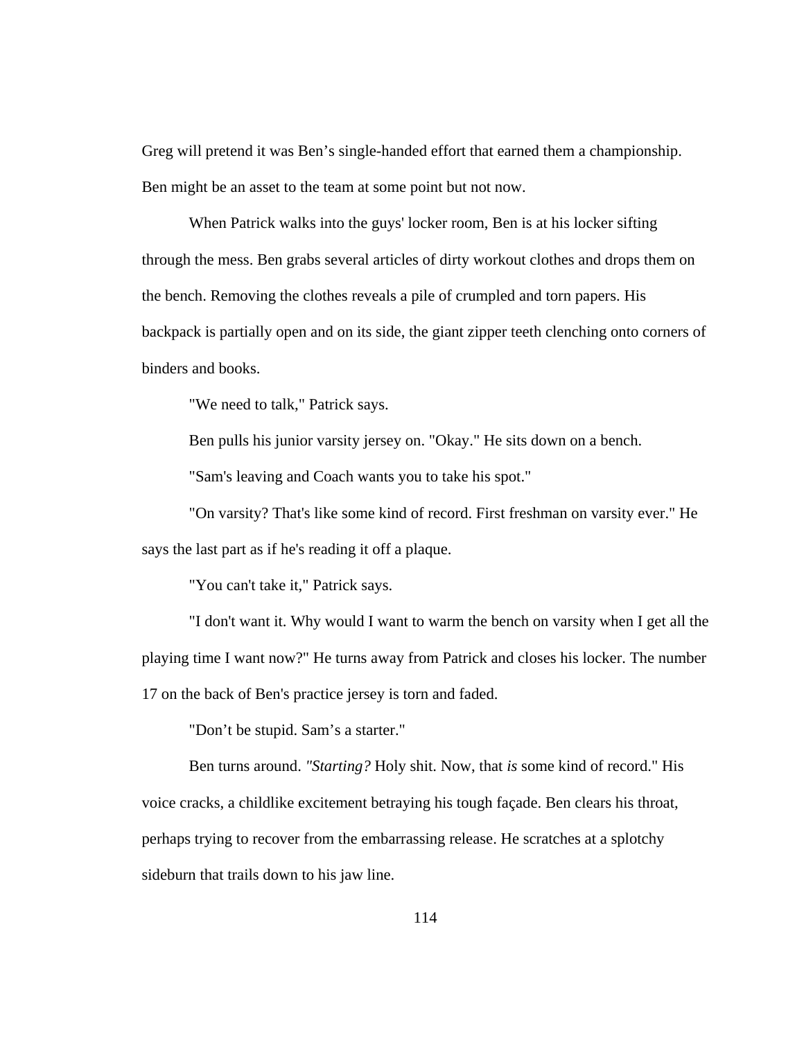Greg will pretend it was Ben's single-handed effort that earned them a championship. Ben might be an asset to the team at some point but not now.

When Patrick walks into the guys' locker room, Ben is at his locker sifting through the mess. Ben grabs several articles of dirty workout clothes and drops them on the bench. Removing the clothes reveals a pile of crumpled and torn papers. His backpack is partially open and on its side, the giant zipper teeth clenching onto corners of binders and books.

"We need to talk," Patrick says.

Ben pulls his junior varsity jersey on. "Okay." He sits down on a bench.

"Sam's leaving and Coach wants you to take his spot."

"On varsity? That's like some kind of record. First freshman on varsity ever." He says the last part as if he's reading it off a plaque.

"You can't take it," Patrick says.

"I don't want it. Why would I want to warm the bench on varsity when I get all the playing time I want now?" He turns away from Patrick and closes his locker. The number 17 on the back of Ben's practice jersey is torn and faded.

"Don't be stupid. Sam's a starter."

 Ben turns around. *"Starting?* Holy shit. Now, that *is* some kind of record." His voice cracks, a childlike excitement betraying his tough façade. Ben clears his throat, perhaps trying to recover from the embarrassing release. He scratches at a splotchy sideburn that trails down to his jaw line.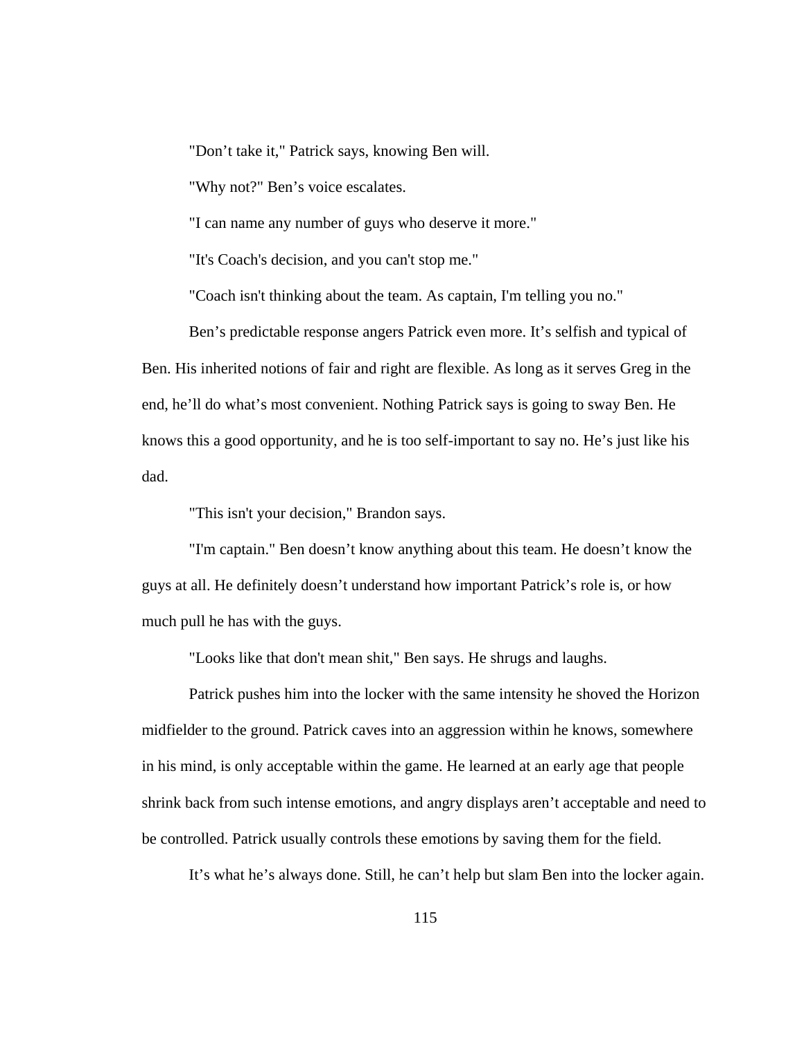"Don't take it," Patrick says, knowing Ben will.

"Why not?" Ben's voice escalates.

"I can name any number of guys who deserve it more."

"It's Coach's decision, and you can't stop me."

"Coach isn't thinking about the team. As captain, I'm telling you no."

Ben's predictable response angers Patrick even more. It's selfish and typical of Ben. His inherited notions of fair and right are flexible. As long as it serves Greg in the end, he'll do what's most convenient. Nothing Patrick says is going to sway Ben. He knows this a good opportunity, and he is too self-important to say no. He's just like his dad.

"This isn't your decision," Brandon says.

"I'm captain." Ben doesn't know anything about this team. He doesn't know the guys at all. He definitely doesn't understand how important Patrick's role is, or how much pull he has with the guys.

"Looks like that don't mean shit," Ben says. He shrugs and laughs.

Patrick pushes him into the locker with the same intensity he shoved the Horizon midfielder to the ground. Patrick caves into an aggression within he knows, somewhere in his mind, is only acceptable within the game. He learned at an early age that people shrink back from such intense emotions, and angry displays aren't acceptable and need to be controlled. Patrick usually controls these emotions by saving them for the field.

It's what he's always done. Still, he can't help but slam Ben into the locker again.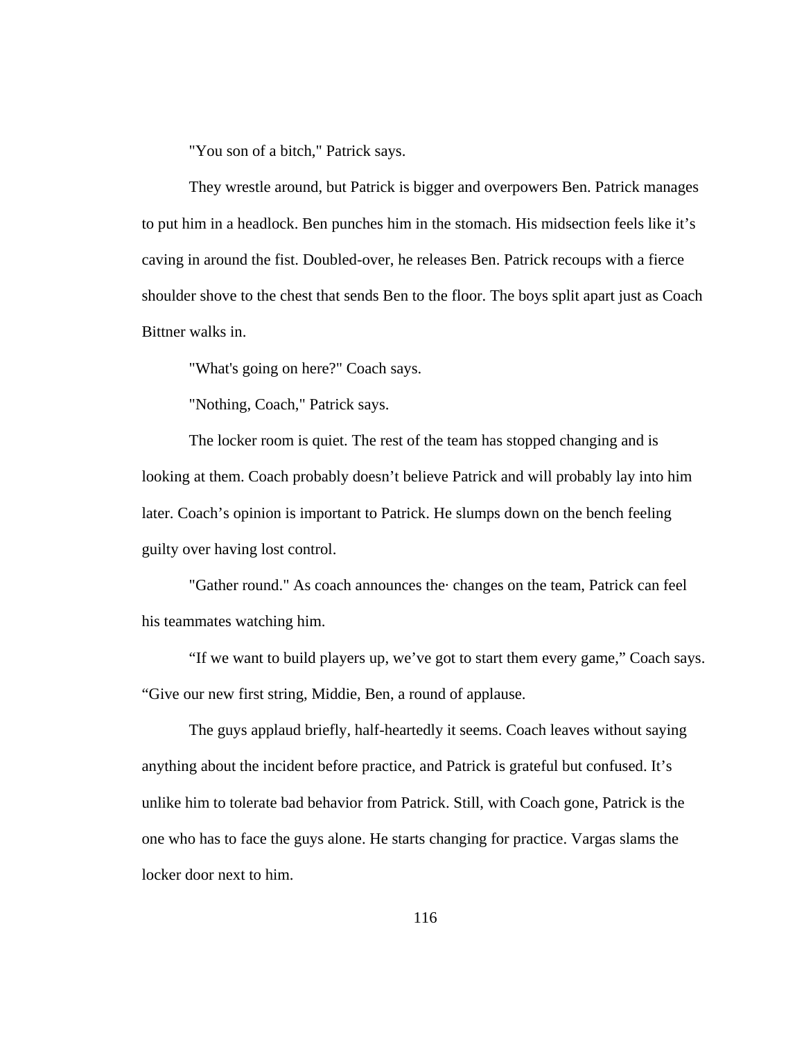"You son of a bitch," Patrick says.

They wrestle around, but Patrick is bigger and overpowers Ben. Patrick manages to put him in a headlock. Ben punches him in the stomach. His midsection feels like it's caving in around the fist. Doubled-over, he releases Ben. Patrick recoups with a fierce shoulder shove to the chest that sends Ben to the floor. The boys split apart just as Coach Bittner walks in.

"What's going on here?" Coach says.

"Nothing, Coach," Patrick says.

The locker room is quiet. The rest of the team has stopped changing and is looking at them. Coach probably doesn't believe Patrick and will probably lay into him later. Coach's opinion is important to Patrick. He slumps down on the bench feeling guilty over having lost control.

"Gather round." As coach announces the· changes on the team, Patrick can feel his teammates watching him.

"If we want to build players up, we've got to start them every game," Coach says. "Give our new first string, Middie, Ben, a round of applause.

The guys applaud briefly, half-heartedly it seems. Coach leaves without saying anything about the incident before practice, and Patrick is grateful but confused. It's unlike him to tolerate bad behavior from Patrick. Still, with Coach gone, Patrick is the one who has to face the guys alone. He starts changing for practice. Vargas slams the locker door next to him.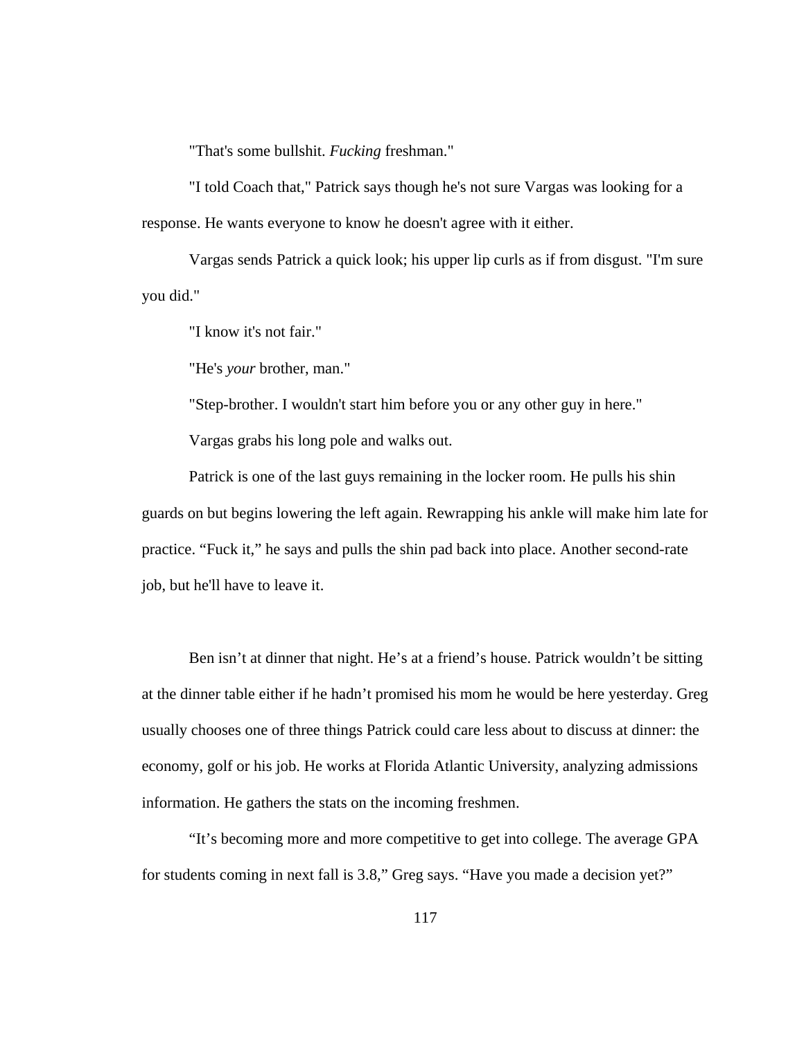"That's some bullshit. *Fucking* freshman."

"I told Coach that," Patrick says though he's not sure Vargas was looking for a response. He wants everyone to know he doesn't agree with it either.

Vargas sends Patrick a quick look; his upper lip curls as if from disgust. "I'm sure you did."

"I know it's not fair."

"He's *your* brother, man."

"Step-brother. I wouldn't start him before you or any other guy in here."

Vargas grabs his long pole and walks out.

Patrick is one of the last guys remaining in the locker room. He pulls his shin guards on but begins lowering the left again. Rewrapping his ankle will make him late for practice. "Fuck it," he says and pulls the shin pad back into place. Another second-rate job, but he'll have to leave it.

Ben isn't at dinner that night. He's at a friend's house. Patrick wouldn't be sitting at the dinner table either if he hadn't promised his mom he would be here yesterday. Greg usually chooses one of three things Patrick could care less about to discuss at dinner: the economy, golf or his job. He works at Florida Atlantic University, analyzing admissions information. He gathers the stats on the incoming freshmen.

"It's becoming more and more competitive to get into college. The average GPA for students coming in next fall is 3.8," Greg says. "Have you made a decision yet?"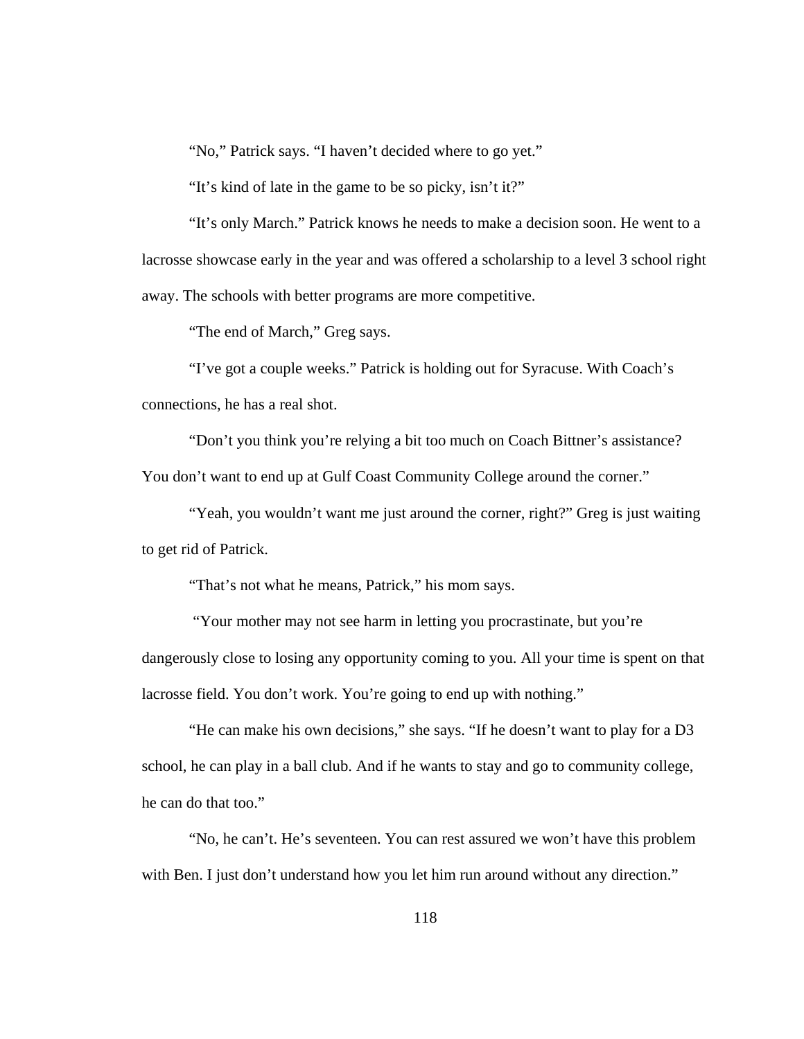"No," Patrick says. "I haven't decided where to go yet."

"It's kind of late in the game to be so picky, isn't it?"

 "It's only March." Patrick knows he needs to make a decision soon. He went to a lacrosse showcase early in the year and was offered a scholarship to a level 3 school right away. The schools with better programs are more competitive.

"The end of March," Greg says.

"I've got a couple weeks." Patrick is holding out for Syracuse. With Coach's connections, he has a real shot.

 "Don't you think you're relying a bit too much on Coach Bittner's assistance? You don't want to end up at Gulf Coast Community College around the corner."

 "Yeah, you wouldn't want me just around the corner, right?" Greg is just waiting to get rid of Patrick.

"That's not what he means, Patrick," his mom says.

 "Your mother may not see harm in letting you procrastinate, but you're dangerously close to losing any opportunity coming to you. All your time is spent on that lacrosse field. You don't work. You're going to end up with nothing."

 "He can make his own decisions," she says. "If he doesn't want to play for a D3 school, he can play in a ball club. And if he wants to stay and go to community college, he can do that too."

"No, he can't. He's seventeen. You can rest assured we won't have this problem with Ben. I just don't understand how you let him run around without any direction."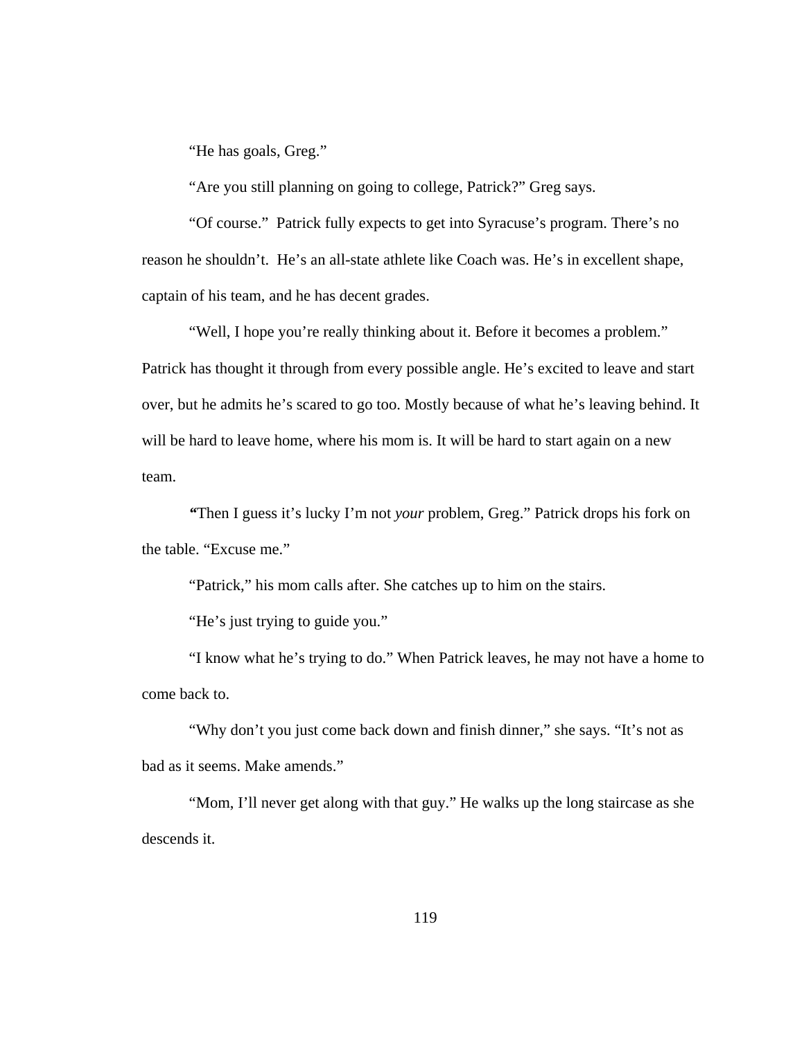"He has goals, Greg."

"Are you still planning on going to college, Patrick?" Greg says.

"Of course." Patrick fully expects to get into Syracuse's program. There's no reason he shouldn't. He's an all-state athlete like Coach was. He's in excellent shape, captain of his team, and he has decent grades.

"Well, I hope you're really thinking about it. Before it becomes a problem." Patrick has thought it through from every possible angle. He's excited to leave and start over, but he admits he's scared to go too. Mostly because of what he's leaving behind. It will be hard to leave home, where his mom is. It will be hard to start again on a new team.

*"*Then I guess it's lucky I'm not *your* problem, Greg." Patrick drops his fork on the table. "Excuse me."

"Patrick," his mom calls after. She catches up to him on the stairs.

"He's just trying to guide you."

 "I know what he's trying to do." When Patrick leaves, he may not have a home to come back to.

"Why don't you just come back down and finish dinner," she says. "It's not as bad as it seems. Make amends."

 "Mom, I'll never get along with that guy." He walks up the long staircase as she descends it.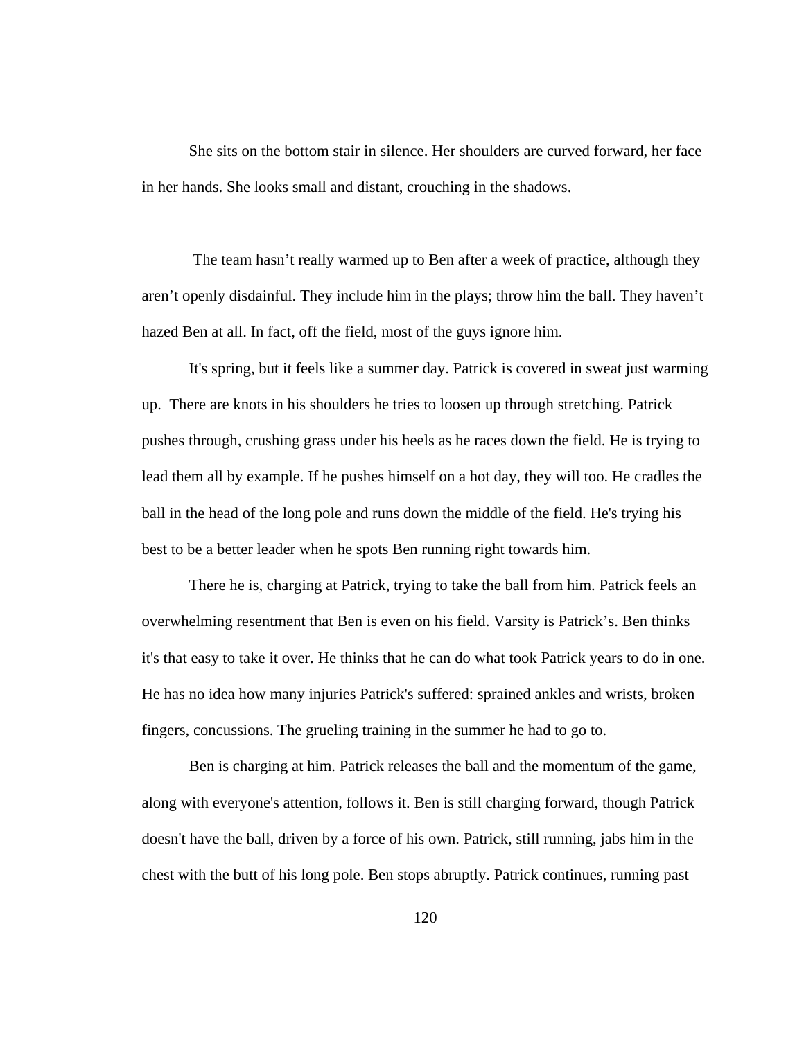She sits on the bottom stair in silence. Her shoulders are curved forward, her face in her hands. She looks small and distant, crouching in the shadows.

 The team hasn't really warmed up to Ben after a week of practice, although they aren't openly disdainful. They include him in the plays; throw him the ball. They haven't hazed Ben at all. In fact, off the field, most of the guys ignore him.

It's spring, but it feels like a summer day. Patrick is covered in sweat just warming up. There are knots in his shoulders he tries to loosen up through stretching. Patrick pushes through, crushing grass under his heels as he races down the field. He is trying to lead them all by example. If he pushes himself on a hot day, they will too. He cradles the ball in the head of the long pole and runs down the middle of the field. He's trying his best to be a better leader when he spots Ben running right towards him.

There he is, charging at Patrick, trying to take the ball from him. Patrick feels an overwhelming resentment that Ben is even on his field. Varsity is Patrick's. Ben thinks it's that easy to take it over. He thinks that he can do what took Patrick years to do in one. He has no idea how many injuries Patrick's suffered: sprained ankles and wrists, broken fingers, concussions. The grueling training in the summer he had to go to.

Ben is charging at him. Patrick releases the ball and the momentum of the game, along with everyone's attention, follows it. Ben is still charging forward, though Patrick doesn't have the ball, driven by a force of his own. Patrick, still running, jabs him in the chest with the butt of his long pole. Ben stops abruptly. Patrick continues, running past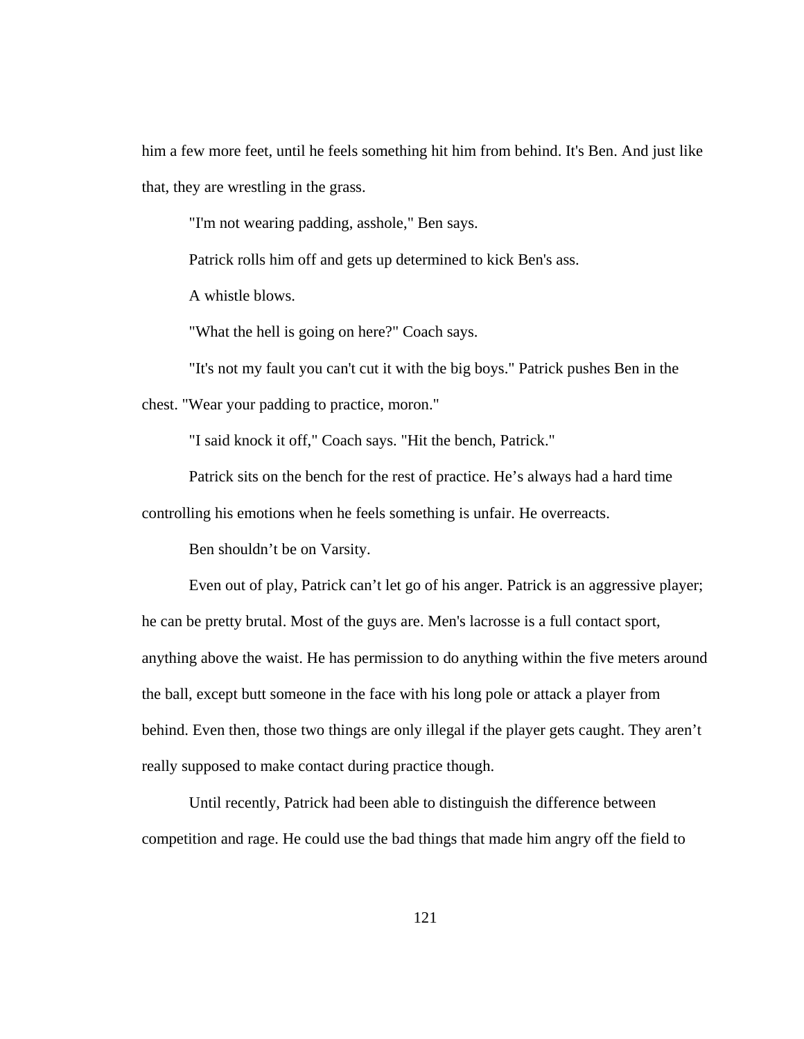him a few more feet, until he feels something hit him from behind. It's Ben. And just like that, they are wrestling in the grass.

"I'm not wearing padding, asshole," Ben says.

Patrick rolls him off and gets up determined to kick Ben's ass.

A whistle blows.

"What the hell is going on here?" Coach says.

"It's not my fault you can't cut it with the big boys." Patrick pushes Ben in the chest. "Wear your padding to practice, moron."

"I said knock it off," Coach says. "Hit the bench, Patrick."

Patrick sits on the bench for the rest of practice. He's always had a hard time

controlling his emotions when he feels something is unfair. He overreacts.

Ben shouldn't be on Varsity.

Even out of play, Patrick can't let go of his anger. Patrick is an aggressive player; he can be pretty brutal. Most of the guys are. Men's lacrosse is a full contact sport, anything above the waist. He has permission to do anything within the five meters around the ball, except butt someone in the face with his long pole or attack a player from behind. Even then, those two things are only illegal if the player gets caught. They aren't really supposed to make contact during practice though.

 Until recently, Patrick had been able to distinguish the difference between competition and rage. He could use the bad things that made him angry off the field to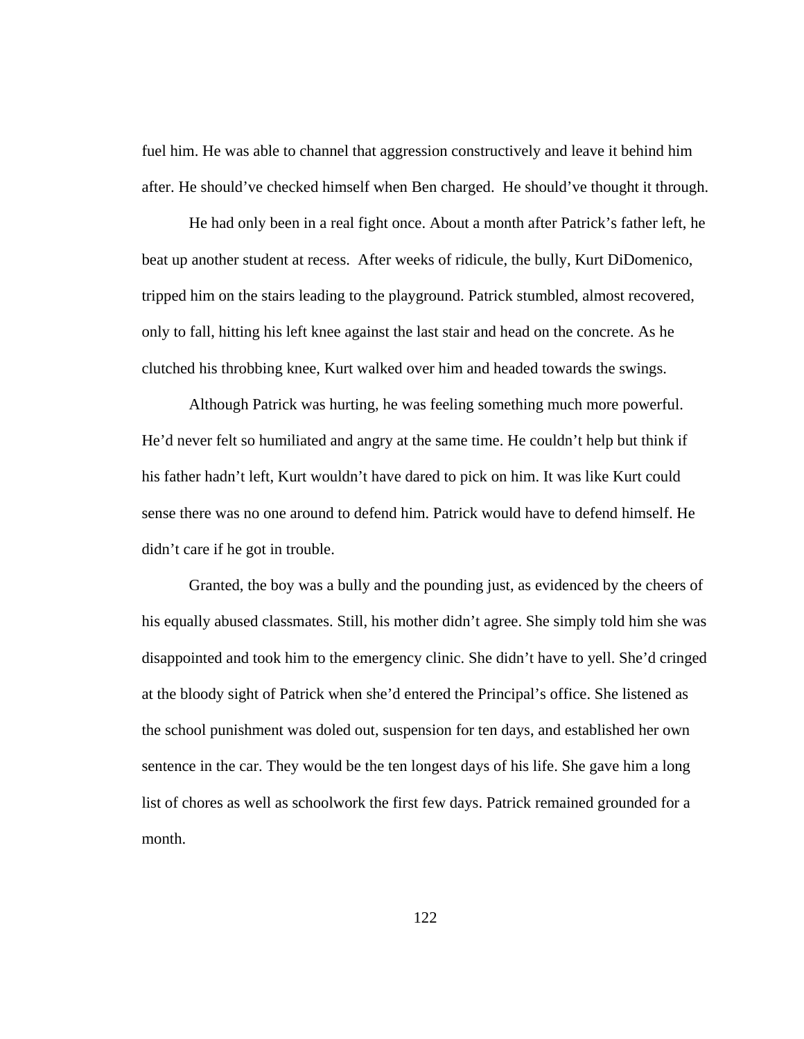fuel him. He was able to channel that aggression constructively and leave it behind him after. He should've checked himself when Ben charged. He should've thought it through.

He had only been in a real fight once. About a month after Patrick's father left, he beat up another student at recess. After weeks of ridicule, the bully, Kurt DiDomenico, tripped him on the stairs leading to the playground. Patrick stumbled, almost recovered, only to fall, hitting his left knee against the last stair and head on the concrete. As he clutched his throbbing knee, Kurt walked over him and headed towards the swings.

 Although Patrick was hurting, he was feeling something much more powerful. He'd never felt so humiliated and angry at the same time. He couldn't help but think if his father hadn't left, Kurt wouldn't have dared to pick on him. It was like Kurt could sense there was no one around to defend him. Patrick would have to defend himself. He didn't care if he got in trouble.

 Granted, the boy was a bully and the pounding just, as evidenced by the cheers of his equally abused classmates. Still, his mother didn't agree. She simply told him she was disappointed and took him to the emergency clinic. She didn't have to yell. She'd cringed at the bloody sight of Patrick when she'd entered the Principal's office. She listened as the school punishment was doled out, suspension for ten days, and established her own sentence in the car. They would be the ten longest days of his life. She gave him a long list of chores as well as schoolwork the first few days. Patrick remained grounded for a month.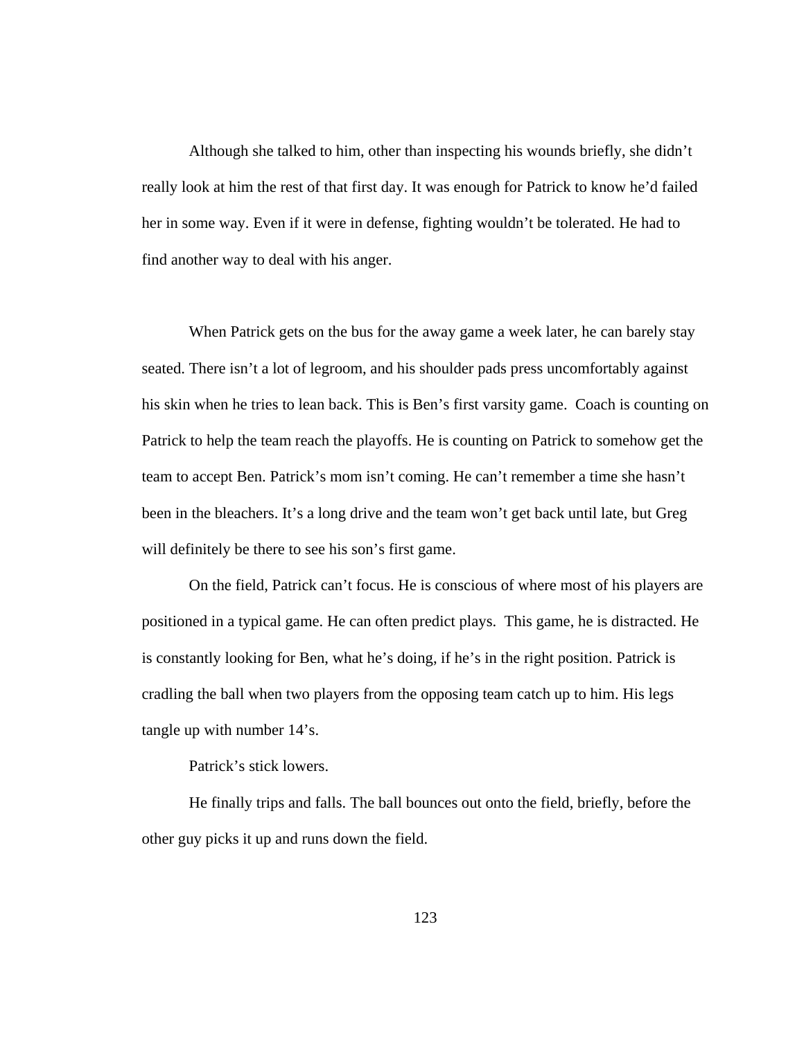Although she talked to him, other than inspecting his wounds briefly, she didn't really look at him the rest of that first day. It was enough for Patrick to know he'd failed her in some way. Even if it were in defense, fighting wouldn't be tolerated. He had to find another way to deal with his anger.

When Patrick gets on the bus for the away game a week later, he can barely stay seated. There isn't a lot of legroom, and his shoulder pads press uncomfortably against his skin when he tries to lean back. This is Ben's first varsity game. Coach is counting on Patrick to help the team reach the playoffs. He is counting on Patrick to somehow get the team to accept Ben. Patrick's mom isn't coming. He can't remember a time she hasn't been in the bleachers. It's a long drive and the team won't get back until late, but Greg will definitely be there to see his son's first game.

On the field, Patrick can't focus. He is conscious of where most of his players are positioned in a typical game. He can often predict plays. This game, he is distracted. He is constantly looking for Ben, what he's doing, if he's in the right position. Patrick is cradling the ball when two players from the opposing team catch up to him. His legs tangle up with number 14's.

Patrick's stick lowers.

He finally trips and falls. The ball bounces out onto the field, briefly, before the other guy picks it up and runs down the field.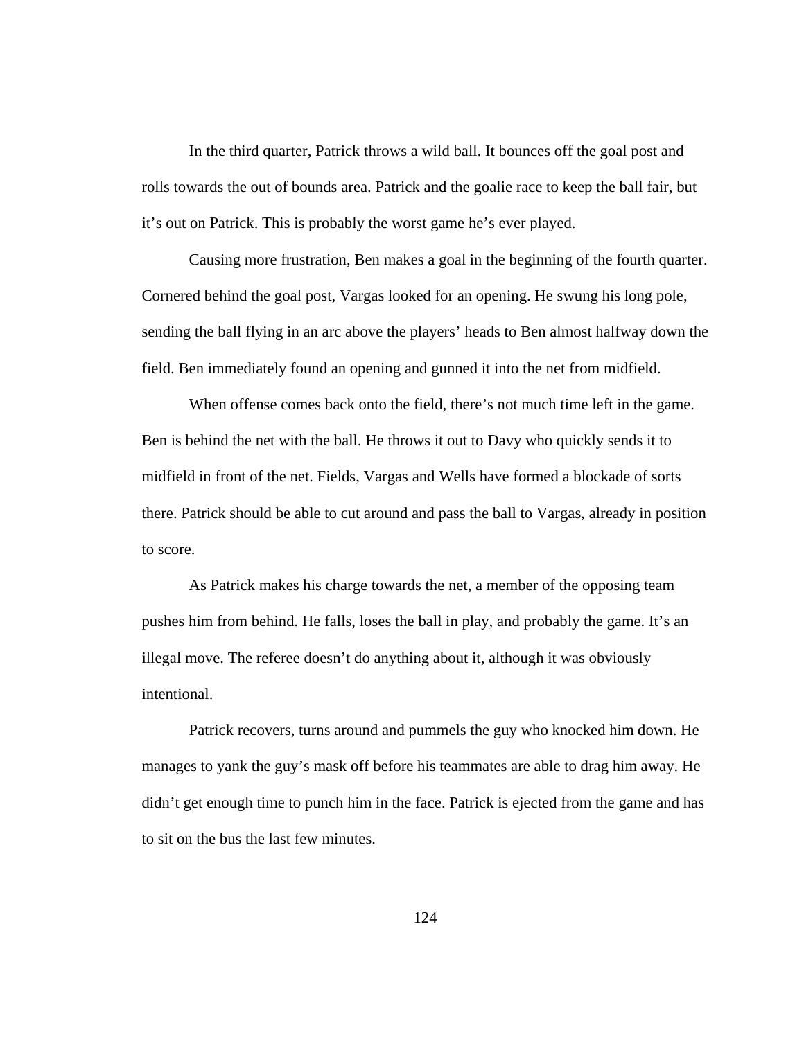In the third quarter, Patrick throws a wild ball. It bounces off the goal post and rolls towards the out of bounds area. Patrick and the goalie race to keep the ball fair, but it's out on Patrick. This is probably the worst game he's ever played.

Causing more frustration, Ben makes a goal in the beginning of the fourth quarter. Cornered behind the goal post, Vargas looked for an opening. He swung his long pole, sending the ball flying in an arc above the players' heads to Ben almost halfway down the field. Ben immediately found an opening and gunned it into the net from midfield.

When offense comes back onto the field, there's not much time left in the game. Ben is behind the net with the ball. He throws it out to Davy who quickly sends it to midfield in front of the net. Fields, Vargas and Wells have formed a blockade of sorts there. Patrick should be able to cut around and pass the ball to Vargas, already in position to score.

As Patrick makes his charge towards the net, a member of the opposing team pushes him from behind. He falls, loses the ball in play, and probably the game. It's an illegal move. The referee doesn't do anything about it, although it was obviously intentional.

Patrick recovers, turns around and pummels the guy who knocked him down. He manages to yank the guy's mask off before his teammates are able to drag him away. He didn't get enough time to punch him in the face. Patrick is ejected from the game and has to sit on the bus the last few minutes.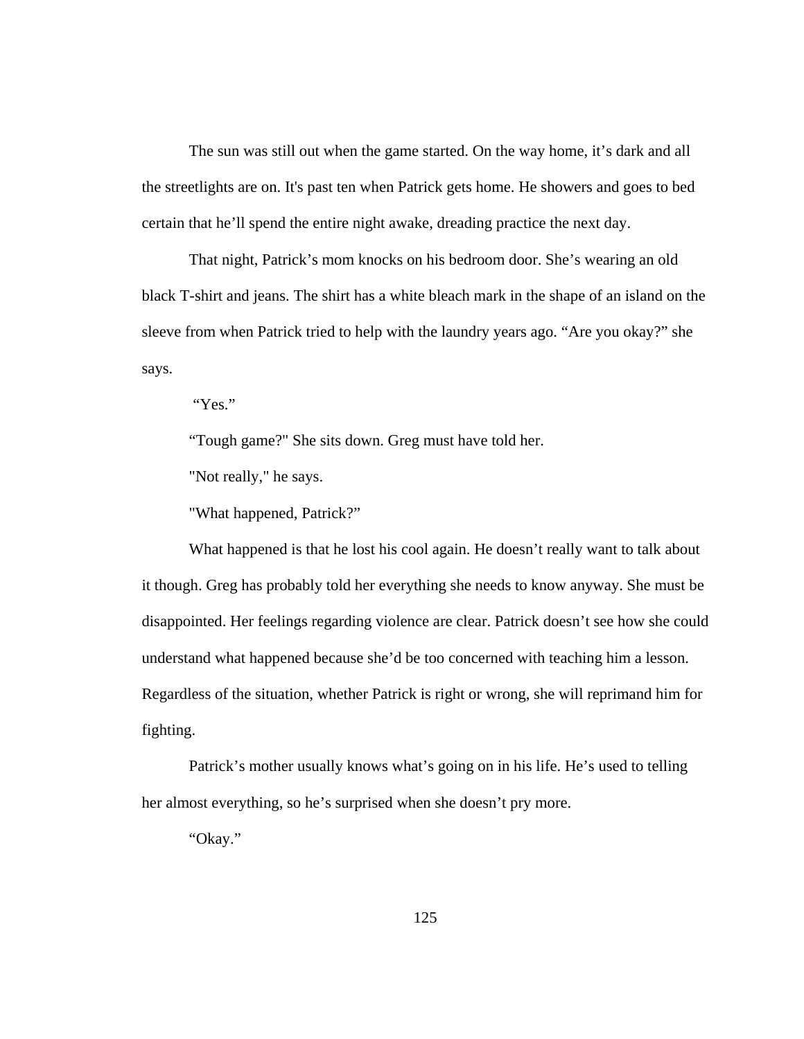The sun was still out when the game started. On the way home, it's dark and all the streetlights are on. It's past ten when Patrick gets home. He showers and goes to bed certain that he'll spend the entire night awake, dreading practice the next day.

That night, Patrick's mom knocks on his bedroom door. She's wearing an old black T-shirt and jeans. The shirt has a white bleach mark in the shape of an island on the sleeve from when Patrick tried to help with the laundry years ago. "Are you okay?" she says.

"Yes."

"Tough game?" She sits down. Greg must have told her.

"Not really," he says.

"What happened, Patrick?"

What happened is that he lost his cool again. He doesn't really want to talk about it though. Greg has probably told her everything she needs to know anyway. She must be disappointed. Her feelings regarding violence are clear. Patrick doesn't see how she could understand what happened because she'd be too concerned with teaching him a lesson. Regardless of the situation, whether Patrick is right or wrong, she will reprimand him for fighting.

Patrick's mother usually knows what's going on in his life. He's used to telling her almost everything, so he's surprised when she doesn't pry more.

"Okay."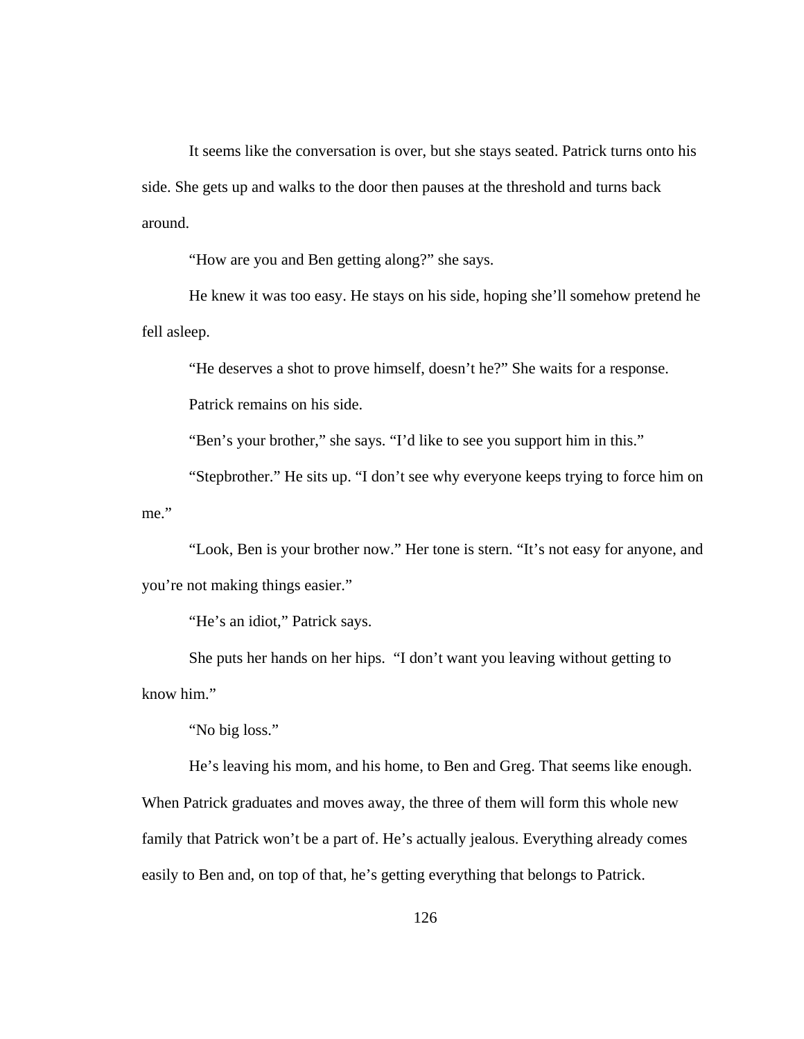It seems like the conversation is over, but she stays seated. Patrick turns onto his side. She gets up and walks to the door then pauses at the threshold and turns back around.

"How are you and Ben getting along?" she says.

He knew it was too easy. He stays on his side, hoping she'll somehow pretend he fell asleep.

"He deserves a shot to prove himself, doesn't he?" She waits for a response.

Patrick remains on his side.

"Ben's your brother," she says. "I'd like to see you support him in this."

"Stepbrother." He sits up. "I don't see why everyone keeps trying to force him on me."

"Look, Ben is your brother now." Her tone is stern. "It's not easy for anyone, and you're not making things easier."

"He's an idiot," Patrick says.

She puts her hands on her hips. "I don't want you leaving without getting to know him."

"No big loss."

He's leaving his mom, and his home, to Ben and Greg. That seems like enough. When Patrick graduates and moves away, the three of them will form this whole new family that Patrick won't be a part of. He's actually jealous. Everything already comes easily to Ben and, on top of that, he's getting everything that belongs to Patrick.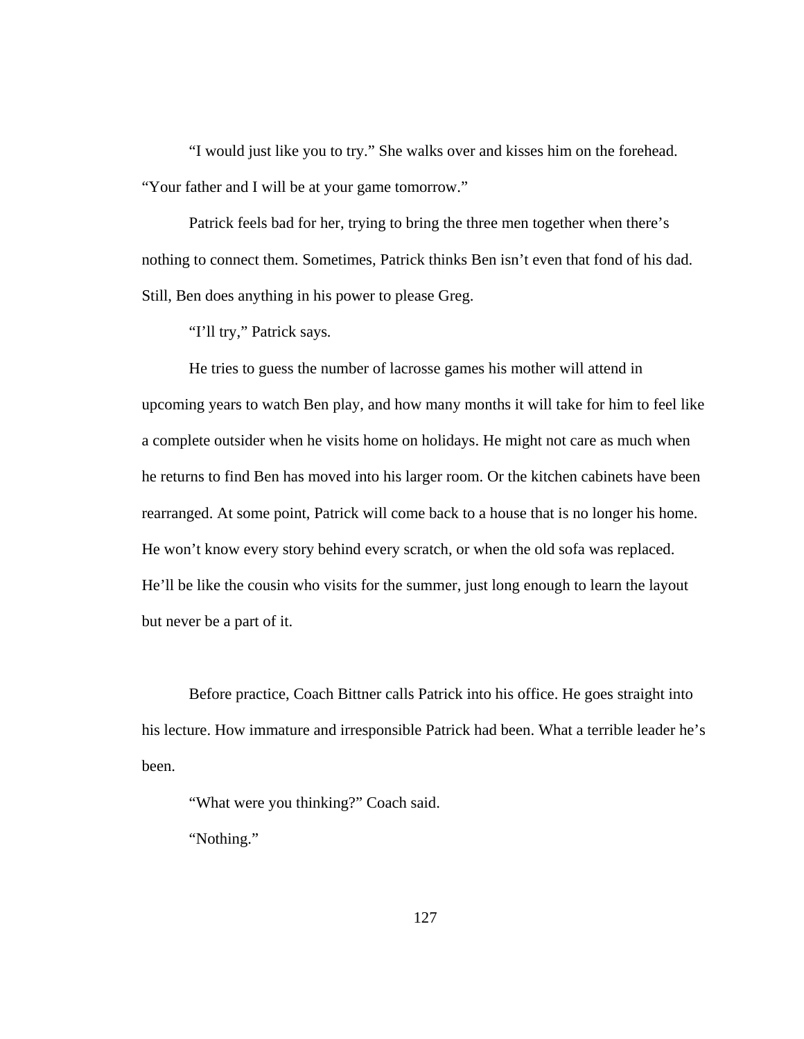"I would just like you to try." She walks over and kisses him on the forehead. "Your father and I will be at your game tomorrow."

Patrick feels bad for her, trying to bring the three men together when there's nothing to connect them. Sometimes, Patrick thinks Ben isn't even that fond of his dad. Still, Ben does anything in his power to please Greg.

"I'll try," Patrick says*.* 

He tries to guess the number of lacrosse games his mother will attend in upcoming years to watch Ben play, and how many months it will take for him to feel like a complete outsider when he visits home on holidays. He might not care as much when he returns to find Ben has moved into his larger room. Or the kitchen cabinets have been rearranged. At some point, Patrick will come back to a house that is no longer his home. He won't know every story behind every scratch, or when the old sofa was replaced. He'll be like the cousin who visits for the summer, just long enough to learn the layout but never be a part of it.

Before practice, Coach Bittner calls Patrick into his office. He goes straight into his lecture. How immature and irresponsible Patrick had been. What a terrible leader he's been.

"What were you thinking?" Coach said.

"Nothing."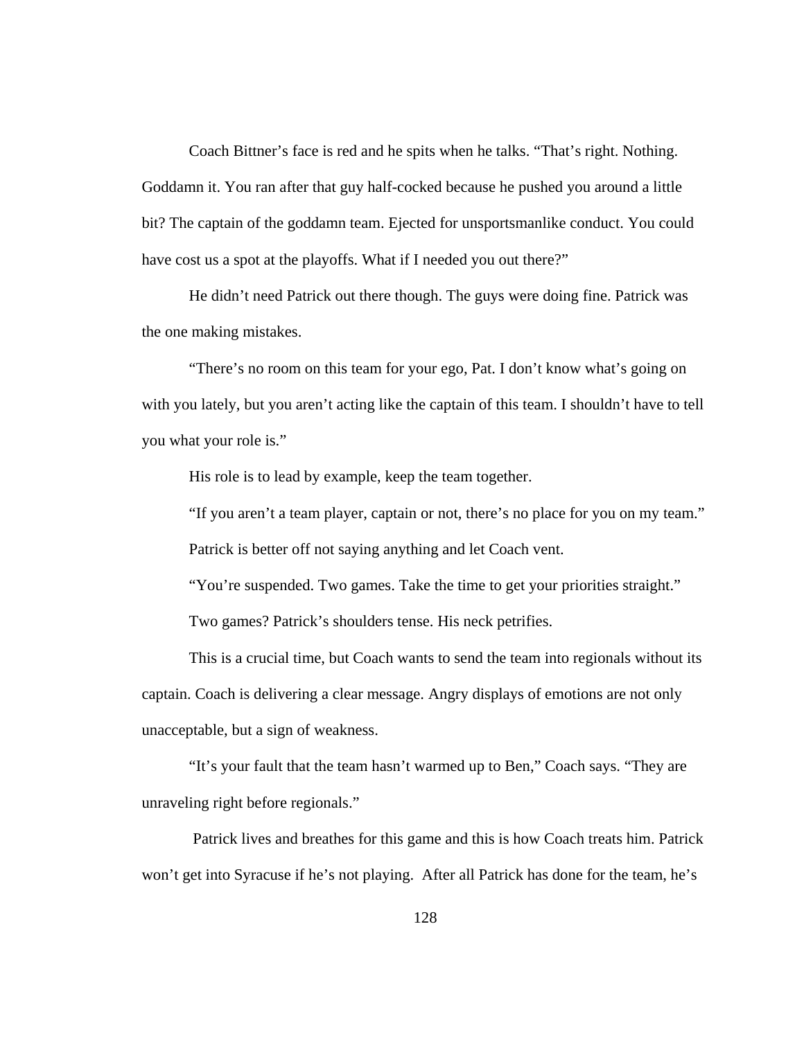Coach Bittner's face is red and he spits when he talks. "That's right. Nothing. Goddamn it. You ran after that guy half-cocked because he pushed you around a little bit? The captain of the goddamn team. Ejected for unsportsmanlike conduct. You could have cost us a spot at the playoffs. What if I needed you out there?"

 He didn't need Patrick out there though. The guys were doing fine. Patrick was the one making mistakes.

"There's no room on this team for your ego, Pat. I don't know what's going on with you lately, but you aren't acting like the captain of this team. I shouldn't have to tell you what your role is."

His role is to lead by example, keep the team together.

 "If you aren't a team player, captain or not, there's no place for you on my team." Patrick is better off not saying anything and let Coach vent.

"You're suspended. Two games. Take the time to get your priorities straight."

Two games? Patrick's shoulders tense. His neck petrifies.

 This is a crucial time, but Coach wants to send the team into regionals without its captain. Coach is delivering a clear message. Angry displays of emotions are not only unacceptable, but a sign of weakness.

 "It's your fault that the team hasn't warmed up to Ben," Coach says. "They are unraveling right before regionals."

 Patrick lives and breathes for this game and this is how Coach treats him. Patrick won't get into Syracuse if he's not playing. After all Patrick has done for the team, he's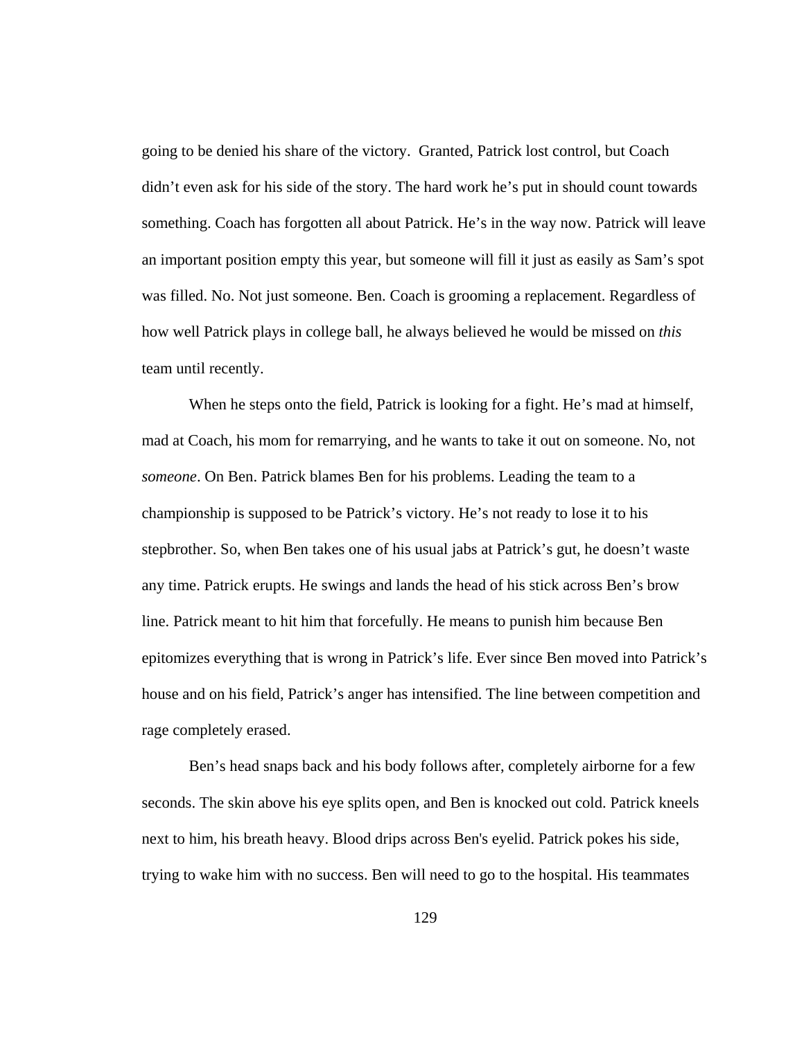going to be denied his share of the victory. Granted, Patrick lost control, but Coach didn't even ask for his side of the story. The hard work he's put in should count towards something. Coach has forgotten all about Patrick. He's in the way now. Patrick will leave an important position empty this year, but someone will fill it just as easily as Sam's spot was filled. No. Not just someone. Ben. Coach is grooming a replacement. Regardless of how well Patrick plays in college ball, he always believed he would be missed on *this* team until recently.

 When he steps onto the field, Patrick is looking for a fight. He's mad at himself, mad at Coach, his mom for remarrying, and he wants to take it out on someone. No, not *someone*. On Ben. Patrick blames Ben for his problems. Leading the team to a championship is supposed to be Patrick's victory. He's not ready to lose it to his stepbrother. So, when Ben takes one of his usual jabs at Patrick's gut, he doesn't waste any time. Patrick erupts. He swings and lands the head of his stick across Ben's brow line. Patrick meant to hit him that forcefully. He means to punish him because Ben epitomizes everything that is wrong in Patrick's life. Ever since Ben moved into Patrick's house and on his field, Patrick's anger has intensified. The line between competition and rage completely erased.

 Ben's head snaps back and his body follows after, completely airborne for a few seconds. The skin above his eye splits open, and Ben is knocked out cold. Patrick kneels next to him, his breath heavy. Blood drips across Ben's eyelid. Patrick pokes his side, trying to wake him with no success. Ben will need to go to the hospital. His teammates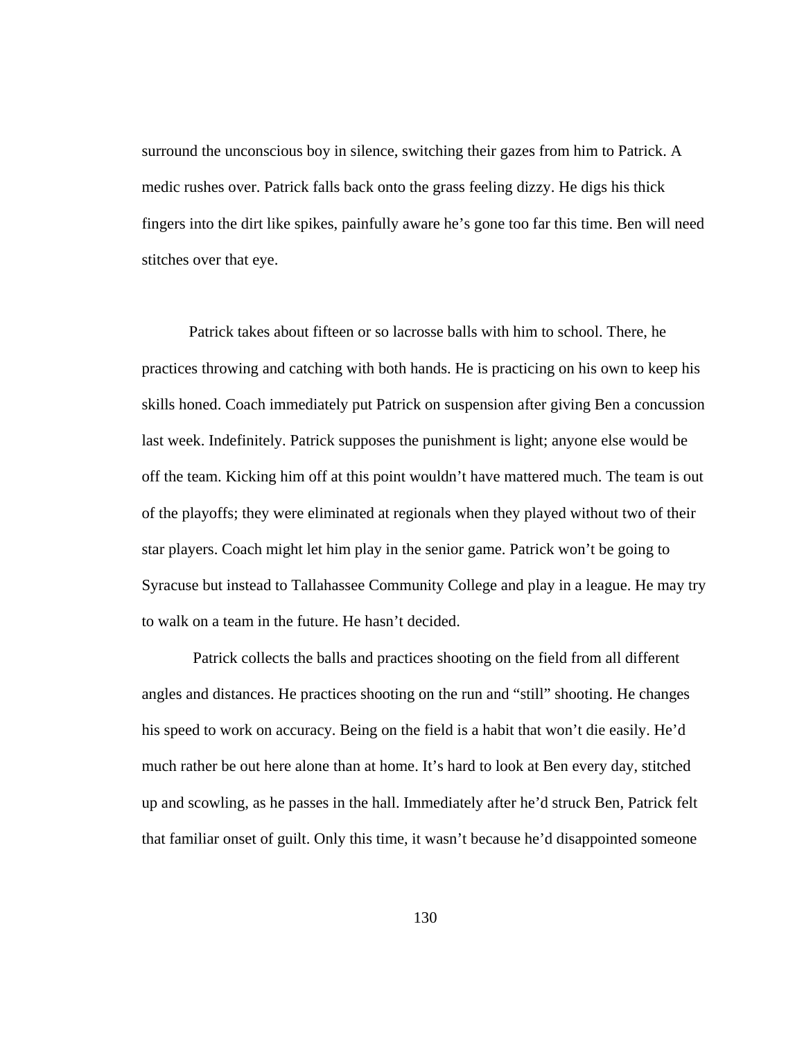surround the unconscious boy in silence, switching their gazes from him to Patrick. A medic rushes over. Patrick falls back onto the grass feeling dizzy. He digs his thick fingers into the dirt like spikes, painfully aware he's gone too far this time. Ben will need stitches over that eye.

 Patrick takes about fifteen or so lacrosse balls with him to school. There, he practices throwing and catching with both hands. He is practicing on his own to keep his skills honed. Coach immediately put Patrick on suspension after giving Ben a concussion last week. Indefinitely. Patrick supposes the punishment is light; anyone else would be off the team. Kicking him off at this point wouldn't have mattered much. The team is out of the playoffs; they were eliminated at regionals when they played without two of their star players. Coach might let him play in the senior game. Patrick won't be going to Syracuse but instead to Tallahassee Community College and play in a league. He may try to walk on a team in the future. He hasn't decided.

 Patrick collects the balls and practices shooting on the field from all different angles and distances. He practices shooting on the run and "still" shooting. He changes his speed to work on accuracy. Being on the field is a habit that won't die easily. He'd much rather be out here alone than at home. It's hard to look at Ben every day, stitched up and scowling, as he passes in the hall. Immediately after he'd struck Ben, Patrick felt that familiar onset of guilt. Only this time, it wasn't because he'd disappointed someone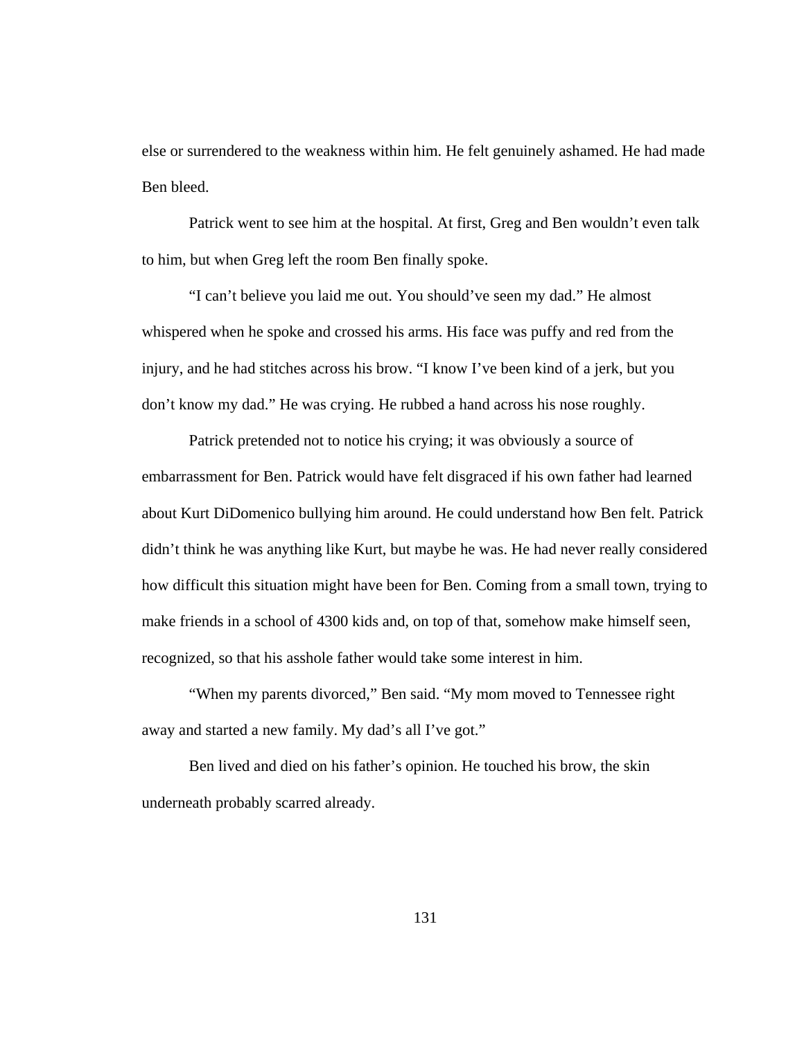else or surrendered to the weakness within him. He felt genuinely ashamed. He had made Ben bleed.

Patrick went to see him at the hospital. At first, Greg and Ben wouldn't even talk to him, but when Greg left the room Ben finally spoke.

"I can't believe you laid me out. You should've seen my dad." He almost whispered when he spoke and crossed his arms. His face was puffy and red from the injury, and he had stitches across his brow. "I know I've been kind of a jerk, but you don't know my dad." He was crying. He rubbed a hand across his nose roughly.

Patrick pretended not to notice his crying; it was obviously a source of embarrassment for Ben. Patrick would have felt disgraced if his own father had learned about Kurt DiDomenico bullying him around. He could understand how Ben felt. Patrick didn't think he was anything like Kurt, but maybe he was. He had never really considered how difficult this situation might have been for Ben. Coming from a small town, trying to make friends in a school of 4300 kids and, on top of that, somehow make himself seen, recognized, so that his asshole father would take some interest in him.

"When my parents divorced," Ben said. "My mom moved to Tennessee right away and started a new family. My dad's all I've got."

Ben lived and died on his father's opinion. He touched his brow, the skin underneath probably scarred already.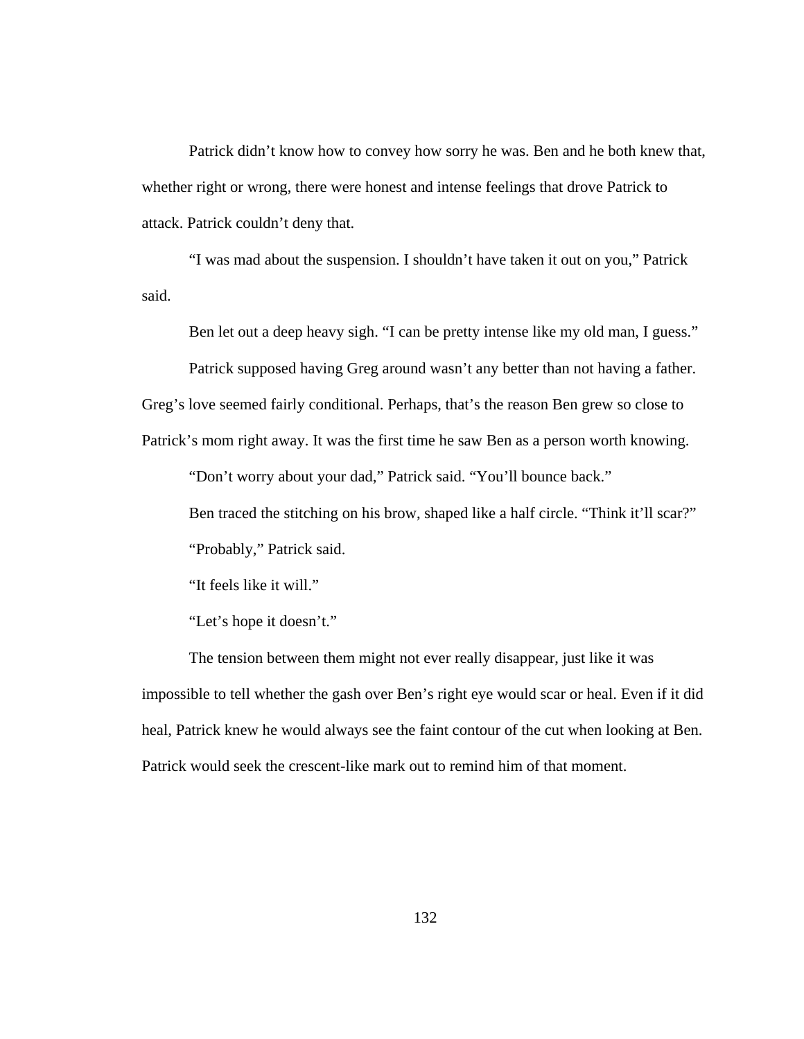Patrick didn't know how to convey how sorry he was. Ben and he both knew that, whether right or wrong, there were honest and intense feelings that drove Patrick to attack. Patrick couldn't deny that.

"I was mad about the suspension. I shouldn't have taken it out on you," Patrick said.

Ben let out a deep heavy sigh. "I can be pretty intense like my old man, I guess." Patrick supposed having Greg around wasn't any better than not having a father.

Greg's love seemed fairly conditional. Perhaps, that's the reason Ben grew so close to

Patrick's mom right away. It was the first time he saw Ben as a person worth knowing.

"Don't worry about your dad," Patrick said. "You'll bounce back."

Ben traced the stitching on his brow, shaped like a half circle. "Think it'll scar?" "Probably," Patrick said.

"It feels like it will."

"Let's hope it doesn't."

The tension between them might not ever really disappear, just like it was impossible to tell whether the gash over Ben's right eye would scar or heal. Even if it did heal, Patrick knew he would always see the faint contour of the cut when looking at Ben. Patrick would seek the crescent-like mark out to remind him of that moment.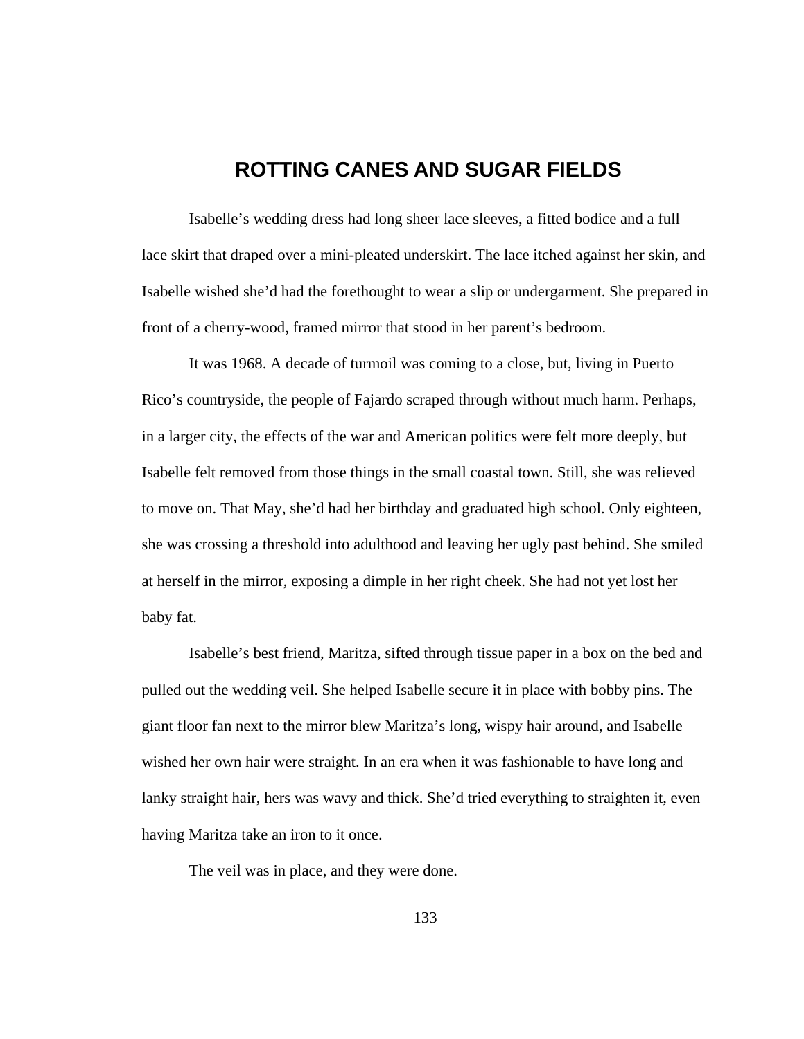## **ROTTING CANES AND SUGAR FIELDS**

 Isabelle's wedding dress had long sheer lace sleeves, a fitted bodice and a full lace skirt that draped over a mini-pleated underskirt. The lace itched against her skin, and Isabelle wished she'd had the forethought to wear a slip or undergarment. She prepared in front of a cherry-wood, framed mirror that stood in her parent's bedroom.

 It was 1968. A decade of turmoil was coming to a close, but, living in Puerto Rico's countryside, the people of Fajardo scraped through without much harm. Perhaps, in a larger city, the effects of the war and American politics were felt more deeply, but Isabelle felt removed from those things in the small coastal town. Still, she was relieved to move on. That May, she'd had her birthday and graduated high school. Only eighteen, she was crossing a threshold into adulthood and leaving her ugly past behind. She smiled at herself in the mirror, exposing a dimple in her right cheek. She had not yet lost her baby fat.

 Isabelle's best friend, Maritza, sifted through tissue paper in a box on the bed and pulled out the wedding veil. She helped Isabelle secure it in place with bobby pins. The giant floor fan next to the mirror blew Maritza's long, wispy hair around, and Isabelle wished her own hair were straight. In an era when it was fashionable to have long and lanky straight hair, hers was wavy and thick. She'd tried everything to straighten it, even having Maritza take an iron to it once.

The veil was in place, and they were done.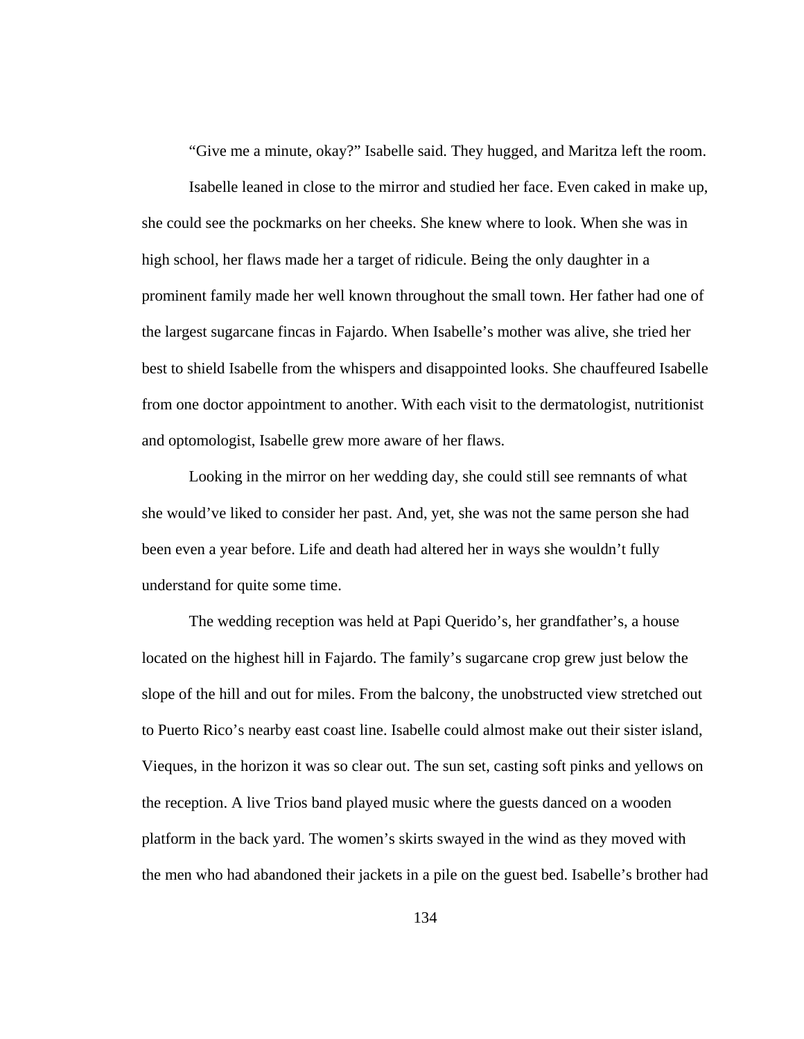"Give me a minute, okay?" Isabelle said. They hugged, and Maritza left the room.

 Isabelle leaned in close to the mirror and studied her face. Even caked in make up, she could see the pockmarks on her cheeks. She knew where to look. When she was in high school, her flaws made her a target of ridicule. Being the only daughter in a prominent family made her well known throughout the small town. Her father had one of the largest sugarcane fincas in Fajardo. When Isabelle's mother was alive, she tried her best to shield Isabelle from the whispers and disappointed looks. She chauffeured Isabelle from one doctor appointment to another. With each visit to the dermatologist, nutritionist and optomologist, Isabelle grew more aware of her flaws.

 Looking in the mirror on her wedding day, she could still see remnants of what she would've liked to consider her past. And, yet, she was not the same person she had been even a year before. Life and death had altered her in ways she wouldn't fully understand for quite some time.

 The wedding reception was held at Papi Querido's, her grandfather's, a house located on the highest hill in Fajardo. The family's sugarcane crop grew just below the slope of the hill and out for miles. From the balcony, the unobstructed view stretched out to Puerto Rico's nearby east coast line. Isabelle could almost make out their sister island, Vieques, in the horizon it was so clear out. The sun set, casting soft pinks and yellows on the reception. A live Trios band played music where the guests danced on a wooden platform in the back yard. The women's skirts swayed in the wind as they moved with the men who had abandoned their jackets in a pile on the guest bed. Isabelle's brother had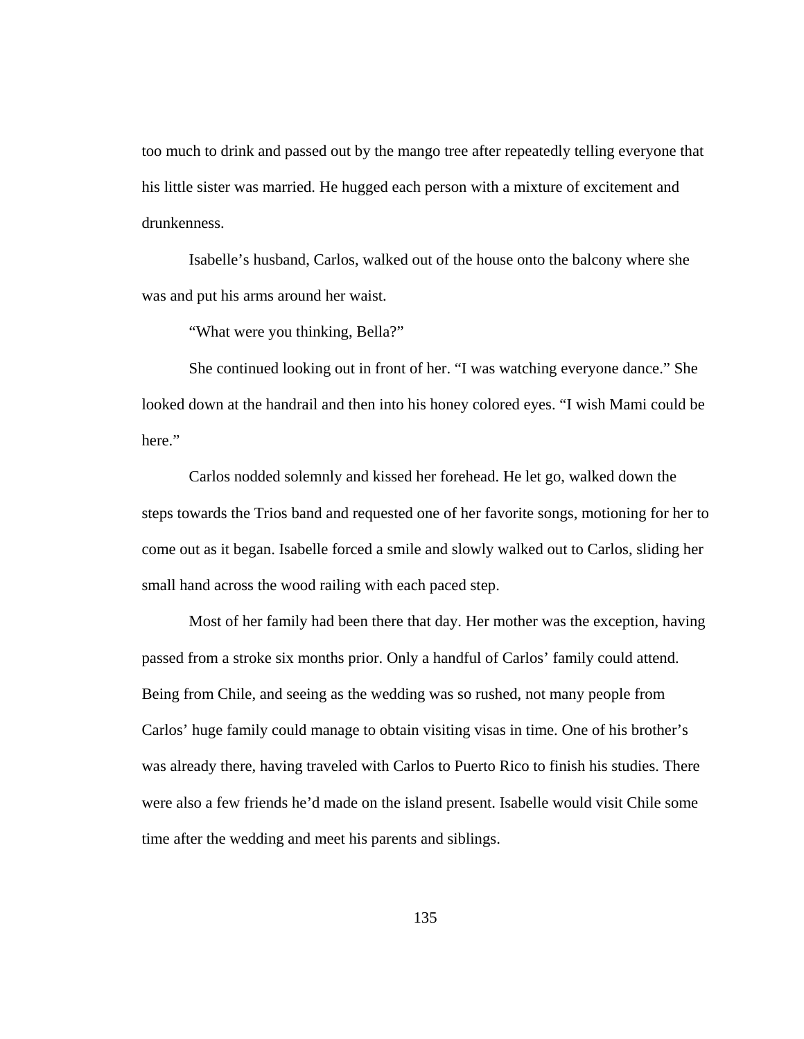too much to drink and passed out by the mango tree after repeatedly telling everyone that his little sister was married. He hugged each person with a mixture of excitement and drunkenness.

 Isabelle's husband, Carlos, walked out of the house onto the balcony where she was and put his arms around her waist.

"What were you thinking, Bella?"

 She continued looking out in front of her. "I was watching everyone dance." She looked down at the handrail and then into his honey colored eyes. "I wish Mami could be here."

 Carlos nodded solemnly and kissed her forehead. He let go, walked down the steps towards the Trios band and requested one of her favorite songs, motioning for her to come out as it began. Isabelle forced a smile and slowly walked out to Carlos, sliding her small hand across the wood railing with each paced step.

 Most of her family had been there that day. Her mother was the exception, having passed from a stroke six months prior. Only a handful of Carlos' family could attend. Being from Chile, and seeing as the wedding was so rushed, not many people from Carlos' huge family could manage to obtain visiting visas in time. One of his brother's was already there, having traveled with Carlos to Puerto Rico to finish his studies. There were also a few friends he'd made on the island present. Isabelle would visit Chile some time after the wedding and meet his parents and siblings.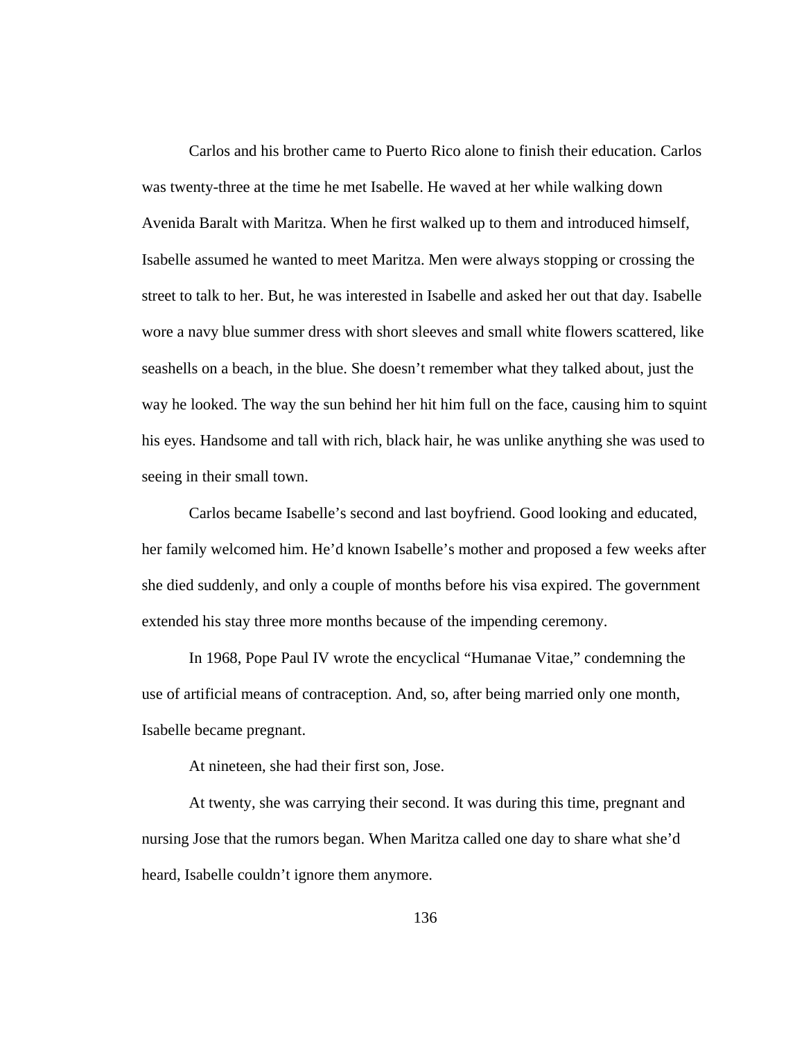Carlos and his brother came to Puerto Rico alone to finish their education. Carlos was twenty-three at the time he met Isabelle. He waved at her while walking down Avenida Baralt with Maritza. When he first walked up to them and introduced himself, Isabelle assumed he wanted to meet Maritza. Men were always stopping or crossing the street to talk to her. But, he was interested in Isabelle and asked her out that day. Isabelle wore a navy blue summer dress with short sleeves and small white flowers scattered, like seashells on a beach, in the blue. She doesn't remember what they talked about, just the way he looked. The way the sun behind her hit him full on the face, causing him to squint his eyes. Handsome and tall with rich, black hair, he was unlike anything she was used to seeing in their small town.

 Carlos became Isabelle's second and last boyfriend. Good looking and educated, her family welcomed him. He'd known Isabelle's mother and proposed a few weeks after she died suddenly, and only a couple of months before his visa expired. The government extended his stay three more months because of the impending ceremony.

 In 1968, Pope Paul IV wrote the encyclical "Humanae Vitae," condemning the use of artificial means of contraception. And, so, after being married only one month, Isabelle became pregnant.

At nineteen, she had their first son, Jose.

 At twenty, she was carrying their second. It was during this time, pregnant and nursing Jose that the rumors began. When Maritza called one day to share what she'd heard, Isabelle couldn't ignore them anymore.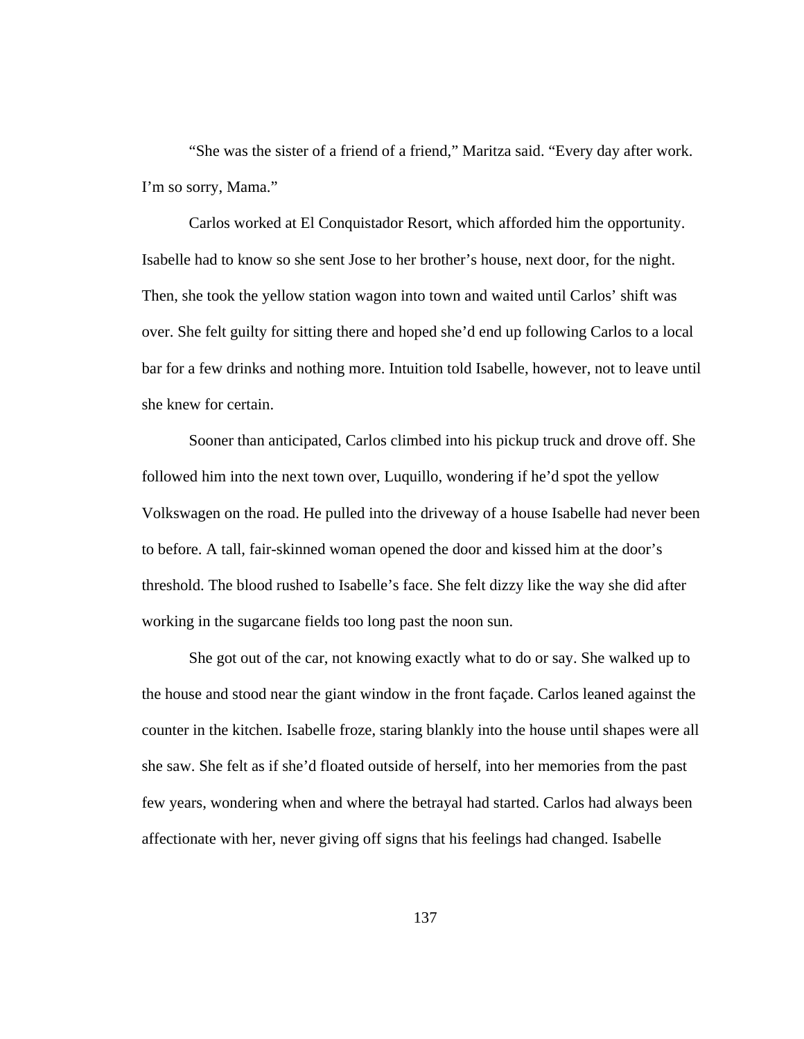"She was the sister of a friend of a friend," Maritza said. "Every day after work. I'm so sorry, Mama."

 Carlos worked at El Conquistador Resort, which afforded him the opportunity. Isabelle had to know so she sent Jose to her brother's house, next door, for the night. Then, she took the yellow station wagon into town and waited until Carlos' shift was over. She felt guilty for sitting there and hoped she'd end up following Carlos to a local bar for a few drinks and nothing more. Intuition told Isabelle, however, not to leave until she knew for certain.

 Sooner than anticipated, Carlos climbed into his pickup truck and drove off. She followed him into the next town over, Luquillo, wondering if he'd spot the yellow Volkswagen on the road. He pulled into the driveway of a house Isabelle had never been to before. A tall, fair-skinned woman opened the door and kissed him at the door's threshold. The blood rushed to Isabelle's face. She felt dizzy like the way she did after working in the sugarcane fields too long past the noon sun.

 She got out of the car, not knowing exactly what to do or say. She walked up to the house and stood near the giant window in the front façade. Carlos leaned against the counter in the kitchen. Isabelle froze, staring blankly into the house until shapes were all she saw. She felt as if she'd floated outside of herself, into her memories from the past few years, wondering when and where the betrayal had started. Carlos had always been affectionate with her, never giving off signs that his feelings had changed. Isabelle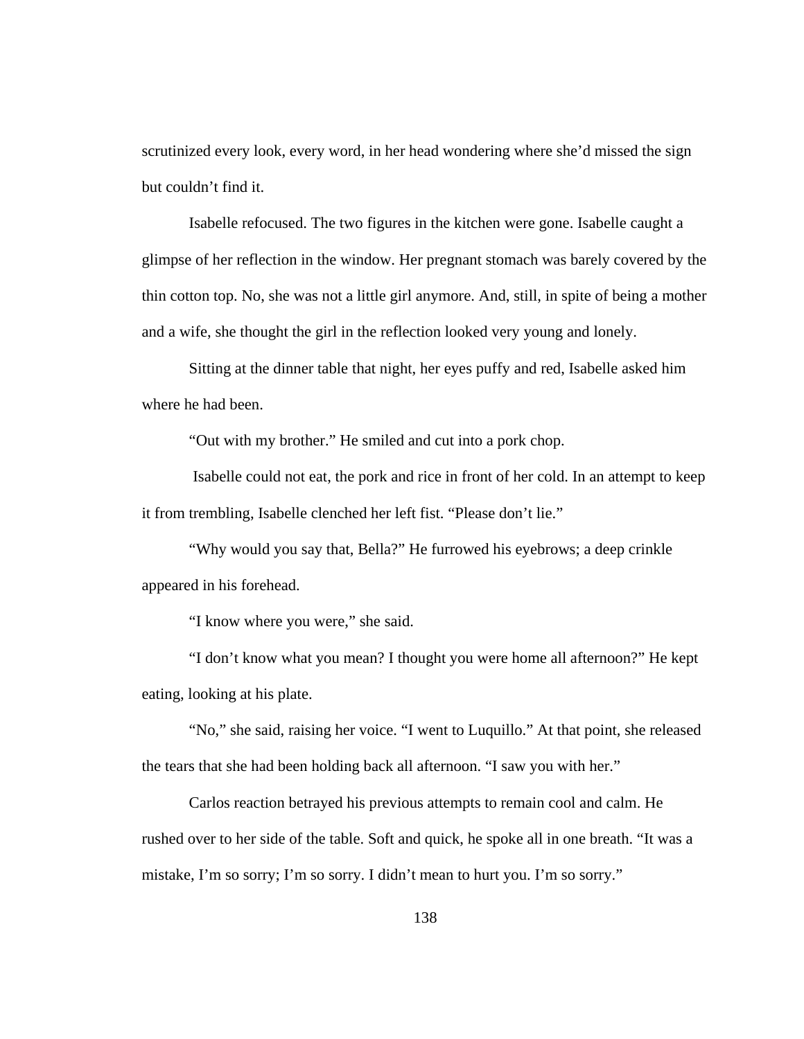scrutinized every look, every word, in her head wondering where she'd missed the sign but couldn't find it.

 Isabelle refocused. The two figures in the kitchen were gone. Isabelle caught a glimpse of her reflection in the window. Her pregnant stomach was barely covered by the thin cotton top. No, she was not a little girl anymore. And, still, in spite of being a mother and a wife, she thought the girl in the reflection looked very young and lonely.

 Sitting at the dinner table that night, her eyes puffy and red, Isabelle asked him where he had been.

"Out with my brother." He smiled and cut into a pork chop.

 Isabelle could not eat, the pork and rice in front of her cold. In an attempt to keep it from trembling, Isabelle clenched her left fist. "Please don't lie."

 "Why would you say that, Bella?" He furrowed his eyebrows; a deep crinkle appeared in his forehead.

"I know where you were," she said.

 "I don't know what you mean? I thought you were home all afternoon?" He kept eating, looking at his plate.

 "No," she said, raising her voice. "I went to Luquillo." At that point, she released the tears that she had been holding back all afternoon. "I saw you with her."

 Carlos reaction betrayed his previous attempts to remain cool and calm. He rushed over to her side of the table. Soft and quick, he spoke all in one breath. "It was a mistake, I'm so sorry; I'm so sorry. I didn't mean to hurt you. I'm so sorry."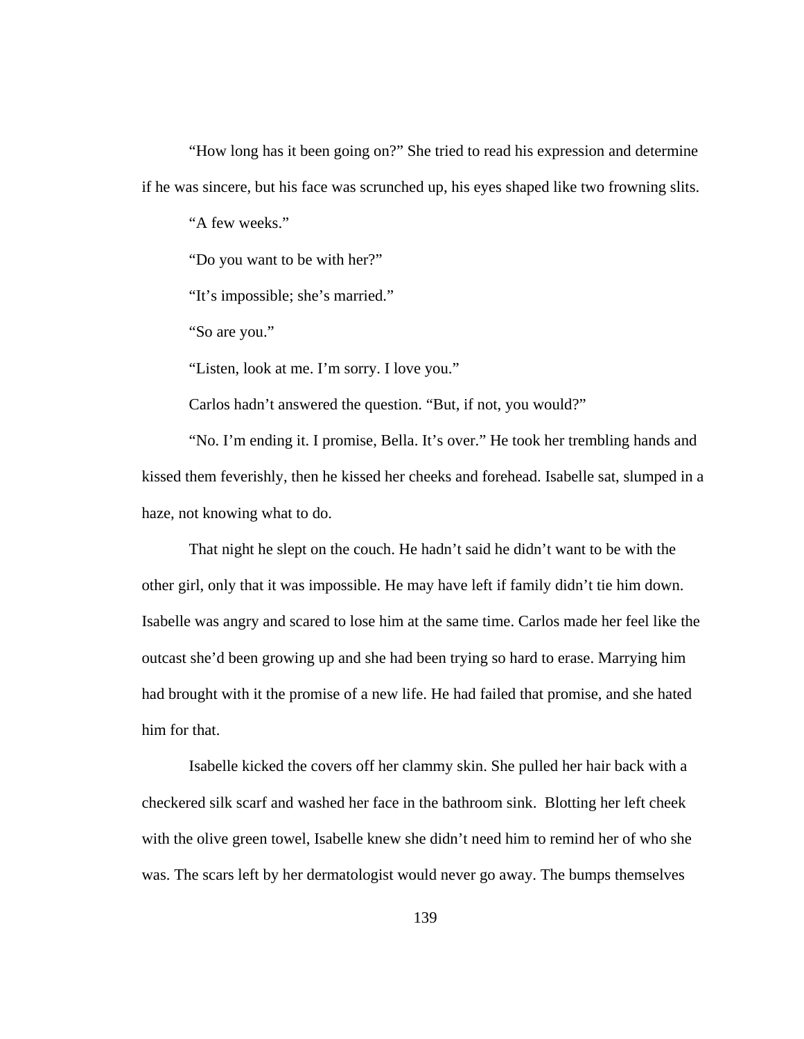"How long has it been going on?" She tried to read his expression and determine if he was sincere, but his face was scrunched up, his eyes shaped like two frowning slits.

"A few weeks."

"Do you want to be with her?"

"It's impossible; she's married."

"So are you."

"Listen, look at me. I'm sorry. I love you."

Carlos hadn't answered the question. "But, if not, you would?"

 "No. I'm ending it. I promise, Bella. It's over." He took her trembling hands and kissed them feverishly, then he kissed her cheeks and forehead. Isabelle sat, slumped in a haze, not knowing what to do.

 That night he slept on the couch. He hadn't said he didn't want to be with the other girl, only that it was impossible. He may have left if family didn't tie him down. Isabelle was angry and scared to lose him at the same time. Carlos made her feel like the outcast she'd been growing up and she had been trying so hard to erase. Marrying him had brought with it the promise of a new life. He had failed that promise, and she hated him for that.

 Isabelle kicked the covers off her clammy skin. She pulled her hair back with a checkered silk scarf and washed her face in the bathroom sink. Blotting her left cheek with the olive green towel, Isabelle knew she didn't need him to remind her of who she was. The scars left by her dermatologist would never go away. The bumps themselves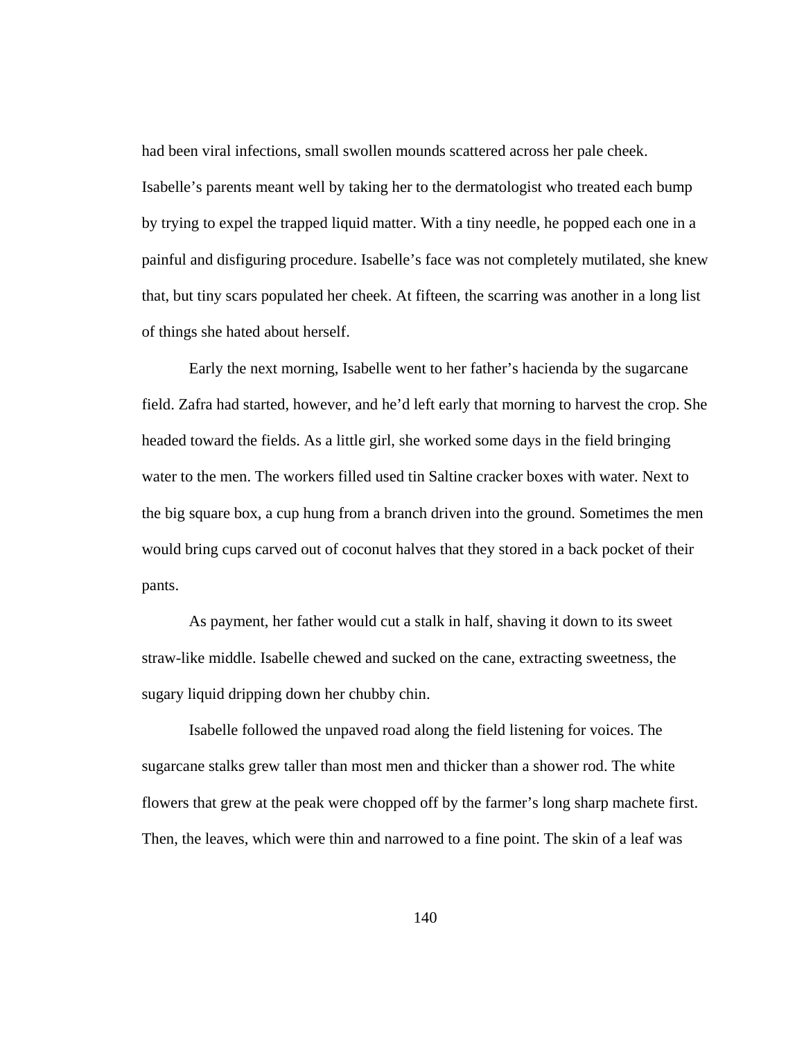had been viral infections, small swollen mounds scattered across her pale cheek. Isabelle's parents meant well by taking her to the dermatologist who treated each bump by trying to expel the trapped liquid matter. With a tiny needle, he popped each one in a painful and disfiguring procedure. Isabelle's face was not completely mutilated, she knew that, but tiny scars populated her cheek. At fifteen, the scarring was another in a long list of things she hated about herself.

 Early the next morning, Isabelle went to her father's hacienda by the sugarcane field. Zafra had started, however, and he'd left early that morning to harvest the crop. She headed toward the fields. As a little girl, she worked some days in the field bringing water to the men. The workers filled used tin Saltine cracker boxes with water. Next to the big square box, a cup hung from a branch driven into the ground. Sometimes the men would bring cups carved out of coconut halves that they stored in a back pocket of their pants.

 As payment, her father would cut a stalk in half, shaving it down to its sweet straw-like middle. Isabelle chewed and sucked on the cane, extracting sweetness, the sugary liquid dripping down her chubby chin.

Isabelle followed the unpaved road along the field listening for voices. The sugarcane stalks grew taller than most men and thicker than a shower rod. The white flowers that grew at the peak were chopped off by the farmer's long sharp machete first. Then, the leaves, which were thin and narrowed to a fine point. The skin of a leaf was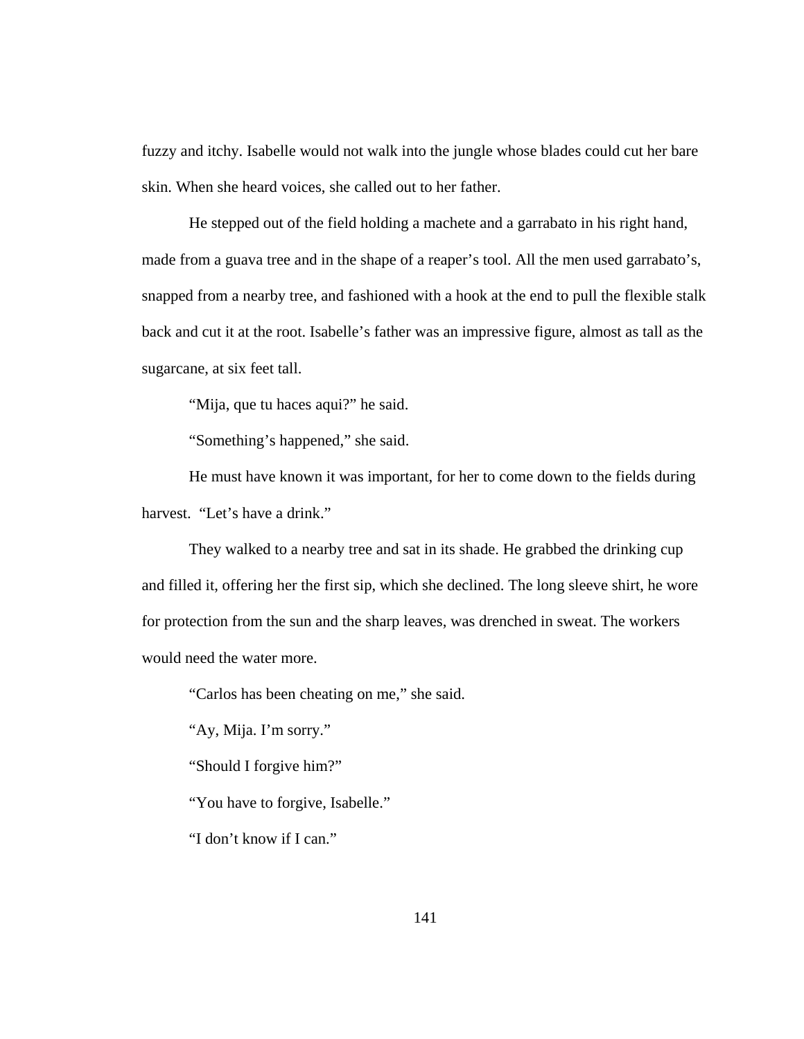fuzzy and itchy. Isabelle would not walk into the jungle whose blades could cut her bare skin. When she heard voices, she called out to her father.

 He stepped out of the field holding a machete and a garrabato in his right hand, made from a guava tree and in the shape of a reaper's tool. All the men used garrabato's, snapped from a nearby tree, and fashioned with a hook at the end to pull the flexible stalk back and cut it at the root. Isabelle's father was an impressive figure, almost as tall as the sugarcane, at six feet tall.

"Mija, que tu haces aqui?" he said.

"Something's happened," she said.

 He must have known it was important, for her to come down to the fields during harvest. "Let's have a drink."

 They walked to a nearby tree and sat in its shade. He grabbed the drinking cup and filled it, offering her the first sip, which she declined. The long sleeve shirt, he wore for protection from the sun and the sharp leaves, was drenched in sweat. The workers would need the water more.

"Carlos has been cheating on me," she said.

"Ay, Mija. I'm sorry."

"Should I forgive him?"

"You have to forgive, Isabelle."

"I don't know if I can."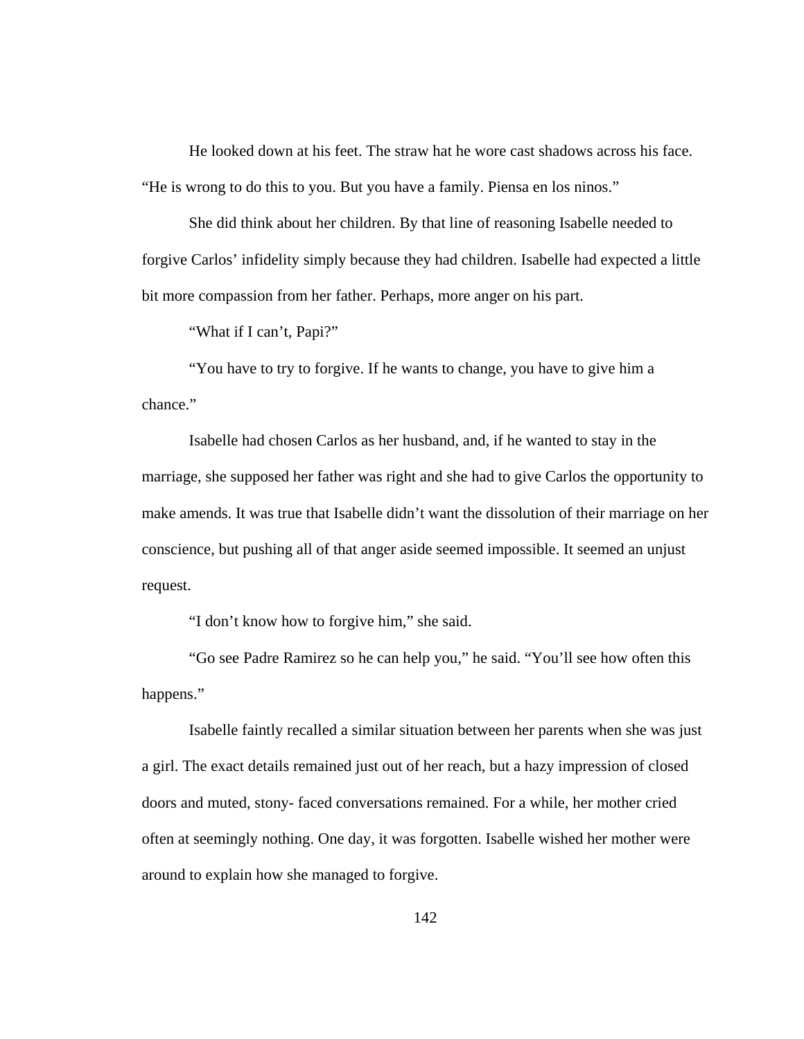He looked down at his feet. The straw hat he wore cast shadows across his face. "He is wrong to do this to you. But you have a family. Piensa en los ninos."

 She did think about her children. By that line of reasoning Isabelle needed to forgive Carlos' infidelity simply because they had children. Isabelle had expected a little bit more compassion from her father. Perhaps, more anger on his part.

"What if I can't, Papi?"

 "You have to try to forgive. If he wants to change, you have to give him a chance."

 Isabelle had chosen Carlos as her husband, and, if he wanted to stay in the marriage, she supposed her father was right and she had to give Carlos the opportunity to make amends. It was true that Isabelle didn't want the dissolution of their marriage on her conscience, but pushing all of that anger aside seemed impossible. It seemed an unjust request.

"I don't know how to forgive him," she said.

 "Go see Padre Ramirez so he can help you," he said. "You'll see how often this happens."

Isabelle faintly recalled a similar situation between her parents when she was just a girl. The exact details remained just out of her reach, but a hazy impression of closed doors and muted, stony- faced conversations remained. For a while, her mother cried often at seemingly nothing. One day, it was forgotten. Isabelle wished her mother were around to explain how she managed to forgive.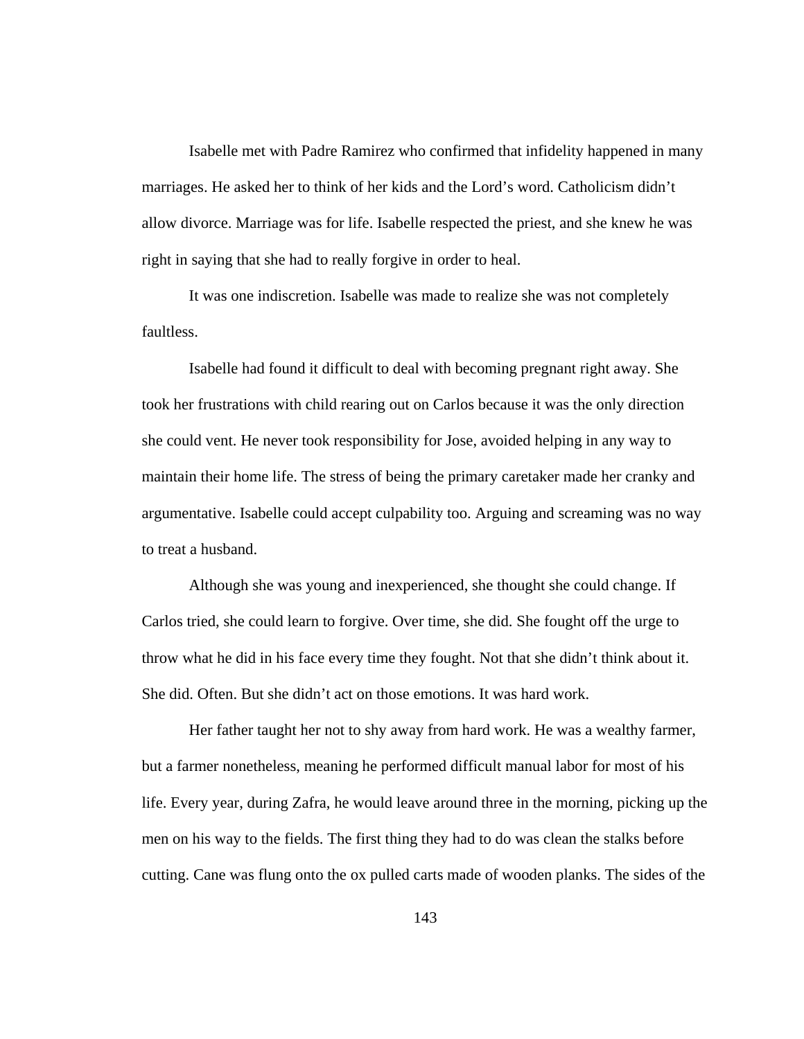Isabelle met with Padre Ramirez who confirmed that infidelity happened in many marriages. He asked her to think of her kids and the Lord's word. Catholicism didn't allow divorce. Marriage was for life. Isabelle respected the priest, and she knew he was right in saying that she had to really forgive in order to heal.

 It was one indiscretion. Isabelle was made to realize she was not completely faultless.

 Isabelle had found it difficult to deal with becoming pregnant right away. She took her frustrations with child rearing out on Carlos because it was the only direction she could vent. He never took responsibility for Jose, avoided helping in any way to maintain their home life. The stress of being the primary caretaker made her cranky and argumentative. Isabelle could accept culpability too. Arguing and screaming was no way to treat a husband.

 Although she was young and inexperienced, she thought she could change. If Carlos tried, she could learn to forgive. Over time, she did. She fought off the urge to throw what he did in his face every time they fought. Not that she didn't think about it. She did. Often. But she didn't act on those emotions. It was hard work.

 Her father taught her not to shy away from hard work. He was a wealthy farmer, but a farmer nonetheless, meaning he performed difficult manual labor for most of his life. Every year, during Zafra, he would leave around three in the morning, picking up the men on his way to the fields. The first thing they had to do was clean the stalks before cutting. Cane was flung onto the ox pulled carts made of wooden planks. The sides of the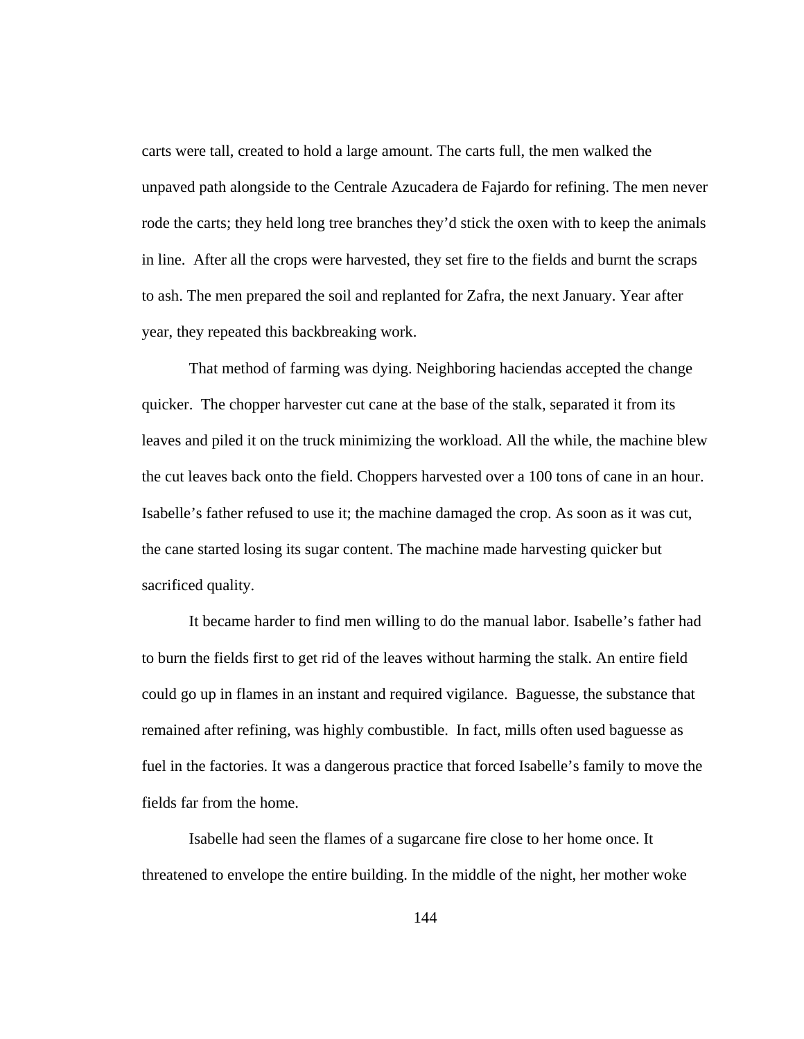carts were tall, created to hold a large amount. The carts full, the men walked the unpaved path alongside to the Centrale Azucadera de Fajardo for refining. The men never rode the carts; they held long tree branches they'd stick the oxen with to keep the animals in line. After all the crops were harvested, they set fire to the fields and burnt the scraps to ash. The men prepared the soil and replanted for Zafra, the next January. Year after year, they repeated this backbreaking work.

 That method of farming was dying. Neighboring haciendas accepted the change quicker. The chopper harvester cut cane at the base of the stalk, separated it from its leaves and piled it on the truck minimizing the workload. All the while, the machine blew the cut leaves back onto the field. Choppers harvested over a 100 tons of cane in an hour. Isabelle's father refused to use it; the machine damaged the crop. As soon as it was cut, the cane started losing its sugar content. The machine made harvesting quicker but sacrificed quality.

 It became harder to find men willing to do the manual labor. Isabelle's father had to burn the fields first to get rid of the leaves without harming the stalk. An entire field could go up in flames in an instant and required vigilance. Baguesse, the substance that remained after refining, was highly combustible. In fact, mills often used baguesse as fuel in the factories. It was a dangerous practice that forced Isabelle's family to move the fields far from the home.

 Isabelle had seen the flames of a sugarcane fire close to her home once. It threatened to envelope the entire building. In the middle of the night, her mother woke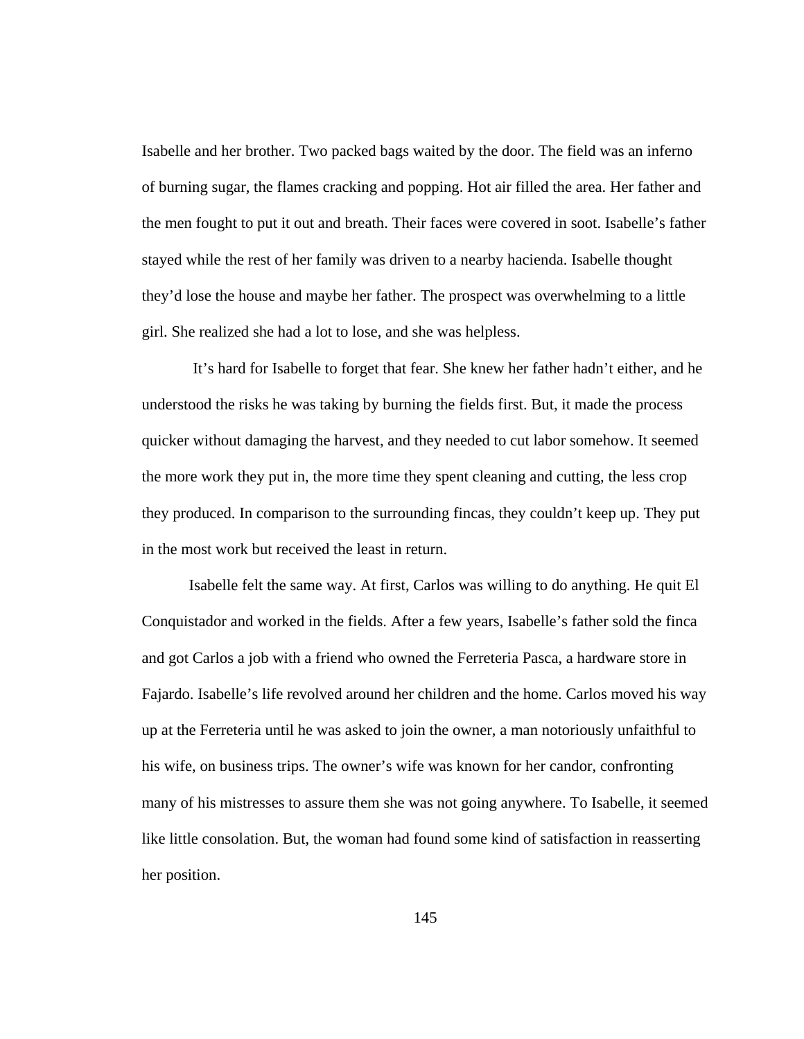Isabelle and her brother. Two packed bags waited by the door. The field was an inferno of burning sugar, the flames cracking and popping. Hot air filled the area. Her father and the men fought to put it out and breath. Their faces were covered in soot. Isabelle's father stayed while the rest of her family was driven to a nearby hacienda. Isabelle thought they'd lose the house and maybe her father. The prospect was overwhelming to a little girl. She realized she had a lot to lose, and she was helpless.

 It's hard for Isabelle to forget that fear. She knew her father hadn't either, and he understood the risks he was taking by burning the fields first. But, it made the process quicker without damaging the harvest, and they needed to cut labor somehow. It seemed the more work they put in, the more time they spent cleaning and cutting, the less crop they produced. In comparison to the surrounding fincas, they couldn't keep up. They put in the most work but received the least in return.

 Isabelle felt the same way. At first, Carlos was willing to do anything. He quit El Conquistador and worked in the fields. After a few years, Isabelle's father sold the finca and got Carlos a job with a friend who owned the Ferreteria Pasca, a hardware store in Fajardo. Isabelle's life revolved around her children and the home. Carlos moved his way up at the Ferreteria until he was asked to join the owner, a man notoriously unfaithful to his wife, on business trips. The owner's wife was known for her candor, confronting many of his mistresses to assure them she was not going anywhere. To Isabelle, it seemed like little consolation. But, the woman had found some kind of satisfaction in reasserting her position.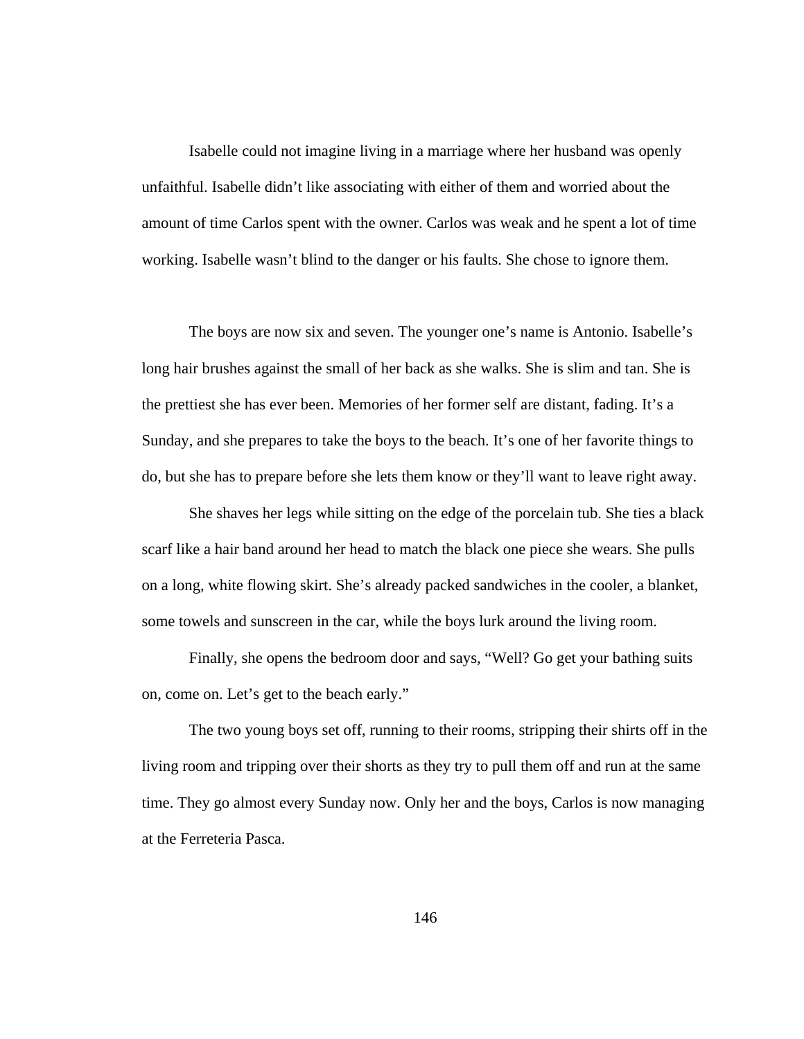Isabelle could not imagine living in a marriage where her husband was openly unfaithful. Isabelle didn't like associating with either of them and worried about the amount of time Carlos spent with the owner. Carlos was weak and he spent a lot of time working. Isabelle wasn't blind to the danger or his faults. She chose to ignore them.

 The boys are now six and seven. The younger one's name is Antonio. Isabelle's long hair brushes against the small of her back as she walks. She is slim and tan. She is the prettiest she has ever been. Memories of her former self are distant, fading. It's a Sunday, and she prepares to take the boys to the beach. It's one of her favorite things to do, but she has to prepare before she lets them know or they'll want to leave right away.

 She shaves her legs while sitting on the edge of the porcelain tub. She ties a black scarf like a hair band around her head to match the black one piece she wears. She pulls on a long, white flowing skirt. She's already packed sandwiches in the cooler, a blanket, some towels and sunscreen in the car, while the boys lurk around the living room.

 Finally, she opens the bedroom door and says, "Well? Go get your bathing suits on, come on. Let's get to the beach early."

 The two young boys set off, running to their rooms, stripping their shirts off in the living room and tripping over their shorts as they try to pull them off and run at the same time. They go almost every Sunday now. Only her and the boys, Carlos is now managing at the Ferreteria Pasca.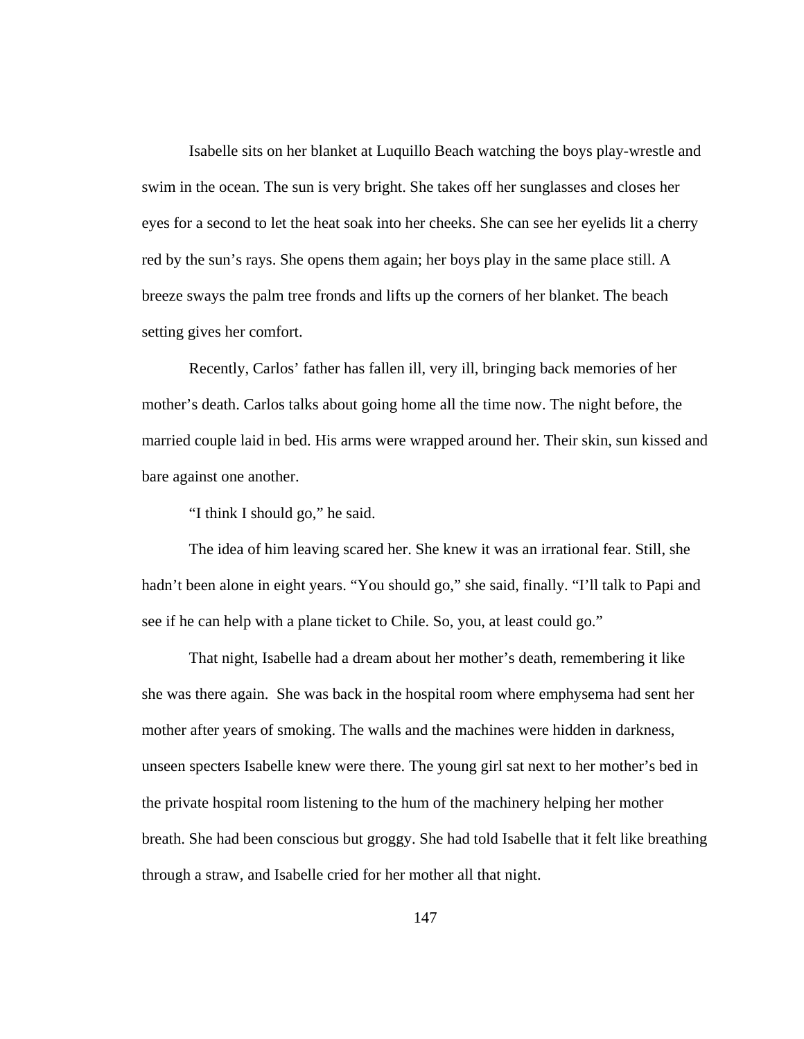Isabelle sits on her blanket at Luquillo Beach watching the boys play-wrestle and swim in the ocean. The sun is very bright. She takes off her sunglasses and closes her eyes for a second to let the heat soak into her cheeks. She can see her eyelids lit a cherry red by the sun's rays. She opens them again; her boys play in the same place still. A breeze sways the palm tree fronds and lifts up the corners of her blanket. The beach setting gives her comfort.

 Recently, Carlos' father has fallen ill, very ill, bringing back memories of her mother's death. Carlos talks about going home all the time now. The night before, the married couple laid in bed. His arms were wrapped around her. Their skin, sun kissed and bare against one another.

"I think I should go," he said.

 The idea of him leaving scared her. She knew it was an irrational fear. Still, she hadn't been alone in eight years. "You should go," she said, finally. "I'll talk to Papi and see if he can help with a plane ticket to Chile. So, you, at least could go."

 That night, Isabelle had a dream about her mother's death, remembering it like she was there again. She was back in the hospital room where emphysema had sent her mother after years of smoking. The walls and the machines were hidden in darkness, unseen specters Isabelle knew were there. The young girl sat next to her mother's bed in the private hospital room listening to the hum of the machinery helping her mother breath. She had been conscious but groggy. She had told Isabelle that it felt like breathing through a straw, and Isabelle cried for her mother all that night.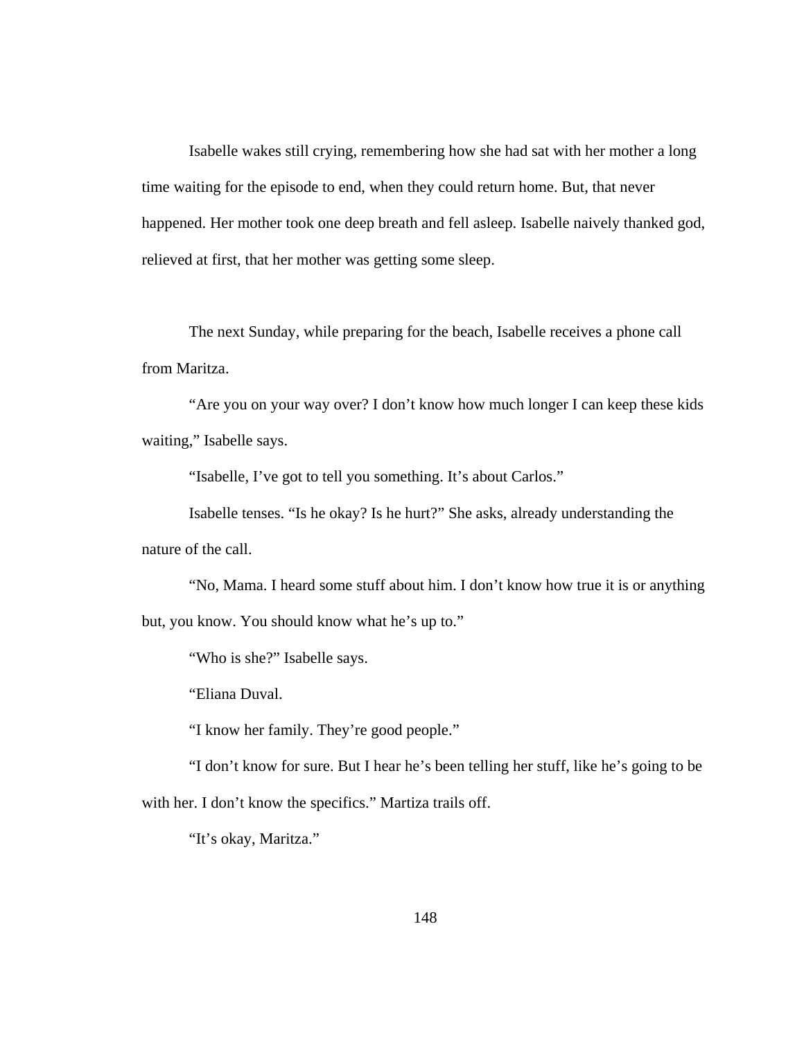Isabelle wakes still crying, remembering how she had sat with her mother a long time waiting for the episode to end, when they could return home. But, that never happened. Her mother took one deep breath and fell asleep. Isabelle naively thanked god, relieved at first, that her mother was getting some sleep.

 The next Sunday, while preparing for the beach, Isabelle receives a phone call from Maritza.

 "Are you on your way over? I don't know how much longer I can keep these kids waiting," Isabelle says.

"Isabelle, I've got to tell you something. It's about Carlos."

 Isabelle tenses. "Is he okay? Is he hurt?" She asks, already understanding the nature of the call.

 "No, Mama. I heard some stuff about him. I don't know how true it is or anything but, you know. You should know what he's up to."

"Who is she?" Isabelle says.

"Eliana Duval.

"I know her family. They're good people."

 "I don't know for sure. But I hear he's been telling her stuff, like he's going to be with her. I don't know the specifics." Martiza trails off.

"It's okay, Maritza."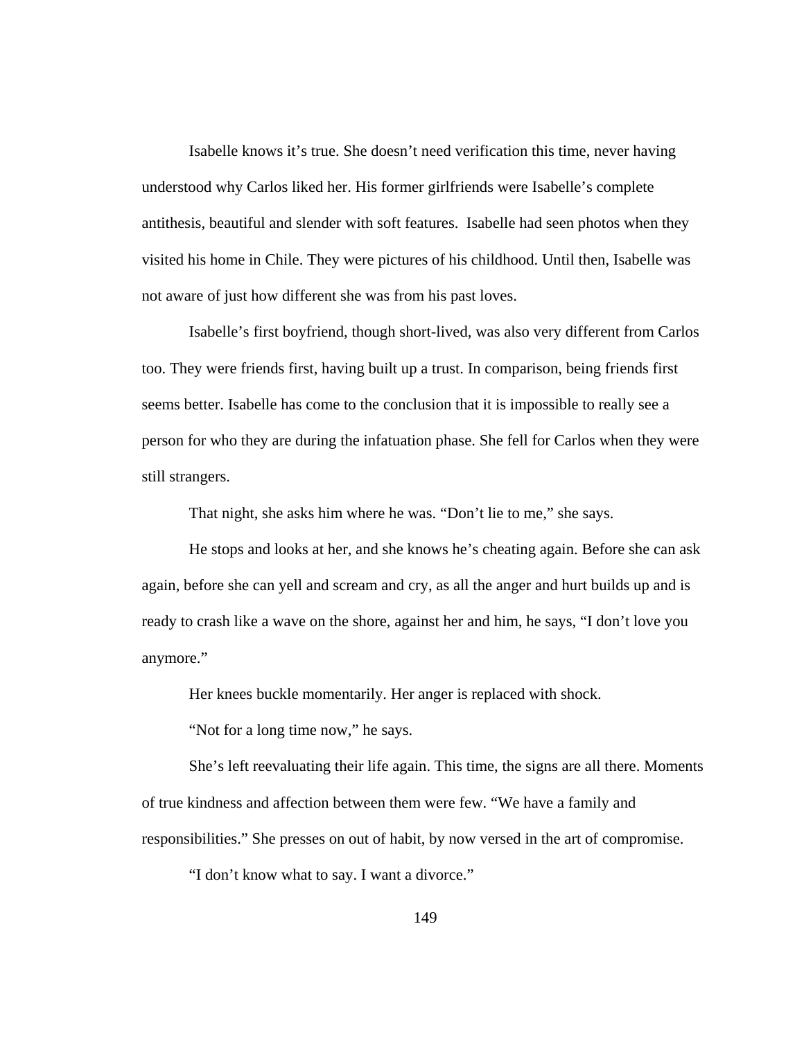Isabelle knows it's true. She doesn't need verification this time, never having understood why Carlos liked her. His former girlfriends were Isabelle's complete antithesis, beautiful and slender with soft features. Isabelle had seen photos when they visited his home in Chile. They were pictures of his childhood. Until then, Isabelle was not aware of just how different she was from his past loves.

 Isabelle's first boyfriend, though short-lived, was also very different from Carlos too. They were friends first, having built up a trust. In comparison, being friends first seems better. Isabelle has come to the conclusion that it is impossible to really see a person for who they are during the infatuation phase. She fell for Carlos when they were still strangers.

That night, she asks him where he was. "Don't lie to me," she says.

 He stops and looks at her, and she knows he's cheating again. Before she can ask again, before she can yell and scream and cry, as all the anger and hurt builds up and is ready to crash like a wave on the shore, against her and him, he says, "I don't love you anymore."

Her knees buckle momentarily. Her anger is replaced with shock.

"Not for a long time now," he says.

 She's left reevaluating their life again. This time, the signs are all there. Moments of true kindness and affection between them were few. "We have a family and responsibilities." She presses on out of habit, by now versed in the art of compromise.

"I don't know what to say. I want a divorce."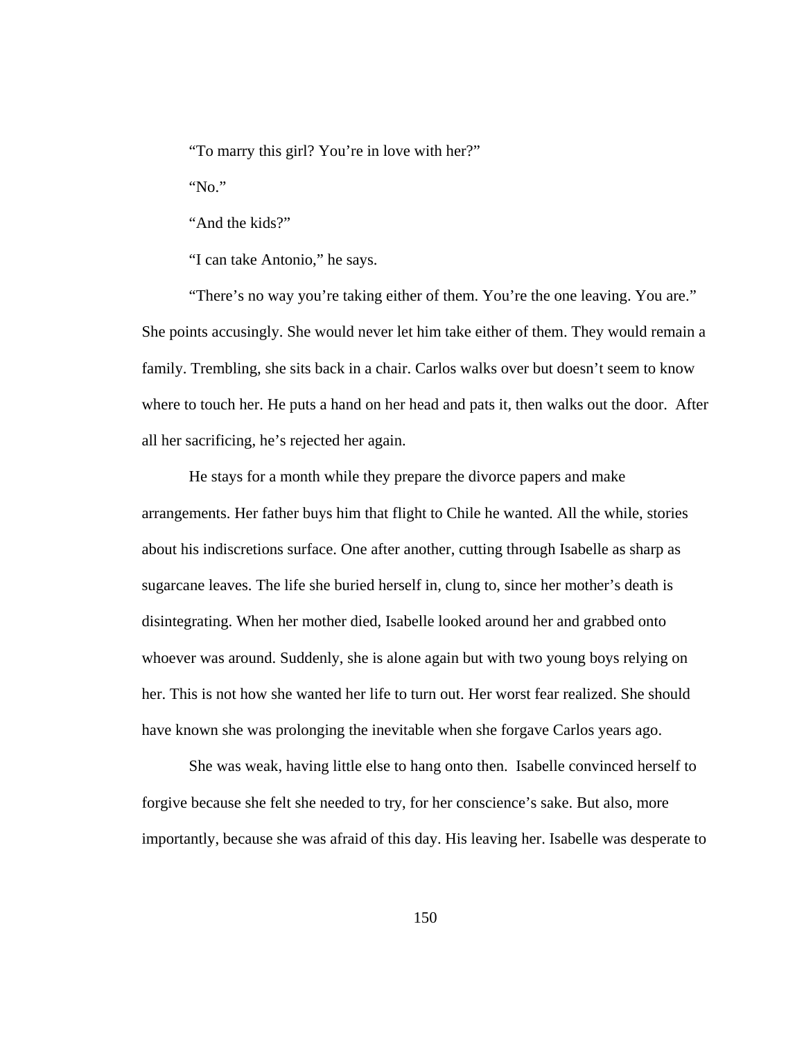"To marry this girl? You're in love with her?"

"No."

"And the kids?"

"I can take Antonio," he says.

 "There's no way you're taking either of them. You're the one leaving. You are." She points accusingly. She would never let him take either of them. They would remain a family. Trembling, she sits back in a chair. Carlos walks over but doesn't seem to know where to touch her. He puts a hand on her head and pats it, then walks out the door. After all her sacrificing, he's rejected her again.

 He stays for a month while they prepare the divorce papers and make arrangements. Her father buys him that flight to Chile he wanted. All the while, stories about his indiscretions surface. One after another, cutting through Isabelle as sharp as sugarcane leaves. The life she buried herself in, clung to, since her mother's death is disintegrating. When her mother died, Isabelle looked around her and grabbed onto whoever was around. Suddenly, she is alone again but with two young boys relying on her. This is not how she wanted her life to turn out. Her worst fear realized. She should have known she was prolonging the inevitable when she forgave Carlos years ago.

 She was weak, having little else to hang onto then. Isabelle convinced herself to forgive because she felt she needed to try, for her conscience's sake. But also, more importantly, because she was afraid of this day. His leaving her. Isabelle was desperate to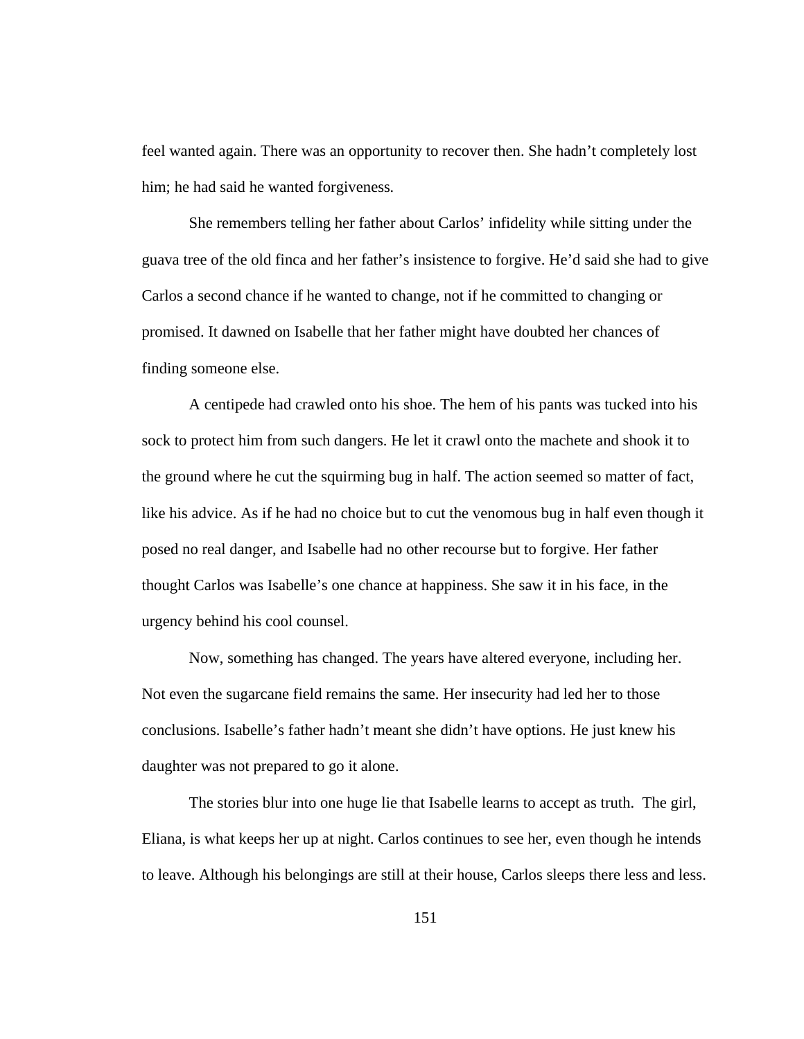feel wanted again. There was an opportunity to recover then. She hadn't completely lost him; he had said he wanted forgiveness*.* 

She remembers telling her father about Carlos' infidelity while sitting under the guava tree of the old finca and her father's insistence to forgive. He'd said she had to give Carlos a second chance if he wanted to change, not if he committed to changing or promised. It dawned on Isabelle that her father might have doubted her chances of finding someone else.

 A centipede had crawled onto his shoe. The hem of his pants was tucked into his sock to protect him from such dangers. He let it crawl onto the machete and shook it to the ground where he cut the squirming bug in half. The action seemed so matter of fact, like his advice. As if he had no choice but to cut the venomous bug in half even though it posed no real danger, and Isabelle had no other recourse but to forgive. Her father thought Carlos was Isabelle's one chance at happiness. She saw it in his face, in the urgency behind his cool counsel.

 Now, something has changed. The years have altered everyone, including her. Not even the sugarcane field remains the same. Her insecurity had led her to those conclusions. Isabelle's father hadn't meant she didn't have options. He just knew his daughter was not prepared to go it alone.

The stories blur into one huge lie that Isabelle learns to accept as truth. The girl, Eliana, is what keeps her up at night. Carlos continues to see her, even though he intends to leave. Although his belongings are still at their house, Carlos sleeps there less and less.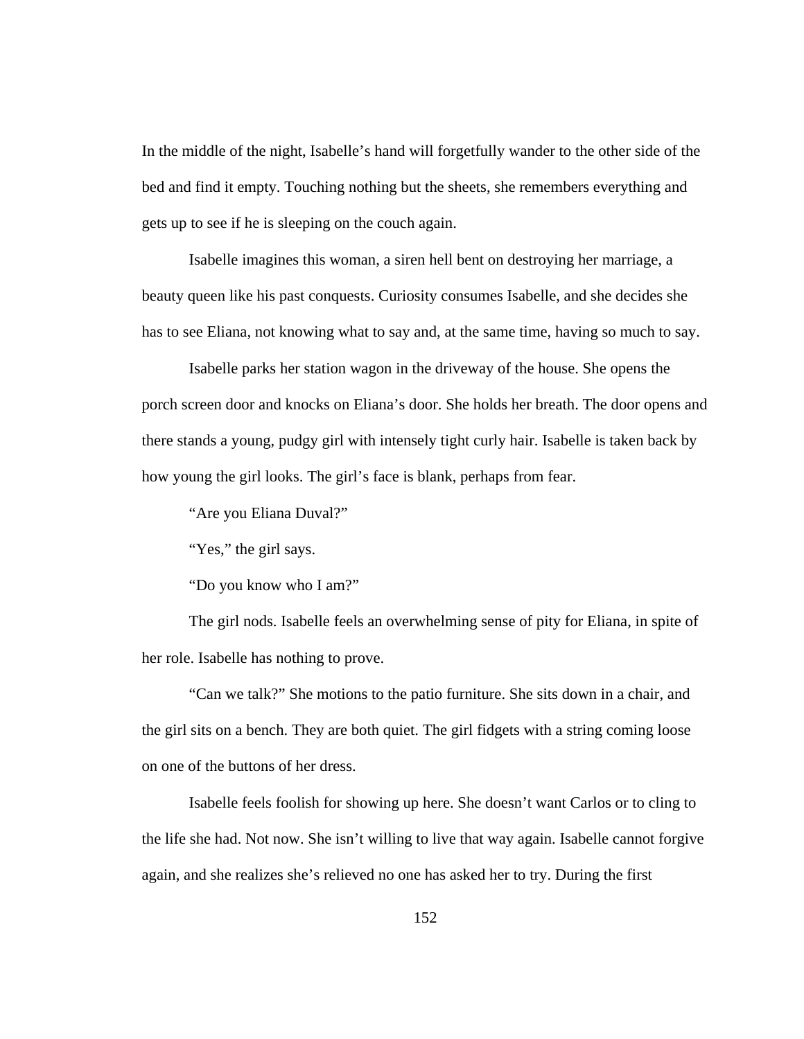In the middle of the night, Isabelle's hand will forgetfully wander to the other side of the bed and find it empty. Touching nothing but the sheets, she remembers everything and gets up to see if he is sleeping on the couch again.

 Isabelle imagines this woman, a siren hell bent on destroying her marriage, a beauty queen like his past conquests. Curiosity consumes Isabelle, and she decides she has to see Eliana, not knowing what to say and, at the same time, having so much to say.

Isabelle parks her station wagon in the driveway of the house. She opens the porch screen door and knocks on Eliana's door. She holds her breath. The door opens and there stands a young, pudgy girl with intensely tight curly hair. Isabelle is taken back by how young the girl looks. The girl's face is blank, perhaps from fear.

"Are you Eliana Duval?"

"Yes," the girl says.

"Do you know who I am?"

 The girl nods. Isabelle feels an overwhelming sense of pity for Eliana, in spite of her role. Isabelle has nothing to prove.

 "Can we talk?" She motions to the patio furniture. She sits down in a chair, and the girl sits on a bench. They are both quiet. The girl fidgets with a string coming loose on one of the buttons of her dress.

 Isabelle feels foolish for showing up here. She doesn't want Carlos or to cling to the life she had. Not now. She isn't willing to live that way again. Isabelle cannot forgive again, and she realizes she's relieved no one has asked her to try. During the first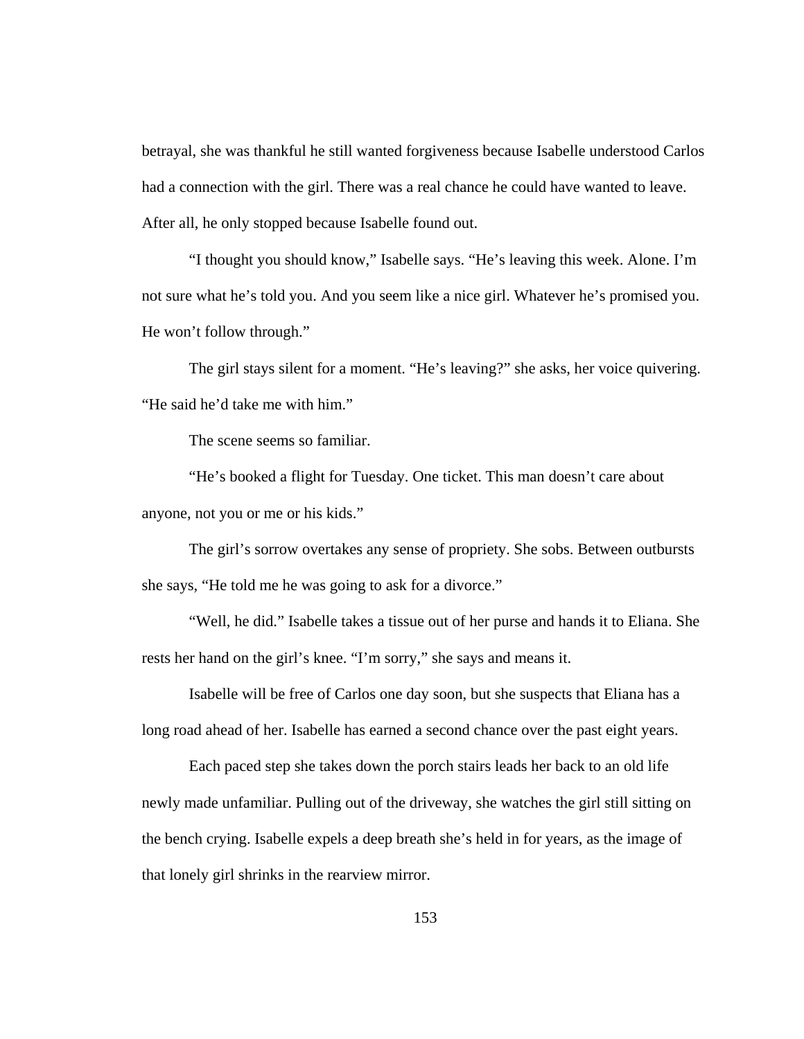betrayal, she was thankful he still wanted forgiveness because Isabelle understood Carlos had a connection with the girl. There was a real chance he could have wanted to leave. After all, he only stopped because Isabelle found out.

 "I thought you should know," Isabelle says. "He's leaving this week. Alone. I'm not sure what he's told you. And you seem like a nice girl. Whatever he's promised you. He won't follow through."

 The girl stays silent for a moment. "He's leaving?" she asks, her voice quivering. "He said he'd take me with him."

The scene seems so familiar.

 "He's booked a flight for Tuesday. One ticket. This man doesn't care about anyone, not you or me or his kids."

 The girl's sorrow overtakes any sense of propriety. She sobs. Between outbursts she says, "He told me he was going to ask for a divorce."

 "Well, he did." Isabelle takes a tissue out of her purse and hands it to Eliana. She rests her hand on the girl's knee. "I'm sorry," she says and means it.

 Isabelle will be free of Carlos one day soon, but she suspects that Eliana has a long road ahead of her. Isabelle has earned a second chance over the past eight years.

 Each paced step she takes down the porch stairs leads her back to an old life newly made unfamiliar. Pulling out of the driveway, she watches the girl still sitting on the bench crying. Isabelle expels a deep breath she's held in for years, as the image of that lonely girl shrinks in the rearview mirror.